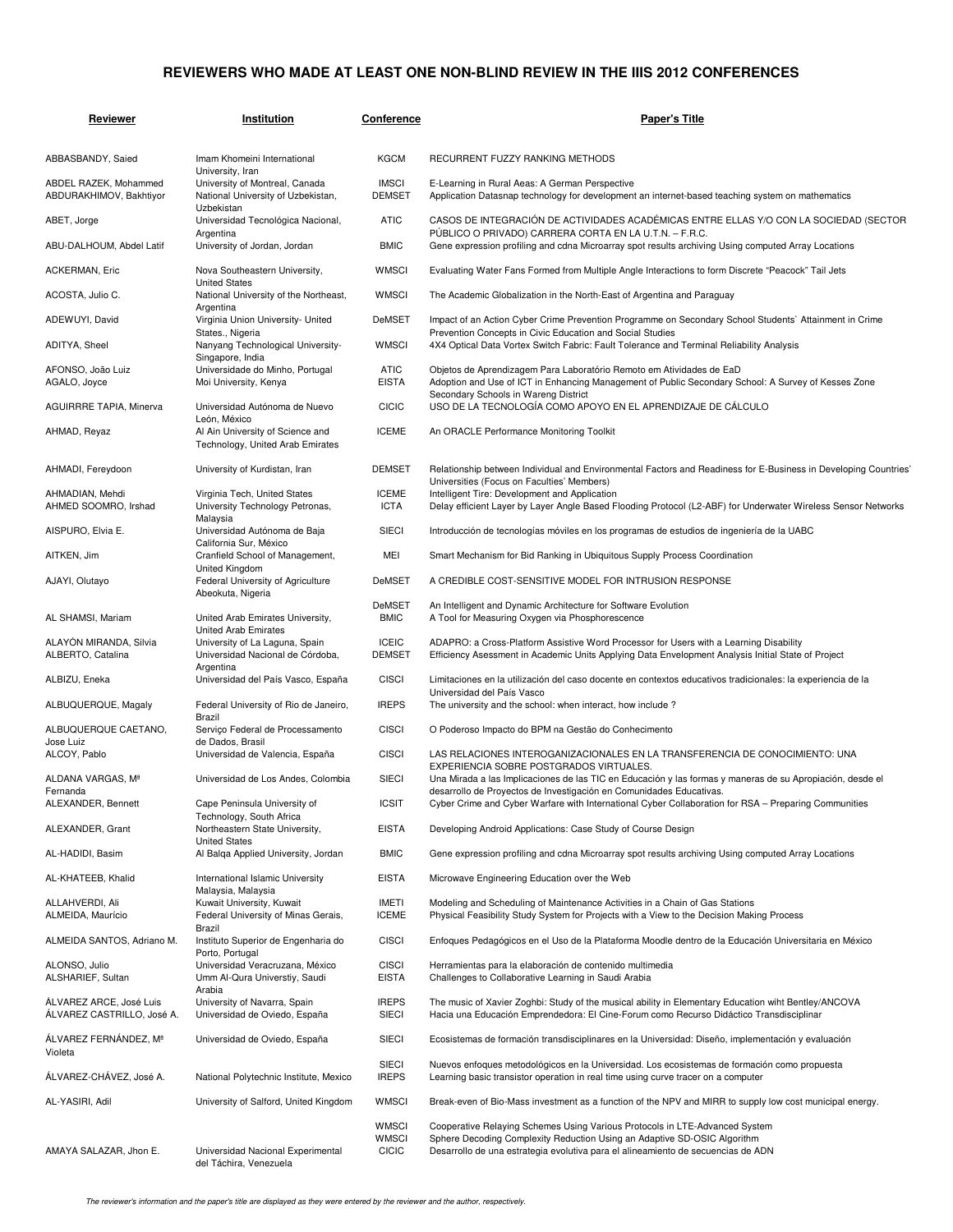## **REVIEWERS WHO MADE AT LEAST ONE NON-BLIND REVIEW IN THE IIIS 2012 CONFERENCES**

| Reviewer                                              | Institution                                                                              | <b>Conference</b>                            | Paper's Title                                                                                                                                                                                                                               |
|-------------------------------------------------------|------------------------------------------------------------------------------------------|----------------------------------------------|---------------------------------------------------------------------------------------------------------------------------------------------------------------------------------------------------------------------------------------------|
| ABBASBANDY, Saied                                     | Imam Khomeini International                                                              | <b>KGCM</b>                                  | <b>RECURRENT FUZZY RANKING METHODS</b>                                                                                                                                                                                                      |
| ABDEL RAZEK, Mohammed<br>ABDURAKHIMOV, Bakhtiyor      | University, Iran<br>University of Montreal, Canada<br>National University of Uzbekistan, | <b>IMSCI</b><br><b>DEMSET</b>                | E-Learning in Rural Aeas: A German Perspective<br>Application Datasnap technology for development an internet-based teaching system on mathematics                                                                                          |
| ABET, Jorge                                           | Uzbekistan<br>Universidad Tecnológica Nacional,<br>Argentina                             | <b>ATIC</b>                                  | CASOS DE INTEGRACIÓN DE ACTIVIDADES ACADÉMICAS ENTRE ELLAS Y/O CON LA SOCIEDAD (SECTOR<br>PÚBLICO O PRIVADO) CARRERA CORTA EN LA U.T.N. - F.R.C.                                                                                            |
| ABU-DALHOUM, Abdel Latif                              | University of Jordan, Jordan                                                             | <b>BMIC</b>                                  | Gene expression profiling and cdna Microarray spot results archiving Using computed Array Locations                                                                                                                                         |
| <b>ACKERMAN, Eric</b>                                 | Nova Southeastern University,<br><b>United States</b>                                    | <b>WMSCI</b>                                 | Evaluating Water Fans Formed from Multiple Angle Interactions to form Discrete "Peacock" Tail Jets                                                                                                                                          |
| ACOSTA, Julio C.                                      | National University of the Northeast,                                                    | <b>WMSCI</b>                                 | The Academic Globalization in the North-East of Argentina and Paraguay                                                                                                                                                                      |
| ADEWUYI, David                                        | Argentina<br>Virginia Union University- United                                           | DeMSET                                       | Impact of an Action Cyber Crime Prevention Programme on Secondary School Students` Attainment in Crime                                                                                                                                      |
| ADITYA, Sheel                                         | States., Nigeria<br>Nanyang Technological University-                                    | <b>WMSCI</b>                                 | Prevention Concepts in Civic Education and Social Studies<br>4X4 Optical Data Vortex Switch Fabric: Fault Tolerance and Terminal Reliability Analysis                                                                                       |
| AFONSO, João Luiz<br>AGALO, Joyce                     | Singapore, India<br>Universidade do Minho, Portugal<br>Moi University, Kenya             | <b>ATIC</b><br><b>EISTA</b>                  | Objetos de Aprendizagem Para Laboratório Remoto em Atividades de EaD<br>Adoption and Use of ICT in Enhancing Management of Public Secondary School: A Survey of Kesses Zone                                                                 |
| <b>AGUIRRRE TAPIA, Minerva</b>                        | Universidad Autónoma de Nuevo                                                            | <b>CICIC</b>                                 | Secondary Schools in Wareng District<br>USO DE LA TECNOLOGÍA COMO APOYO EN EL APRENDIZAJE DE CÁLCULO                                                                                                                                        |
| AHMAD, Reyaz                                          | León, México<br>Al Ain University of Science and<br>Technology, United Arab Emirates     | <b>ICEME</b>                                 | An ORACLE Performance Monitoring Toolkit                                                                                                                                                                                                    |
| AHMADI, Fereydoon                                     | University of Kurdistan, Iran                                                            | <b>DEMSET</b>                                | Relationship between Individual and Environmental Factors and Readiness for E-Business in Developing Countries<br>Universities (Focus on Faculties' Members)                                                                                |
| AHMADIAN, Mehdi<br>AHMED SOOMRO, Irshad               | Virginia Tech, United States<br>University Technology Petronas,                          | <b>ICEME</b><br><b>ICTA</b>                  | Intelligent Tire: Development and Application<br>Delay efficient Layer by Layer Angle Based Flooding Protocol (L2-ABF) for Underwater Wireless Sensor Networks                                                                              |
| AISPURO, Elvia E.                                     | Malaysia<br>Universidad Autónoma de Baja                                                 | <b>SIECI</b>                                 | Introducción de tecnologías móviles en los programas de estudios de ingeniería de la UABC                                                                                                                                                   |
| AITKEN, Jim                                           | California Sur, México<br>Cranfield School of Management,                                | MEI                                          | Smart Mechanism for Bid Ranking in Ubiquitous Supply Process Coordination                                                                                                                                                                   |
| AJAYI, Olutayo                                        | United Kingdom<br>Federal University of Agriculture<br>Abeokuta, Nigeria                 | <b>DeMSET</b>                                | A CREDIBLE COST-SENSITIVE MODEL FOR INTRUSION RESPONSE                                                                                                                                                                                      |
| AL SHAMSI, Mariam                                     | United Arab Emirates University,<br>United Arab Emirates                                 | DeMSET<br><b>BMIC</b>                        | An Intelligent and Dynamic Architecture for Software Evolution<br>A Tool for Measuring Oxygen via Phosphorescence                                                                                                                           |
| ALAYÓN MIRANDA, Silvia<br>ALBERTO, Catalina           | University of La Laguna, Spain<br>Universidad Nacional de Córdoba,                       | <b>ICEIC</b><br><b>DEMSET</b>                | ADAPRO: a Cross-Platform Assistive Word Processor for Users with a Learning Disability<br>Efficiency Asessment in Academic Units Applying Data Envelopment Analysis Initial State of Project                                                |
| ALBIZU, Eneka                                         | Argentina<br>Universidad del País Vasco, España                                          | <b>CISCI</b>                                 | Limitaciones en la utilización del caso docente en contextos educativos tradicionales: la experiencia de la<br>Universidad del País Vasco                                                                                                   |
| ALBUQUERQUE, Magaly                                   | Federal University of Rio de Janeiro,<br>Brazil                                          | <b>IREPS</b>                                 | The university and the school: when interact, how include?                                                                                                                                                                                  |
| ALBUQUERQUE CAETANO,<br>Jose Luiz                     | Serviço Federal de Processamento<br>de Dados, Brasil                                     | <b>CISCI</b>                                 | O Poderoso Impacto do BPM na Gestão do Conhecimento                                                                                                                                                                                         |
| ALCOY, Pablo                                          | Universidad de Valencia, España                                                          | <b>CISCI</b>                                 | LAS RELACIONES INTEROGANIZACIONALES EN LA TRANSFERENCIA DE CONOCIMIENTO: UNA<br>EXPERIENCIA SOBRE POSTGRADOS VIRTUALES.                                                                                                                     |
| ALDANA VARGAS, Mª<br>Fernanda                         | Universidad de Los Andes, Colombia                                                       | SIECI                                        | Una Mirada a las Implicaciones de las TIC en Educación y las formas y maneras de su Apropiación, desde el<br>desarrollo de Proyectos de Investigación en Comunidades Educativas.                                                            |
| ALEXANDER, Bennett                                    | Cape Peninsula University of<br>Technology, South Africa                                 | <b>ICSIT</b>                                 | Cyber Crime and Cyber Warfare with International Cyber Collaboration for RSA - Preparing Communities                                                                                                                                        |
| ALEXANDER, Grant                                      | Northeastern State University,<br><b>United States</b>                                   | <b>EISTA</b>                                 | Developing Android Applications: Case Study of Course Design                                                                                                                                                                                |
| AL-HADIDI, Basim                                      | Al Balga Applied University, Jordan                                                      | <b>BMIC</b>                                  | Gene expression profiling and cdna Microarray spot results archiving Using computed Array Locations                                                                                                                                         |
| AL-KHATEEB, Khalid                                    | International Islamic University<br>Malaysia, Malaysia                                   | <b>EISTA</b>                                 | Microwave Engineering Education over the Web                                                                                                                                                                                                |
| ALLAHVERDI, Ali<br>ALMEIDA, Maurício                  | Kuwait University, Kuwait<br>Federal University of Minas Gerais,                         | IMETI<br><b>ICEME</b>                        | Modeling and Scheduling of Maintenance Activities in a Chain of Gas Stations<br>Physical Feasibility Study System for Projects with a View to the Decision Making Process                                                                   |
| ALMEIDA SANTOS, Adriano M.                            | Brazil<br>Instituto Superior de Engenharia do                                            | <b>CISCI</b>                                 | Enfoques Pedagógicos en el Uso de la Plataforma Moodle dentro de la Educación Universitaria en México                                                                                                                                       |
| ALONSO, Julio<br>ALSHARIEF, Sultan                    | Porto, Portugal<br>Universidad Veracruzana, México<br>Umm Al-Qura Universtiy, Saudi      | <b>CISCI</b><br><b>EISTA</b>                 | Herramientas para la elaboración de contenido multimedia<br>Challenges to Collaborative Learning in Saudi Arabia                                                                                                                            |
| ÁLVAREZ ARCE, José Luis<br>ÁLVAREZ CASTRILLO, José A. | Arabia<br>University of Navarra, Spain<br>Universidad de Oviedo, España                  | <b>IREPS</b><br><b>SIECI</b>                 | The music of Xavier Zoghbi: Study of the musical ability in Elementary Education wiht Bentley/ANCOVA<br>Hacia una Educación Emprendedora: El Cine-Forum como Recurso Didáctico Transdisciplinar                                             |
| ÁLVAREZ FERNÁNDEZ, Mª<br>Violeta                      | Universidad de Oviedo, España                                                            | <b>SIECI</b>                                 | Ecosistemas de formación transdisciplinares en la Universidad: Diseño, implementación y evaluación                                                                                                                                          |
| ÁLVAREZ-CHÁVEZ, José A.                               | National Polytechnic Institute, Mexico                                                   | <b>SIECI</b><br><b>IREPS</b>                 | Nuevos enfoques metodológicos en la Universidad. Los ecosistemas de formación como propuesta<br>Learning basic transistor operation in real time using curve tracer on a computer                                                           |
| AL-YASIRI, Adil                                       | University of Salford, United Kingdom                                                    | <b>WMSCI</b>                                 | Break-even of Bio-Mass investment as a function of the NPV and MIRR to supply low cost municipal energy.                                                                                                                                    |
| AMAYA SALAZAR, Jhon E.                                | Universidad Nacional Experimental<br>del Táchira, Venezuela                              | <b>WMSCI</b><br><b>WMSCI</b><br><b>CICIC</b> | Cooperative Relaying Schemes Using Various Protocols in LTE-Advanced System<br>Sphere Decoding Complexity Reduction Using an Adaptive SD-OSIC Algorithm<br>Desarrollo de una estrategia evolutiva para el alineamiento de secuencias de ADN |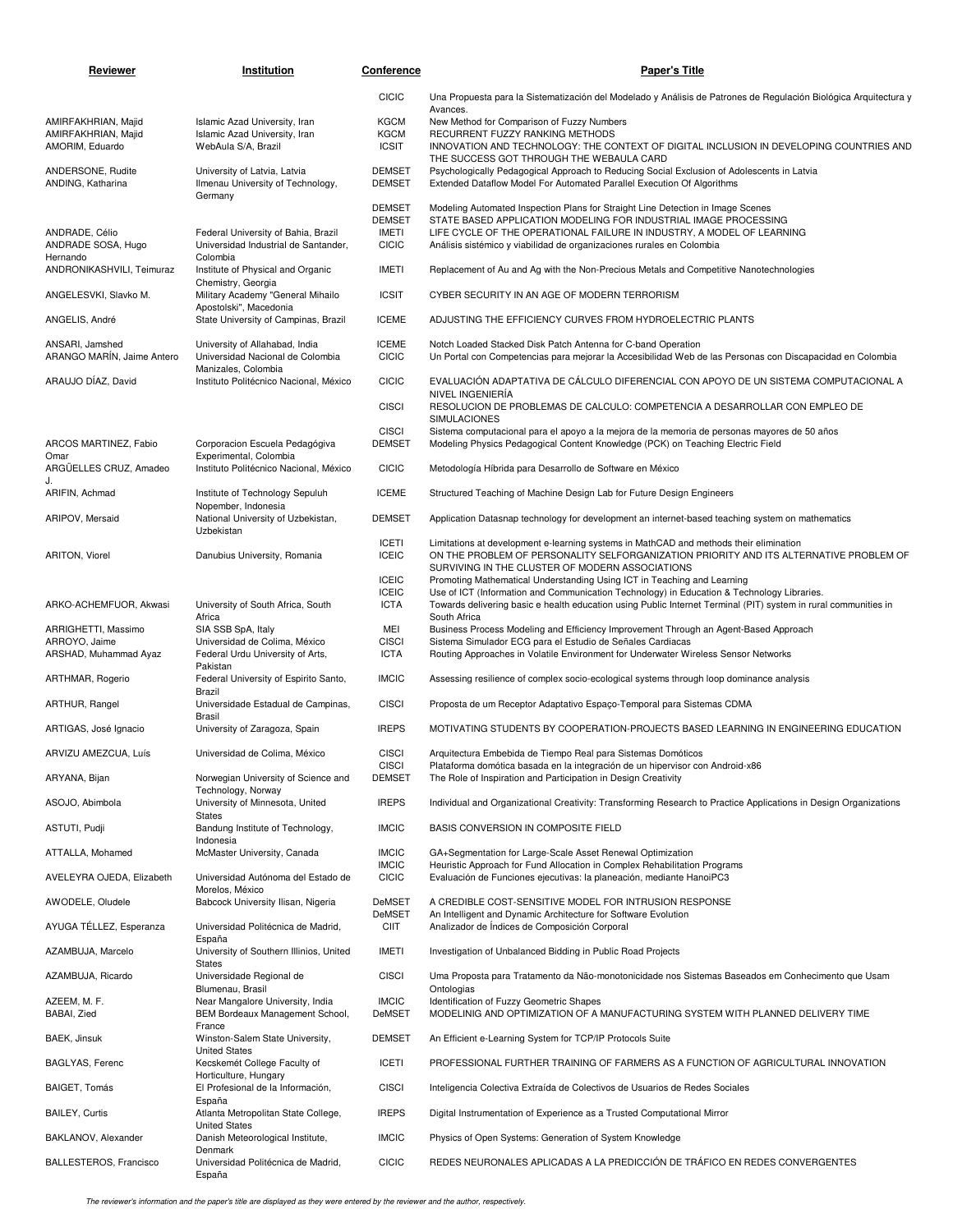| Reviewer                                                      | Institution                                                                               | Conference                                                     | <b>Paper's Title</b>                                                                                                                                                                                                                                                                                   |
|---------------------------------------------------------------|-------------------------------------------------------------------------------------------|----------------------------------------------------------------|--------------------------------------------------------------------------------------------------------------------------------------------------------------------------------------------------------------------------------------------------------------------------------------------------------|
|                                                               |                                                                                           | <b>CICIC</b>                                                   | Una Propuesta para la Sistematización del Modelado y Análisis de Patrones de Regulación Biológica Arquitectura y<br>Avances.                                                                                                                                                                           |
| AMIRFAKHRIAN, Majid<br>AMIRFAKHRIAN, Majid<br>AMORIM, Eduardo | Islamic Azad University, Iran<br>Islamic Azad University, Iran<br>WebAula S/A, Brazil     | <b>KGCM</b><br><b>KGCM</b><br><b>ICSIT</b>                     | New Method for Comparison of Fuzzy Numbers<br>RECURRENT FUZZY RANKING METHODS<br>INNOVATION AND TECHNOLOGY: THE CONTEXT OF DIGITAL INCLUSION IN DEVELOPING COUNTRIES AND                                                                                                                               |
| ANDERSONE, Rudite<br>ANDING, Katharina                        | University of Latvia, Latvia<br>Ilmenau University of Technology,<br>Germany              | <b>DEMSET</b><br><b>DEMSET</b>                                 | THE SUCCESS GOT THROUGH THE WEBAULA CARD<br>Psychologically Pedagogical Approach to Reducing Social Exclusion of Adolescents in Latvia<br>Extended Dataflow Model For Automated Parallel Execution Of Algorithms                                                                                       |
| ANDRADE, Célio<br>ANDRADE SOSA, Hugo                          | Federal University of Bahia, Brazil<br>Universidad Industrial de Santander,               | <b>DEMSET</b><br><b>DEMSET</b><br><b>IMETI</b><br><b>CICIC</b> | Modeling Automated Inspection Plans for Straight Line Detection in Image Scenes<br>STATE BASED APPLICATION MODELING FOR INDUSTRIAL IMAGE PROCESSING<br>LIFE CYCLE OF THE OPERATIONAL FAILURE IN INDUSTRY, A MODEL OF LEARNING<br>Análisis sistémico y viabilidad de organizaciones rurales en Colombia |
| Hernando<br>ANDRONIKASHVILI, Teimuraz                         | Colombia<br>Institute of Physical and Organic                                             | <b>IMETI</b>                                                   | Replacement of Au and Ag with the Non-Precious Metals and Competitive Nanotechnologies                                                                                                                                                                                                                 |
| ANGELESVKI, Slavko M.                                         | Chemistry, Georgia<br>Military Academy "General Mihailo<br>Apostolski", Macedonia         | <b>ICSIT</b>                                                   | CYBER SECURITY IN AN AGE OF MODERN TERRORISM                                                                                                                                                                                                                                                           |
| ANGELIS, André                                                | State University of Campinas, Brazil                                                      | <b>ICEME</b>                                                   | ADJUSTING THE EFFICIENCY CURVES FROM HYDROELECTRIC PLANTS                                                                                                                                                                                                                                              |
| ANSARI, Jamshed<br>ARANGO MARÍN, Jaime Antero                 | University of Allahabad, India<br>Universidad Nacional de Colombia<br>Manizales, Colombia | <b>ICEME</b><br><b>CICIC</b>                                   | Notch Loaded Stacked Disk Patch Antenna for C-band Operation<br>Un Portal con Competencias para mejorar la Accesibilidad Web de las Personas con Discapacidad en Colombia                                                                                                                              |
| ARAUJO DÍAZ, David                                            | Instituto Politécnico Nacional, México                                                    | <b>CICIC</b><br><b>CISCI</b>                                   | EVALUACIÓN ADAPTATIVA DE CÁLCULO DIFERENCIAL CON APOYO DE UN SISTEMA COMPUTACIONAL A<br>NIVEL INGENIERÍA<br>RESOLUCION DE PROBLEMAS DE CALCULO: COMPETENCIA A DESARROLLAR CON EMPLEO DE                                                                                                                |
|                                                               |                                                                                           | <b>CISCI</b>                                                   | <b>SIMULACIONES</b><br>Sistema computacional para el apoyo a la mejora de la memoria de personas mayores de 50 años                                                                                                                                                                                    |
| ARCOS MARTINEZ, Fabio<br>Omar                                 | Corporacion Escuela Pedagógiva<br>Experimental, Colombia                                  | <b>DEMSET</b>                                                  | Modeling Physics Pedagogical Content Knowledge (PCK) on Teaching Electric Field                                                                                                                                                                                                                        |
| ARGÜELLES CRUZ, Amadeo<br>J.                                  | Instituto Politécnico Nacional, México                                                    | <b>CICIC</b>                                                   | Metodología Híbrida para Desarrollo de Software en México                                                                                                                                                                                                                                              |
| ARIFIN, Achmad                                                | Institute of Technology Sepuluh<br>Nopember, Indonesia                                    | <b>ICEME</b>                                                   | Structured Teaching of Machine Design Lab for Future Design Engineers                                                                                                                                                                                                                                  |
| ARIPOV, Mersaid                                               | National University of Uzbekistan,<br>Uzbekistan                                          | <b>DEMSET</b>                                                  | Application Datasnap technology for development an internet-based teaching system on mathematics                                                                                                                                                                                                       |
| ARITON, Viorel                                                | Danubius University, Romania                                                              | <b>ICETI</b><br><b>ICEIC</b>                                   | Limitations at development e-learning systems in MathCAD and methods their elimination<br>ON THE PROBLEM OF PERSONALITY SELFORGANIZATION PRIORITY AND ITS ALTERNATIVE PROBLEM OF<br>SURVIVING IN THE CLUSTER OF MODERN ASSOCIATIONS                                                                    |
|                                                               |                                                                                           | <b>ICEIC</b><br><b>ICEIC</b>                                   | Promoting Mathematical Understanding Using ICT in Teaching and Learning<br>Use of ICT (Information and Communication Technology) in Education & Technology Libraries.                                                                                                                                  |
| ARKO-ACHEMFUOR, Akwasi                                        | University of South Africa, South<br>Africa                                               | <b>ICTA</b>                                                    | Towards delivering basic e health education using Public Internet Terminal (PIT) system in rural communities in<br>South Africa                                                                                                                                                                        |
| ARRIGHETTI, Massimo<br>ARROYO, Jaime<br>ARSHAD, Muhammad Ayaz | SIA SSB SpA, Italy<br>Universidad de Colima, México<br>Federal Urdu University of Arts,   | MEI<br><b>CISCI</b><br><b>ICTA</b>                             | Business Process Modeling and Efficiency Improvement Through an Agent-Based Approach<br>Sistema Simulador ECG para el Estudio de Señales Cardiacas<br>Routing Approaches in Volatile Environment for Underwater Wireless Sensor Networks                                                               |
| ARTHMAR, Rogerio                                              | Pakistan<br>Federal University of Espirito Santo,                                         | <b>IMCIC</b>                                                   | Assessing resilience of complex socio-ecological systems through loop dominance analysis                                                                                                                                                                                                               |
| ARTHUR, Rangel                                                | Brazil<br>Universidade Estadual de Campinas,                                              | <b>CISCI</b>                                                   | Proposta de um Receptor Adaptativo Espaço-Temporal para Sistemas CDMA                                                                                                                                                                                                                                  |
| ARTIGAS, José Ignacio                                         | Brasil<br>University of Zaragoza, Spain                                                   | <b>IREPS</b>                                                   | MOTIVATING STUDENTS BY COOPERATION-PROJECTS BASED LEARNING IN ENGINEERING EDUCATION                                                                                                                                                                                                                    |
| ARVIZU AMEZCUA, Luís                                          | Universidad de Colima, México                                                             | <b>CISCI</b><br><b>CISCI</b>                                   | Arquitectura Embebida de Tiempo Real para Sistemas Domóticos<br>Plataforma domótica basada en la integración de un hipervisor con Android-x86                                                                                                                                                          |
| ARYANA, Bijan                                                 | Norwegian University of Science and<br>Technology, Norway                                 | <b>DEMSET</b>                                                  | The Role of Inspiration and Participation in Design Creativity                                                                                                                                                                                                                                         |
| ASOJO, Abimbola                                               | University of Minnesota, United<br><b>States</b>                                          | <b>IREPS</b>                                                   | Individual and Organizational Creativity: Transforming Research to Practice Applications in Design Organizations                                                                                                                                                                                       |
| ASTUTI, Pudji                                                 | Bandung Institute of Technology,<br>Indonesia<br>McMaster University, Canada              | <b>IMCIC</b>                                                   | BASIS CONVERSION IN COMPOSITE FIELD<br>GA+Segmentation for Large-Scale Asset Renewal Optimization                                                                                                                                                                                                      |
| ATTALLA, Mohamed<br>AVELEYRA OJEDA, Elizabeth                 | Universidad Autónoma del Estado de                                                        | <b>IMCIC</b><br><b>IMCIC</b><br><b>CICIC</b>                   | Heuristic Approach for Fund Allocation in Complex Rehabilitation Programs<br>Evaluación de Funciones ejecutivas: la planeación, mediante HanoiPC3                                                                                                                                                      |
| AWODELE, Oludele                                              | Morelos, México<br>Babcock University Ilisan, Nigeria                                     | DeMSET                                                         | A CREDIBLE COST-SENSITIVE MODEL FOR INTRUSION RESPONSE                                                                                                                                                                                                                                                 |
| AYUGA TÉLLEZ, Esperanza                                       | Universidad Politécnica de Madrid,                                                        | DeMSET<br>CIIT                                                 | An Intelligent and Dynamic Architecture for Software Evolution<br>Analizador de Indices de Composición Corporal                                                                                                                                                                                        |
| AZAMBUJA, Marcelo                                             | España<br>University of Southern Illinios, United                                         | IMETI                                                          | Investigation of Unbalanced Bidding in Public Road Projects                                                                                                                                                                                                                                            |
| AZAMBUJA, Ricardo                                             | States<br>Universidade Regional de                                                        | <b>CISCI</b>                                                   | Uma Proposta para Tratamento da Não-monotonicidade nos Sistemas Baseados em Conhecimento que Usam                                                                                                                                                                                                      |
| AZEEM, M. F.                                                  | Blumenau, Brasil<br>Near Mangalore University, India                                      | <b>IMCIC</b>                                                   | Ontologias<br>Identification of Fuzzy Geometric Shapes                                                                                                                                                                                                                                                 |
| BABAI, Zied<br>BAEK, Jinsuk                                   | BEM Bordeaux Management School,<br>France<br>Winston-Salem State University,              | DeMSET<br><b>DEMSET</b>                                        | MODELINIG AND OPTIMIZATION OF A MANUFACTURING SYSTEM WITH PLANNED DELIVERY TIME<br>An Efficient e-Learning System for TCP/IP Protocols Suite                                                                                                                                                           |
| <b>BAGLYAS, Ferenc</b>                                        | <b>United States</b><br>Kecskemét College Faculty of                                      | <b>ICETI</b>                                                   | PROFESSIONAL FURTHER TRAINING OF FARMERS AS A FUNCTION OF AGRICULTURAL INNOVATION                                                                                                                                                                                                                      |
| BAIGET, Tomás                                                 | Horticulture, Hungary<br>El Profesional de la Información,                                | <b>CISCI</b>                                                   | Inteligencia Colectiva Extraída de Colectivos de Usuarios de Redes Sociales                                                                                                                                                                                                                            |
| <b>BAILEY, Curtis</b>                                         | España<br>Atlanta Metropolitan State College,                                             | <b>IREPS</b>                                                   | Digital Instrumentation of Experience as a Trusted Computational Mirror                                                                                                                                                                                                                                |
| BAKLANOV, Alexander                                           | <b>United States</b><br>Danish Meteorological Institute,                                  | <b>IMCIC</b>                                                   | Physics of Open Systems: Generation of System Knowledge                                                                                                                                                                                                                                                |
| BALLESTEROS, Francisco                                        | Denmark<br>Universidad Politécnica de Madrid,<br>España                                   | <b>CICIC</b>                                                   | REDES NEURONALES APLICADAS A LA PREDICCIÓN DE TRÁFICO EN REDES CONVERGENTES                                                                                                                                                                                                                            |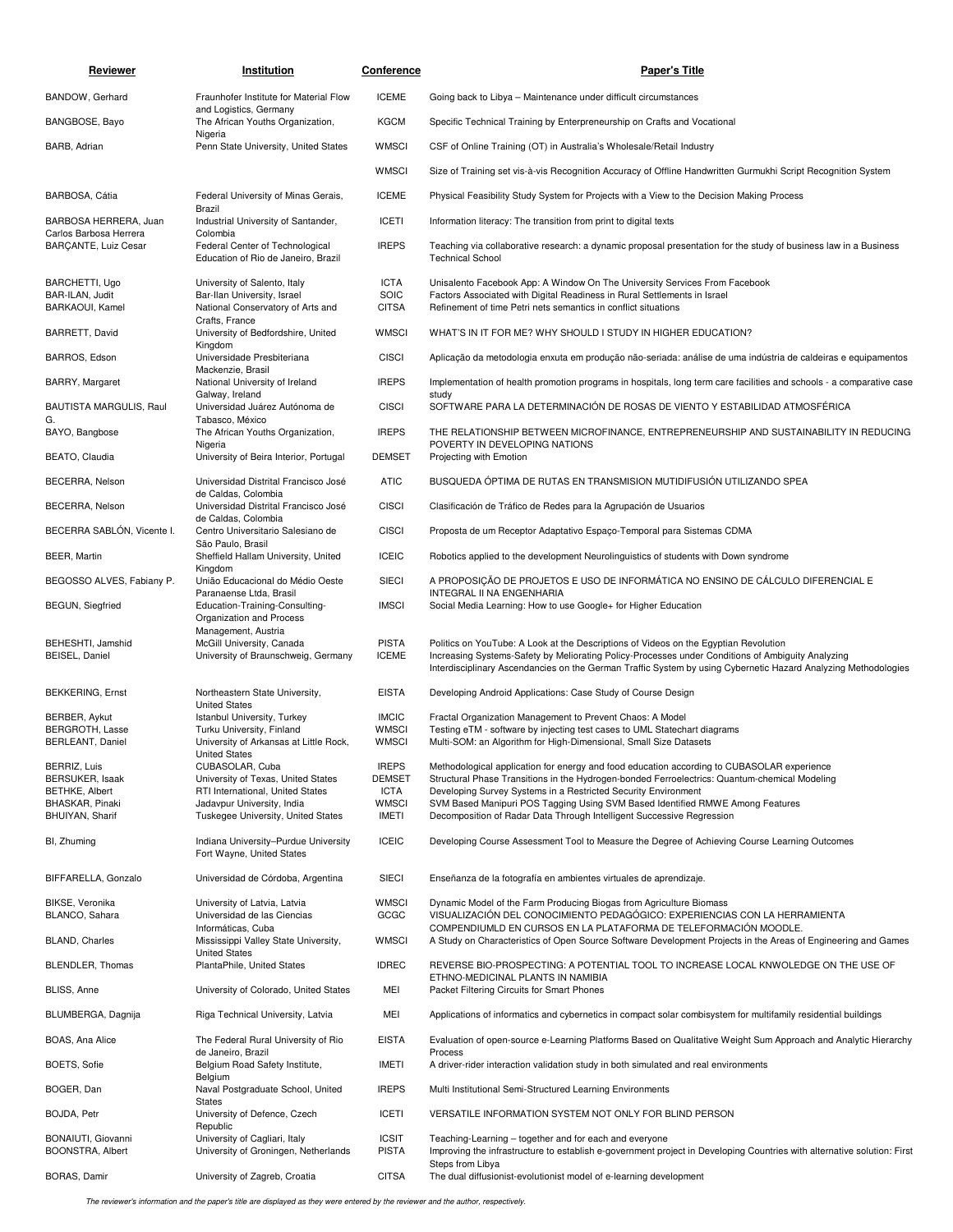| Reviewer                                              | Institution                                                                                      | Conference                                 | <b>Paper's Title</b>                                                                                                                                                                                                                                                                                        |
|-------------------------------------------------------|--------------------------------------------------------------------------------------------------|--------------------------------------------|-------------------------------------------------------------------------------------------------------------------------------------------------------------------------------------------------------------------------------------------------------------------------------------------------------------|
| BANDOW, Gerhard                                       | Fraunhofer Institute for Material Flow                                                           | <b>ICEME</b>                               | Going back to Libya - Maintenance under difficult circumstances                                                                                                                                                                                                                                             |
| BANGBOSE, Bayo                                        | and Logistics, Germany<br>The African Youths Organization,                                       | <b>KGCM</b>                                | Specific Technical Training by Enterpreneurship on Crafts and Vocational                                                                                                                                                                                                                                    |
| BARB, Adrian                                          | Nigeria<br>Penn State University, United States                                                  | <b>WMSCI</b>                               | CSF of Online Training (OT) in Australia's Wholesale/Retail Industry                                                                                                                                                                                                                                        |
|                                                       |                                                                                                  | <b>WMSCI</b>                               | Size of Training set vis-à-vis Recognition Accuracy of Offline Handwritten Gurmukhi Script Recognition System                                                                                                                                                                                               |
| BARBOSA, Cátia                                        | Federal University of Minas Gerais,                                                              | <b>ICEME</b>                               | Physical Feasibility Study System for Projects with a View to the Decision Making Process                                                                                                                                                                                                                   |
| BARBOSA HERRERA, Juan                                 | Brazil<br>Industrial University of Santander,                                                    | <b>ICETI</b>                               | Information literacy: The transition from print to digital texts                                                                                                                                                                                                                                            |
| Carlos Barbosa Herrera<br><b>BARCANTE, Luiz Cesar</b> | Colombia<br>Federal Center of Technological<br>Education of Rio de Janeiro, Brazil               | <b>IREPS</b>                               | Teaching via collaborative research: a dynamic proposal presentation for the study of business law in a Business<br><b>Technical School</b>                                                                                                                                                                 |
| BARCHETTI, Ugo<br>BAR-ILAN, Judit<br>BARKAOUI, Kamel  | University of Salento, Italy<br>Bar-Ilan University, Israel<br>National Conservatory of Arts and | <b>ICTA</b><br><b>SOIC</b><br><b>CITSA</b> | Unisalento Facebook App: A Window On The University Services From Facebook<br>Factors Associated with Digital Readiness in Rural Settlements in Israel<br>Refinement of time Petri nets semantics in conflict situations                                                                                    |
| BARRETT, David                                        | Crafts, France<br>University of Bedfordshire, United<br>Kingdom                                  | <b>WMSCI</b>                               | WHAT'S IN IT FOR ME? WHY SHOULD I STUDY IN HIGHER EDUCATION?                                                                                                                                                                                                                                                |
| BARROS, Edson                                         | Universidade Presbiteriana<br>Mackenzie, Brasil                                                  | <b>CISCI</b>                               | Aplicação da metodologia enxuta em produção não-seriada: análise de uma indústria de caldeiras e equipamentos                                                                                                                                                                                               |
| BARRY, Margaret                                       | National University of Ireland<br>Galway, Ireland                                                | <b>IREPS</b>                               | Implementation of health promotion programs in hospitals, long term care facilities and schools - a comparative case                                                                                                                                                                                        |
| BAUTISTA MARGULIS, Raul<br>G.                         | Universidad Juárez Autónoma de<br>Tabasco, México                                                | <b>CISCI</b>                               | study<br>SOFTWARE PARA LA DETERMINACIÓN DE ROSAS DE VIENTO Y ESTABILIDAD ATMOSFÉRICA                                                                                                                                                                                                                        |
| BAYO, Bangbose                                        | The African Youths Organization,<br>Nigeria                                                      | <b>IREPS</b>                               | THE RELATIONSHIP BETWEEN MICROFINANCE, ENTREPRENEURSHIP AND SUSTAINABILITY IN REDUCING<br>POVERTY IN DEVELOPING NATIONS                                                                                                                                                                                     |
| BEATO, Claudia                                        | University of Beira Interior, Portugal                                                           | <b>DEMSET</b>                              | Projecting with Emotion                                                                                                                                                                                                                                                                                     |
| BECERRA, Nelson                                       | Universidad Distrital Francisco José<br>de Caldas, Colombia                                      | <b>ATIC</b>                                | BUSQUEDA ÓPTIMA DE RUTAS EN TRANSMISION MUTIDIFUSIÓN UTILIZANDO SPEA                                                                                                                                                                                                                                        |
| BECERRA, Nelson                                       | Universidad Distrital Francisco José<br>de Caldas, Colombia                                      | <b>CISCI</b>                               | Clasificación de Tráfico de Redes para la Agrupación de Usuarios                                                                                                                                                                                                                                            |
| BECERRA SABLÓN, Vicente I.                            | Centro Universitario Salesiano de<br>São Paulo, Brasil                                           | <b>CISCI</b>                               | Proposta de um Receptor Adaptativo Espaço-Temporal para Sistemas CDMA                                                                                                                                                                                                                                       |
| BEER, Martin                                          | Sheffield Hallam University, United<br>Kingdom                                                   | <b>ICEIC</b>                               | Robotics applied to the development Neurolinguistics of students with Down syndrome                                                                                                                                                                                                                         |
| BEGOSSO ALVES, Fabiany P.                             | União Educacional do Médio Oeste<br>Paranaense Ltda, Brasil                                      | <b>SIECI</b>                               | A PROPOSIÇÃO DE PROJETOS E USO DE INFORMÁTICA NO ENSINO DE CÁLCULO DIFERENCIAL E<br>INTEGRAL II NA ENGENHARIA                                                                                                                                                                                               |
| <b>BEGUN, Siegfried</b>                               | Education-Training-Consulting-<br>Organization and Process<br>Management, Austria                | <b>IMSCI</b>                               | Social Media Learning: How to use Google+ for Higher Education                                                                                                                                                                                                                                              |
| BEHESHTI, Jamshid<br>BEISEL, Daniel                   | McGill University, Canada<br>University of Braunschweig, Germany                                 | <b>PISTA</b><br><b>ICEME</b>               | Politics on YouTube: A Look at the Descriptions of Videos on the Egyptian Revolution<br>Increasing Systems-Safety by Meliorating Policy-Processes under Conditions of Ambiguity Analyzing<br>Interdisciplinary Ascendancies on the German Traffic System by using Cybernetic Hazard Analyzing Methodologies |
| <b>BEKKERING, Ernst</b>                               | Northeastern State University,                                                                   | <b>EISTA</b>                               | Developing Android Applications: Case Study of Course Design                                                                                                                                                                                                                                                |
| BERBER, Aykut                                         | <b>United States</b><br>Istanbul University, Turkey                                              | <b>IMCIC</b>                               | Fractal Organization Management to Prevent Chaos: A Model                                                                                                                                                                                                                                                   |
| <b>BERGROTH, Lasse</b><br><b>BERLEANT, Daniel</b>     | Turku University, Finland<br>University of Arkansas at Little Rock,<br><b>United States</b>      | <b>WMSCI</b><br><b>WMSCI</b>               | Testing eTM - software by injecting test cases to UML Statechart diagrams<br>Multi-SOM: an Algorithm for High-Dimensional, Small Size Datasets                                                                                                                                                              |
| BERRIZ, Luis<br>BERSUKER, Isaak                       | CUBASOLAR, Cuba<br>University of Texas, United States                                            | <b>IREPS</b><br><b>DEMSET</b>              | Methodological application for energy and food education according to CUBASOLAR experience<br>Structural Phase Transitions in the Hydrogen-bonded Ferroelectrics: Quantum-chemical Modeling                                                                                                                 |
| <b>BETHKE, Albert</b>                                 | RTI International, United States                                                                 | <b>ICTA</b>                                | Developing Survey Systems in a Restricted Security Environment                                                                                                                                                                                                                                              |
| BHASKAR, Pinaki<br>BHUIYAN, Sharif                    | Jadavpur University, India<br>Tuskegee University, United States                                 | <b>WMSCI</b><br>IMETI                      | SVM Based Manipuri POS Tagging Using SVM Based Identified RMWE Among Features<br>Decomposition of Radar Data Through Intelligent Successive Regression                                                                                                                                                      |
| BI, Zhuming                                           | Indiana University-Purdue University<br>Fort Wayne, United States                                | <b>ICEIC</b>                               | Developing Course Assessment Tool to Measure the Degree of Achieving Course Learning Outcomes                                                                                                                                                                                                               |
| BIFFARELLA, Gonzalo                                   | Universidad de Córdoba, Argentina                                                                | <b>SIECI</b>                               | Enseñanza de la fotografía en ambientes virtuales de aprendizaje.                                                                                                                                                                                                                                           |
| BIKSE, Veronika<br>BLANCO, Sahara                     | University of Latvia, Latvia<br>Universidad de las Ciencias                                      | <b>WMSCI</b><br>GCGC                       | Dynamic Model of the Farm Producing Biogas from Agriculture Biomass<br>VISUALIZACIÓN DEL CONOCIMIENTO PEDAGÓGICO: EXPERIENCIAS CON LA HERRAMIENTA                                                                                                                                                           |
| <b>BLAND, Charles</b>                                 | Informáticas, Cuba<br>Mississippi Valley State University,                                       | <b>WMSCI</b>                               | COMPENDIUMLD EN CURSOS EN LA PLATAFORMA DE TELEFORMACIÓN MOODLE.<br>A Study on Characteristics of Open Source Software Development Projects in the Areas of Engineering and Games                                                                                                                           |
| BLENDLER, Thomas                                      | <b>United States</b><br>PlantaPhile, United States                                               | <b>IDREC</b>                               | REVERSE BIO-PROSPECTING: A POTENTIAL TOOL TO INCREASE LOCAL KNWOLEDGE ON THE USE OF                                                                                                                                                                                                                         |
| BLISS, Anne                                           | University of Colorado, United States                                                            | MEI                                        | ETHNO-MEDICINAL PLANTS IN NAMIBIA<br>Packet Filtering Circuits for Smart Phones                                                                                                                                                                                                                             |
| BLUMBERGA, Dagnija                                    | Riga Technical University, Latvia                                                                | MEI                                        | Applications of informatics and cybernetics in compact solar combisystem for multifamily residential buildings                                                                                                                                                                                              |
| BOAS, Ana Alice                                       | The Federal Rural University of Rio                                                              | <b>EISTA</b>                               | Evaluation of open-source e-Learning Platforms Based on Qualitative Weight Sum Approach and Analytic Hierarchy                                                                                                                                                                                              |
| BOETS, Sofie                                          | de Janeiro, Brazil<br>Belgium Road Safety Institute,                                             | IMETI                                      | Process<br>A driver-rider interaction validation study in both simulated and real environments                                                                                                                                                                                                              |
| BOGER, Dan                                            | Belgium<br>Naval Postgraduate School, United                                                     | <b>IREPS</b>                               | Multi Institutional Semi-Structured Learning Environments                                                                                                                                                                                                                                                   |
| BOJDA, Petr                                           | <b>States</b><br>University of Defence, Czech                                                    | <b>ICETI</b>                               | VERSATILE INFORMATION SYSTEM NOT ONLY FOR BLIND PERSON                                                                                                                                                                                                                                                      |
| BONAIUTI, Giovanni                                    | Republic<br>University of Cagliari, Italy                                                        | <b>ICSIT</b>                               | Teaching-Learning - together and for each and everyone                                                                                                                                                                                                                                                      |
| BOONSTRA, Albert<br>BORAS, Damir                      | University of Groningen, Netherlands<br>University of Zagreb, Croatia                            | <b>PISTA</b><br><b>CITSA</b>               | Improving the infrastructure to establish e-government project in Developing Countries with alternative solution: First<br>Steps from Libya<br>The dual diffusionist-evolutionist model of e-learning development                                                                                           |

The reviewer's information and the paper's title are displayed as they were entered by the reviewer and the author, respectively.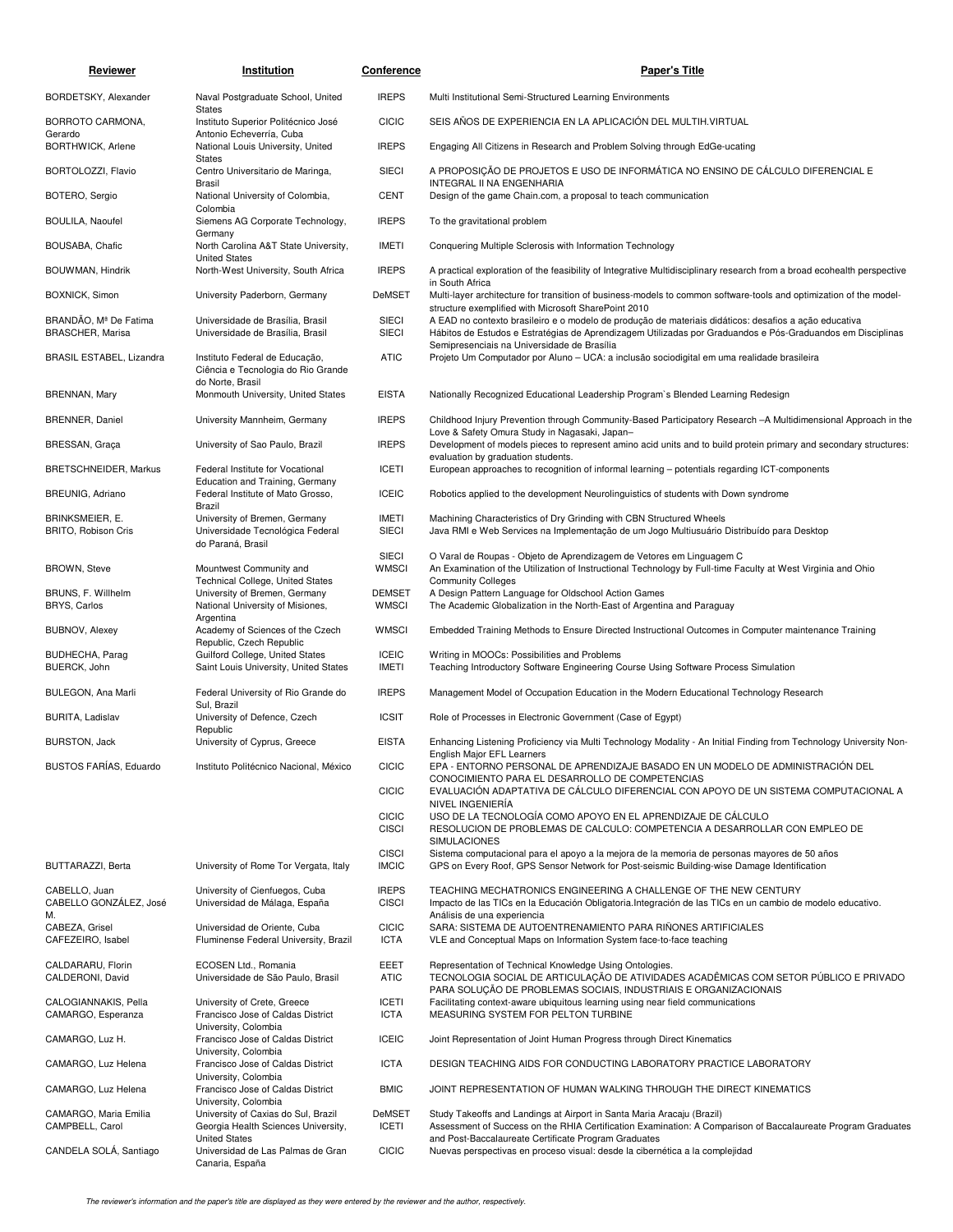| Reviewer                                         | Institution                                                                              | Conference                    | <b>Paper's Title</b>                                                                                                                                                                                                                                               |
|--------------------------------------------------|------------------------------------------------------------------------------------------|-------------------------------|--------------------------------------------------------------------------------------------------------------------------------------------------------------------------------------------------------------------------------------------------------------------|
| BORDETSKY, Alexander                             | Naval Postgraduate School, United                                                        | <b>IREPS</b>                  | Multi Institutional Semi-Structured Learning Environments                                                                                                                                                                                                          |
| BORROTO CARMONA,<br>Gerardo                      | <b>States</b><br>Instituto Superior Politécnico José<br>Antonio Echeverría, Cuba         | <b>CICIC</b>                  | SEIS AÑOS DE EXPERIENCIA EN LA APLICACIÓN DEL MULTIH. VIRTUAL                                                                                                                                                                                                      |
| BORTHWICK, Arlene                                | National Louis University, United<br>States                                              | <b>IREPS</b>                  | Engaging All Citizens in Research and Problem Solving through EdGe-ucating                                                                                                                                                                                         |
| BORTOLOZZI, Flavio                               | Centro Universitario de Maringa,<br>Brasil                                               | <b>SIECI</b>                  | A PROPOSIÇÃO DE PROJETOS E USO DE INFORMÁTICA NO ENSINO DE CÁLCULO DIFERENCIAL E<br>INTEGRAL II NA ENGENHARIA                                                                                                                                                      |
| BOTERO, Sergio                                   | National University of Colombia,<br>Colombia                                             | <b>CENT</b>                   | Design of the game Chain.com, a proposal to teach communication                                                                                                                                                                                                    |
| <b>BOULILA, Naoufel</b>                          | Siemens AG Corporate Technology,<br>Germany                                              | <b>IREPS</b>                  | To the gravitational problem                                                                                                                                                                                                                                       |
| BOUSABA, Chafic                                  | North Carolina A&T State University,<br><b>United States</b>                             | <b>IMETI</b>                  | Conquering Multiple Sclerosis with Information Technology                                                                                                                                                                                                          |
| BOUWMAN, Hindrik                                 | North-West University, South Africa                                                      | <b>IREPS</b>                  | A practical exploration of the feasibility of Integrative Multidisciplinary research from a broad ecohealth perspective<br>in South Africa                                                                                                                         |
| <b>BOXNICK, Simon</b>                            | University Paderborn, Germany                                                            | <b>DeMSET</b>                 | Multi-layer architecture for transition of business-models to common software-tools and optimization of the model-<br>structure exemplified with Microsoft SharePoint 2010                                                                                         |
| BRANDÃO, Mª De Fatima<br><b>BRASCHER, Marisa</b> | Universidade de Brasília, Brasil<br>Universidade de Brasília, Brasil                     | <b>SIECI</b><br><b>SIECI</b>  | A EAD no contexto brasileiro e o modelo de produção de materiais didáticos: desafios a ação educativa<br>Hábitos de Estudos e Estratégias de Aprendizagem Utilizadas por Graduandos e Pós-Graduandos em Disciplinas<br>Semipresenciais na Universidade de Brasília |
| BRASIL ESTABEL, Lizandra                         | Instituto Federal de Educação,<br>Ciência e Tecnologia do Rio Grande<br>do Norte, Brasil | <b>ATIC</b>                   | Projeto Um Computador por Aluno - UCA: a inclusão sociodigital em uma realidade brasileira                                                                                                                                                                         |
| <b>BRENNAN, Mary</b>                             | Monmouth University, United States                                                       | <b>EISTA</b>                  | Nationally Recognized Educational Leadership Program's Blended Learning Redesign                                                                                                                                                                                   |
| <b>BRENNER, Daniel</b>                           | University Mannheim, Germany                                                             | <b>IREPS</b>                  | Childhood Injury Prevention through Community-Based Participatory Research -A Multidimensional Approach in the<br>Love & Safety Omura Study in Nagasaki, Japan-                                                                                                    |
| BRESSAN, Graça                                   | University of Sao Paulo, Brazil                                                          | <b>IREPS</b>                  | Development of models pieces to represent amino acid units and to build protein primary and secondary structures:<br>evaluation by graduation students.                                                                                                            |
| <b>BRETSCHNEIDER, Markus</b>                     | Federal Institute for Vocational<br>Education and Training, Germany                      | <b>ICETI</b>                  | European approaches to recognition of informal learning - potentials regarding ICT-components                                                                                                                                                                      |
| <b>BREUNIG, Adriano</b>                          | Federal Institute of Mato Grosso,<br>Brazil                                              | <b>ICEIC</b>                  | Robotics applied to the development Neurolinguistics of students with Down syndrome                                                                                                                                                                                |
| BRINKSMEIER, E.<br><b>BRITO, Robison Cris</b>    | University of Bremen, Germany<br>Universidade Tecnológica Federal<br>do Paraná, Brasil   | <b>IMETI</b><br><b>SIECI</b>  | Machining Characteristics of Dry Grinding with CBN Structured Wheels<br>Java RMI e Web Services na Implementação de um Jogo Multiusuário Distribuído para Desktop                                                                                                  |
| <b>BROWN, Steve</b>                              | Mountwest Community and<br><b>Technical College, United States</b>                       | <b>SIECI</b><br><b>WMSCI</b>  | O Varal de Roupas - Objeto de Aprendizagem de Vetores em Linguagem C<br>An Examination of the Utilization of Instructional Technology by Full-time Faculty at West Virginia and Ohio<br><b>Community Colleges</b>                                                  |
| BRUNS, F. Willhelm<br>BRYS, Carlos               | University of Bremen, Germany<br>National University of Misiones,                        | <b>DEMSET</b><br><b>WMSCI</b> | A Design Pattern Language for Oldschool Action Games<br>The Academic Globalization in the North-East of Argentina and Paraguay                                                                                                                                     |
| <b>BUBNOV, Alexey</b>                            | Argentina<br>Academy of Sciences of the Czech<br>Republic, Czech Republic                | <b>WMSCI</b>                  | Embedded Training Methods to Ensure Directed Instructional Outcomes in Computer maintenance Training                                                                                                                                                               |
| BUDHECHA, Parag<br>BUERCK, John                  | Guilford College, United States<br>Saint Louis University, United States                 | <b>ICEIC</b><br><b>IMETI</b>  | Writing in MOOCs: Possibilities and Problems<br>Teaching Introductory Software Engineering Course Using Software Process Simulation                                                                                                                                |
| BULEGON, Ana Marli                               | Federal University of Rio Grande do                                                      | <b>IREPS</b>                  | Management Model of Occupation Education in the Modern Educational Technology Research                                                                                                                                                                             |
| <b>BURITA, Ladislav</b>                          | Sul, Brazil<br>University of Defence, Czech<br>Republic                                  | <b>ICSIT</b>                  | Role of Processes in Electronic Government (Case of Egypt)                                                                                                                                                                                                         |
| <b>BURSTON, Jack</b>                             | University of Cyprus, Greece                                                             | <b>EISTA</b>                  | Enhancing Listening Proficiency via Multi Technology Modality - An Initial Finding from Technology University Non-<br>English Major EFL Learners                                                                                                                   |
| <b>BUSTOS FARÍAS, Eduardo</b>                    | Instituto Politécnico Nacional, México                                                   | <b>CICIC</b>                  | EPA - ENTORNO PERSONAL DE APRENDIZAJE BASADO EN UN MODELO DE ADMINISTRACIÓN DEL<br>CONOCIMIENTO PARA EL DESARROLLO DE COMPETENCIAS<br>EVALUACIÓN ADAPTATIVA DE CÁLCULO DIFERENCIAL CON APOYO DE UN SISTEMA COMPUTACIONAL A                                         |
|                                                  |                                                                                          | <b>CICIC</b><br><b>CICIC</b>  | NIVEL INGENIERÍA<br>USO DE LA TECNOLOGÍA COMO APOYO EN EL APRENDIZAJE DE CÁLCULO                                                                                                                                                                                   |
|                                                  |                                                                                          | <b>CISCI</b>                  | RESOLUCION DE PROBLEMAS DE CALCULO: COMPETENCIA A DESARROLLAR CON EMPLEO DE<br><b>SIMULACIONES</b>                                                                                                                                                                 |
| BUTTARAZZI, Berta                                | University of Rome Tor Vergata, Italy                                                    | <b>CISCI</b><br><b>IMCIC</b>  | Sistema computacional para el apoyo a la mejora de la memoria de personas mayores de 50 años<br>GPS on Every Roof, GPS Sensor Network for Post-seismic Building-wise Damage Identification                                                                         |
| CABELLO, Juan<br>CABELLO GONZÁLEZ, José<br>M.    | University of Cienfuegos, Cuba<br>Universidad de Málaga, España                          | <b>IREPS</b><br><b>CISCI</b>  | TEACHING MECHATRONICS ENGINEERING A CHALLENGE OF THE NEW CENTURY<br>Impacto de las TICs en la Educación Obligatoria. Integración de las TICs en un cambio de modelo educativo.<br>Análisis de una experiencia                                                      |
| CABEZA, Grisel<br>CAFEZEIRO, Isabel              | Universidad de Oriente, Cuba<br>Fluminense Federal University, Brazil                    | <b>CICIC</b><br><b>ICTA</b>   | SARA: SISTEMA DE AUTOENTRENAMIENTO PARA RIÑONES ARTIFICIALES<br>VLE and Conceptual Maps on Information System face-to-face teaching                                                                                                                                |
| CALDARARU, Florin<br>CALDERONI, David            | ECOSEN Ltd., Romania<br>Universidade de São Paulo, Brasil                                | EEET<br><b>ATIC</b>           | Representation of Technical Knowledge Using Ontologies.<br>TECNOLOGIA SOCIAL DE ARTICULAÇÃO DE ATIVIDADES ACADÊMICAS COM SETOR PÚBLICO E PRIVADO<br>PARA SOLUÇÃO DE PROBLEMAS SOCIAIS, INDUSTRIAIS E ORGANIZACIONAIS                                               |
| CALOGIANNAKIS, Pella<br>CAMARGO, Esperanza       | University of Crete, Greece<br>Francisco Jose of Caldas District                         | <b>ICETI</b><br><b>ICTA</b>   | Facilitating context-aware ubiquitous learning using near field communications<br>MEASURING SYSTEM FOR PELTON TURBINE                                                                                                                                              |
| CAMARGO, Luz H.                                  | University, Colombia<br>Francisco Jose of Caldas District                                | <b>ICEIC</b>                  | Joint Representation of Joint Human Progress through Direct Kinematics                                                                                                                                                                                             |
| CAMARGO, Luz Helena                              | University, Colombia<br>Francisco Jose of Caldas District                                | <b>ICTA</b>                   | DESIGN TEACHING AIDS FOR CONDUCTING LABORATORY PRACTICE LABORATORY                                                                                                                                                                                                 |
| CAMARGO, Luz Helena                              | University, Colombia<br>Francisco Jose of Caldas District<br>University, Colombia        | <b>BMIC</b>                   | JOINT REPRESENTATION OF HUMAN WALKING THROUGH THE DIRECT KINEMATICS                                                                                                                                                                                                |
| CAMARGO, Maria Emilia<br>CAMPBELL, Carol         | University of Caxias do Sul, Brazil<br>Georgia Health Sciences University,               | <b>DeMSET</b><br><b>ICETI</b> | Study Takeoffs and Landings at Airport in Santa Maria Aracaju (Brazil)<br>Assessment of Success on the RHIA Certification Examination: A Comparison of Baccalaureate Program Graduates                                                                             |
| CANDELA SOLÁ, Santiago                           | <b>United States</b><br>Universidad de Las Palmas de Gran<br>Canaria, España             | <b>CICIC</b>                  | and Post-Baccalaureate Certificate Program Graduates<br>Nuevas perspectivas en proceso visual: desde la cibernética a la complejidad                                                                                                                               |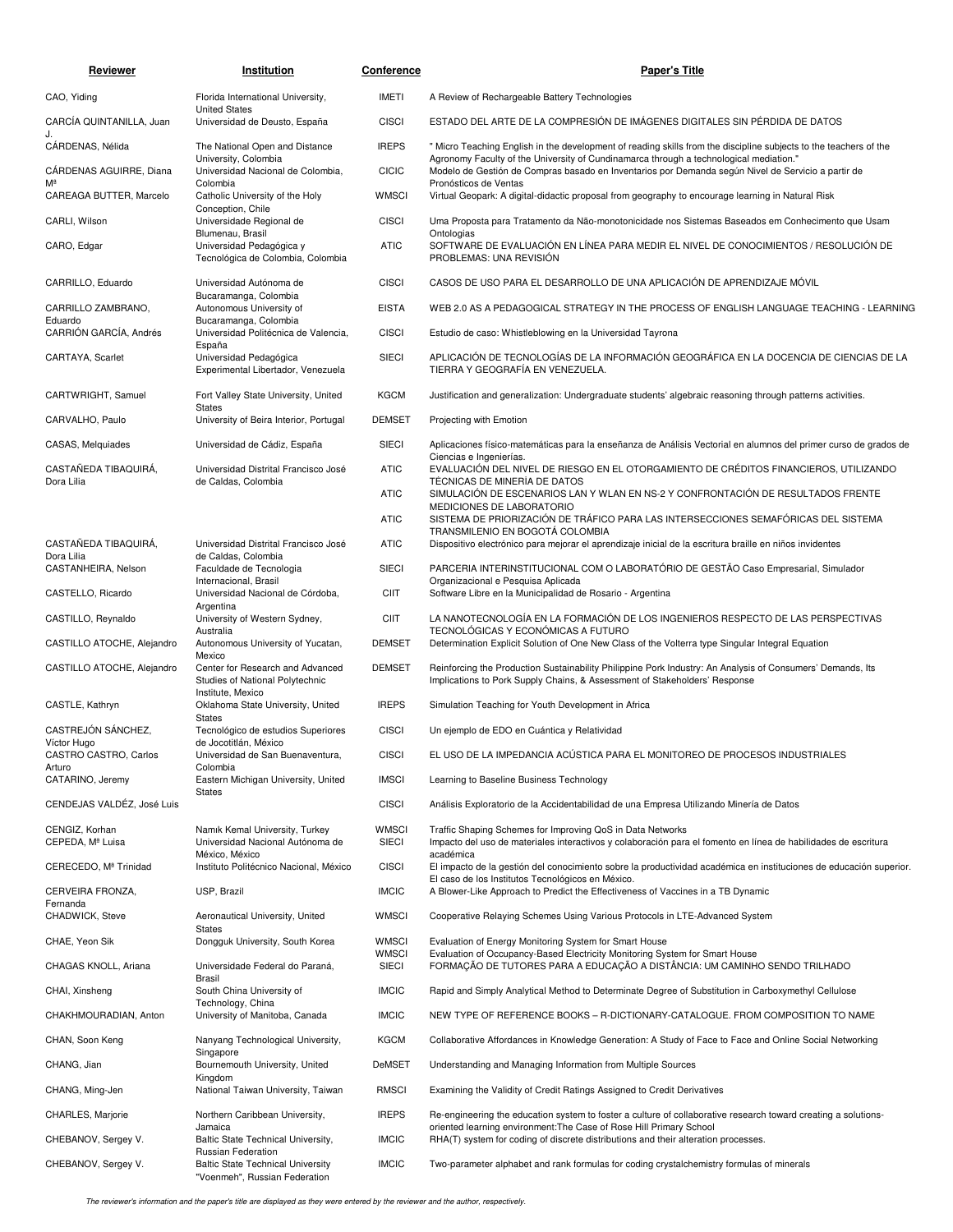| Reviewer                             | Institution                                                                       | Conference                   | <b>Paper's Title</b>                                                                                                                                                                         |
|--------------------------------------|-----------------------------------------------------------------------------------|------------------------------|----------------------------------------------------------------------------------------------------------------------------------------------------------------------------------------------|
| CAO, Yiding                          | Florida International University,                                                 | <b>IMETI</b>                 | A Review of Rechargeable Battery Technologies                                                                                                                                                |
| CARCÍA QUINTANILLA, Juan             | <b>United States</b><br>Universidad de Deusto, España                             | <b>CISCI</b>                 | ESTADO DEL ARTE DE LA COMPRESIÓN DE IMÁGENES DIGITALES SIN PÉRDIDA DE DATOS                                                                                                                  |
| CÁRDENAS, Nélida                     | The National Open and Distance                                                    | <b>IREPS</b>                 | " Micro Teaching English in the development of reading skills from the discipline subjects to the teachers of the                                                                            |
| CÁRDENAS AGUIRRE, Diana              | University, Colombia<br>Universidad Nacional de Colombia,                         | <b>CICIC</b>                 | Agronomy Faculty of the University of Cundinamarca through a technological mediation."<br>Modelo de Gestión de Compras basado en Inventarios por Demanda según Nivel de Servicio a partir de |
| Мª<br>CAREAGA BUTTER, Marcelo        | Colombia<br>Catholic University of the Holy                                       | <b>WMSCI</b>                 | Pronósticos de Ventas<br>Virtual Geopark: A digital-didactic proposal from geography to encourage learning in Natural Risk                                                                   |
| CARLI, Wilson                        | Conception, Chile<br>Universidade Regional de                                     | <b>CISCI</b>                 | Uma Proposta para Tratamento da Não-monotonicidade nos Sistemas Baseados em Conhecimento que Usam                                                                                            |
| CARO, Edgar                          | Blumenau, Brasil<br>Universidad Pedagógica y<br>Tecnológica de Colombia, Colombia | <b>ATIC</b>                  | Ontologias<br>SOFTWARE DE EVALUACIÓN EN LÍNEA PARA MEDIR EL NIVEL DE CONOCIMIENTOS / RESOLUCIÓN DE<br>PROBLEMAS: UNA REVISIÓN                                                                |
| CARRILLO, Eduardo                    | Universidad Autónoma de                                                           | <b>CISCI</b>                 | CASOS DE USO PARA EL DESARROLLO DE UNA APLICACIÓN DE APRENDIZAJE MÓVIL                                                                                                                       |
| CARRILLO ZAMBRANO,                   | Bucaramanga, Colombia<br>Autonomous University of                                 | <b>EISTA</b>                 | WEB 2.0 AS A PEDAGOGICAL STRATEGY IN THE PROCESS OF ENGLISH LANGUAGE TEACHING - LEARNING                                                                                                     |
| Eduardo<br>CARRIÓN GARCÍA, Andrés    | Bucaramanga, Colombia<br>Universidad Politécnica de Valencia,                     | <b>CISCI</b>                 | Estudio de caso: Whistleblowing en la Universidad Tayrona                                                                                                                                    |
| CARTAYA, Scarlet                     | España<br>Universidad Pedagógica<br>Experimental Libertador, Venezuela            | <b>SIECI</b>                 | APLICACIÓN DE TECNOLOGÍAS DE LA INFORMACIÓN GEOGRÁFICA EN LA DOCENCIA DE CIENCIAS DE LA<br>TIERRA Y GEOGRAFÍA EN VENEZUELA.                                                                  |
| CARTWRIGHT, Samuel                   | Fort Valley State University, United                                              | <b>KGCM</b>                  | Justification and generalization: Undergraduate students' algebraic reasoning through patterns activities.                                                                                   |
| CARVALHO, Paulo                      | <b>States</b><br>University of Beira Interior, Portugal                           | <b>DEMSET</b>                | Projecting with Emotion                                                                                                                                                                      |
| CASAS, Melquiades                    | Universidad de Cádiz, España                                                      | <b>SIECI</b>                 | Aplicaciones físico-matemáticas para la enseñanza de Análisis Vectorial en alumnos del primer curso de grados de                                                                             |
| CASTAÑEDA TIBAQUIRÁ,                 | Universidad Distrital Francisco José                                              | <b>ATIC</b>                  | Ciencias e Ingenierías.<br>EVALUACIÓN DEL NIVEL DE RIESGO EN EL OTORGAMIENTO DE CRÉDITOS FINANCIEROS, UTILIZANDO                                                                             |
| Dora Lilia                           | de Caldas, Colombia                                                               | <b>ATIC</b>                  | TÉCNICAS DE MINERÍA DE DATOS<br>SIMULACIÓN DE ESCENARIOS LAN Y WLAN EN NS-2 Y CONFRONTACIÓN DE RESULTADOS FRENTE                                                                             |
|                                      |                                                                                   | <b>ATIC</b>                  | MEDICIONES DE LABORATORIO<br>SISTEMA DE PRIORIZACIÓN DE TRÁFICO PARA LAS INTERSECCIONES SEMAFÓRICAS DEL SISTEMA                                                                              |
| CASTAÑEDA TIBAQUIRÁ,                 | Universidad Distrital Francisco José                                              | <b>ATIC</b>                  | TRANSMILENIO EN BOGOTÁ COLOMBIA<br>Dispositivo electrónico para mejorar el aprendizaje inicial de la escritura braille en niños invidentes                                                   |
| Dora Lilia<br>CASTANHEIRA, Nelson    | de Caldas, Colombia<br>Faculdade de Tecnologia                                    | <b>SIECI</b>                 | PARCERIA INTERINSTITUCIONAL COM O LABORATÓRIO DE GESTÃO Caso Empresarial, Simulador                                                                                                          |
| CASTELLO, Ricardo                    | Internacional, Brasil<br>Universidad Nacional de Córdoba,                         | <b>CIIT</b>                  | Organizacional e Pesquisa Aplicada<br>Software Libre en la Municipalidad de Rosario - Argentina                                                                                              |
| CASTILLO, Reynaldo                   | Argentina<br>University of Western Sydney,                                        | <b>CIIT</b>                  | LA NANOTECNOLOGÍA EN LA FORMACIÓN DE LOS INGENIEROS RESPECTO DE LAS PERSPECTIVAS                                                                                                             |
| CASTILLO ATOCHE, Alejandro           | Australia<br>Autonomous University of Yucatan,                                    | <b>DEMSET</b>                | TECNOLÓGICAS Y ECONÓMICAS A FUTURO<br>Determination Explicit Solution of One New Class of the Volterra type Singular Integral Equation                                                       |
| CASTILLO ATOCHE, Alejandro           | Mexico<br>Center for Research and Advanced<br>Studies of National Polytechnic     | <b>DEMSET</b>                | Reinforcing the Production Sustainability Philippine Pork Industry: An Analysis of Consumers' Demands, Its<br>Implications to Pork Supply Chains, & Assessment of Stakeholders' Response     |
| CASTLE, Kathryn                      | Institute, Mexico<br>Oklahoma State University, United                            | <b>IREPS</b>                 | Simulation Teaching for Youth Development in Africa                                                                                                                                          |
| CASTREJÓN SÁNCHEZ,                   | <b>States</b><br>Tecnológico de estudios Superiores                               | <b>CISCI</b>                 | Un ejemplo de EDO en Cuántica y Relatividad                                                                                                                                                  |
| Víctor Hugo<br>CASTRO CASTRO, Carlos | de Jocotitlán, México<br>Universidad de San Buenaventura,                         | <b>CISCI</b>                 | EL USO DE LA IMPEDANCIA ACÚSTICA PARA EL MONITOREO DE PROCESOS INDUSTRIALES                                                                                                                  |
| Arturo<br>CATARINO, Jeremy           | Colombia<br>Eastern Michigan University, United                                   | <b>IMSCI</b>                 | Learning to Baseline Business Technology                                                                                                                                                     |
| CENDEJAS VALDÉZ, José Luis           | States                                                                            | <b>CISCI</b>                 | Análisis Exploratorio de la Accidentabilidad de una Empresa Utilizando Minería de Datos                                                                                                      |
| CENGIZ, Korhan<br>CEPEDA, Mª Luisa   | Namik Kemal University, Turkey<br>Universidad Nacional Autónoma de                | <b>WMSCI</b><br><b>SIECI</b> | Traffic Shaping Schemes for Improving QoS in Data Networks<br>Impacto del uso de materiales interactivos y colaboración para el fomento en línea de habilidades de escritura                 |
| CERECEDO, Mª Trinidad                | México, México<br>Instituto Politécnico Nacional, México                          | <b>CISCI</b>                 | académica<br>El impacto de la gestión del conocimiento sobre la productividad académica en instituciones de educación superior.                                                              |
| CERVEIRA FRONZA,                     | USP, Brazil                                                                       | <b>IMCIC</b>                 | El caso de los Institutos Tecnológicos en México.<br>A Blower-Like Approach to Predict the Effectiveness of Vaccines in a TB Dynamic                                                         |
| Fernanda<br>CHADWICK, Steve          | Aeronautical University, United                                                   | <b>WMSCI</b>                 | Cooperative Relaying Schemes Using Various Protocols in LTE-Advanced System                                                                                                                  |
| CHAE, Yeon Sik                       | States<br>Dongguk University, South Korea                                         | <b>WMSCI</b>                 | Evaluation of Energy Monitoring System for Smart House                                                                                                                                       |
| CHAGAS KNOLL, Ariana                 | Universidade Federal do Paraná,                                                   | <b>WMSCI</b><br><b>SIECI</b> | Evaluation of Occupancy-Based Electricity Monitoring System for Smart House<br>FORMAÇÃO DE TUTORES PARA A EDUCAÇÃO A DISTÂNCIA: UM CAMINHO SENDO TRILHADO                                    |
| CHAI, Xinsheng                       | Brasil<br>South China University of                                               | <b>IMCIC</b>                 | Rapid and Simply Analytical Method to Determinate Degree of Substitution in Carboxymethyl Cellulose                                                                                          |
| CHAKHMOURADIAN, Anton                | Technology, China<br>University of Manitoba, Canada                               | <b>IMCIC</b>                 | NEW TYPE OF REFERENCE BOOKS - R-DICTIONARY-CATALOGUE. FROM COMPOSITION TO NAME                                                                                                               |
| CHAN, Soon Keng                      | Nanyang Technological University,                                                 | <b>KGCM</b>                  | Collaborative Affordances in Knowledge Generation: A Study of Face to Face and Online Social Networking                                                                                      |
| CHANG, Jian                          | Singapore<br>Bournemouth University, United                                       | <b>DeMSET</b>                | Understanding and Managing Information from Multiple Sources                                                                                                                                 |
| CHANG, Ming-Jen                      | Kingdom<br>National Taiwan University, Taiwan                                     | <b>RMSCI</b>                 | Examining the Validity of Credit Ratings Assigned to Credit Derivatives                                                                                                                      |
| CHARLES, Marjorie                    | Northern Caribbean University,<br>Jamaica                                         | <b>IREPS</b>                 | Re-engineering the education system to foster a culture of collaborative research toward creating a solutions-<br>oriented learning environment: The Case of Rose Hill Primary School        |
| CHEBANOV, Sergey V.                  | Baltic State Technical University,<br>Russian Federation                          | <b>IMCIC</b>                 | RHA(T) system for coding of discrete distributions and their alteration processes.                                                                                                           |
| CHEBANOV, Sergey V.                  | <b>Baltic State Technical University</b><br>"Voenmeh", Russian Federation         | <b>IMCIC</b>                 | Two-parameter alphabet and rank formulas for coding crystalchemistry formulas of minerals                                                                                                    |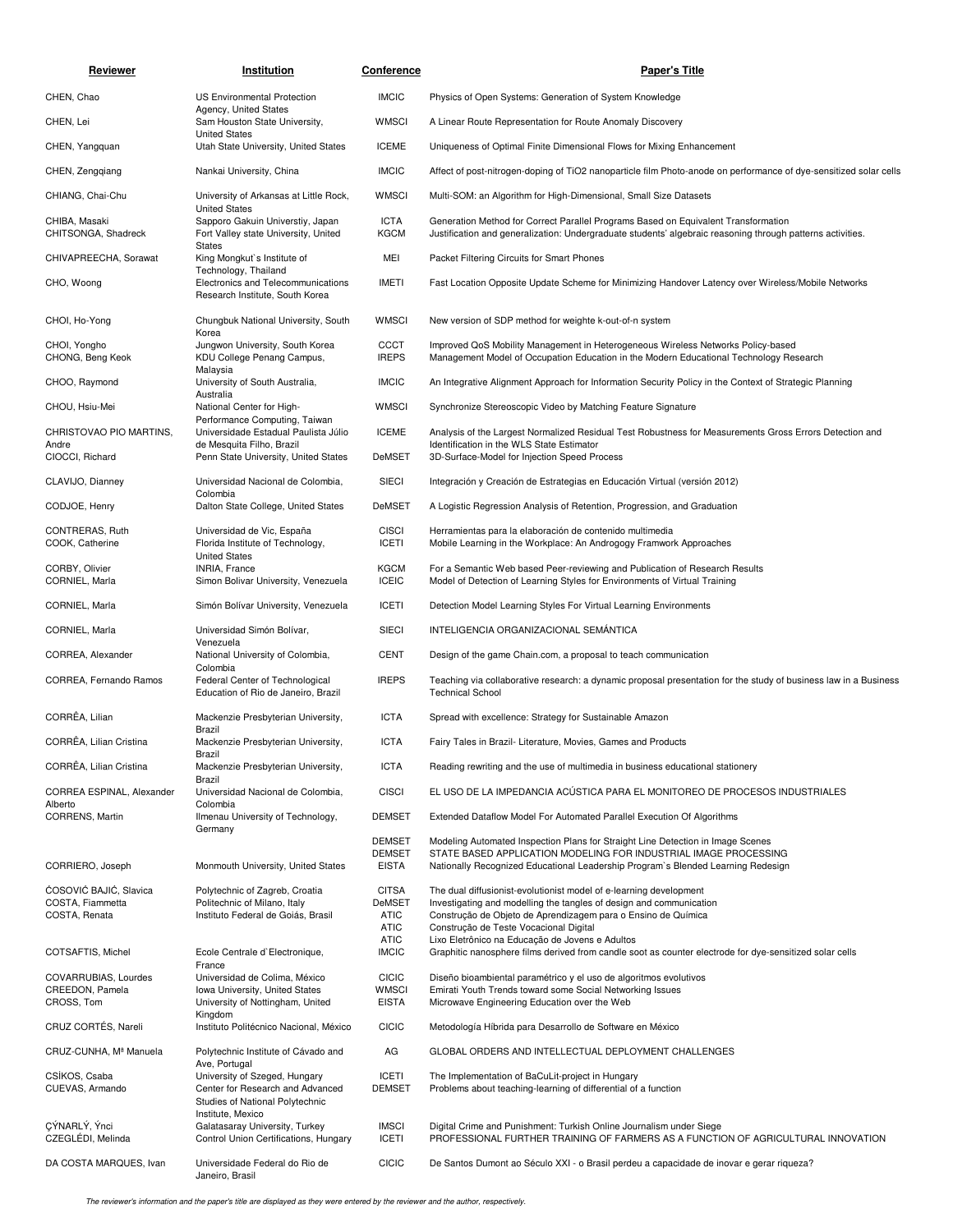| Reviewer                                              | Institution                                                                                                                                | <b>Conference</b>                              | <b>Paper's Title</b>                                                                                                                                                                                                                    |
|-------------------------------------------------------|--------------------------------------------------------------------------------------------------------------------------------------------|------------------------------------------------|-----------------------------------------------------------------------------------------------------------------------------------------------------------------------------------------------------------------------------------------|
| CHEN, Chao                                            | <b>US Environmental Protection</b>                                                                                                         | <b>IMCIC</b>                                   | Physics of Open Systems: Generation of System Knowledge                                                                                                                                                                                 |
| CHEN, Lei                                             | Agency, United States<br>Sam Houston State University,                                                                                     | <b>WMSCI</b>                                   | A Linear Route Representation for Route Anomaly Discovery                                                                                                                                                                               |
| CHEN, Yangquan                                        | <b>United States</b><br>Utah State University, United States                                                                               | <b>ICEME</b>                                   | Uniqueness of Optimal Finite Dimensional Flows for Mixing Enhancement                                                                                                                                                                   |
| CHEN, Zengqiang                                       | Nankai University, China                                                                                                                   | <b>IMCIC</b>                                   | Affect of post-nitrogen-doping of TiO2 nanoparticle film Photo-anode on performance of dye-sensitized solar cells                                                                                                                       |
| CHIANG, Chai-Chu                                      | University of Arkansas at Little Rock,                                                                                                     | <b>WMSCI</b>                                   | Multi-SOM: an Algorithm for High-Dimensional, Small Size Datasets                                                                                                                                                                       |
| CHIBA, Masaki<br>CHITSONGA, Shadreck                  | <b>United States</b><br>Sapporo Gakuin Universtiy, Japan<br>Fort Valley state University, United<br><b>States</b>                          | <b>ICTA</b><br><b>KGCM</b>                     | Generation Method for Correct Parallel Programs Based on Equivalent Transformation<br>Justification and generalization: Undergraduate students' algebraic reasoning through patterns activities.                                        |
| CHIVAPREECHA, Sorawat                                 | King Mongkut's Institute of                                                                                                                | MEI                                            | Packet Filtering Circuits for Smart Phones                                                                                                                                                                                              |
| CHO, Woong                                            | Technology, Thailand<br>Electronics and Telecommunications<br>Research Institute, South Korea                                              | <b>IMETI</b>                                   | Fast Location Opposite Update Scheme for Minimizing Handover Latency over Wireless/Mobile Networks                                                                                                                                      |
| CHOI, Ho-Yong                                         | Chungbuk National University, South<br>Korea                                                                                               | <b>WMSCI</b>                                   | New version of SDP method for weighte k-out-of-n system                                                                                                                                                                                 |
| CHOI, Yongho<br>CHONG, Beng Keok                      | Jungwon University, South Korea<br>KDU College Penang Campus,                                                                              | CCCT<br><b>IREPS</b>                           | Improved QoS Mobility Management in Heterogeneous Wireless Networks Policy-based<br>Management Model of Occupation Education in the Modern Educational Technology Research                                                              |
| CHOO, Raymond                                         | Malaysia<br>University of South Australia,<br>Australia                                                                                    | <b>IMCIC</b>                                   | An Integrative Alignment Approach for Information Security Policy in the Context of Strategic Planning                                                                                                                                  |
| CHOU, Hsiu-Mei                                        | National Center for High-                                                                                                                  | <b>WMSCI</b>                                   | Synchronize Stereoscopic Video by Matching Feature Signature                                                                                                                                                                            |
| CHRISTOVAO PIO MARTINS,<br>Andre<br>CIOCCI, Richard   | Performance Computing, Taiwan<br>Universidade Estadual Paulista Júlio<br>de Mesquita Filho, Brazil<br>Penn State University, United States | <b>ICEME</b><br><b>DeMSET</b>                  | Analysis of the Largest Normalized Residual Test Robustness for Measurements Gross Errors Detection and<br>Identification in the WLS State Estimator<br>3D-Surface-Model for Injection Speed Process                                    |
| CLAVIJO, Dianney                                      | Universidad Nacional de Colombia,                                                                                                          | <b>SIECI</b>                                   | Integración y Creación de Estrategias en Educación Virtual (versión 2012)                                                                                                                                                               |
| CODJOE, Henry                                         | Colombia<br>Dalton State College, United States                                                                                            | <b>DeMSET</b>                                  | A Logistic Regression Analysis of Retention, Progression, and Graduation                                                                                                                                                                |
| CONTRERAS, Ruth<br>COOK, Catherine                    | Universidad de Vic, España<br>Florida Institute of Technology,<br><b>United States</b>                                                     | <b>CISCI</b><br><b>ICETI</b>                   | Herramientas para la elaboración de contenido multimedia<br>Mobile Learning in the Workplace: An Androgogy Framwork Approaches                                                                                                          |
| CORBY, Olivier<br>CORNIEL, Marla                      | INRIA, France<br>Simon Bolivar University, Venezuela                                                                                       | <b>KGCM</b><br><b>ICEIC</b>                    | For a Semantic Web based Peer-reviewing and Publication of Research Results<br>Model of Detection of Learning Styles for Environments of Virtual Training                                                                               |
| CORNIEL, Marla                                        | Simón Bolívar University, Venezuela                                                                                                        | <b>ICETI</b>                                   | Detection Model Learning Styles For Virtual Learning Environments                                                                                                                                                                       |
| CORNIEL, Marla                                        | Universidad Simón Bolívar,                                                                                                                 | <b>SIECI</b>                                   | INTELIGENCIA ORGANIZACIONAL SEMANTICA                                                                                                                                                                                                   |
| CORREA, Alexander                                     | Venezuela<br>National University of Colombia,<br>Colombia                                                                                  | <b>CENT</b>                                    | Design of the game Chain.com, a proposal to teach communication                                                                                                                                                                         |
| CORREA, Fernando Ramos                                | Federal Center of Technological<br>Education of Rio de Janeiro, Brazil                                                                     | <b>IREPS</b>                                   | Teaching via collaborative research: a dynamic proposal presentation for the study of business law in a Business<br><b>Technical School</b>                                                                                             |
| CORRÊA, Lilian                                        | Mackenzie Presbyterian University,<br>Brazil                                                                                               | <b>ICTA</b>                                    | Spread with excellence: Strategy for Sustainable Amazon                                                                                                                                                                                 |
| CORRÊA, Lilian Cristina                               | Mackenzie Presbyterian University,<br>Brazil                                                                                               | <b>ICTA</b>                                    | Fairy Tales in Brazil- Literature, Movies, Games and Products                                                                                                                                                                           |
| CORREA, Lilian Cristina                               | Mackenzie Presbyterian University,<br>Brazil                                                                                               | <b>ICTA</b>                                    | Reading rewriting and the use of multimedia in business educational stationery                                                                                                                                                          |
| CORREA ESPINAL, Alexander<br>Alberto                  | Universidad Nacional de Colombia,<br>Colombia                                                                                              | <b>CISCI</b>                                   | EL USO DE LA IMPEDANCIA ACÚSTICA PARA EL MONITOREO DE PROCESOS INDUSTRIALES                                                                                                                                                             |
| CORRENS, Martin                                       | Ilmenau University of Technology,<br>Germany                                                                                               | <b>DEMSET</b>                                  | Extended Dataflow Model For Automated Parallel Execution Of Algorithms                                                                                                                                                                  |
| CORRIERO, Joseph                                      | Monmouth University, United States                                                                                                         | <b>DEMSET</b><br><b>DEMSET</b><br><b>EISTA</b> | Modeling Automated Inspection Plans for Straight Line Detection in Image Scenes<br>STATE BASED APPLICATION MODELING FOR INDUSTRIAL IMAGE PROCESSING<br>Nationally Recognized Educational Leadership Program's Blended Learning Redesign |
| ĆOSOVIĆ BAJIĆ, Slavica                                | Polytechnic of Zagreb, Croatia                                                                                                             | <b>CITSA</b>                                   | The dual diffusionist-evolutionist model of e-learning development                                                                                                                                                                      |
| COSTA, Fiammetta<br>COSTA, Renata                     | Politechnic of Milano, Italy<br>Instituto Federal de Goiás, Brasil                                                                         | <b>DeMSET</b><br><b>ATIC</b><br><b>ATIC</b>    | Investigating and modelling the tangles of design and communication<br>Construção de Objeto de Aprendizagem para o Ensino de Química<br>Construção de Teste Vocacional Digital                                                          |
| COTSAFTIS, Michel                                     | Ecole Centrale d'Electronique,                                                                                                             | <b>ATIC</b><br><b>IMCIC</b>                    | Lixo Eletrônico na Educação de Jovens e Adultos<br>Graphitic nanosphere films derived from candle soot as counter electrode for dye-sensitized solar cells                                                                              |
| COVARRUBIAS, Lourdes<br>CREEDON, Pamela<br>CROSS, Tom | France<br>Universidad de Colima, México<br>Iowa University, United States<br>University of Nottingham, United                              | <b>CICIC</b><br><b>WMSCI</b><br><b>EISTA</b>   | Diseño bioambiental paramétrico y el uso de algoritmos evolutivos<br>Emirati Youth Trends toward some Social Networking Issues<br>Microwave Engineering Education over the Web                                                          |
| CRUZ CORTÉS, Nareli                                   | Kingdom<br>Instituto Politécnico Nacional, México                                                                                          | <b>CICIC</b>                                   | Metodología Híbrida para Desarrollo de Software en México                                                                                                                                                                               |
| CRUZ-CUNHA, Mª Manuela                                | Polytechnic Institute of Cávado and                                                                                                        | AG                                             | GLOBAL ORDERS AND INTELLECTUAL DEPLOYMENT CHALLENGES                                                                                                                                                                                    |
| CSÍKOS, Csaba<br>CUEVAS, Armando                      | Ave, Portugal<br>University of Szeged, Hungary<br>Center for Research and Advanced<br>Studies of National Polytechnic                      | <b>ICETI</b><br><b>DEMSET</b>                  | The Implementation of BaCuLit-project in Hungary<br>Problems about teaching-learning of differential of a function                                                                                                                      |
| ÇÝNARLÝ, Ýnci<br>CZEGLÉDI, Melinda                    | Institute, Mexico<br>Galatasaray University, Turkey<br>Control Union Certifications, Hungary                                               | <b>IMSCI</b><br><b>ICETI</b>                   | Digital Crime and Punishment: Turkish Online Journalism under Siege<br>PROFESSIONAL FURTHER TRAINING OF FARMERS AS A FUNCTION OF AGRICULTURAL INNOVATION                                                                                |
| DA COSTA MARQUES, Ivan                                | Universidade Federal do Rio de<br>Janeiro, Brasil                                                                                          | <b>CICIC</b>                                   | De Santos Dumont ao Século XXI - o Brasil perdeu a capacidade de inovar e gerar riqueza?                                                                                                                                                |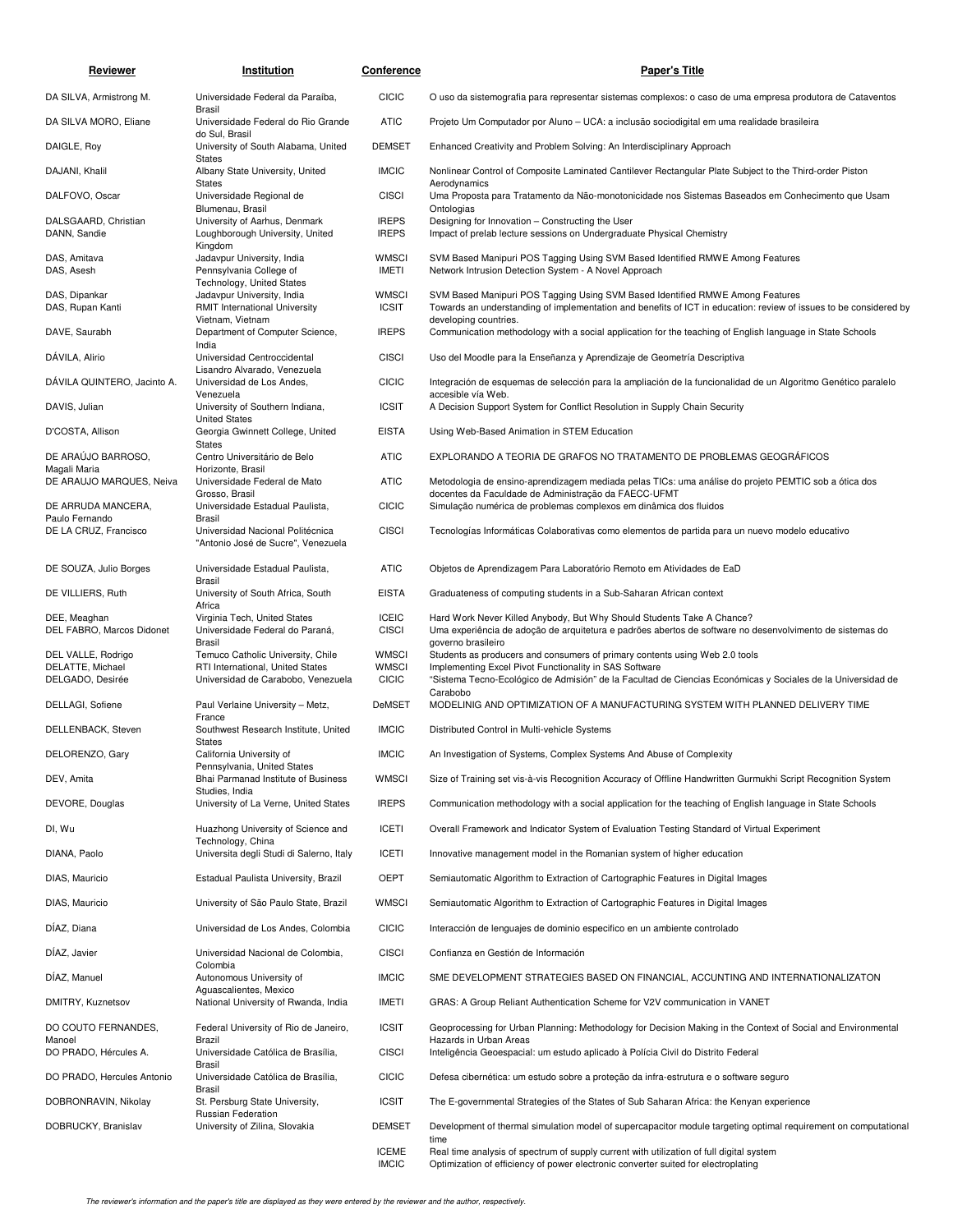| <u>Reviewer</u>                           | Institution                                                                                     | <b>Conference</b>            | <b>Paper's Title</b>                                                                                                                                                                               |
|-------------------------------------------|-------------------------------------------------------------------------------------------------|------------------------------|----------------------------------------------------------------------------------------------------------------------------------------------------------------------------------------------------|
| DA SILVA, Armistrong M.                   | Universidade Federal da Paraíba,                                                                | <b>CICIC</b>                 | O uso da sistemografia para representar sistemas complexos: o caso de uma empresa produtora de Cataventos                                                                                          |
| DA SILVA MORO, Eliane                     | <b>Brasil</b><br>Universidade Federal do Rio Grande                                             | <b>ATIC</b>                  | Projeto Um Computador por Aluno – UCA: a inclusão sociodigital em uma realidade brasileira                                                                                                         |
| DAIGLE, Roy                               | do Sul, Brasil<br>University of South Alabama, United                                           | <b>DEMSET</b>                | Enhanced Creativity and Problem Solving: An Interdisciplinary Approach                                                                                                                             |
| DAJANI, Khalil                            | <b>States</b><br>Albany State University, United                                                | <b>IMCIC</b>                 | Nonlinear Control of Composite Laminated Cantilever Rectangular Plate Subject to the Third-order Piston                                                                                            |
| DALFOVO, Oscar                            | <b>States</b><br>Universidade Regional de                                                       | <b>CISCI</b>                 | Aerodynamics<br>Uma Proposta para Tratamento da Não-monotonicidade nos Sistemas Baseados em Conhecimento que Usam                                                                                  |
| DALSGAARD, Christian<br>DANN, Sandie      | Blumenau, Brasil<br>University of Aarhus, Denmark<br>Loughborough University, United            | <b>IREPS</b><br><b>IREPS</b> | Ontologias<br>Designing for Innovation - Constructing the User<br>Impact of prelab lecture sessions on Undergraduate Physical Chemistry                                                            |
| DAS, Amitava<br>DAS, Asesh                | Kingdom<br>Jadavpur University, India<br>Pennsylvania College of                                | <b>WMSCI</b><br><b>IMETI</b> | SVM Based Manipuri POS Tagging Using SVM Based Identified RMWE Among Features<br>Network Intrusion Detection System - A Novel Approach                                                             |
| DAS, Dipankar<br>DAS, Rupan Kanti         | Technology, United States<br>Jadavpur University, India<br><b>RMIT International University</b> | <b>WMSCI</b><br><b>ICSIT</b> | SVM Based Manipuri POS Tagging Using SVM Based Identified RMWE Among Features<br>Towards an understanding of implementation and benefits of ICT in education: review of issues to be considered by |
| DAVE, Saurabh                             | Vietnam, Vietnam<br>Department of Computer Science,<br>India                                    | <b>IREPS</b>                 | developing countries.<br>Communication methodology with a social application for the teaching of English language in State Schools                                                                 |
| DÁVILA, Alirio                            | Universidad Centroccidental<br>Lisandro Alvarado, Venezuela                                     | <b>CISCI</b>                 | Uso del Moodle para la Enseñanza y Aprendizaje de Geometría Descriptiva                                                                                                                            |
| DÁVILA QUINTERO, Jacinto A.               | Universidad de Los Andes,<br>Venezuela                                                          | <b>CICIC</b>                 | Integración de esquemas de selección para la ampliación de la funcionalidad de un Algoritmo Genético paralelo<br>accesible vía Web.                                                                |
| DAVIS, Julian                             | University of Southern Indiana,<br><b>United States</b>                                         | <b>ICSIT</b>                 | A Decision Support System for Conflict Resolution in Supply Chain Security                                                                                                                         |
| D'COSTA, Allison                          | Georgia Gwinnett College, United<br><b>States</b>                                               | <b>EISTA</b>                 | Using Web-Based Animation in STEM Education                                                                                                                                                        |
| DE ARAÚJO BARROSO,<br>Magali Maria        | Centro Universitário de Belo<br>Horizonte, Brasil                                               | <b>ATIC</b>                  | EXPLORANDO A TEORIA DE GRAFOS NO TRATAMENTO DE PROBLEMAS GEOGRÁFICOS                                                                                                                               |
| DE ARAUJO MARQUES, Neiva                  | Universidade Federal de Mato<br>Grosso, Brasil                                                  | <b>ATIC</b>                  | Metodologia de ensino-aprendizagem mediada pelas TICs: uma análise do projeto PEMTIC sob a ótica dos<br>docentes da Faculdade de Administração da FAECC-UFMT                                       |
| DE ARRUDA MANCERA,<br>Paulo Fernando      | Universidade Estadual Paulista,<br>Brasil                                                       | <b>CICIC</b>                 | Simulação numérica de problemas complexos em dinâmica dos fluidos                                                                                                                                  |
| DE LA CRUZ, Francisco                     | Universidad Nacional Politécnica<br>"Antonio José de Sucre", Venezuela                          | <b>CISCI</b>                 | Tecnologías Informáticas Colaborativas como elementos de partida para un nuevo modelo educativo                                                                                                    |
| DE SOUZA, Julio Borges                    | Universidade Estadual Paulista,                                                                 | <b>ATIC</b>                  | Objetos de Aprendizagem Para Laboratório Remoto em Atividades de EaD                                                                                                                               |
| DE VILLIERS, Ruth                         | Brasil<br>University of South Africa, South<br>Africa                                           | <b>EISTA</b>                 | Graduateness of computing students in a Sub-Saharan African context                                                                                                                                |
| DEE, Meaghan<br>DEL FABRO, Marcos Didonet | Virginia Tech, United States<br>Universidade Federal do Paraná,                                 | <b>ICEIC</b><br><b>CISCI</b> | Hard Work Never Killed Anybody, But Why Should Students Take A Chance?<br>Uma experiência de adoção de arquitetura e padrões abertos de software no desenvolvimento de sistemas do                 |
| DEL VALLE, Rodrigo                        | Brasil<br>Temuco Catholic University, Chile                                                     | <b>WMSCI</b>                 | governo brasileiro<br>Students as producers and consumers of primary contents using Web 2.0 tools                                                                                                  |
| DELATTE, Michael<br>DELGADO, Desirée      | RTI International, United States<br>Universidad de Carabobo, Venezuela                          | <b>WMSCI</b><br><b>CICIC</b> | Implementing Excel Pivot Functionality in SAS Software<br>"Sistema Tecno-Ecológico de Admisión" de la Facultad de Ciencias Económicas y Sociales de la Universidad de                              |
| DELLAGI, Sofiene                          | Paul Verlaine University - Metz,                                                                | <b>DeMSET</b>                | Carabobo<br>MODELINIG AND OPTIMIZATION OF A MANUFACTURING SYSTEM WITH PLANNED DELIVERY TIME                                                                                                        |
| DELLENBACK, Steven                        | France<br>Southwest Research Institute, United                                                  | <b>IMCIC</b>                 | Distributed Control in Multi-vehicle Systems                                                                                                                                                       |
| DELORENZO, Gary                           | <b>States</b><br>California University of                                                       | <b>IMCIC</b>                 | An Investigation of Systems, Complex Systems And Abuse of Complexity                                                                                                                               |
| DEV, Amita                                | Pennsylvania, United States<br>Bhai Parmanad Institute of Business<br>Studies, India            | <b>WMSCI</b>                 | Size of Training set vis-à-vis Recognition Accuracy of Offline Handwritten Gurmukhi Script Recognition System                                                                                      |
| DEVORE, Douglas                           | University of La Verne, United States                                                           | <b>IREPS</b>                 | Communication methodology with a social application for the teaching of English language in State Schools                                                                                          |
| DI, Wu                                    | Huazhong University of Science and<br>Technology, China                                         | <b>ICETI</b>                 | Overall Framework and Indicator System of Evaluation Testing Standard of Virtual Experiment                                                                                                        |
| DIANA, Paolo                              | Universita degli Studi di Salerno, Italy                                                        | <b>ICETI</b>                 | Innovative management model in the Romanian system of higher education                                                                                                                             |
| DIAS, Mauricio                            | Estadual Paulista University, Brazil                                                            | OEPT                         | Semiautomatic Algorithm to Extraction of Cartographic Features in Digital Images                                                                                                                   |
| DIAS, Mauricio                            | University of São Paulo State, Brazil                                                           | <b>WMSCI</b>                 | Semiautomatic Algorithm to Extraction of Cartographic Features in Digital Images                                                                                                                   |
| DÍAZ, Diana                               | Universidad de Los Andes, Colombia                                                              | <b>CICIC</b>                 | Interacción de lenguajes de dominio especifico en un ambiente controlado                                                                                                                           |
| DÍAZ, Javier                              | Universidad Nacional de Colombia,<br>Colombia                                                   | <b>CISCI</b>                 | Confianza en Gestión de Información                                                                                                                                                                |
| DIAZ, Manuel                              | Autonomous University of<br>Aguascalientes, Mexico                                              | <b>IMCIC</b>                 | SME DEVELOPMENT STRATEGIES BASED ON FINANCIAL, ACCUNTING AND INTERNATIONALIZATON                                                                                                                   |
| DMITRY, Kuznetsov                         | National University of Rwanda, India                                                            | IMETI                        | GRAS: A Group Reliant Authentication Scheme for V2V communication in VANET                                                                                                                         |
| DO COUTO FERNANDES,<br>Manoel             | Federal University of Rio de Janeiro,<br>Brazil                                                 | <b>ICSIT</b>                 | Geoprocessing for Urban Planning: Methodology for Decision Making in the Context of Social and Environmental<br>Hazards in Urban Areas                                                             |
| DO PRADO, Hércules A.                     | Universidade Católica de Brasília,<br>Brasil                                                    | <b>CISCI</b>                 | Inteligência Geoespacial: um estudo aplicado à Polícia Civil do Distrito Federal                                                                                                                   |
| DO PRADO, Hercules Antonio                | Universidade Católica de Brasília,<br>Brasil                                                    | <b>CICIC</b>                 | Defesa cibernética: um estudo sobre a proteção da infra-estrutura e o software seguro                                                                                                              |
| DOBRONRAVIN, Nikolay                      | St. Persburg State University,<br>Russian Federation                                            | <b>ICSIT</b>                 | The E-governmental Strategies of the States of Sub Saharan Africa: the Kenyan experience                                                                                                           |
| DOBRUCKY, Branislav                       | University of Zilina, Slovakia                                                                  | <b>DEMSET</b>                | Development of thermal simulation model of supercapacitor module targeting optimal requirement on computational<br>time                                                                            |
|                                           |                                                                                                 | <b>ICEME</b><br><b>IMCIC</b> | Real time analysis of spectrum of supply current with utilization of full digital system<br>Optimization of efficiency of power electronic converter suited for electroplating                     |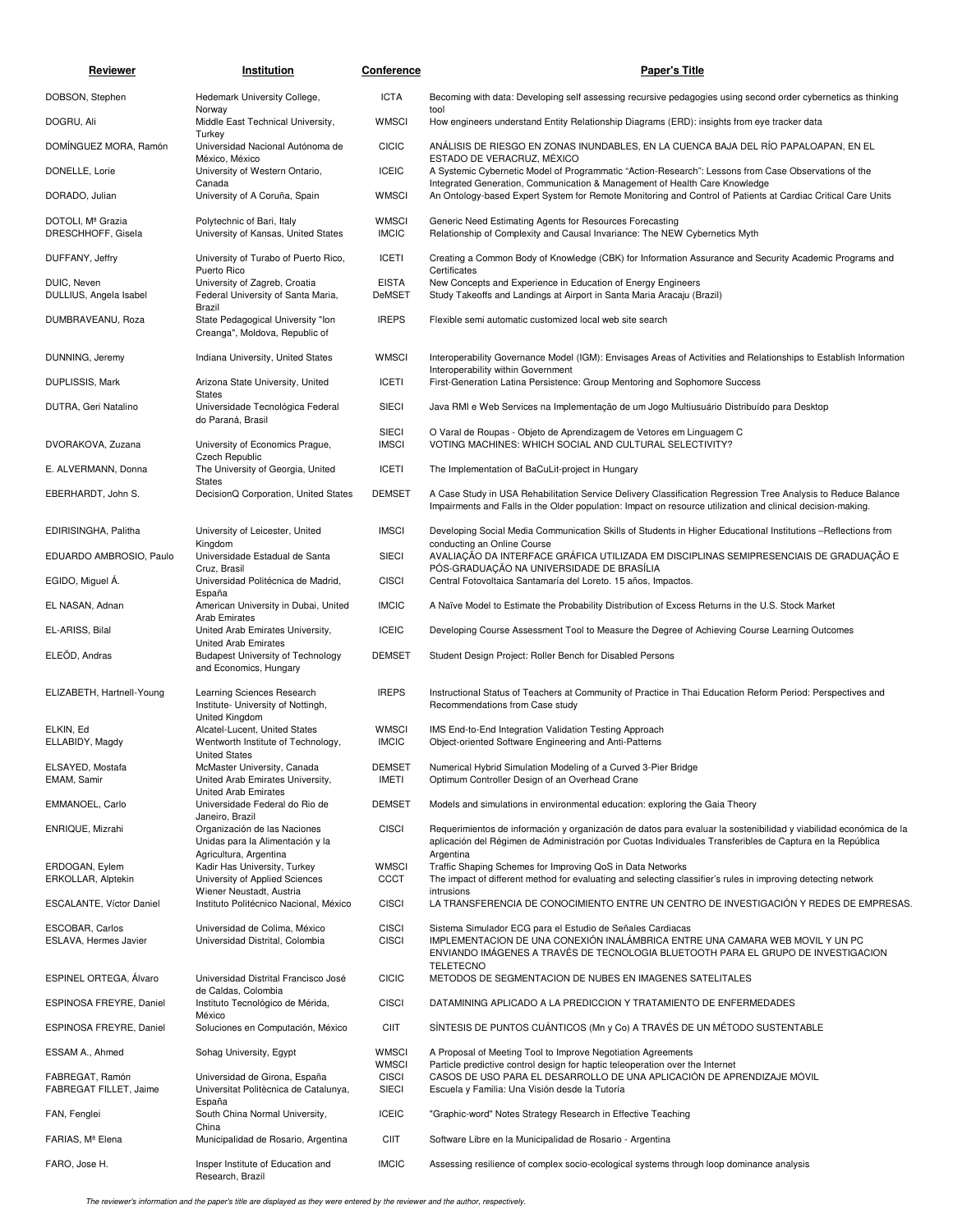| Reviewer                                  | Institution                                                                                | <b>Conference</b>                            | <b>Paper's Title</b>                                                                                                                                                                                                                        |
|-------------------------------------------|--------------------------------------------------------------------------------------------|----------------------------------------------|---------------------------------------------------------------------------------------------------------------------------------------------------------------------------------------------------------------------------------------------|
| DOBSON, Stephen                           | Hedemark University College,                                                               | <b>ICTA</b>                                  | Becoming with data: Developing self assessing recursive pedagogies using second order cybernetics as thinking                                                                                                                               |
| DOGRU, Ali                                | Norway<br>Middle East Technical University,                                                | <b>WMSCI</b>                                 | tool<br>How engineers understand Entity Relationship Diagrams (ERD): insights from eye tracker data                                                                                                                                         |
| DOMINGUEZ MORA, Ramón                     | Turkey<br>Universidad Nacional Autónoma de                                                 | <b>CICIC</b>                                 | ANÁLISIS DE RIESGO EN ZONAS INUNDABLES, EN LA CUENCA BAJA DEL RÍO PAPALOAPAN, EN EL                                                                                                                                                         |
| DONELLE, Lorie                            | México, México<br>University of Western Ontario,                                           | <b>ICEIC</b>                                 | ESTADO DE VERACRUZ, MÉXICO<br>A Systemic Cybernetic Model of Programmatic "Action-Research": Lessons from Case Observations of the                                                                                                          |
| DORADO, Julian                            | Canada<br>University of A Coruña, Spain                                                    | <b>WMSCI</b>                                 | Integrated Generation, Communication & Management of Health Care Knowledge<br>An Ontology-based Expert System for Remote Monitoring and Control of Patients at Cardiac Critical Care Units                                                  |
| DOTOLI. Mª Grazia<br>DRESCHHOFF, Gisela   | Polytechnic of Bari, Italy<br>University of Kansas, United States                          | <b>WMSCI</b><br><b>IMCIC</b>                 | Generic Need Estimating Agents for Resources Forecasting<br>Relationship of Complexity and Causal Invariance: The NEW Cybernetics Myth                                                                                                      |
| DUFFANY, Jeffry                           | University of Turabo of Puerto Rico,<br>Puerto Rico                                        | <b>ICETI</b>                                 | Creating a Common Body of Knowledge (CBK) for Information Assurance and Security Academic Programs and<br>Certificates                                                                                                                      |
| DUIC, Neven<br>DULLIUS, Angela Isabel     | University of Zagreb, Croatia<br>Federal University of Santa Maria,<br>Brazil              | <b>EISTA</b><br>DeMSET                       | New Concepts and Experience in Education of Energy Engineers<br>Study Takeoffs and Landings at Airport in Santa Maria Aracaju (Brazil)                                                                                                      |
| DUMBRAVEANU, Roza                         | State Pedagogical University "Ion<br>Creanga", Moldova, Republic of                        | <b>IREPS</b>                                 | Flexible semi automatic customized local web site search                                                                                                                                                                                    |
| DUNNING, Jeremy                           | Indiana University, United States                                                          | <b>WMSCI</b>                                 | Interoperability Governance Model (IGM): Envisages Areas of Activities and Relationships to Establish Information<br>Interoperability within Government                                                                                     |
| <b>DUPLISSIS, Mark</b>                    | Arizona State University, United<br><b>States</b>                                          | <b>ICETI</b>                                 | First-Generation Latina Persistence: Group Mentoring and Sophomore Success                                                                                                                                                                  |
| DUTRA, Geri Natalino                      | Universidade Tecnológica Federal<br>do Paraná, Brasil                                      | <b>SIECI</b>                                 | Java RMI e Web Services na Implementação de um Jogo Multiusuário Distribuído para Desktop                                                                                                                                                   |
| DVORAKOVA, Zuzana                         | University of Economics Prague,                                                            | <b>SIECI</b><br><b>IMSCI</b>                 | O Varal de Roupas - Objeto de Aprendizagem de Vetores em Linguagem C<br>VOTING MACHINES: WHICH SOCIAL AND CULTURAL SELECTIVITY?                                                                                                             |
| E. ALVERMANN, Donna                       | Czech Republic<br>The University of Georgia, United                                        | <b>ICETI</b>                                 | The Implementation of BaCuLit-project in Hungary                                                                                                                                                                                            |
| EBERHARDT, John S.                        | <b>States</b><br>DecisionQ Corporation, United States                                      | <b>DEMSET</b>                                | A Case Study in USA Rehabilitation Service Delivery Classification Regression Tree Analysis to Reduce Balance                                                                                                                               |
|                                           |                                                                                            |                                              | Impairments and Falls in the Older population: Impact on resource utilization and clinical decision-making.                                                                                                                                 |
| EDIRISINGHA, Palitha                      | University of Leicester, United<br>Kingdom                                                 | <b>IMSCI</b>                                 | Developing Social Media Communication Skills of Students in Higher Educational Institutions -Reflections from<br>conducting an Online Course                                                                                                |
| EDUARDO AMBROSIO, Paulo                   | Universidade Estadual de Santa<br>Cruz, Brasil                                             | <b>SIECI</b>                                 | AVALIAÇÃO DA INTERFACE GRÁFICA UTILIZADA EM DISCIPLINAS SEMIPRESENCIAIS DE GRADUAÇÃO E<br>PÓS-GRADUAÇÃO NA UNIVERSIDADE DE BRASÍLIA                                                                                                         |
| EGIDO, Miguel A.                          | Universidad Politécnica de Madrid,<br>España                                               | <b>CISCI</b>                                 | Central Fotovoltaica Santamaría del Loreto. 15 años, Impactos.                                                                                                                                                                              |
| EL NASAN, Adnan                           | American University in Dubai, United<br>Arab Emirates                                      | <b>IMCIC</b>                                 | A Naïve Model to Estimate the Probability Distribution of Excess Returns in the U.S. Stock Market                                                                                                                                           |
| EL-ARISS, Bilal                           | United Arab Emirates University,<br>United Arab Emirates                                   | <b>ICEIC</b>                                 | Developing Course Assessment Tool to Measure the Degree of Achieving Course Learning Outcomes                                                                                                                                               |
| ELEÕD, Andras                             | <b>Budapest University of Technology</b><br>and Economics, Hungary                         | <b>DEMSET</b>                                | Student Design Project: Roller Bench for Disabled Persons                                                                                                                                                                                   |
| ELIZABETH, Hartnell-Young                 | Learning Sciences Research<br>Institute- University of Nottingh,<br>United Kingdom         | <b>IREPS</b>                                 | Instructional Status of Teachers at Community of Practice in Thai Education Reform Period: Perspectives and<br>Recommendations from Case study                                                                                              |
| ELKIN, Ed<br>ELLABIDY, Magdy              | Alcatel-Lucent, United States<br>Wentworth Institute of Technology,                        | <b>WMSCI</b><br><b>IMCIC</b>                 | IMS End-to-End Integration Validation Testing Approach<br>Object-oriented Software Engineering and Anti-Patterns                                                                                                                            |
| ELSAYED. Mostafa                          | <b>United States</b><br>McMaster University, Canada                                        | <b>DEMSET</b>                                | Numerical Hybrid Simulation Modeling of a Curved 3-Pier Bridge                                                                                                                                                                              |
| EMAM, Samir                               | United Arab Emirates University,<br>United Arab Emirates                                   | IMETI                                        | Optimum Controller Design of an Overhead Crane                                                                                                                                                                                              |
| EMMANOEL, Carlo                           | Universidade Federal do Rio de<br>Janeiro, Brazil                                          | <b>DEMSET</b>                                | Models and simulations in environmental education: exploring the Gaia Theory                                                                                                                                                                |
| ENRIQUE, Mizrahi                          | Organización de las Naciones<br>Unidas para la Alimentación y la<br>Agricultura, Argentina | <b>CISCI</b>                                 | Requerimientos de información y organización de datos para evaluar la sostenibilidad y viabilidad económica de la<br>aplicación del Régimen de Administración por Cuotas Individuales Transferibles de Captura en la República<br>Argentina |
| ERDOGAN, Eylem<br>ERKOLLAR, Alptekin      | Kadir Has University, Turkey<br>University of Applied Sciences                             | <b>WMSCI</b><br><b>CCCT</b>                  | Traffic Shaping Schemes for Improving QoS in Data Networks<br>The impact of different method for evaluating and selecting classifier's rules in improving detecting network                                                                 |
| ESCALANTE, Víctor Daniel                  | Wiener Neustadt, Austria<br>Instituto Politécnico Nacional, México                         | <b>CISCI</b>                                 | intrusions<br>LA TRANSFERENCIA DE CONOCIMIENTO ENTRE UN CENTRO DE INVESTIGACIÓN Y REDES DE EMPRESAS.                                                                                                                                        |
| ESCOBAR, Carlos<br>ESLAVA, Hermes Javier  | Universidad de Colima, México<br>Universidad Distrital, Colombia                           | <b>CISCI</b><br><b>CISCI</b>                 | Sistema Simulador ECG para el Estudio de Señales Cardiacas<br>IMPLEMENTACION DE UNA CONEXIÓN INALÁMBRICA ENTRE UNA CAMARA WEB MOVIL Y UN PC<br>ENVIANDO IMÁGENES A TRAVÉS DE TECNOLOGIA BLUETOOTH PARA EL GRUPO DE INVESTIGACION            |
| ESPINEL ORTEGA, Álvaro                    | Universidad Distrital Francisco José                                                       | <b>CICIC</b>                                 | <b>TELETECNO</b><br>METODOS DE SEGMENTACION DE NUBES EN IMAGENES SATELITALES                                                                                                                                                                |
| ESPINOSA FREYRE, Daniel                   | de Caldas, Colombia<br>Instituto Tecnológico de Mérida,                                    | <b>CISCI</b>                                 | DATAMINING APLICADO A LA PREDICCION Y TRATAMIENTO DE ENFERMEDADES                                                                                                                                                                           |
| ESPINOSA FREYRE, Daniel                   | México<br>Soluciones en Computación, México                                                | <b>CIIT</b>                                  | SÍNTESIS DE PUNTOS CUÁNTICOS (Mn y Co) A TRAVÉS DE UN MÉTODO SUSTENTABLE                                                                                                                                                                    |
| ESSAM A., Ahmed                           | Sohag University, Egypt                                                                    | <b>WMSCI</b>                                 | A Proposal of Meeting Tool to Improve Negotiation Agreements                                                                                                                                                                                |
| FABREGAT, Ramón<br>FABREGAT FILLET, Jaime | Universidad de Girona, España<br>Universitat Politècnica de Catalunya,                     | <b>WMSCI</b><br><b>CISCI</b><br><b>SIECI</b> | Particle predictive control design for haptic teleoperation over the Internet<br>CASOS DE USO PARA EL DESARROLLO DE UNA APLICACIÓN DE APRENDIZAJE MÓVIL<br>Escuela y Familia: Una Visión desde la Tutoría                                   |
| FAN, Fenglei                              | España<br>South China Normal University,                                                   | <b>ICEIC</b>                                 | "Graphic-word" Notes Strategy Research in Effective Teaching                                                                                                                                                                                |
| FARIAS, Mª Elena                          | China<br>Municipalidad de Rosario, Argentina                                               | <b>CIIT</b>                                  | Software Libre en la Municipalidad de Rosario - Argentina                                                                                                                                                                                   |
| FARO, Jose H.                             | Insper Institute of Education and<br>Research, Brazil                                      | <b>IMCIC</b>                                 | Assessing resilience of complex socio-ecological systems through loop dominance analysis                                                                                                                                                    |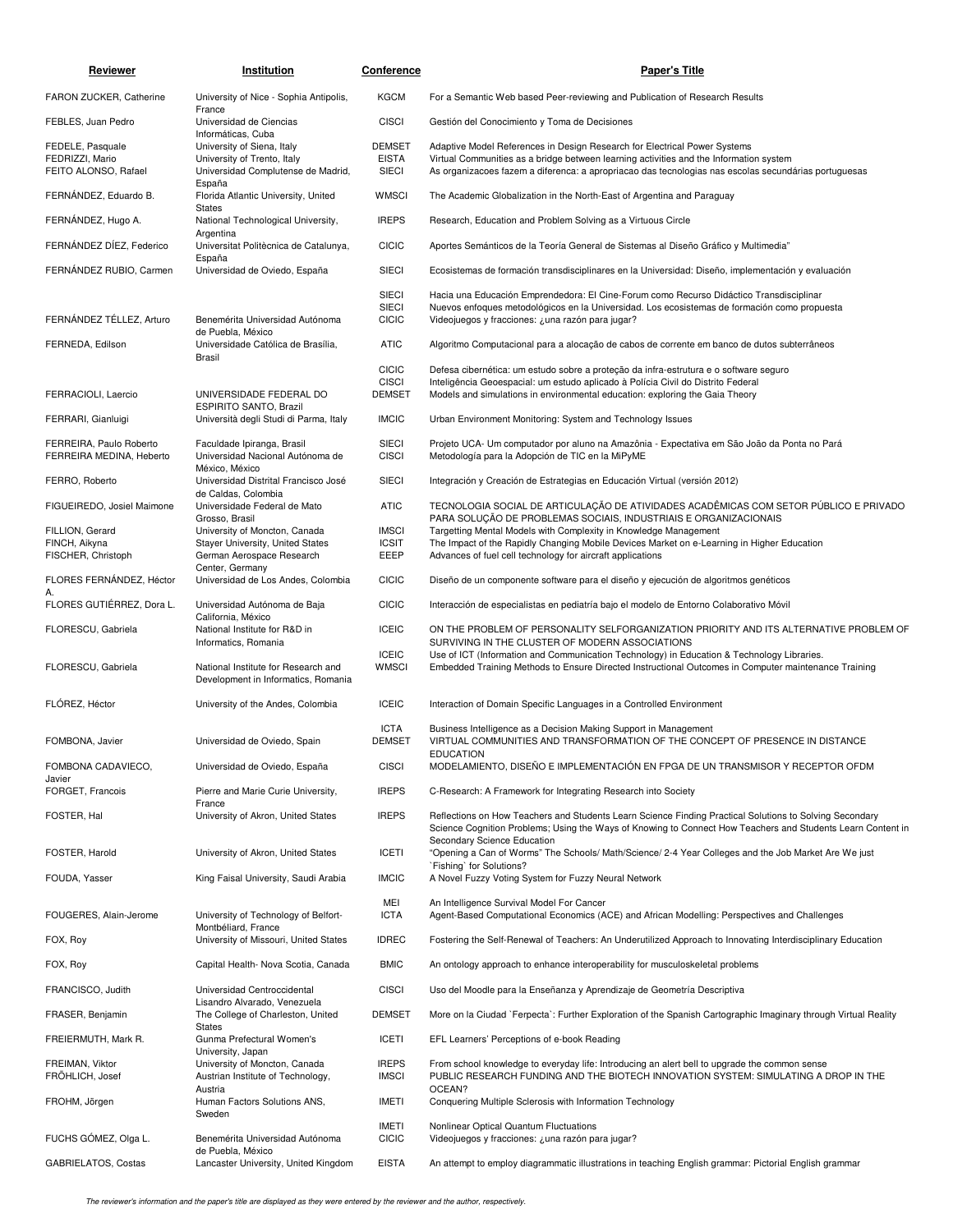| Reviewer                                            | Institution                                                                        | <b>Conference</b>                            | <b>Paper's Title</b>                                                                                                                                                                                                                               |
|-----------------------------------------------------|------------------------------------------------------------------------------------|----------------------------------------------|----------------------------------------------------------------------------------------------------------------------------------------------------------------------------------------------------------------------------------------------------|
| FARON ZUCKER, Catherine                             | University of Nice - Sophia Antipolis,                                             | <b>KGCM</b>                                  | For a Semantic Web based Peer-reviewing and Publication of Research Results                                                                                                                                                                        |
| FEBLES, Juan Pedro                                  | France<br>Universidad de Ciencias                                                  | <b>CISCI</b>                                 | Gestión del Conocimiento y Toma de Decisiones                                                                                                                                                                                                      |
| FEDELE, Pasquale                                    | Informáticas, Cuba<br>University of Siena, Italy                                   | <b>DEMSET</b>                                | Adaptive Model References in Design Research for Electrical Power Systems                                                                                                                                                                          |
| FEDRIZZI, Mario<br>FEITO ALONSO, Rafael             | University of Trento, Italy<br>Universidad Complutense de Madrid,<br>España        | <b>EISTA</b><br><b>SIECI</b>                 | Virtual Communities as a bridge between learning activities and the Information system<br>As organizacoes fazem a diferenca: a apropriacao das tecnologias nas escolas secundárias portuguesas                                                     |
| FERNÁNDEZ, Eduardo B.                               | Florida Atlantic University, United<br>States                                      | WMSCI                                        | The Academic Globalization in the North-East of Argentina and Paraguay                                                                                                                                                                             |
| FERNÁNDEZ, Hugo A.                                  | National Technological University,<br>Argentina                                    | <b>IREPS</b>                                 | Research, Education and Problem Solving as a Virtuous Circle                                                                                                                                                                                       |
| FERNÁNDEZ DÍEZ, Federico                            | Universitat Politècnica de Catalunya,                                              | <b>CICIC</b>                                 | Aportes Semánticos de la Teoría General de Sistemas al Diseño Gráfico y Multimedia"                                                                                                                                                                |
| FERNANDEZ RUBIO, Carmen                             | España<br>Universidad de Oviedo, España                                            | <b>SIECI</b>                                 | Ecosistemas de formación transdisciplinares en la Universidad: Diseño, implementación y evaluación                                                                                                                                                 |
| FERNÁNDEZ TÉLLEZ, Arturo                            | Benemérita Universidad Autónoma                                                    | <b>SIECI</b><br><b>SIECI</b><br><b>CICIC</b> | Hacia una Educación Emprendedora: El Cine-Forum como Recurso Didáctico Transdisciplinar<br>Nuevos enfoques metodológicos en la Universidad. Los ecosistemas de formación como propuesta<br>Videojuegos y fracciones: ¿una razón para jugar?        |
|                                                     | de Puebla, México                                                                  |                                              |                                                                                                                                                                                                                                                    |
| FERNEDA, Edilson                                    | Universidade Católica de Brasília,<br>Brasil                                       | <b>ATIC</b>                                  | Algoritmo Computacional para a alocação de cabos de corrente em banco de dutos subterrâneos                                                                                                                                                        |
|                                                     |                                                                                    | <b>CICIC</b><br><b>CISCI</b>                 | Defesa cibernética: um estudo sobre a proteção da infra-estrutura e o software seguro<br>Inteligência Geoespacial: um estudo aplicado à Polícia Civil do Distrito Federal                                                                          |
| FERRACIOLI, Laercio                                 | UNIVERSIDADE FEDERAL DO<br>ESPIRITO SANTO, Brazil                                  | <b>DEMSET</b>                                | Models and simulations in environmental education: exploring the Gaia Theory                                                                                                                                                                       |
| FERRARI, Gianluigi                                  | Università degli Studi di Parma, Italy                                             | <b>IMCIC</b>                                 | Urban Environment Monitoring: System and Technology Issues                                                                                                                                                                                         |
| FERREIRA, Paulo Roberto<br>FERREIRA MEDINA. Heberto | Faculdade Ipiranga, Brasil<br>Universidad Nacional Autónoma de                     | <b>SIECI</b><br><b>CISCI</b>                 | Projeto UCA- Um computador por aluno na Amazônia - Expectativa em São João da Ponta no Pará<br>Metodología para la Adopción de TIC en la MiPyME                                                                                                    |
| FERRO, Roberto                                      | México, México<br>Universidad Distrital Francisco José                             | <b>SIECI</b>                                 | Integración y Creación de Estrategias en Educación Virtual (versión 2012)                                                                                                                                                                          |
| FIGUEIREDO, Josiel Maimone                          | de Caldas, Colombia<br>Universidade Federal de Mato                                | <b>ATIC</b>                                  | TECNOLOGIA SOCIAL DE ARTICULAÇÃO DE ATIVIDADES ACADÊMICAS COM SETOR PÚBLICO E PRIVADO                                                                                                                                                              |
| FILLION, Gerard                                     | Grosso, Brasil<br>University of Moncton, Canada                                    | <b>IMSCI</b>                                 | PARA SOLUÇÃO DE PROBLEMAS SOCIAIS, INDUSTRIAIS E ORGANIZACIONAIS<br>Targetting Mental Models with Complexity in Knowledge Management                                                                                                               |
| FINCH, Aikyna<br>FISCHER, Christoph                 | Stayer University, United States<br>German Aerospace Research                      | <b>ICSIT</b><br>EEEP                         | The Impact of the Rapidly Changing Mobile Devices Market on e-Learning in Higher Education<br>Advances of fuel cell technology for aircraft applications                                                                                           |
| FLORES FERNÁNDEZ, Héctor                            | Center, Germany<br>Universidad de Los Andes, Colombia                              | <b>CICIC</b>                                 | Diseño de un componente software para el diseño y ejecución de algoritmos genéticos                                                                                                                                                                |
| FLORES GUTIÉRREZ, Dora L.                           | Universidad Autónoma de Baja                                                       | <b>CICIC</b>                                 | Interacción de especialistas en pediatría bajo el modelo de Entorno Colaborativo Móvil                                                                                                                                                             |
| FLORESCU, Gabriela                                  | California, México<br>National Institute for R&D in                                | <b>ICEIC</b>                                 | ON THE PROBLEM OF PERSONALITY SELFORGANIZATION PRIORITY AND ITS ALTERNATIVE PROBLEM OF                                                                                                                                                             |
|                                                     | Informatics, Romania                                                               | <b>ICEIC</b>                                 | SURVIVING IN THE CLUSTER OF MODERN ASSOCIATIONS<br>Use of ICT (Information and Communication Technology) in Education & Technology Libraries.                                                                                                      |
| FLORESCU, Gabriela                                  | National Institute for Research and<br>Development in Informatics, Romania         | <b>WMSCI</b>                                 | Embedded Training Methods to Ensure Directed Instructional Outcomes in Computer maintenance Training                                                                                                                                               |
| FLÓREZ, Héctor                                      | University of the Andes, Colombia                                                  | <b>ICEIC</b>                                 | Interaction of Domain Specific Languages in a Controlled Environment                                                                                                                                                                               |
| FOMBONA, Javier                                     | Universidad de Oviedo, Spain                                                       | <b>ICTA</b><br><b>DEMSET</b>                 | Business Intelligence as a Decision Making Support in Management<br>VIRTUAL COMMUNITIES AND TRANSFORMATION OF THE CONCEPT OF PRESENCE IN DISTANCE                                                                                                  |
| FOMBONA CADAVIECO,                                  | Universidad de Oviedo, España                                                      | <b>CISCI</b>                                 | <b>EDUCATION</b><br>MODELAMIENTO, DISEÑO E IMPLEMENTACIÓN EN FPGA DE UN TRANSMISOR Y RECEPTOR OFDM                                                                                                                                                 |
| Javier<br>FORGET, Francois                          | Pierre and Marie Curie University,                                                 | <b>IREPS</b>                                 | C-Research: A Framework for Integrating Research into Society                                                                                                                                                                                      |
| FOSTER, Hal                                         | France<br>University of Akron, United States                                       | <b>IREPS</b>                                 | Reflections on How Teachers and Students Learn Science Finding Practical Solutions to Solving Secondary                                                                                                                                            |
| FOSTER, Harold                                      | University of Akron, United States                                                 | <b>ICETI</b>                                 | Science Cognition Problems; Using the Ways of Knowing to Connect How Teachers and Students Learn Content in<br>Secondary Science Education<br>"Opening a Can of Worms" The Schools/ Math/Science/ 2-4 Year Colleges and the Job Market Are We just |
| FOUDA, Yasser                                       | King Faisal University, Saudi Arabia                                               | <b>IMCIC</b>                                 | `Fishing` for Solutions?<br>A Novel Fuzzy Voting System for Fuzzy Neural Network                                                                                                                                                                   |
|                                                     |                                                                                    | MEI                                          | An Intelligence Survival Model For Cancer                                                                                                                                                                                                          |
| FOUGERES, Alain-Jerome                              | University of Technology of Belfort-<br>Montbéliard, France                        | <b>ICTA</b>                                  | Agent-Based Computational Economics (ACE) and African Modelling: Perspectives and Challenges                                                                                                                                                       |
| FOX, Roy                                            | University of Missouri, United States                                              | <b>IDREC</b>                                 | Fostering the Self-Renewal of Teachers: An Underutilized Approach to Innovating Interdisciplinary Education                                                                                                                                        |
| FOX, Roy                                            | Capital Health- Nova Scotia, Canada                                                | <b>BMIC</b>                                  | An ontology approach to enhance interoperability for musculoskeletal problems                                                                                                                                                                      |
| FRANCISCO, Judith                                   | Universidad Centroccidental                                                        | <b>CISCI</b>                                 | Uso del Moodle para la Enseñanza y Aprendizaje de Geometría Descriptiva                                                                                                                                                                            |
| FRASER, Benjamin                                    | Lisandro Alvarado, Venezuela<br>The College of Charleston, United<br><b>States</b> | <b>DEMSET</b>                                | More on la Ciudad `Ferpecta`: Further Exploration of the Spanish Cartographic Imaginary through Virtual Reality                                                                                                                                    |
| FREIERMUTH, Mark R.                                 | Gunma Prefectural Women's<br>University, Japan                                     | <b>ICETI</b>                                 | EFL Learners' Perceptions of e-book Reading                                                                                                                                                                                                        |
| FREIMAN, Viktor<br>FRÖHLICH, Josef                  | University of Moncton, Canada<br>Austrian Institute of Technology,                 | <b>IREPS</b><br><b>IMSCI</b>                 | From school knowledge to everyday life: Introducing an alert bell to upgrade the common sense<br>PUBLIC RESEARCH FUNDING AND THE BIOTECH INNOVATION SYSTEM: SIMULATING A DROP IN THE                                                               |
| FROHM, Jörgen                                       | Austria<br>Human Factors Solutions ANS,<br>Sweden                                  | <b>IMETI</b>                                 | OCEAN?<br>Conquering Multiple Sclerosis with Information Technology                                                                                                                                                                                |
| FUCHS GÓMEZ, Olga L.                                | Benemérita Universidad Autónoma                                                    | <b>IMETI</b><br><b>CICIC</b>                 | Nonlinear Optical Quantum Fluctuations<br>Videojuegos y fracciones: ¿una razón para jugar?                                                                                                                                                         |
| GABRIELATOS, Costas                                 | de Puebla, México<br>Lancaster University, United Kingdom                          | <b>EISTA</b>                                 | An attempt to employ diagrammatic illustrations in teaching English grammar: Pictorial English grammar                                                                                                                                             |
|                                                     |                                                                                    |                                              |                                                                                                                                                                                                                                                    |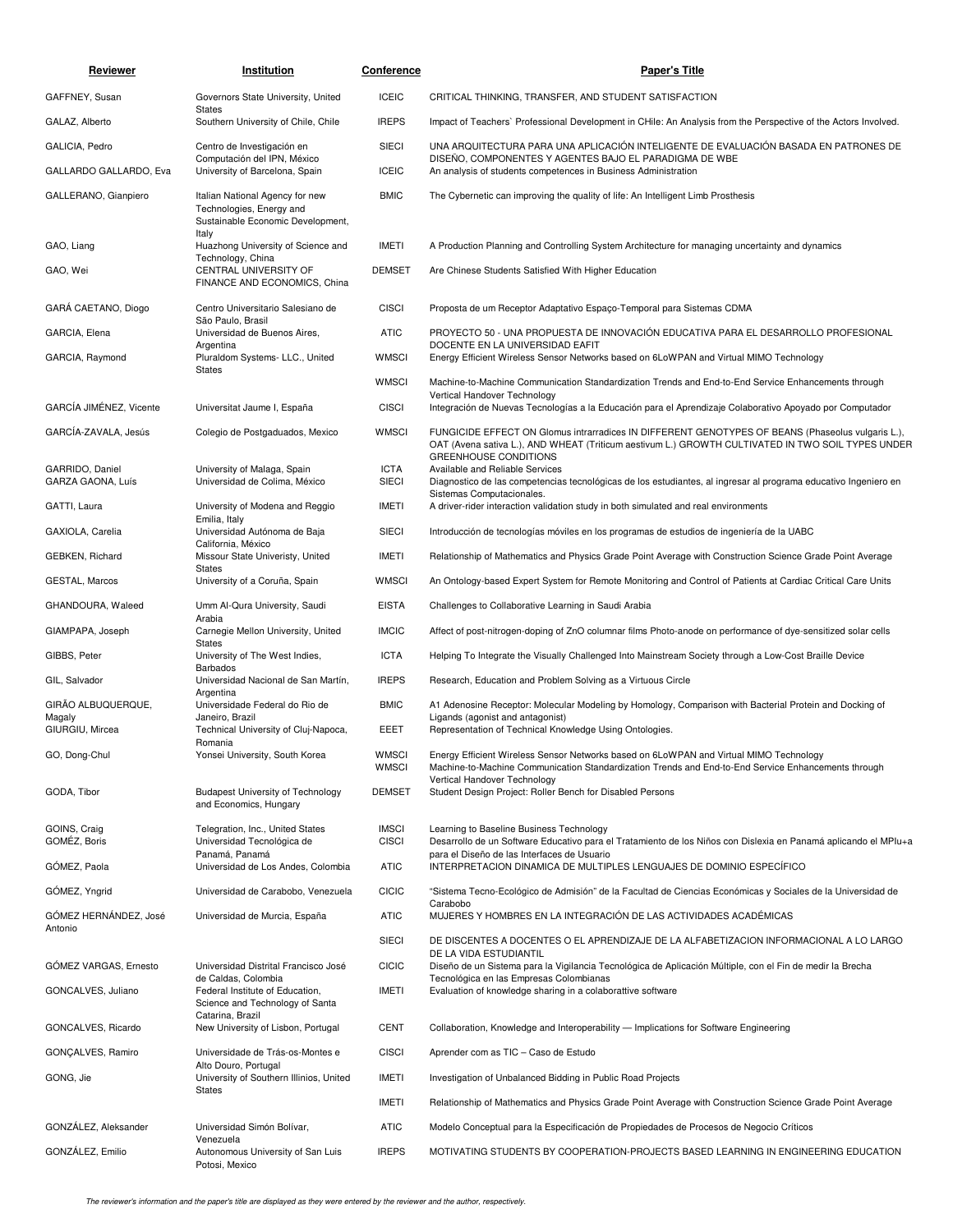| Reviewer                             | Institution                                                                                      | Conference                   | <b>Paper's Title</b>                                                                                                                                                                                                                   |
|--------------------------------------|--------------------------------------------------------------------------------------------------|------------------------------|----------------------------------------------------------------------------------------------------------------------------------------------------------------------------------------------------------------------------------------|
| GAFFNEY, Susan                       | Governors State University, United                                                               | <b>ICEIC</b>                 | CRITICAL THINKING, TRANSFER, AND STUDENT SATISFACTION                                                                                                                                                                                  |
| GALAZ, Alberto                       | <b>States</b><br>Southern University of Chile, Chile                                             | <b>IREPS</b>                 | Impact of Teachers' Professional Development in CHile: An Analysis from the Perspective of the Actors Involved.                                                                                                                        |
| GALICIA, Pedro                       | Centro de Investigación en                                                                       | <b>SIECI</b>                 | UNA ARQUITECTURA PARA UNA APLICACIÓN INTELIGENTE DE EVALUACIÓN BASADA EN PATRONES DE                                                                                                                                                   |
| GALLARDO GALLARDO, Eva               | Computación del IPN, México<br>University of Barcelona, Spain                                    | <b>ICEIC</b>                 | DISEÑO, COMPONENTES Y AGENTES BAJO EL PARADIGMA DE WBE<br>An analysis of students competences in Business Administration                                                                                                               |
| GALLERANO, Gianpiero                 | Italian National Agency for new<br>Technologies, Energy and<br>Sustainable Economic Development, | <b>BMIC</b>                  | The Cybernetic can improving the quality of life: An Intelligent Limb Prosthesis                                                                                                                                                       |
| GAO, Liang                           | Italy<br>Huazhong University of Science and                                                      | <b>IMETI</b>                 | A Production Planning and Controlling System Architecture for managing uncertainty and dynamics                                                                                                                                        |
| GAO, Wei                             | Technology, China<br>CENTRAL UNIVERSITY OF<br>FINANCE AND ECONOMICS, China                       | <b>DEMSET</b>                | Are Chinese Students Satisfied With Higher Education                                                                                                                                                                                   |
| GARÁ CAETANO, Diogo                  | Centro Universitario Salesiano de                                                                | <b>CISCI</b>                 | Proposta de um Receptor Adaptativo Espaço-Temporal para Sistemas CDMA                                                                                                                                                                  |
| GARCIA, Elena                        | São Paulo, Brasil<br>Universidad de Buenos Aires,                                                | <b>ATIC</b>                  | PROYECTO 50 - UNA PROPUESTA DE INNOVACIÓN EDUCATIVA PARA EL DESARROLLO PROFESIONAL                                                                                                                                                     |
| GARCIA, Raymond                      | Argentina<br>Pluraldom Systems- LLC., United<br><b>States</b>                                    | <b>WMSCI</b>                 | DOCENTE EN LA UNIVERSIDAD EAFIT<br>Energy Efficient Wireless Sensor Networks based on 6LoWPAN and Virtual MIMO Technology                                                                                                              |
|                                      |                                                                                                  | <b>WMSCI</b>                 | Machine-to-Machine Communication Standardization Trends and End-to-End Service Enhancements through<br>Vertical Handover Technology                                                                                                    |
| GARCÍA JIMÉNEZ, Vicente              | Universitat Jaume I, España                                                                      | <b>CISCI</b>                 | Integración de Nuevas Tecnologías a la Educación para el Aprendizaje Colaborativo Apoyado por Computador                                                                                                                               |
| GARCÍA-ZAVALA, Jesús                 | Colegio de Postgaduados, Mexico                                                                  | <b>WMSCI</b>                 | FUNGICIDE EFFECT ON Glomus intrarradices IN DIFFERENT GENOTYPES OF BEANS (Phaseolus vulgaris L.),<br>OAT (Avena sativa L.), AND WHEAT (Triticum aestivum L.) GROWTH CULTIVATED IN TWO SOIL TYPES UNDER<br><b>GREENHOUSE CONDITIONS</b> |
| GARRIDO, Daniel<br>GARZA GAONA, Luís | University of Malaga, Spain<br>Universidad de Colima, México                                     | <b>ICTA</b><br><b>SIECI</b>  | Available and Reliable Services<br>Diagnostico de las competencias tecnológicas de los estudiantes, al ingresar al programa educativo Ingeniero en<br>Sistemas Computacionales.                                                        |
| GATTI, Laura                         | University of Modena and Reggio                                                                  | IMETI                        | A driver-rider interaction validation study in both simulated and real environments                                                                                                                                                    |
| GAXIOLA, Carelia                     | Emilia, Italy<br>Universidad Autónoma de Baja                                                    | <b>SIECI</b>                 | Introducción de tecnologías móviles en los programas de estudios de ingeniería de la UABC                                                                                                                                              |
| GEBKEN, Richard                      | California, México<br>Missour State Univeristy, United                                           | IMETI                        | Relationship of Mathematics and Physics Grade Point Average with Construction Science Grade Point Average                                                                                                                              |
| GESTAL, Marcos                       | <b>States</b><br>University of a Coruña, Spain                                                   | <b>WMSCI</b>                 | An Ontology-based Expert System for Remote Monitoring and Control of Patients at Cardiac Critical Care Units                                                                                                                           |
| GHANDOURA, Waleed                    | Umm Al-Qura University, Saudi                                                                    | <b>EISTA</b>                 | Challenges to Collaborative Learning in Saudi Arabia                                                                                                                                                                                   |
| GIAMPAPA, Joseph                     | Arabia<br>Carnegie Mellon University, United                                                     | <b>IMCIC</b>                 | Affect of post-nitrogen-doping of ZnO columnar films Photo-anode on performance of dye-sensitized solar cells                                                                                                                          |
| GIBBS, Peter                         | <b>States</b><br>University of The West Indies,                                                  | <b>ICTA</b>                  | Helping To Integrate the Visually Challenged Into Mainstream Society through a Low-Cost Braille Device                                                                                                                                 |
| GIL, Salvador                        | <b>Barbados</b><br>Universidad Nacional de San Martín,                                           | <b>IREPS</b>                 | Research, Education and Problem Solving as a Virtuous Circle                                                                                                                                                                           |
| GIRÃO ALBUQUERQUE,                   | Argentina<br>Universidade Federal do Rio de                                                      | <b>BMIC</b>                  | A1 Adenosine Receptor: Molecular Modeling by Homology, Comparison with Bacterial Protein and Docking of                                                                                                                                |
| Magaly<br>GIURGIU, Mircea            | Janeiro, Brazil<br>Technical University of Cluj-Napoca,                                          | EEET                         | Ligands (agonist and antagonist)<br>Representation of Technical Knowledge Using Ontologies.                                                                                                                                            |
| GO, Dong-Chul                        | Romania<br>Yonsei University, South Korea                                                        | <b>WMSCI</b><br><b>WMSCI</b> | Energy Efficient Wireless Sensor Networks based on 6LoWPAN and Virtual MIMO Technology<br>Machine-to-Machine Communication Standardization Trends and End-to-End Service Enhancements through                                          |
| GODA, Tibor                          | <b>Budapest University of Technology</b><br>and Economics, Hungary                               | <b>DEMSET</b>                | Vertical Handover Technology<br>Student Design Project: Roller Bench for Disabled Persons                                                                                                                                              |
| GOINS, Craig<br>GOMÉZ, Boris         | Telegration, Inc., United States<br>Universidad Tecnológica de                                   | <b>IMSCI</b><br><b>CISCI</b> | Learning to Baseline Business Technology<br>Desarrollo de un Software Educativo para el Tratamiento de los Niños con Dislexia en Panamá aplicando el MPIu+a                                                                            |
| GÓMEZ, Paola                         | Panamá, Panamá<br>Universidad de Los Andes, Colombia                                             | <b>ATIC</b>                  | para el Diseño de las Interfaces de Usuario<br>INTERPRETACION DINAMICA DE MULTIPLES LENGUAJES DE DOMINIO ESPECÍFICO                                                                                                                    |
| GÓMEZ, Yngrid                        | Universidad de Carabobo, Venezuela                                                               | <b>CICIC</b>                 | "Sistema Tecno-Ecológico de Admisión" de la Facultad de Ciencias Económicas y Sociales de la Universidad de                                                                                                                            |
| GÓMEZ HERNÁNDEZ, José<br>Antonio     | Universidad de Murcia, España                                                                    | ATIC                         | Carabobo<br>MUJERES Y HOMBRES EN LA INTEGRACIÓN DE LAS ACTIVIDADES ACADÉMICAS                                                                                                                                                          |
|                                      |                                                                                                  | <b>SIECI</b>                 | DE DISCENTES A DOCENTES O EL APRENDIZAJE DE LA ALFABETIZACION INFORMACIONAL A LO LARGO<br>DE LA VIDA ESTUDIANTIL                                                                                                                       |
| GÓMEZ VARGAS, Ernesto                | Universidad Distrital Francisco José                                                             | <b>CICIC</b>                 | Diseño de un Sistema para la Vigilancia Tecnológica de Aplicación Múltiple, con el Fin de medir la Brecha                                                                                                                              |
| GONCALVES, Juliano                   | de Caldas, Colombia<br>Federal Institute of Education,<br>Science and Technology of Santa        | <b>IMETI</b>                 | Tecnológica en las Empresas Colombianas<br>Evaluation of knowledge sharing in a colaborattive software                                                                                                                                 |
| GONCALVES, Ricardo                   | Catarina, Brazil<br>New University of Lisbon, Portugal                                           | <b>CENT</b>                  | Collaboration, Knowledge and Interoperability — Implications for Software Engineering                                                                                                                                                  |
| GONÇALVES, Ramiro                    | Universidade de Trás-os-Montes e                                                                 | <b>CISCI</b>                 | Aprender com as TIC - Caso de Estudo                                                                                                                                                                                                   |
| GONG, Jie                            | Alto Douro, Portugal<br>University of Southern Illinios, United                                  | <b>IMETI</b>                 | Investigation of Unbalanced Bidding in Public Road Projects                                                                                                                                                                            |
|                                      | <b>States</b>                                                                                    | <b>IMETI</b>                 | Relationship of Mathematics and Physics Grade Point Average with Construction Science Grade Point Average                                                                                                                              |
| GONZÁLEZ, Aleksander                 | Universidad Simón Bolívar,                                                                       | ATIC                         | Modelo Conceptual para la Especificación de Propiedades de Procesos de Negocio Críticos                                                                                                                                                |
| GONZÁLEZ, Emilio                     | Venezuela<br>Autonomous University of San Luis<br>Potosi, Mexico                                 | <b>IREPS</b>                 | MOTIVATING STUDENTS BY COOPERATION-PROJECTS BASED LEARNING IN ENGINEERING EDUCATION                                                                                                                                                    |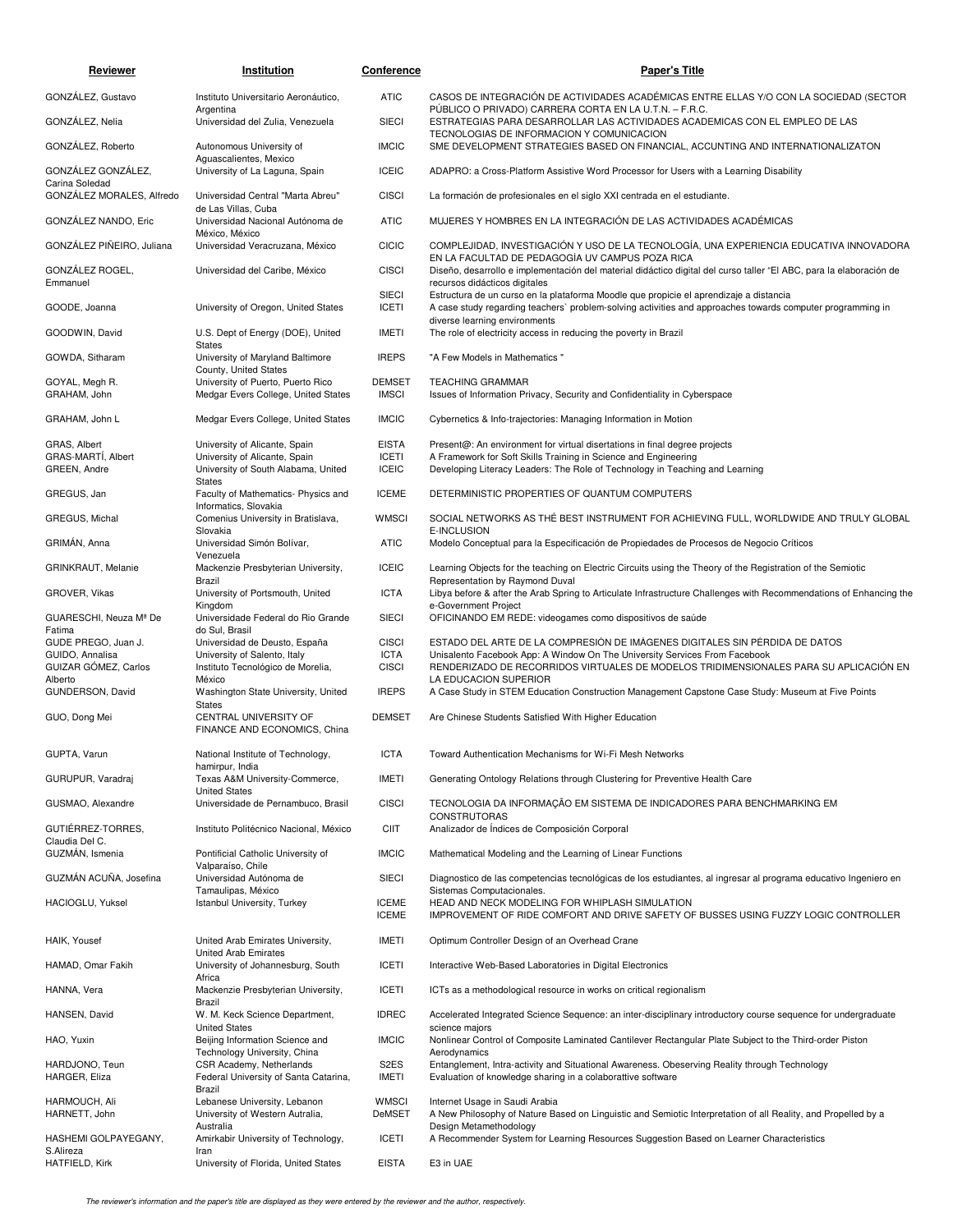| Reviewer                                | Institution                                                                                       | Conference                    | <b>Paper's Title</b>                                                                                                                                                                                 |
|-----------------------------------------|---------------------------------------------------------------------------------------------------|-------------------------------|------------------------------------------------------------------------------------------------------------------------------------------------------------------------------------------------------|
| GONZALEZ, Gustavo                       | Instituto Universitario Aeronáutico,                                                              | <b>ATIC</b>                   | CASOS DE INTEGRACIÓN DE ACTIVIDADES ACADÉMICAS ENTRE ELLAS Y/O CON LA SOCIEDAD (SECTOR                                                                                                               |
| GONZÁLEZ, Nelia                         | Argentina<br>Universidad del Zulia, Venezuela                                                     | <b>SIECI</b>                  | PÚBLICO O PRIVADO) CARRERA CORTA EN LA U.T.N. - F.R.C.<br>ESTRATEGIAS PARA DESARROLLAR LAS ACTIVIDADES ACADEMICAS CON EL EMPLEO DE LAS                                                               |
| GONZÁLEZ, Roberto                       | Autonomous University of<br>Aquascalientes, Mexico                                                | <b>IMCIC</b>                  | TECNOLOGIAS DE INFORMACION Y COMUNICACION<br>SME DEVELOPMENT STRATEGIES BASED ON FINANCIAL, ACCUNTING AND INTERNATIONALIZATON                                                                        |
| GONZÁLEZ GONZÁLEZ,<br>Carina Soledad    | University of La Laguna, Spain                                                                    | <b>ICEIC</b>                  | ADAPRO: a Cross-Platform Assistive Word Processor for Users with a Learning Disability                                                                                                               |
| GONZÁLEZ MORALES, Alfredo               | Universidad Central "Marta Abreu"<br>de Las Villas, Cuba                                          | <b>CISCI</b>                  | La formación de profesionales en el siglo XXI centrada en el estudiante.                                                                                                                             |
| GONZÁLEZ NANDO, Eric                    | Universidad Nacional Autónoma de<br>México, México                                                | <b>ATIC</b>                   | MUJERES Y HOMBRES EN LA INTEGRACIÓN DE LAS ACTIVIDADES ACADÉMICAS                                                                                                                                    |
| GONZÁLEZ PIÑEIRO, Juliana               | Universidad Veracruzana, México                                                                   | <b>CICIC</b>                  | COMPLEJIDAD, INVESTIGACIÓN Y USO DE LA TECNOLOGÍA, UNA EXPERIENCIA EDUCATIVA INNOVADORA<br>EN LA FACULTAD DE PEDAGOGÍA UV CAMPUS POZA RICA                                                           |
| GONZÁLEZ ROGEL,<br>Emmanuel             | Universidad del Caribe, México                                                                    | <b>CISCI</b>                  | Diseño, desarrollo e implementación del material didáctico digital del curso taller "El ABC, para la elaboración de<br>recursos didácticos digitales                                                 |
| GOODE, Joanna                           | University of Oregon, United States                                                               | <b>SIECI</b><br><b>ICETI</b>  | Estructura de un curso en la plataforma Moodle que propicie el aprendizaje a distancia<br>A case study regarding teachers` problem-solving activities and approaches towards computer programming in |
| GOODWIN, David                          | U.S. Dept of Energy (DOE), United<br><b>States</b>                                                | <b>IMETI</b>                  | diverse learning environments<br>The role of electricity access in reducing the poverty in Brazil                                                                                                    |
| GOWDA, Sitharam                         | University of Maryland Baltimore<br>County, United States                                         | <b>IREPS</b>                  | "A Few Models in Mathematics"                                                                                                                                                                        |
| GOYAL, Megh R.<br>GRAHAM, John          | University of Puerto, Puerto Rico<br>Medgar Evers College, United States                          | <b>DEMSET</b><br><b>IMSCI</b> | <b>TEACHING GRAMMAR</b><br>Issues of Information Privacy, Security and Confidentiality in Cyberspace                                                                                                 |
| GRAHAM, John L                          | Medgar Evers College, United States                                                               | <b>IMCIC</b>                  | Cybernetics & Info-trajectories: Managing Information in Motion                                                                                                                                      |
| GRAS, Albert                            | University of Alicante, Spain                                                                     | <b>EISTA</b>                  | Present@: An environment for virtual disertations in final degree projects                                                                                                                           |
| GRAS-MARTI, Albert<br>GREEN, Andre      | University of Alicante, Spain<br>University of South Alabama, United                              | <b>ICETI</b><br><b>ICEIC</b>  | A Framework for Soft Skills Training in Science and Engineering<br>Developing Literacy Leaders: The Role of Technology in Teaching and Learning                                                      |
| GREGUS, Jan                             | <b>States</b><br>Faculty of Mathematics- Physics and<br>Informatics, Slovakia                     | <b>ICEME</b>                  | DETERMINISTIC PROPERTIES OF QUANTUM COMPUTERS                                                                                                                                                        |
| GREGUS, Michal                          | Comenius University in Bratislava,<br>Slovakia                                                    | <b>WMSCI</b>                  | SOCIAL NETWORKS AS THE BEST INSTRUMENT FOR ACHIEVING FULL, WORLDWIDE AND TRULY GLOBAL<br>E-INCLUSION                                                                                                 |
| GRIMÁN, Anna                            | Universidad Simón Bolívar,<br>Venezuela                                                           | <b>ATIC</b>                   | Modelo Conceptual para la Especificación de Propiedades de Procesos de Negocio Críticos                                                                                                              |
| GRINKRAUT, Melanie                      | Mackenzie Presbyterian University,<br>Brazil                                                      | <b>ICEIC</b>                  | Learning Objects for the teaching on Electric Circuits using the Theory of the Registration of the Semiotic<br>Representation by Raymond Duval                                                       |
| GROVER, Vikas                           | University of Portsmouth, United<br>Kingdom                                                       | <b>ICTA</b>                   | Libya before & after the Arab Spring to Articulate Infrastructure Challenges with Recommendations of Enhancing the<br>e-Government Project                                                           |
| GUARESCHI, Neuza Mª De<br>Fatima        | Universidade Federal do Rio Grande<br>do Sul, Brasil                                              | <b>SIECI</b>                  | OFICINANDO EM REDE: videogames como dispositivos de saúde                                                                                                                                            |
| GUDE PREGO, Juan J.                     | Universidad de Deusto, España                                                                     | <b>CISCI</b>                  | ESTADO DEL ARTE DE LA COMPRESIÓN DE IMÁGENES DIGITALES SIN PÉRDIDA DE DATOS                                                                                                                          |
| GUIDO, Annalisa<br>GUIZAR GÓMEZ, Carlos | University of Salento, Italy<br>Instituto Tecnológico de Morelia,                                 | <b>ICTA</b><br><b>CISCI</b>   | Unisalento Facebook App: A Window On The University Services From Facebook<br>RENDERIZADO DE RECORRIDOS VIRTUALES DE MODELOS TRIDIMENSIONALES PARA SU APLICACIÓN EN                                  |
| Alberto<br>GUNDERSON, David             | México<br>Washington State University, United                                                     | <b>IREPS</b>                  | LA EDUCACION SUPERIOR<br>A Case Study in STEM Education Construction Management Capstone Case Study: Museum at Five Points                                                                           |
| GUO, Dong Mei                           | <b>States</b><br>CENTRAL UNIVERSITY OF                                                            | <b>DEMSET</b>                 | Are Chinese Students Satisfied With Higher Education                                                                                                                                                 |
|                                         | FINANCE AND ECONOMICS, China                                                                      |                               |                                                                                                                                                                                                      |
| GUPTA, Varun                            | National Institute of Technology,<br>hamirpur, India                                              | <b>ICTA</b>                   | Toward Authentication Mechanisms for Wi-Fi Mesh Networks                                                                                                                                             |
| GURUPUR, Varadraj                       | Texas A&M University-Commerce,<br><b>United States</b>                                            | IMETI                         | Generating Ontology Relations through Clustering for Preventive Health Care                                                                                                                          |
| GUSMAO, Alexandre                       | Universidade de Pernambuco, Brasil                                                                | <b>CISCI</b>                  | TECNOLOGIA DA INFORMAÇÃO EM SISTEMA DE INDICADORES PARA BENCHMARKING EM<br>CONSTRUTORAS                                                                                                              |
| GUTIÉRREZ-TORRES,<br>Claudia Del C.     | Instituto Politécnico Nacional, México                                                            | <b>CIIT</b>                   | Analizador de Índices de Composición Corporal                                                                                                                                                        |
| GUZMÁN, Ismenia                         | Pontificial Catholic University of<br>Valparaíso, Chile                                           | <b>IMCIC</b>                  | Mathematical Modeling and the Learning of Linear Functions                                                                                                                                           |
| GUZMÁN ACUÑA, Josefina                  | Universidad Autónoma de<br>Tamaulipas, México                                                     | <b>SIECI</b>                  | Diagnostico de las competencias tecnológicas de los estudiantes, al ingresar al programa educativo Ingeniero en<br>Sistemas Computacionales.                                                         |
| HACIOGLU, Yuksel                        | Istanbul University, Turkey                                                                       | <b>ICEME</b><br><b>ICEME</b>  | HEAD AND NECK MODELING FOR WHIPLASH SIMULATION<br>IMPROVEMENT OF RIDE COMFORT AND DRIVE SAFETY OF BUSSES USING FUZZY LOGIC CONTROLLER                                                                |
| HAIK, Yousef                            | United Arab Emirates University,                                                                  | <b>IMETI</b>                  | Optimum Controller Design of an Overhead Crane                                                                                                                                                       |
| HAMAD, Omar Fakih                       | United Arab Emirates<br>University of Johannesburg, South                                         | <b>ICETI</b>                  | Interactive Web-Based Laboratories in Digital Electronics                                                                                                                                            |
| HANNA, Vera                             | Africa<br>Mackenzie Presbyterian University,<br>Brazil                                            | <b>ICETI</b>                  | ICTs as a methodological resource in works on critical regionalism                                                                                                                                   |
| HANSEN, David                           | W. M. Keck Science Department,<br><b>United States</b>                                            | <b>IDREC</b>                  | Accelerated Integrated Science Sequence: an inter-disciplinary introductory course sequence for undergraduate<br>science majors                                                                      |
| HAO, Yuxin                              | Beijing Information Science and                                                                   | <b>IMCIC</b>                  | Nonlinear Control of Composite Laminated Cantilever Rectangular Plate Subject to the Third-order Piston                                                                                              |
| HARDJONO, Teun<br>HARGER, Eliza         | Technology University, China<br>CSR Academy, Netherlands<br>Federal University of Santa Catarina, | S <sub>2</sub> ES<br>IMETI    | Aerodynamics<br>Entanglement, Intra-activity and Situational Awareness. Obeserving Reality through Technology<br>Evaluation of knowledge sharing in a colaborattive software                         |
| HARMOUCH, Ali                           | Brazil<br>Lebanese University, Lebanon                                                            | <b>WMSCI</b>                  | Internet Usage in Saudi Arabia                                                                                                                                                                       |
| HARNETT, John                           | University of Western Autralia,<br>Australia                                                      | DeMSET                        | A New Philosophy of Nature Based on Linguistic and Semiotic Interpretation of all Reality, and Propelled by a<br>Design Metamethodology                                                              |
| HASHEMI GOLPAYEGANY,<br>S.Alireza       | Amirkabir University of Technology,<br>Iran                                                       | <b>ICETI</b>                  | A Recommender System for Learning Resources Suggestion Based on Learner Characteristics                                                                                                              |
| HATFIELD, Kirk                          | University of Florida, United States                                                              | <b>EISTA</b>                  | E3 in UAE                                                                                                                                                                                            |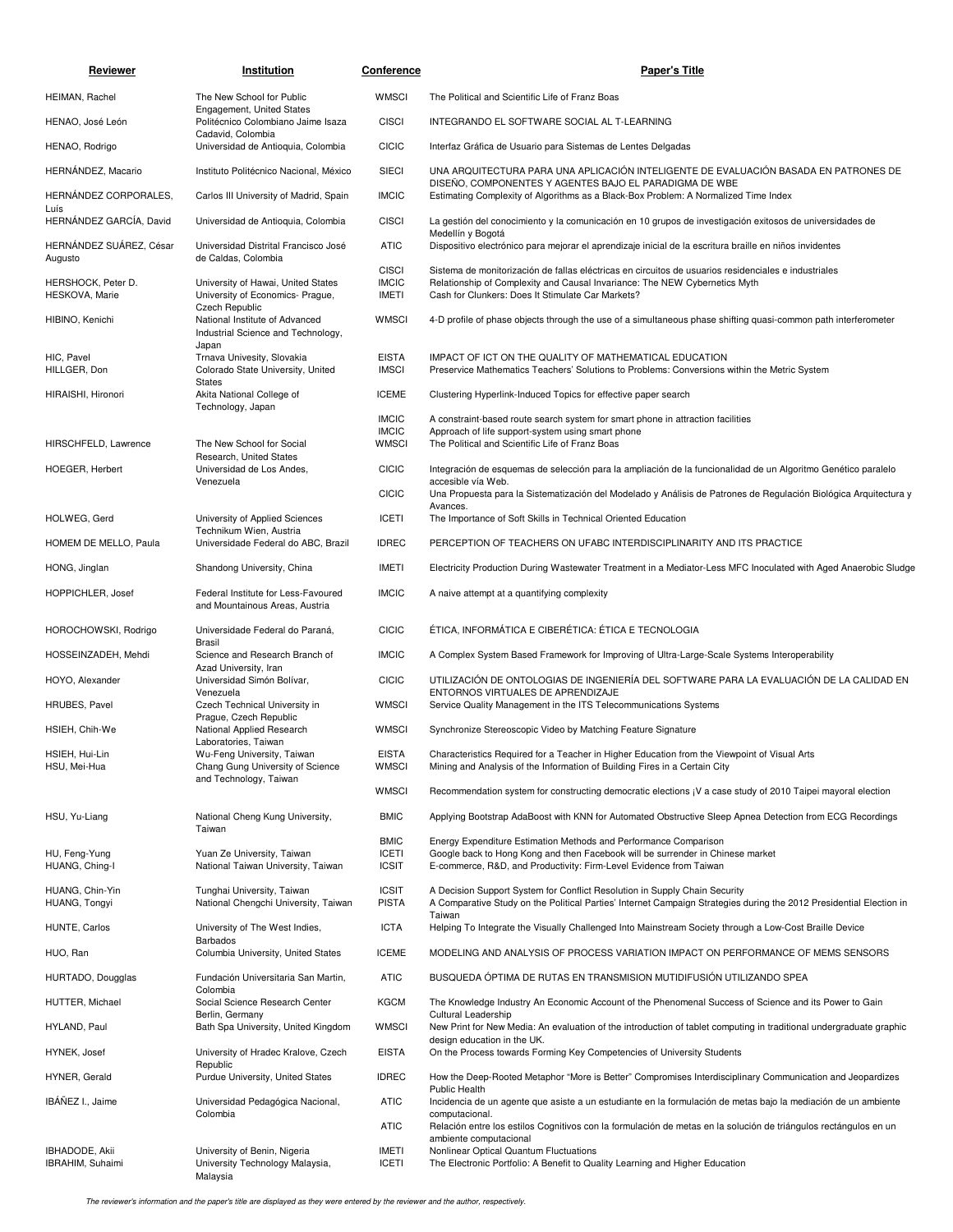| Reviewer                             | Institution                                                                              | Conference                                   | <b>Paper's Title</b>                                                                                                                                                                                                                    |
|--------------------------------------|------------------------------------------------------------------------------------------|----------------------------------------------|-----------------------------------------------------------------------------------------------------------------------------------------------------------------------------------------------------------------------------------------|
| HEIMAN, Rachel                       | The New School for Public                                                                | <b>WMSCI</b>                                 | The Political and Scientific Life of Franz Boas                                                                                                                                                                                         |
| HENAO, José León                     | Engagement, United States<br>Politécnico Colombiano Jaime Isaza                          | <b>CISCI</b>                                 | INTEGRANDO EL SOFTWARE SOCIAL AL T-LEARNING                                                                                                                                                                                             |
| HENAO, Rodrigo                       | Cadavid, Colombia<br>Universidad de Antioquia, Colombia                                  | <b>CICIC</b>                                 | Interfaz Gráfica de Usuario para Sistemas de Lentes Delgadas                                                                                                                                                                            |
| HERNÁNDEZ, Macario                   | Instituto Politécnico Nacional, México                                                   | <b>SIECI</b>                                 | UNA ARQUITECTURA PARA UNA APLICACIÓN INTELIGENTE DE EVALUACIÓN BASADA EN PATRONES DE                                                                                                                                                    |
| HERNÁNDEZ CORPORALES,<br>Luís        | Carlos III University of Madrid, Spain                                                   | <b>IMCIC</b>                                 | DISEÑO, COMPONENTES Y AGENTES BAJO EL PARADIGMA DE WBE<br>Estimating Complexity of Algorithms as a Black-Box Problem: A Normalized Time Index                                                                                           |
| HERNÁNDEZ GARCÍA, David              | Universidad de Antioquia, Colombia                                                       | <b>CISCI</b>                                 | La gestión del conocimiento y la comunicación en 10 grupos de investigación exitosos de universidades de<br>Medellín y Bogotá                                                                                                           |
| HERNÁNDEZ SUÁREZ, César<br>Augusto   | Universidad Distrital Francisco José<br>de Caldas, Colombia                              | <b>ATIC</b>                                  | Dispositivo electrónico para mejorar el aprendizaje inicial de la escritura braille en niños invidentes                                                                                                                                 |
| HERSHOCK, Peter D.<br>HESKOVA, Marie | University of Hawai, United States<br>University of Economics- Prague,<br>Czech Republic | <b>CISCI</b><br><b>IMCIC</b><br><b>IMETI</b> | Sistema de monitorización de fallas eléctricas en circuitos de usuarios residenciales e industriales<br>Relationship of Complexity and Causal Invariance: The NEW Cybernetics Myth<br>Cash for Clunkers: Does It Stimulate Car Markets? |
| HIBINO, Kenichi                      | National Institute of Advanced<br>Industrial Science and Technology,                     | <b>WMSCI</b>                                 | 4-D profile of phase objects through the use of a simultaneous phase shifting quasi-common path interferometer                                                                                                                          |
| HIC, Pavel<br>HILLGER, Don           | Japan<br>Trnava Univesity, Slovakia<br>Colorado State University, United                 | <b>EISTA</b><br><b>IMSCI</b>                 | IMPACT OF ICT ON THE QUALITY OF MATHEMATICAL EDUCATION<br>Preservice Mathematics Teachers' Solutions to Problems: Conversions within the Metric System                                                                                  |
| HIRAISHI, Hironori                   | <b>States</b><br>Akita National College of                                               | <b>ICEME</b>                                 | Clustering Hyperlink-Induced Topics for effective paper search                                                                                                                                                                          |
|                                      | Technology, Japan                                                                        | <b>IMCIC</b>                                 | A constraint-based route search system for smart phone in attraction facilities                                                                                                                                                         |
| HIRSCHFELD, Lawrence                 | The New School for Social                                                                | <b>IMCIC</b><br><b>WMSCI</b>                 | Approach of life support-system using smart phone<br>The Political and Scientific Life of Franz Boas                                                                                                                                    |
| <b>HOEGER, Herbert</b>               | Research, United States<br>Universidad de Los Andes,                                     | <b>CICIC</b>                                 | Integración de esquemas de selección para la ampliación de la funcionalidad de un Algoritmo Genético paralelo                                                                                                                           |
|                                      | Venezuela                                                                                | <b>CICIC</b>                                 | accesible vía Web.<br>Una Propuesta para la Sistematización del Modelado y Análisis de Patrones de Regulación Biológica Arguitectura y                                                                                                  |
| HOLWEG, Gerd                         | University of Applied Sciences                                                           | <b>ICETI</b>                                 | Avances.<br>The Importance of Soft Skills in Technical Oriented Education                                                                                                                                                               |
| HOMEM DE MELLO, Paula                | Technikum Wien, Austria<br>Universidade Federal do ABC, Brazil                           | <b>IDREC</b>                                 | PERCEPTION OF TEACHERS ON UFABC INTERDISCIPLINARITY AND ITS PRACTICE                                                                                                                                                                    |
| HONG, Jinglan                        | Shandong University, China                                                               | <b>IMETI</b>                                 | Electricity Production During Wastewater Treatment in a Mediator-Less MFC Inoculated with Aged Anaerobic Sludge                                                                                                                         |
| HOPPICHLER, Josef                    | Federal Institute for Less-Favoured<br>and Mountainous Areas, Austria                    | <b>IMCIC</b>                                 | A naive attempt at a quantifying complexity                                                                                                                                                                                             |
| HOROCHOWSKI, Rodrigo                 | Universidade Federal do Paraná,                                                          | <b>CICIC</b>                                 | ÉTICA, INFORMÁTICA E CIBERÉTICA: ÉTICA E TECNOLOGIA                                                                                                                                                                                     |
| HOSSEINZADEH, Mehdi                  | Brasil<br>Science and Research Branch of                                                 | <b>IMCIC</b>                                 | A Complex System Based Framework for Improving of Ultra-Large-Scale Systems Interoperability                                                                                                                                            |
| HOYO, Alexander                      | Azad University, Iran<br>Universidad Simón Bolívar,                                      | <b>CICIC</b>                                 | UTILIZACIÓN DE ONTOLOGIAS DE INGENIERÍA DEL SOFTWARE PARA LA EVALUACIÓN DE LA CALIDAD EN                                                                                                                                                |
| HRUBES, Pavel                        | Venezuela<br>Czech Technical University in                                               | <b>WMSCI</b>                                 | ENTORNOS VIRTUALES DE APRENDIZAJE<br>Service Quality Management in the ITS Telecommunications Systems                                                                                                                                   |
| HSIEH, Chih-We                       | Prague, Czech Republic<br>National Applied Research<br>Laboratories, Taiwan              | <b>WMSCI</b>                                 | Synchronize Stereoscopic Video by Matching Feature Signature                                                                                                                                                                            |
| HSIEH, Hui-Lin<br>HSU, Mei-Hua       | Wu-Feng University, Taiwan<br>Chang Gung University of Science<br>and Technology, Taiwan | <b>EISTA</b><br><b>WMSCI</b>                 | Characteristics Required for a Teacher in Higher Education from the Viewpoint of Visual Arts<br>Mining and Analysis of the Information of Building Fires in a Certain City                                                              |
|                                      |                                                                                          | <b>WMSCI</b>                                 | Recommendation system for constructing democratic elections (V a case study of 2010 Taipei mayoral election                                                                                                                             |
| HSU, Yu-Liang                        | National Cheng Kung University,<br>Taiwan                                                | <b>BMIC</b>                                  | Applying Bootstrap AdaBoost with KNN for Automated Obstructive Sleep Apnea Detection from ECG Recordings                                                                                                                                |
| HU, Feng-Yung<br>HUANG, Ching-I      | Yuan Ze University, Taiwan<br>National Taiwan University, Taiwan                         | <b>BMIC</b><br><b>ICETI</b><br><b>ICSIT</b>  | Energy Expenditure Estimation Methods and Performance Comparison<br>Google back to Hong Kong and then Facebook will be surrender in Chinese market<br>E-commerce, R&D, and Productivity: Firm-Level Evidence from Taiwan                |
| HUANG, Chin-Yin<br>HUANG, Tongyi     | Tunghai University, Taiwan<br>National Chengchi University, Taiwan                       | <b>ICSIT</b><br><b>PISTA</b>                 | A Decision Support System for Conflict Resolution in Supply Chain Security<br>A Comparative Study on the Political Parties' Internet Campaign Strategies during the 2012 Presidential Election in<br>Taiwan                             |
| HUNTE, Carlos                        | University of The West Indies,<br><b>Barbados</b>                                        | <b>ICTA</b>                                  | Helping To Integrate the Visually Challenged Into Mainstream Society through a Low-Cost Braille Device                                                                                                                                  |
| HUO, Ran                             | Columbia University, United States                                                       | <b>ICEME</b>                                 | MODELING AND ANALYSIS OF PROCESS VARIATION IMPACT ON PERFORMANCE OF MEMS SENSORS                                                                                                                                                        |
| HURTADO, Dougglas                    | Fundación Universitaria San Martin,<br>Colombia                                          | <b>ATIC</b>                                  | BUSQUEDA ÓPTIMA DE RUTAS EN TRANSMISION MUTIDIFUSIÓN UTILIZANDO SPEA                                                                                                                                                                    |
| HUTTER, Michael                      | Social Science Research Center                                                           | <b>KGCM</b>                                  | The Knowledge Industry An Economic Account of the Phenomenal Success of Science and its Power to Gain                                                                                                                                   |
| HYLAND, Paul                         | Berlin, Germany<br>Bath Spa University, United Kingdom                                   | <b>WMSCI</b>                                 | Cultural Leadership<br>New Print for New Media: An evaluation of the introduction of tablet computing in traditional undergraduate graphic<br>design education in the UK.                                                               |
| HYNEK, Josef                         | University of Hradec Kralove, Czech                                                      | <b>EISTA</b>                                 | On the Process towards Forming Key Competencies of University Students                                                                                                                                                                  |
| HYNER, Gerald                        | Republic<br>Purdue University, United States                                             | <b>IDREC</b>                                 | How the Deep-Rooted Metaphor "More is Better" Compromises Interdisciplinary Communication and Jeopardizes<br><b>Public Health</b>                                                                                                       |
| IBÁÑEZ I., Jaime                     | Universidad Pedagógica Nacional,                                                         | <b>ATIC</b>                                  | Incidencia de un agente que asiste a un estudiante en la formulación de metas bajo la mediación de un ambiente                                                                                                                          |
|                                      | Colombia                                                                                 | <b>ATIC</b>                                  | computacional.<br>Relación entre los estilos Cognitivos con la formulación de metas en la solución de triángulos rectángulos en un<br>ambiente computacional                                                                            |
| IBHADODE, Akii<br>IBRAHIM, Suhaimi   | University of Benin, Nigeria<br>University Technology Malaysia,<br>Malaysia              | <b>IMETI</b><br><b>ICETI</b>                 | Nonlinear Optical Quantum Fluctuations<br>The Electronic Portfolio: A Benefit to Quality Learning and Higher Education                                                                                                                  |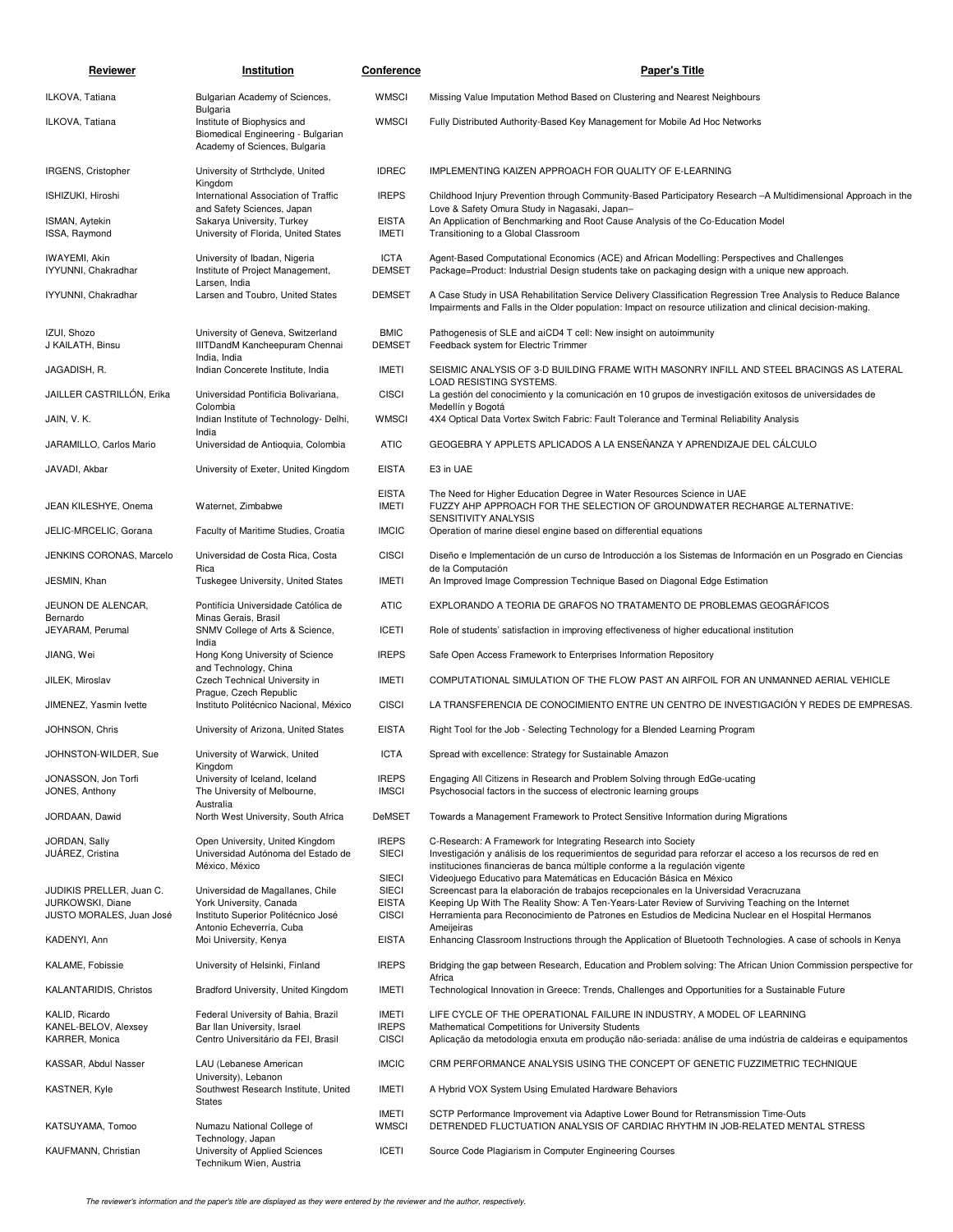| Reviewer                                     | Institution                                                                                                    | Conference                   | <b>Paper's Title</b>                                                                                                                                                                                                                                          |
|----------------------------------------------|----------------------------------------------------------------------------------------------------------------|------------------------------|---------------------------------------------------------------------------------------------------------------------------------------------------------------------------------------------------------------------------------------------------------------|
| ILKOVA, Tatiana                              | Bulgarian Academy of Sciences,                                                                                 | <b>WMSCI</b>                 | Missing Value Imputation Method Based on Clustering and Nearest Neighbours                                                                                                                                                                                    |
| ILKOVA, Tatiana                              | Bulgaria<br>Institute of Biophysics and<br>Biomedical Engineering - Bulgarian<br>Academy of Sciences, Bulgaria | <b>WMSCI</b>                 | Fully Distributed Authority-Based Key Management for Mobile Ad Hoc Networks                                                                                                                                                                                   |
| IRGENS, Cristopher                           | University of Strthclyde, United                                                                               | <b>IDREC</b>                 | IMPLEMENTING KAIZEN APPROACH FOR QUALITY OF E-LEARNING                                                                                                                                                                                                        |
| ISHIZUKI, Hiroshi                            | Kingdom<br>International Association of Traffic                                                                | <b>IREPS</b>                 | Childhood Injury Prevention through Community-Based Participatory Research -A Multidimensional Approach in the                                                                                                                                                |
| ISMAN, Aytekin<br>ISSA, Raymond              | and Safety Sciences, Japan<br>Sakarya University, Turkey<br>University of Florida, United States               | <b>EISTA</b><br><b>IMETI</b> | Love & Safety Omura Study in Nagasaki, Japan-<br>An Application of Benchmarking and Root Cause Analysis of the Co-Education Model<br>Transitioning to a Global Classroom                                                                                      |
| IWAYEMI, Akin<br>IYYUNNI, Chakradhar         | University of Ibadan, Nigeria<br>Institute of Project Management,<br>Larsen, India                             | <b>ICTA</b><br><b>DEMSET</b> | Agent-Based Computational Economics (ACE) and African Modelling: Perspectives and Challenges<br>Package=Product: Industrial Design students take on packaging design with a unique new approach.                                                              |
| IYYUNNI, Chakradhar                          | Larsen and Toubro, United States                                                                               | <b>DEMSET</b>                | A Case Study in USA Rehabilitation Service Delivery Classification Regression Tree Analysis to Reduce Balance<br>Impairments and Falls in the Older population: Impact on resource utilization and clinical decision-making.                                  |
| IZUI, Shozo<br>J KAILATH, Binsu              | University of Geneva, Switzerland<br>IIITDandM Kancheepuram Chennai<br>India, India                            | <b>BMIC</b><br><b>DEMSET</b> | Pathogenesis of SLE and aiCD4 T cell: New insight on autoimmunity<br>Feedback system for Electric Trimmer                                                                                                                                                     |
| JAGADISH, R.                                 | Indian Concerete Institute, India                                                                              | <b>IMETI</b>                 | SEISMIC ANALYSIS OF 3-D BUILDING FRAME WITH MASONRY INFILL AND STEEL BRACINGS AS LATERAL<br>LOAD RESISTING SYSTEMS.                                                                                                                                           |
| JAILLER CASTRILLÓN, Erika                    | Universidad Pontificia Bolivariana,<br>Colombia                                                                | <b>CISCI</b>                 | La gestión del conocimiento y la comunicación en 10 grupos de investigación exitosos de universidades de<br>Medellín y Bogotá                                                                                                                                 |
| JAIN, V. K.                                  | Indian Institute of Technology- Delhi,                                                                         | <b>WMSCI</b>                 | 4X4 Optical Data Vortex Switch Fabric: Fault Tolerance and Terminal Reliability Analysis                                                                                                                                                                      |
| JARAMILLO, Carlos Mario                      | India<br>Universidad de Antioquia, Colombia                                                                    | <b>ATIC</b>                  | GEOGEBRA Y APPLETS APLICADOS A LA ENSEÑANZA Y APRENDIZAJE DEL CÁLCULO                                                                                                                                                                                         |
| JAVADI, Akbar                                | University of Exeter, United Kingdom                                                                           | <b>EISTA</b>                 | E3 in UAE                                                                                                                                                                                                                                                     |
| JEAN KILESHYE, Onema                         | Waternet, Zimbabwe                                                                                             | <b>EISTA</b><br><b>IMETI</b> | The Need for Higher Education Degree in Water Resources Science in UAE<br>FUZZY AHP APPROACH FOR THE SELECTION OF GROUNDWATER RECHARGE ALTERNATIVE:<br>SENSITIVITY ANALYSIS                                                                                   |
| JELIC-MRCELIC, Gorana                        | Faculty of Maritime Studies, Croatia                                                                           | <b>IMCIC</b>                 | Operation of marine diesel engine based on differential equations                                                                                                                                                                                             |
| JENKINS CORONAS, Marcelo                     | Universidad de Costa Rica, Costa                                                                               | <b>CISCI</b>                 | Diseño e Implementación de un curso de Introducción a los Sistemas de Información en un Posgrado en Ciencias                                                                                                                                                  |
| JESMIN, Khan                                 | Rica<br>Tuskegee University, United States                                                                     | <b>IMETI</b>                 | de la Computación<br>An Improved Image Compression Technique Based on Diagonal Edge Estimation                                                                                                                                                                |
| JEUNON DE ALENCAR,                           | Pontifícia Universidade Católica de                                                                            | <b>ATIC</b>                  | EXPLORANDO A TEORIA DE GRAFOS NO TRATAMENTO DE PROBLEMAS GEOGRÁFICOS                                                                                                                                                                                          |
| Bernardo<br>JEYARAM, Perumal                 | Minas Gerais, Brasil<br>SNMV College of Arts & Science,                                                        | <b>ICETI</b>                 | Role of students' satisfaction in improving effectiveness of higher educational institution                                                                                                                                                                   |
| JIANG, Wei                                   | India<br>Hong Kong University of Science                                                                       | <b>IREPS</b>                 | Safe Open Access Framework to Enterprises Information Repository                                                                                                                                                                                              |
| JILEK, Miroslav                              | and Technology, China<br>Czech Technical University in                                                         | <b>IMETI</b>                 | COMPUTATIONAL SIMULATION OF THE FLOW PAST AN AIRFOIL FOR AN UNMANNED AERIAL VEHICLE                                                                                                                                                                           |
| JIMENEZ, Yasmin Ivette                       | Prague, Czech Republic<br>Instituto Politécnico Nacional, México                                               | <b>CISCI</b>                 | LA TRANSFERENCIA DE CONOCIMIENTO ENTRE UN CENTRO DE INVESTIGACIÓN Y REDES DE EMPRESAS.                                                                                                                                                                        |
| JOHNSON, Chris                               | University of Arizona, United States                                                                           | <b>EISTA</b>                 | Right Tool for the Job - Selecting Technology for a Blended Learning Program                                                                                                                                                                                  |
| JOHNSTON-WILDER, Sue                         | University of Warwick, United<br>Kingdom                                                                       | <b>ICTA</b>                  | Spread with excellence: Strategy for Sustainable Amazon                                                                                                                                                                                                       |
| JONASSON, Jon Torfi<br>JONES, Anthony        | University of Iceland, Iceland<br>The University of Melbourne,<br>Australia                                    | <b>IREPS</b><br><b>IMSCI</b> | Engaging All Citizens in Research and Problem Solving through EdGe-ucating<br>Psychosocial factors in the success of electronic learning groups                                                                                                               |
| JORDAAN, Dawid                               | North West University, South Africa                                                                            | DeMSET                       | Towards a Management Framework to Protect Sensitive Information during Migrations                                                                                                                                                                             |
| JORDAN, Sally<br>JUÁREZ, Cristina            | Open University, United Kingdom<br>Universidad Autónoma del Estado de<br>México, México                        | <b>IREPS</b><br><b>SIECI</b> | C-Research: A Framework for Integrating Research into Society<br>Investigación y análisis de los requerimientos de seguridad para reforzar el acceso a los recursos de red en<br>instituciones financieras de banca múltiple conforme a la regulación vigente |
| JUDIKIS PRELLER, Juan C.                     | Universidad de Magallanes, Chile                                                                               | <b>SIECI</b><br><b>SIECI</b> | Videojuego Educativo para Matemáticas en Educación Básica en México<br>Screencast para la elaboración de trabajos recepcionales en la Universidad Veracruzana                                                                                                 |
| JURKOWSKI, Diane<br>JUSTO MORALES, Juan José | York University, Canada<br>Instituto Superior Politécnico José                                                 | <b>EISTA</b><br><b>CISCI</b> | Keeping Up With The Reality Show: A Ten-Years-Later Review of Surviving Teaching on the Internet<br>Herramienta para Reconocimiento de Patrones en Estudios de Medicina Nuclear en el Hospital Hermanos                                                       |
| KADENYI, Ann                                 | Antonio Echeverría, Cuba<br>Moi University, Kenya                                                              | <b>EISTA</b>                 | Ameijeiras<br>Enhancing Classroom Instructions through the Application of Bluetooth Technologies. A case of schools in Kenya                                                                                                                                  |
| KALAME, Fobissie                             | University of Helsinki, Finland                                                                                | <b>IREPS</b>                 | Bridging the gap between Research, Education and Problem solving: The African Union Commission perspective for                                                                                                                                                |
| KALANTARIDIS, Christos                       | Bradford University, United Kingdom                                                                            | <b>IMETI</b>                 | Africa<br>Technological Innovation in Greece: Trends, Challenges and Opportunities for a Sustainable Future                                                                                                                                                   |
| KALID, Ricardo                               | Federal University of Bahia, Brazil                                                                            | IMETI                        | LIFE CYCLE OF THE OPERATIONAL FAILURE IN INDUSTRY, A MODEL OF LEARNING                                                                                                                                                                                        |
| KANEL-BELOV, Alexsey<br>KARRER, Monica       | Bar Ilan University, Israel<br>Centro Universitário da FEI, Brasil                                             | <b>IREPS</b><br><b>CISCI</b> | Mathematical Competitions for University Students<br>Aplicação da metodologia enxuta em produção não-seriada: análise de uma indústria de caldeiras e equipamentos                                                                                            |
| KASSAR, Abdul Nasser                         | LAU (Lebanese American                                                                                         | <b>IMCIC</b>                 | CRM PERFORMANCE ANALYSIS USING THE CONCEPT OF GENETIC FUZZIMETRIC TECHNIQUE                                                                                                                                                                                   |
| KASTNER, Kyle                                | University), Lebanon<br>Southwest Research Institute, United                                                   | IMETI                        | A Hybrid VOX System Using Emulated Hardware Behaviors                                                                                                                                                                                                         |
| KATSUYAMA, Tomoo                             | States<br>Numazu National College of                                                                           | IMETI<br><b>WMSCI</b>        | SCTP Performance Improvement via Adaptive Lower Bound for Retransmission Time-Outs<br>DETRENDED FLUCTUATION ANALYSIS OF CARDIAC RHYTHM IN JOB-RELATED MENTAL STRESS                                                                                           |
| KAUFMANN, Christian                          | Technology, Japan<br>University of Applied Sciences                                                            | <b>ICETI</b>                 | Source Code Plagiarism in Computer Engineering Courses                                                                                                                                                                                                        |
|                                              | Technikum Wien, Austria                                                                                        |                              |                                                                                                                                                                                                                                                               |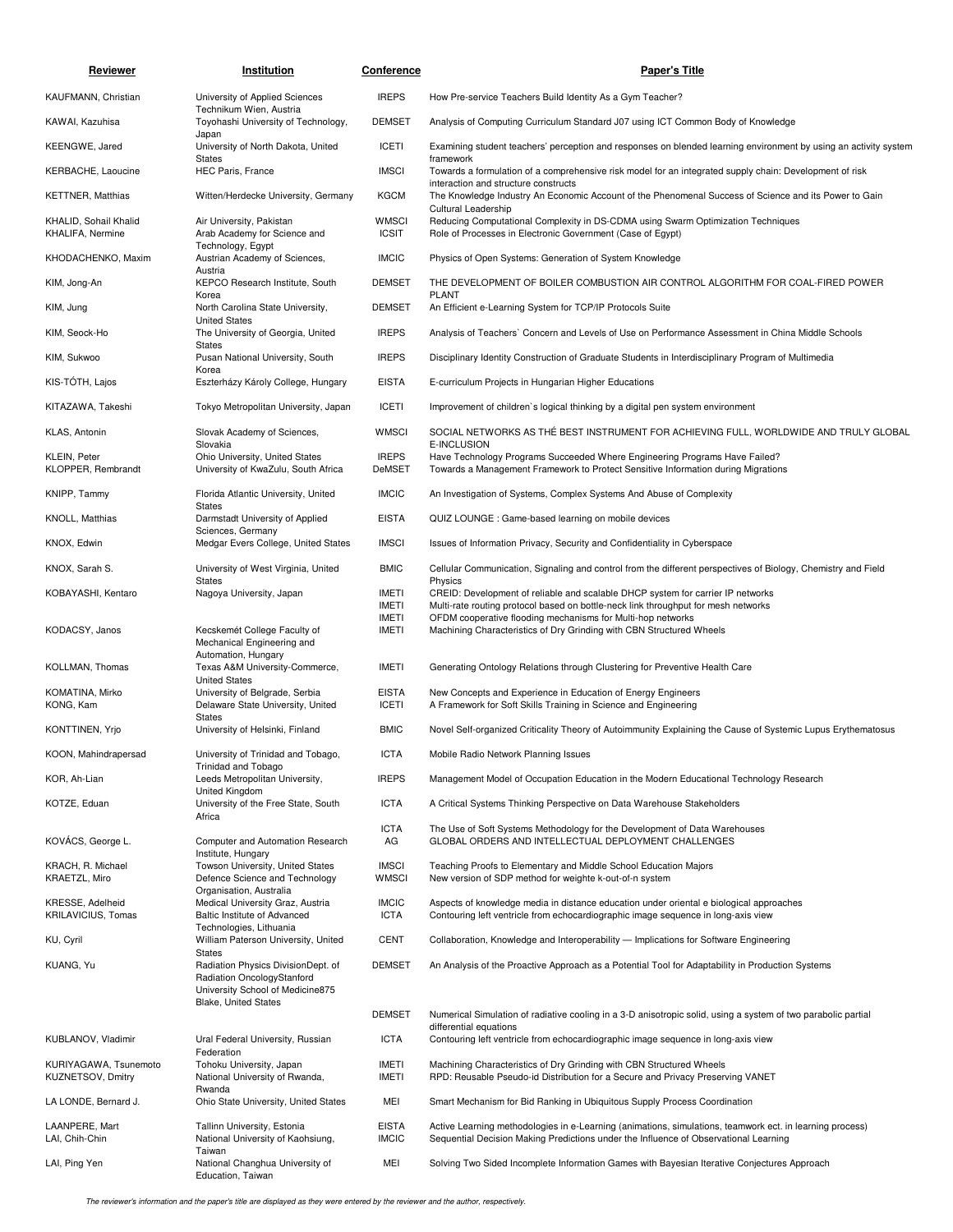| Reviewer                                      | Institution                                                                                                           | <b>Conference</b>                            | <b>Paper's Title</b>                                                                                                                                                                             |
|-----------------------------------------------|-----------------------------------------------------------------------------------------------------------------------|----------------------------------------------|--------------------------------------------------------------------------------------------------------------------------------------------------------------------------------------------------|
| KAUFMANN, Christian                           | University of Applied Sciences                                                                                        | <b>IREPS</b>                                 | How Pre-service Teachers Build Identity As a Gym Teacher?                                                                                                                                        |
| KAWAI, Kazuhisa                               | Technikum Wien, Austria<br>Toyohashi University of Technology,                                                        | <b>DEMSET</b>                                | Analysis of Computing Curriculum Standard J07 using ICT Common Body of Knowledge                                                                                                                 |
| KEENGWE, Jared                                | Japan<br>University of North Dakota, United                                                                           | ICETI                                        | Examining student teachers' perception and responses on blended learning environment by using an activity system                                                                                 |
| KERBACHE, Laoucine                            | <b>States</b><br>HEC Paris, France                                                                                    | <b>IMSCI</b>                                 | framework<br>Towards a formulation of a comprehensive risk model for an integrated supply chain: Development of risk                                                                             |
| <b>KETTNER, Matthias</b>                      | Witten/Herdecke University, Germany                                                                                   | <b>KGCM</b>                                  | interaction and structure constructs<br>The Knowledge Industry An Economic Account of the Phenomenal Success of Science and its Power to Gain                                                    |
| KHALID, Sohail Khalid<br>KHALIFA, Nermine     | Air University, Pakistan<br>Arab Academy for Science and                                                              | <b>WMSCI</b><br><b>ICSIT</b>                 | Cultural Leadership<br>Reducing Computational Complexity in DS-CDMA using Swarm Optimization Techniques<br>Role of Processes in Electronic Government (Case of Egypt)                            |
| KHODACHENKO, Maxim                            | Technology, Egypt<br>Austrian Academy of Sciences,                                                                    | <b>IMCIC</b>                                 | Physics of Open Systems: Generation of System Knowledge                                                                                                                                          |
| KIM, Jong-An                                  | Austria<br>KEPCO Research Institute, South                                                                            | <b>DEMSET</b>                                | THE DEVELOPMENT OF BOILER COMBUSTION AIR CONTROL ALGORITHM FOR COAL-FIRED POWER                                                                                                                  |
| KIM, Jung                                     | Korea<br>North Carolina State University,                                                                             | <b>DEMSET</b>                                | PLANT<br>An Efficient e-Learning System for TCP/IP Protocols Suite                                                                                                                               |
| KIM, Seock-Ho                                 | <b>United States</b><br>The University of Georgia, United                                                             | <b>IREPS</b>                                 | Analysis of Teachers' Concern and Levels of Use on Performance Assessment in China Middle Schools                                                                                                |
| KIM, Sukwoo                                   | <b>States</b><br>Pusan National University, South                                                                     | <b>IREPS</b>                                 | Disciplinary Identity Construction of Graduate Students in Interdisciplinary Program of Multimedia                                                                                               |
| KIS-TÓTH, Lajos                               | Korea<br>Eszterházy Károly College, Hungary                                                                           | <b>EISTA</b>                                 | E-curriculum Projects in Hungarian Higher Educations                                                                                                                                             |
| KITAZAWA, Takeshi                             | Tokyo Metropolitan University, Japan                                                                                  | <b>ICETI</b>                                 | Improvement of children's logical thinking by a digital pen system environment                                                                                                                   |
| KLAS, Antonin                                 | Slovak Academy of Sciences,<br>Slovakia                                                                               | <b>WMSCI</b>                                 | SOCIAL NETWORKS AS THE BEST INSTRUMENT FOR ACHIEVING FULL, WORLDWIDE AND TRULY GLOBAL<br><b>E-INCLUSION</b>                                                                                      |
| KLEIN, Peter<br>KLOPPER, Rembrandt            | Ohio University, United States<br>University of KwaZulu, South Africa                                                 | <b>IREPS</b><br>DeMSET                       | Have Technology Programs Succeeded Where Engineering Programs Have Failed?<br>Towards a Management Framework to Protect Sensitive Information during Migrations                                  |
| KNIPP, Tammy                                  | Florida Atlantic University, United                                                                                   | <b>IMCIC</b>                                 | An Investigation of Systems, Complex Systems And Abuse of Complexity                                                                                                                             |
| KNOLL, Matthias                               | <b>States</b><br>Darmstadt University of Applied<br>Sciences, Germany                                                 | <b>EISTA</b>                                 | QUIZ LOUNGE: Game-based learning on mobile devices                                                                                                                                               |
| KNOX, Edwin                                   | Medgar Evers College, United States                                                                                   | <b>IMSCI</b>                                 | Issues of Information Privacy, Security and Confidentiality in Cyberspace                                                                                                                        |
| KNOX, Sarah S.                                | University of West Virginia, United<br><b>States</b>                                                                  | <b>BMIC</b>                                  | Cellular Communication, Signaling and control from the different perspectives of Biology, Chemistry and Field<br>Physics                                                                         |
| KOBAYASHI, Kentaro                            | Nagoya University, Japan                                                                                              | <b>IMETI</b><br><b>IMETI</b><br><b>IMETI</b> | CREID: Development of reliable and scalable DHCP system for carrier IP networks<br>Multi-rate routing protocol based on bottle-neck link throughput for mesh networks                            |
| KODACSY, Janos                                | Kecskemét College Faculty of<br>Mechanical Engineering and                                                            | <b>IMETI</b>                                 | OFDM cooperative flooding mechanisms for Multi-hop networks<br>Machining Characteristics of Dry Grinding with CBN Structured Wheels                                                              |
| KOLLMAN, Thomas                               | Automation, Hungary<br>Texas A&M University-Commerce,<br><b>United States</b>                                         | <b>IMETI</b>                                 | Generating Ontology Relations through Clustering for Preventive Health Care                                                                                                                      |
| KOMATINA, Mirko<br>KONG, Kam                  | University of Belgrade, Serbia<br>Delaware State University, United<br>States                                         | <b>EISTA</b><br><b>ICETI</b>                 | New Concepts and Experience in Education of Energy Engineers<br>A Framework for Soft Skills Training in Science and Engineering                                                                  |
| KONTTINEN, Yrjo                               | University of Helsinki, Finland                                                                                       | <b>BMIC</b>                                  | Novel Self-organized Criticality Theory of Autoimmunity Explaining the Cause of Systemic Lupus Erythematosus                                                                                     |
| KOON, Mahindrapersad                          | University of Trinidad and Tobago,<br>Trinidad and Tobago                                                             | <b>ICTA</b>                                  | Mobile Radio Network Planning Issues                                                                                                                                                             |
| KOR, Ah-Lian                                  | Leeds Metropolitan University,<br>United Kingdom                                                                      | <b>IREPS</b>                                 | Management Model of Occupation Education in the Modern Educational Technology Research                                                                                                           |
| KOTZE, Eduan                                  | University of the Free State, South<br>Africa                                                                         | <b>ICTA</b>                                  | A Critical Systems Thinking Perspective on Data Warehouse Stakeholders                                                                                                                           |
| KOVÁCS, George L.                             | Computer and Automation Research<br>Institute, Hungary                                                                | <b>ICTA</b><br>AG                            | The Use of Soft Systems Methodology for the Development of Data Warehouses<br>GLOBAL ORDERS AND INTELLECTUAL DEPLOYMENT CHALLENGES                                                               |
| KRACH, R. Michael<br>KRAETZL, Miro            | Towson University, United States<br>Defence Science and Technology                                                    | <b>IMSCI</b><br><b>WMSCI</b>                 | Teaching Proofs to Elementary and Middle School Education Majors<br>New version of SDP method for weighte k-out-of-n system                                                                      |
| KRESSE, Adelheid<br><b>KRILAVICIUS, Tomas</b> | Organisation, Australia<br>Medical University Graz, Austria<br>Baltic Institute of Advanced                           | <b>IMCIC</b><br><b>ICTA</b>                  | Aspects of knowledge media in distance education under oriental e biological approaches<br>Contouring left ventricle from echocardiographic image sequence in long-axis view                     |
| KU, Cyril                                     | Technologies, Lithuania<br>William Paterson University, United                                                        | <b>CENT</b>                                  | Collaboration, Knowledge and Interoperability — Implications for Software Engineering                                                                                                            |
| KUANG, Yu                                     | <b>States</b><br>Radiation Physics DivisionDept. of<br>Radiation OncologyStanford<br>University School of Medicine875 | <b>DEMSET</b>                                | An Analysis of the Proactive Approach as a Potential Tool for Adaptability in Production Systems                                                                                                 |
|                                               | <b>Blake, United States</b>                                                                                           | <b>DEMSET</b>                                | Numerical Simulation of radiative cooling in a 3-D anisotropic solid, using a system of two parabolic partial                                                                                    |
| KUBLANOV, Vladimir                            | Ural Federal University, Russian<br>Federation                                                                        | <b>ICTA</b>                                  | differential equations<br>Contouring left ventricle from echocardiographic image sequence in long-axis view                                                                                      |
| KURIYAGAWA, Tsunemoto<br>KUZNETSOV, Dmitry    | Tohoku University, Japan<br>National University of Rwanda,                                                            | IMETI<br><b>IMETI</b>                        | Machining Characteristics of Dry Grinding with CBN Structured Wheels<br>RPD: Reusable Pseudo-id Distribution for a Secure and Privacy Preserving VANET                                           |
| LA LONDE, Bernard J.                          | Rwanda<br>Ohio State University, United States                                                                        | MEI                                          | Smart Mechanism for Bid Ranking in Ubiquitous Supply Process Coordination                                                                                                                        |
| LAANPERE, Mart<br>LAI, Chih-Chin              | Tallinn University, Estonia<br>National University of Kaohsiung,                                                      | <b>EISTA</b><br><b>IMCIC</b>                 | Active Learning methodologies in e-Learning (animations, simulations, teamwork ect. in learning process)<br>Sequential Decision Making Predictions under the Influence of Observational Learning |
| LAI, Ping Yen                                 | Taiwan<br>National Changhua University of<br>Education, Taiwan                                                        | MEI                                          | Solving Two Sided Incomplete Information Games with Bayesian Iterative Conjectures Approach                                                                                                      |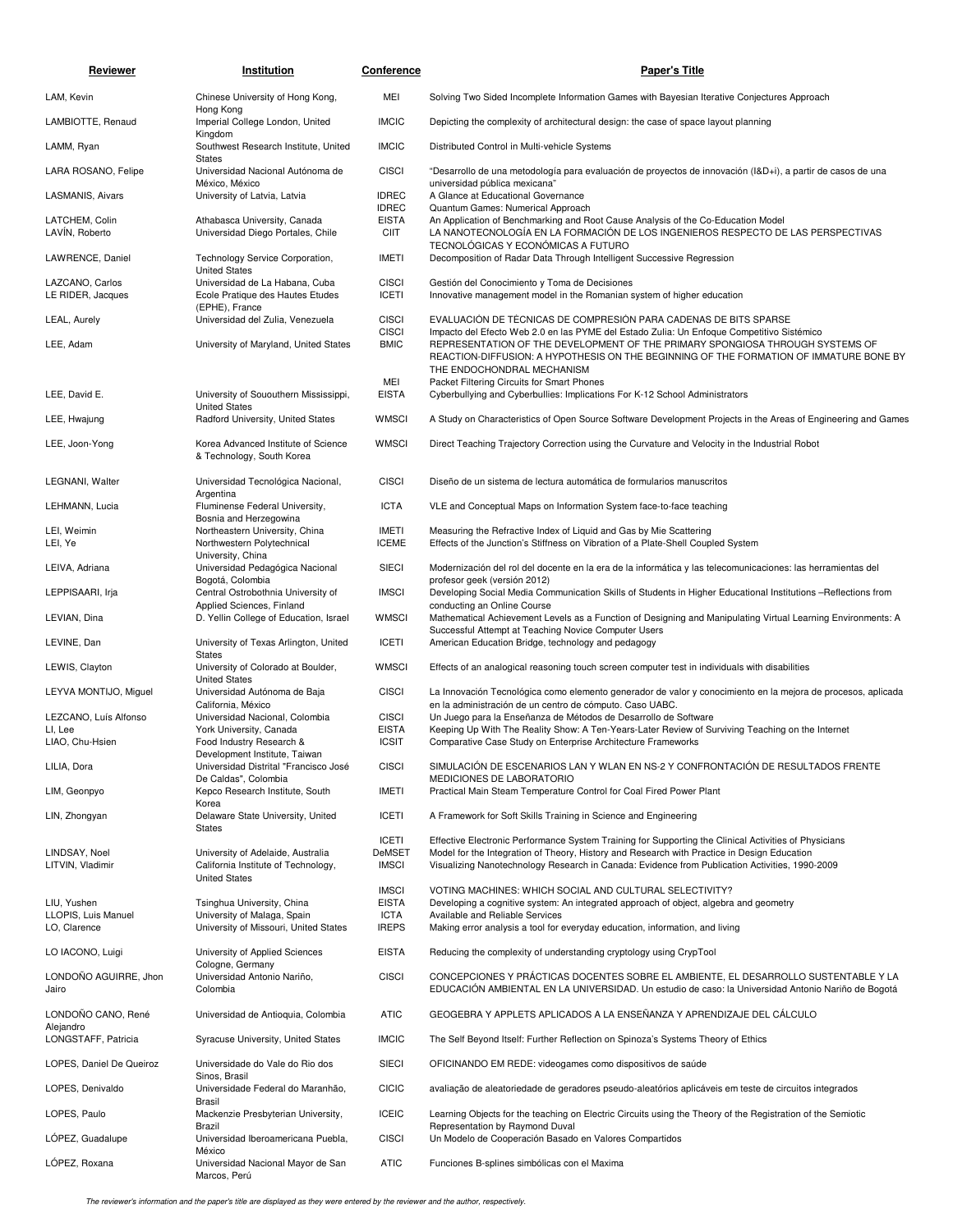| Reviewer                             | Institution                                                                          | <b>Conference</b>                           | <b>Paper's Title</b>                                                                                                                                                                                                                                |
|--------------------------------------|--------------------------------------------------------------------------------------|---------------------------------------------|-----------------------------------------------------------------------------------------------------------------------------------------------------------------------------------------------------------------------------------------------------|
| LAM, Kevin                           | Chinese University of Hong Kong,                                                     | MEI                                         | Solving Two Sided Incomplete Information Games with Bayesian Iterative Conjectures Approach                                                                                                                                                         |
| LAMBIOTTE, Renaud                    | Hong Kong<br>Imperial College London, United                                         | <b>IMCIC</b>                                | Depicting the complexity of architectural design: the case of space layout planning                                                                                                                                                                 |
| LAMM, Ryan                           | Kingdom<br>Southwest Research Institute, United                                      | <b>IMCIC</b>                                | Distributed Control in Multi-vehicle Systems                                                                                                                                                                                                        |
| LARA ROSANO, Felipe                  | <b>States</b><br>Universidad Nacional Autónoma de                                    | <b>CISCI</b>                                | "Desarrollo de una metodología para evaluación de proyectos de innovación (I&D+i), a partir de casos de una                                                                                                                                         |
| LASMANIS, Aivars                     | México, México<br>University of Latvia, Latvia                                       | <b>IDREC</b>                                | universidad pública mexicana"<br>A Glance at Educational Governance                                                                                                                                                                                 |
| LATCHEM, Colin<br>LAVÍN, Roberto     | Athabasca University, Canada<br>Universidad Diego Portales, Chile                    | <b>IDREC</b><br><b>EISTA</b><br><b>CIIT</b> | Quantum Games: Numerical Approach<br>An Application of Benchmarking and Root Cause Analysis of the Co-Education Model<br>LA NANOTECNOLOGÍA EN LA FORMACIÓN DE LOS INGENIEROS RESPECTO DE LAS PERSPECTIVAS<br>TECNOLÓGICAS Y ECONÓMICAS A FUTURO     |
| LAWRENCE, Daniel                     | Technology Service Corporation,<br><b>United States</b>                              | <b>IMETI</b>                                | Decomposition of Radar Data Through Intelligent Successive Regression                                                                                                                                                                               |
| LAZCANO, Carlos<br>LE RIDER, Jacques | Universidad de La Habana, Cuba<br>Ecole Pratique des Hautes Etudes<br>(EPHE), France | <b>CISCI</b><br><b>ICETI</b>                | Gestión del Conocimiento y Toma de Decisiones<br>Innovative management model in the Romanian system of higher education                                                                                                                             |
| LEAL, Aurely                         | Universidad del Zulia, Venezuela                                                     | <b>CISCI</b><br><b>CISCI</b>                | EVALUACIÓN DE TÉCNICAS DE COMPRESIÓN PARA CADENAS DE BITS SPARSE<br>Impacto del Efecto Web 2.0 en las PYME del Estado Zulia: Un Enfoque Competitivo Sistémico                                                                                       |
| LEE, Adam                            | University of Maryland, United States                                                | <b>BMIC</b><br>MEI                          | REPRESENTATION OF THE DEVELOPMENT OF THE PRIMARY SPONGIOSA THROUGH SYSTEMS OF<br>REACTION-DIFFUSION: A HYPOTHESIS ON THE BEGINNING OF THE FORMATION OF IMMATURE BONE BY<br>THE ENDOCHONDRAL MECHANISM<br>Packet Filtering Circuits for Smart Phones |
| LEE, David E.                        | University of Sououthern Mississippi,                                                | <b>EISTA</b>                                | Cyberbullying and Cyberbullies: Implications For K-12 School Administrators                                                                                                                                                                         |
| LEE, Hwajung                         | <b>United States</b><br>Radford University, United States                            | <b>WMSCI</b>                                | A Study on Characteristics of Open Source Software Development Projects in the Areas of Engineering and Games                                                                                                                                       |
| LEE, Joon-Yong                       | Korea Advanced Institute of Science<br>& Technology, South Korea                     | <b>WMSCI</b>                                | Direct Teaching Trajectory Correction using the Curvature and Velocity in the Industrial Robot                                                                                                                                                      |
| LEGNANI, Walter                      | Universidad Tecnológica Nacional,<br>Argentina                                       | <b>CISCI</b>                                | Diseño de un sistema de lectura automática de formularios manuscritos                                                                                                                                                                               |
| LEHMANN, Lucia                       | Fluminense Federal University,<br>Bosnia and Herzegowina                             | <b>ICTA</b>                                 | VLE and Conceptual Maps on Information System face-to-face teaching                                                                                                                                                                                 |
| LEI, Weimin<br>LEI, Ye               | Northeastern University, China<br>Northwestern Polytechnical                         | <b>IMETI</b><br><b>ICEME</b>                | Measuring the Refractive Index of Liquid and Gas by Mie Scattering<br>Effects of the Junction's Stiffness on Vibration of a Plate-Shell Coupled System                                                                                              |
| LEIVA, Adriana                       | University, China<br>Universidad Pedagógica Nacional                                 | <b>SIECI</b>                                | Modernización del rol del docente en la era de la informática y las telecomunicaciones: las herramientas del                                                                                                                                        |
| LEPPISAARI, Irja                     | Bogotá, Colombia<br>Central Ostrobothnia University of                               | <b>IMSCI</b>                                | profesor geek (versión 2012)<br>Developing Social Media Communication Skills of Students in Higher Educational Institutions -Reflections from                                                                                                       |
| LEVIAN, Dina                         | Applied Sciences, Finland<br>D. Yellin College of Education, Israel                  | <b>WMSCI</b>                                | conducting an Online Course<br>Mathematical Achievement Levels as a Function of Designing and Manipulating Virtual Learning Environments: A                                                                                                         |
| LEVINE, Dan                          | University of Texas Arlington, United                                                | <b>ICETI</b>                                | Successful Attempt at Teaching Novice Computer Users<br>American Education Bridge, technology and pedagogy                                                                                                                                          |
| LEWIS, Clayton                       | <b>States</b><br>University of Colorado at Boulder,                                  | <b>WMSCI</b>                                | Effects of an analogical reasoning touch screen computer test in individuals with disabilities                                                                                                                                                      |
| LEYVA MONTIJO, Miguel                | <b>United States</b><br>Universidad Autónoma de Baja                                 | <b>CISCI</b>                                | La Innovación Tecnológica como elemento generador de valor y conocimiento en la mejora de procesos, aplicada                                                                                                                                        |
| LEZCANO, Luís Alfonso                | California, México<br>Universidad Nacional, Colombia                                 | <b>CISCI</b>                                | en la administración de un centro de cómputo. Caso UABC.<br>Un Juego para la Enseñanza de Métodos de Desarrollo de Software                                                                                                                         |
| LI, Lee<br>LIAO, Chu-Hsien           | York University, Canada<br>Food Industry Research &                                  | <b>EISTA</b><br><b>ICSIT</b>                | Keeping Up With The Reality Show: A Ten-Years-Later Review of Surviving Teaching on the Internet<br>Comparative Case Study on Enterprise Architecture Frameworks                                                                                    |
|                                      | Development Institute, Taiwan                                                        |                                             |                                                                                                                                                                                                                                                     |
| LILIA, Dora                          | Universidad Distrital "Francisco José<br>De Caldas", Colombia                        | <b>CISCI</b>                                | SIMULACIÓN DE ESCENARIOS LAN Y WLAN EN NS-2 Y CONFRONTACIÓN DE RESULTADOS FRENTE<br>MEDICIONES DE LABORATORIO                                                                                                                                       |
| LIM, Geonpyo                         | Kepco Research Institute, South<br>Korea                                             | <b>IMETI</b>                                | Practical Main Steam Temperature Control for Coal Fired Power Plant                                                                                                                                                                                 |
| LIN, Zhongyan                        | Delaware State University, United<br><b>States</b>                                   | <b>ICETI</b>                                | A Framework for Soft Skills Training in Science and Engineering                                                                                                                                                                                     |
| LINDSAY, Noel                        | University of Adelaide, Australia                                                    | <b>ICETI</b><br>DeMSET                      | Effective Electronic Performance System Training for Supporting the Clinical Activities of Physicians<br>Model for the Integration of Theory, History and Research with Practice in Design Education                                                |
| LITVIN, Vladimir                     | California Institute of Technology,<br><b>United States</b>                          | <b>IMSCI</b>                                | Visualizing Nanotechnology Research in Canada: Evidence from Publication Activities, 1990-2009                                                                                                                                                      |
|                                      |                                                                                      | <b>IMSCI</b>                                | VOTING MACHINES: WHICH SOCIAL AND CULTURAL SELECTIVITY?                                                                                                                                                                                             |
| LIU, Yushen<br>LLOPIS, Luis Manuel   | Tsinghua University, China<br>University of Malaga, Spain                            | <b>EISTA</b><br><b>ICTA</b>                 | Developing a cognitive system: An integrated approach of object, algebra and geometry<br>Available and Reliable Services                                                                                                                            |
| LO, Clarence                         | University of Missouri, United States                                                | <b>IREPS</b>                                | Making error analysis a tool for everyday education, information, and living                                                                                                                                                                        |
| LO IACONO, Luigi                     | University of Applied Sciences<br>Cologne, Germany                                   | <b>EISTA</b>                                | Reducing the complexity of understanding cryptology using CrypTool                                                                                                                                                                                  |
| LONDONO AGUIRRE, Jhon<br>Jairo       | Universidad Antonio Nariño,<br>Colombia                                              | <b>CISCI</b>                                | CONCEPCIONES Y PRÁCTICAS DOCENTES SOBRE EL AMBIENTE, EL DESARROLLO SUSTENTABLE Y LA<br>EDUCACIÓN AMBIENTAL EN LA UNIVERSIDAD. Un estudio de caso: la Universidad Antonio Nariño de Bogotá                                                           |
| LONDOÑO CANO, René<br>Alejandro      | Universidad de Antioquia, Colombia                                                   | <b>ATIC</b>                                 | GEOGEBRA Y APPLETS APLICADOS A LA ENSEÑANZA Y APRENDIZAJE DEL CÁLCULO                                                                                                                                                                               |
| LONGSTAFF, Patricia                  | Syracuse University, United States                                                   | <b>IMCIC</b>                                | The Self Beyond Itself: Further Reflection on Spinoza's Systems Theory of Ethics                                                                                                                                                                    |
| LOPES, Daniel De Queiroz             | Universidade do Vale do Rio dos<br>Sinos, Brasil                                     | <b>SIECI</b>                                | OFICINANDO EM REDE: videogames como dispositivos de saúde                                                                                                                                                                                           |
| LOPES, Denivaldo                     | Universidade Federal do Maranhão,<br>Brasil                                          | <b>CICIC</b>                                | avaliação de aleatoriedade de geradores pseudo-aleatórios aplicáveis em teste de circuitos integrados                                                                                                                                               |
| LOPES, Paulo                         | Mackenzie Presbyterian University,<br>Brazil                                         | <b>ICEIC</b>                                | Learning Objects for the teaching on Electric Circuits using the Theory of the Registration of the Semiotic<br>Representation by Raymond Duval                                                                                                      |
| LOPEZ, Guadalupe                     | Universidad Iberoamericana Puebla,<br>México                                         | <b>CISCI</b>                                | Un Modelo de Cooperación Basado en Valores Compartidos                                                                                                                                                                                              |
| LOPEZ, Roxana                        | Universidad Nacional Mayor de San<br>Marcos, Perú                                    | <b>ATIC</b>                                 | Funciones B-splines simbólicas con el Maxima                                                                                                                                                                                                        |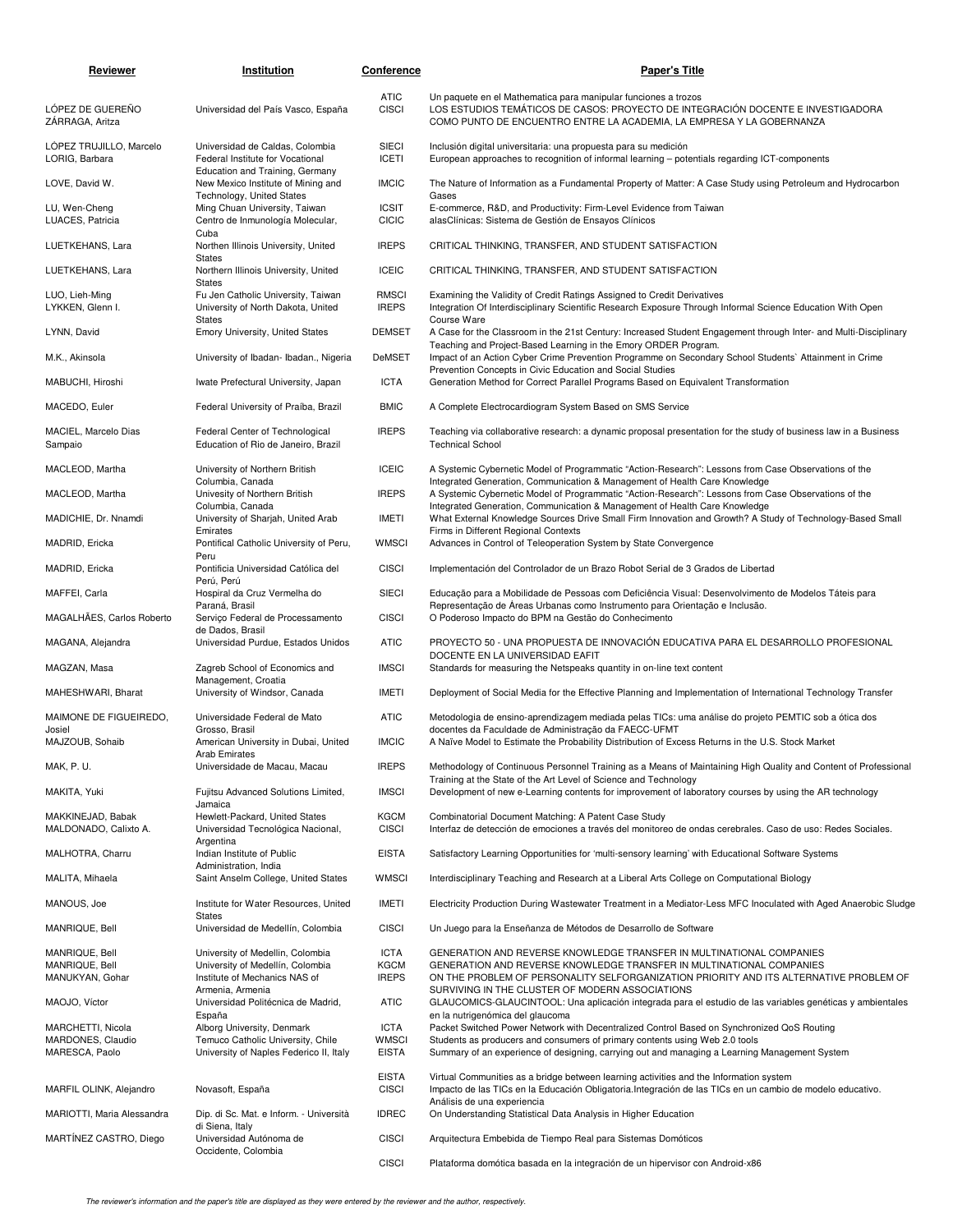| Reviewer                                                 | Institution                                                                                                | Conference                                  | <b>Paper's Title</b>                                                                                                                                                                                                                                                       |
|----------------------------------------------------------|------------------------------------------------------------------------------------------------------------|---------------------------------------------|----------------------------------------------------------------------------------------------------------------------------------------------------------------------------------------------------------------------------------------------------------------------------|
| LÓPEZ DE GUEREÑO<br>ZÁRRAGA, Aritza                      | Universidad del País Vasco, España                                                                         | <b>ATIC</b><br><b>CISCI</b>                 | Un paquete en el Mathematica para manipular funciones a trozos<br>LOS ESTUDIOS TEMÁTICOS DE CASOS: PROYECTO DE INTEGRACIÓN DOCENTE E INVESTIGADORA<br>COMO PUNTO DE ENCUENTRO ENTRE LA ACADEMIA, LA EMPRESA Y LA GOBERNANZA                                                |
| LÓPEZ TRUJILLO, Marcelo<br>LORIG, Barbara                | Universidad de Caldas, Colombia<br>Federal Institute for Vocational                                        | <b>SIECI</b><br><b>ICETI</b>                | Inclusión digital universitaria: una propuesta para su medición<br>European approaches to recognition of informal learning - potentials regarding ICT-components                                                                                                           |
| LOVE, David W.                                           | Education and Training, Germany<br>New Mexico Institute of Mining and<br>Technology, United States         | <b>IMCIC</b>                                | The Nature of Information as a Fundamental Property of Matter: A Case Study using Petroleum and Hydrocarbon<br>Gases                                                                                                                                                       |
| LU, Wen-Cheng<br>LUACES, Patricia                        | Ming Chuan University, Taiwan<br>Centro de Inmunología Molecular,                                          | <b>ICSIT</b><br><b>CICIC</b>                | E-commerce, R&D, and Productivity: Firm-Level Evidence from Taiwan<br>alasClínicas: Sistema de Gestión de Ensayos Clínicos                                                                                                                                                 |
| LUETKEHANS, Lara                                         | Cuba<br>Northen Illinois University, United                                                                | <b>IREPS</b>                                | CRITICAL THINKING, TRANSFER, AND STUDENT SATISFACTION                                                                                                                                                                                                                      |
| LUETKEHANS, Lara                                         | <b>States</b><br>Northern Illinois University, United<br><b>States</b>                                     | <b>ICEIC</b>                                | CRITICAL THINKING, TRANSFER, AND STUDENT SATISFACTION                                                                                                                                                                                                                      |
| LUO, Lieh-Ming<br>LYKKEN, Glenn I.                       | Fu Jen Catholic University, Taiwan<br>University of North Dakota, United                                   | <b>RMSCI</b><br><b>IREPS</b>                | Examining the Validity of Credit Ratings Assigned to Credit Derivatives<br>Integration Of Interdisciplinary Scientific Research Exposure Through Informal Science Education With Open                                                                                      |
| LYNN, David                                              | <b>States</b><br><b>Emory University, United States</b>                                                    | <b>DEMSET</b>                               | Course Ware<br>A Case for the Classroom in the 21st Century: Increased Student Engagement through Inter- and Multi-Disciplinary                                                                                                                                            |
| M.K., Akinsola                                           | University of Ibadan-Ibadan., Nigeria                                                                      | DeMSET                                      | Teaching and Project-Based Learning in the Emory ORDER Program.<br>Impact of an Action Cyber Crime Prevention Programme on Secondary School Students` Attainment in Crime<br>Prevention Concepts in Civic Education and Social Studies                                     |
| MABUCHI, Hiroshi                                         | Iwate Prefectural University, Japan                                                                        | <b>ICTA</b>                                 | Generation Method for Correct Parallel Programs Based on Equivalent Transformation                                                                                                                                                                                         |
| MACEDO, Euler                                            | Federal University of Praíba, Brazil                                                                       | <b>BMIC</b>                                 | A Complete Electrocardiogram System Based on SMS Service                                                                                                                                                                                                                   |
| MACIEL, Marcelo Dias<br>Sampaio                          | Federal Center of Technological<br>Education of Rio de Janeiro, Brazil                                     | <b>IREPS</b>                                | Teaching via collaborative research: a dynamic proposal presentation for the study of business law in a Business<br><b>Technical School</b>                                                                                                                                |
| MACLEOD, Martha                                          | University of Northern British<br>Columbia, Canada                                                         | <b>ICEIC</b>                                | A Systemic Cybernetic Model of Programmatic "Action-Research": Lessons from Case Observations of the<br>Integrated Generation, Communication & Management of Health Care Knowledge                                                                                         |
| MACLEOD, Martha                                          | Univesity of Northern British<br>Columbia, Canada                                                          | <b>IREPS</b>                                | A Systemic Cybernetic Model of Programmatic "Action-Research": Lessons from Case Observations of the<br>Integrated Generation, Communication & Management of Health Care Knowledge                                                                                         |
| MADICHIE, Dr. Nnamdi                                     | University of Sharjah, United Arab<br>Emirates                                                             | <b>IMETI</b>                                | What External Knowledge Sources Drive Small Firm Innovation and Growth? A Study of Technology-Based Small<br>Firms in Different Regional Contexts                                                                                                                          |
| MADRID, Ericka                                           | Pontifical Catholic University of Peru,<br>Peru<br>Pontificia Universidad Católica del                     | <b>WMSCI</b><br><b>CISCI</b>                | Advances in Control of Teleoperation System by State Convergence                                                                                                                                                                                                           |
| MADRID, Ericka<br>MAFFEI, Carla                          | Perú, Perú<br>Hospiral da Cruz Vermelha do                                                                 | <b>SIECI</b>                                | Implementación del Controlador de un Brazo Robot Serial de 3 Grados de Libertad<br>Educação para a Mobilidade de Pessoas com Deficiência Visual: Desenvolvimento de Modelos Táteis para                                                                                    |
| MAGALHÃES, Carlos Roberto                                | Paraná, Brasil<br>Serviço Federal de Processamento                                                         | <b>CISCI</b>                                | Representação de Áreas Urbanas como Instrumento para Orientação e Inclusão.<br>O Poderoso Impacto do BPM na Gestão do Conhecimento                                                                                                                                         |
| MAGANA, Alejandra                                        | de Dados, Brasil<br>Universidad Purdue, Estados Unidos                                                     | <b>ATIC</b>                                 | PROYECTO 50 - UNA PROPUESTA DE INNOVACIÓN EDUCATIVA PARA EL DESARROLLO PROFESIONAL                                                                                                                                                                                         |
| MAGZAN, Masa                                             | Zagreb School of Economics and                                                                             | <b>IMSCI</b>                                | DOCENTE EN LA UNIVERSIDAD EAFIT<br>Standards for measuring the Netspeaks quantity in on-line text content                                                                                                                                                                  |
| MAHESHWARI, Bharat                                       | Management, Croatia<br>University of Windsor, Canada                                                       | IMETI                                       | Deployment of Social Media for the Effective Planning and Implementation of International Technology Transfer                                                                                                                                                              |
| MAIMONE DE FIGUEIREDO,<br>Josiel                         | Universidade Federal de Mato<br>Grosso, Brasil                                                             | <b>ATIC</b>                                 | Metodologia de ensino-aprendizagem mediada pelas TICs: uma análise do projeto PEMTIC sob a ótica dos<br>docentes da Faculdade de Administração da FAECC-UFMT                                                                                                               |
| MAJZOUB, Sohaib                                          | American University in Dubai, United<br><b>Arab Emirates</b>                                               | <b>IMCIC</b>                                | A Naïve Model to Estimate the Probability Distribution of Excess Returns in the U.S. Stock Market                                                                                                                                                                          |
| MAK, P. U.                                               | Universidade de Macau, Macau                                                                               | <b>IREPS</b>                                | Methodology of Continuous Personnel Training as a Means of Maintaining High Quality and Content of Professional<br>Training at the State of the Art Level of Science and Technology                                                                                        |
| MAKITA, Yuki                                             | Fujitsu Advanced Solutions Limited,<br>Jamaica                                                             | <b>IMSCI</b>                                | Development of new e-Learning contents for improvement of laboratory courses by using the AR technology                                                                                                                                                                    |
| MAKKINEJAD, Babak<br>MALDONADO, Calixto A.               | Hewlett-Packard, United States<br>Universidad Tecnológica Nacional,<br>Argentina                           | <b>KGCM</b><br><b>CISCI</b>                 | Combinatorial Document Matching: A Patent Case Study<br>Interfaz de detección de emociones a través del monitoreo de ondas cerebrales. Caso de uso: Redes Sociales.                                                                                                        |
| MALHOTRA, Charru                                         | Indian Institute of Public<br>Administration, India                                                        | <b>EISTA</b>                                | Satisfactory Learning Opportunities for 'multi-sensory learning' with Educational Software Systems                                                                                                                                                                         |
| MALITA, Mihaela                                          | Saint Anselm College, United States                                                                        | <b>WMSCI</b>                                | Interdisciplinary Teaching and Research at a Liberal Arts College on Computational Biology                                                                                                                                                                                 |
| MANOUS, Joe                                              | Institute for Water Resources, United<br><b>States</b>                                                     | IMETI                                       | Electricity Production During Wastewater Treatment in a Mediator-Less MFC Inoculated with Aged Anaerobic Sludge                                                                                                                                                            |
| MANRIQUE, Bell                                           | Universidad de Medellín, Colombia                                                                          | <b>CISCI</b>                                | Un Juego para la Enseñanza de Métodos de Desarrollo de Software                                                                                                                                                                                                            |
| MANRIQUE, Bell<br>MANRIQUE, Bell<br>MANUKYAN, Gohar      | University of Medellin, Colombia<br>University of Medellín, Colombia<br>Institute of Mechanics NAS of      | <b>ICTA</b><br><b>KGCM</b><br><b>IREPS</b>  | GENERATION AND REVERSE KNOWLEDGE TRANSFER IN MULTINATIONAL COMPANIES<br>GENERATION AND REVERSE KNOWLEDGE TRANSFER IN MULTINATIONAL COMPANIES<br>ON THE PROBLEM OF PERSONALITY SELFORGANIZATION PRIORITY AND ITS ALTERNATIVE PROBLEM OF                                     |
| MAOJO, Víctor                                            | Armenia, Armenia<br>Universidad Politécnica de Madrid,<br>España                                           | <b>ATIC</b>                                 | SURVIVING IN THE CLUSTER OF MODERN ASSOCIATIONS<br>GLAUCOMICS-GLAUCINTOOL: Una aplicación integrada para el estudio de las variables genéticas y ambientales<br>en la nutrigenómica del glaucoma                                                                           |
| MARCHETTI, Nicola<br>MARDONES, Claudio<br>MARESCA, Paolo | Alborg University, Denmark<br>Temuco Catholic University, Chile<br>University of Naples Federico II, Italy | <b>ICTA</b><br><b>WMSCI</b><br><b>EISTA</b> | Packet Switched Power Network with Decentralized Control Based on Synchronized QoS Routing<br>Students as producers and consumers of primary contents using Web 2.0 tools<br>Summary of an experience of designing, carrying out and managing a Learning Management System |
| MARFIL OLINK, Alejandro                                  | Novasoft, España                                                                                           | <b>EISTA</b><br><b>CISCI</b>                | Virtual Communities as a bridge between learning activities and the Information system<br>Impacto de las TICs en la Educación Obligatoria. Integración de las TICs en un cambio de modelo educativo.                                                                       |
| MARIOTTI, Maria Alessandra                               | Dip. di Sc. Mat. e Inform. - Università                                                                    | <b>IDREC</b>                                | Análisis de una experiencia<br>On Understanding Statistical Data Analysis in Higher Education                                                                                                                                                                              |
| MARTÍNEZ CASTRO, Diego                                   | di Siena, Italy<br>Universidad Autónoma de                                                                 | <b>CISCI</b>                                | Arquitectura Embebida de Tiempo Real para Sistemas Domóticos                                                                                                                                                                                                               |
|                                                          | Occidente, Colombia                                                                                        | <b>CISCI</b>                                | Plataforma domótica basada en la integración de un hipervisor con Android-x86                                                                                                                                                                                              |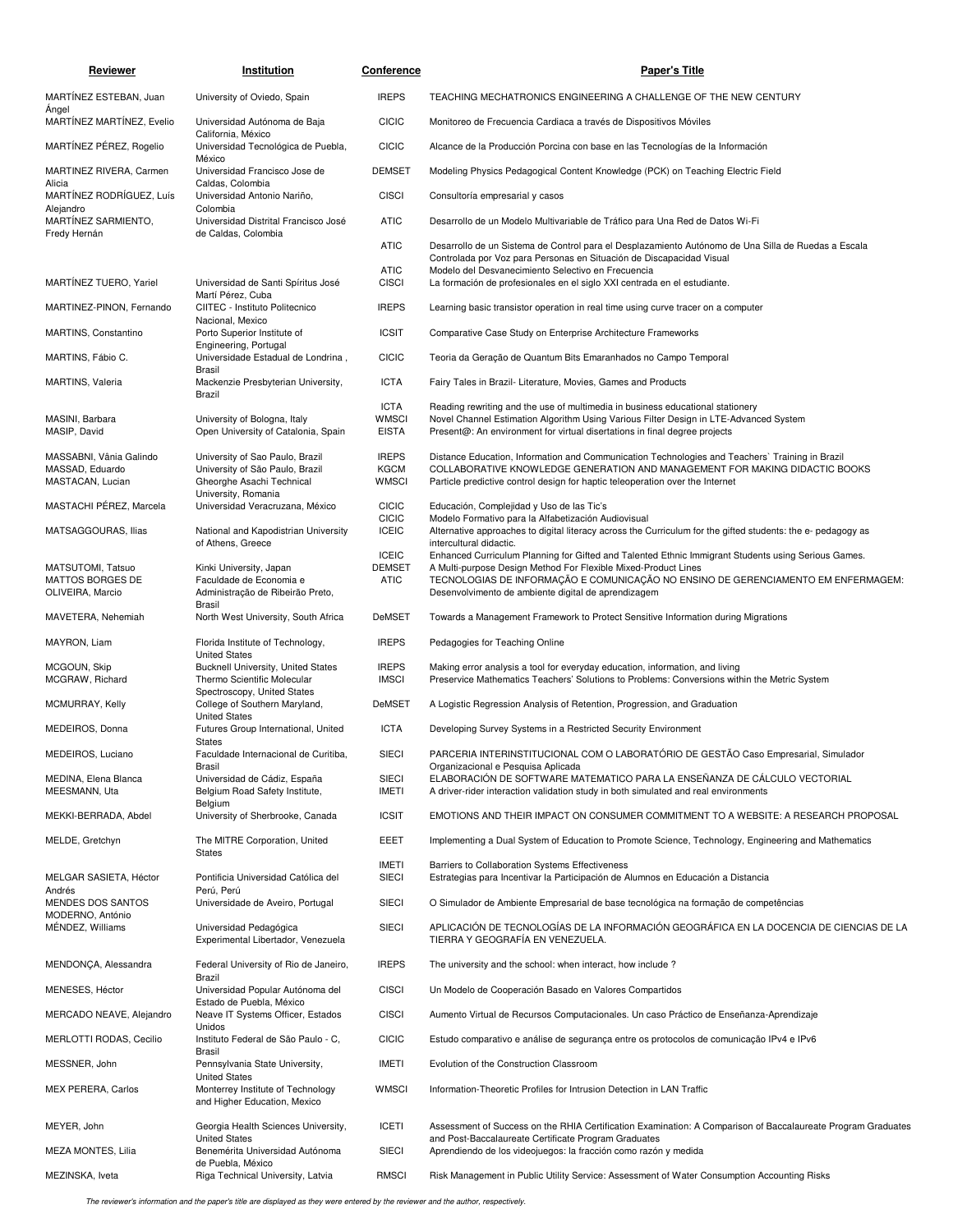| Reviewer                              | Institution                                                              | <u>Conference</u>            | <b>Paper's Title</b>                                                                                                                                                                                                                           |
|---------------------------------------|--------------------------------------------------------------------------|------------------------------|------------------------------------------------------------------------------------------------------------------------------------------------------------------------------------------------------------------------------------------------|
| MARTINEZ ESTEBAN, Juan                | University of Oviedo, Spain                                              | <b>IREPS</b>                 | TEACHING MECHATRONICS ENGINEERING A CHALLENGE OF THE NEW CENTURY                                                                                                                                                                               |
| Angel<br>MARTINEZ MARTINEZ, Evelio    | Universidad Autónoma de Baja                                             | <b>CICIC</b>                 | Monitoreo de Frecuencia Cardiaca a través de Dispositivos Móviles                                                                                                                                                                              |
| MARTÍNEZ PÉREZ, Rogelio               | California, México<br>Universidad Tecnológica de Puebla,                 | <b>CICIC</b>                 | Alcance de la Producción Porcina con base en las Tecnologías de la Información                                                                                                                                                                 |
| MARTINEZ RIVERA, Carmen               | México<br>Universidad Francisco Jose de                                  | <b>DEMSET</b>                | Modeling Physics Pedagogical Content Knowledge (PCK) on Teaching Electric Field                                                                                                                                                                |
| Alicia<br>MARTINEZ RODRIGUEZ, Luís    | Caldas, Colombia<br>Universidad Antonio Nariño,                          | <b>CISCI</b>                 | Consultoría empresarial y casos                                                                                                                                                                                                                |
| Alejandro<br>MARTÍNEZ SARMIENTO,      | Colombia<br>Universidad Distrital Francisco José                         | <b>ATIC</b>                  | Desarrollo de un Modelo Multivariable de Tráfico para Una Red de Datos Wi-Fi                                                                                                                                                                   |
| Fredy Hernán                          | de Caldas, Colombia                                                      | <b>ATIC</b>                  | Desarrollo de un Sistema de Control para el Desplazamiento Autónomo de Una Silla de Ruedas a Escala<br>Controlada por Voz para Personas en Situación de Discapacidad Visual                                                                    |
| MARTINEZ TUERO, Yariel                | Universidad de Santi Spíritus José                                       | <b>ATIC</b><br><b>CISCI</b>  | Modelo del Desvanecimiento Selectivo en Frecuencia<br>La formación de profesionales en el siglo XXI centrada en el estudiante.                                                                                                                 |
| MARTINEZ-PINON, Fernando              | Martí Pérez, Cuba<br>CIITEC - Instituto Politecnico                      | <b>IREPS</b>                 | Learning basic transistor operation in real time using curve tracer on a computer                                                                                                                                                              |
| MARTINS, Constantino                  | Nacional, Mexico<br>Porto Superior Institute of                          | <b>ICSIT</b>                 | Comparative Case Study on Enterprise Architecture Frameworks                                                                                                                                                                                   |
| MARTINS, Fábio C.                     | Engineering, Portugal<br>Universidade Estadual de Londrina,              | <b>CICIC</b>                 | Teoria da Geração de Quantum Bits Emaranhados no Campo Temporal                                                                                                                                                                                |
| MARTINS, Valeria                      | Brasil<br>Mackenzie Presbyterian University,                             | <b>ICTA</b>                  | Fairy Tales in Brazil- Literature, Movies, Games and Products                                                                                                                                                                                  |
|                                       | Brazil                                                                   | <b>ICTA</b>                  | Reading rewriting and the use of multimedia in business educational stationery                                                                                                                                                                 |
| MASINI, Barbara<br>MASIP, David       | University of Bologna, Italy<br>Open University of Catalonia, Spain      | <b>WMSCI</b><br><b>EISTA</b> | Novel Channel Estimation Algorithm Using Various Filter Design in LTE-Advanced System<br>Present@: An environment for virtual disertations in final degree projects                                                                            |
| MASSABNI, Vânia Galindo               | University of Sao Paulo, Brazil                                          | <b>IREPS</b>                 | Distance Education, Information and Communication Technologies and Teachers' Training in Brazil                                                                                                                                                |
| MASSAD, Eduardo<br>MASTACAN, Lucian   | University of São Paulo, Brazil<br>Gheorghe Asachi Technical             | <b>KGCM</b><br><b>WMSCI</b>  | COLLABORATIVE KNOWLEDGE GENERATION AND MANAGEMENT FOR MAKING DIDACTIC BOOKS<br>Particle predictive control design for haptic teleoperation over the Internet                                                                                   |
| MASTACHI PEREZ, Marcela               | University, Romania<br>Universidad Veracruzana, México                   | <b>CICIC</b>                 | Educación, Complejidad y Uso de las Tic's                                                                                                                                                                                                      |
|                                       |                                                                          | <b>CICIC</b><br><b>ICEIC</b> | Modelo Formativo para la Alfabetización Audiovisual                                                                                                                                                                                            |
| MATSAGGOURAS, Ilias                   | National and Kapodistrian University<br>of Athens, Greece                | <b>ICEIC</b>                 | Alternative approaches to digital literacy across the Curriculum for the gifted students: the e- pedagogy as<br>intercultural didactic.<br>Enhanced Curriculum Planning for Gifted and Talented Ethnic Immigrant Students using Serious Games. |
| MATSUTOMI, Tatsuo                     | Kinki University, Japan                                                  | <b>DEMSET</b>                | A Multi-purpose Design Method For Flexible Mixed-Product Lines                                                                                                                                                                                 |
| MATTOS BORGES DE<br>OLIVEIRA, Marcio  | Faculdade de Economia e<br>Administração de Ribeirão Preto,              | <b>ATIC</b>                  | TECNOLOGIAS DE INFORMAÇÃO E COMUNICAÇÃO NO ENSINO DE GERENCIAMENTO EM ENFERMAGEM:<br>Desenvolvimento de ambiente digital de aprendizagem                                                                                                       |
| MAVETERA, Nehemiah                    | <b>Brasil</b><br>North West University, South Africa                     | <b>DeMSET</b>                | Towards a Management Framework to Protect Sensitive Information during Migrations                                                                                                                                                              |
| MAYRON, Liam                          | Florida Institute of Technology,<br><b>United States</b>                 | <b>IREPS</b>                 | Pedagogies for Teaching Online                                                                                                                                                                                                                 |
| MCGOUN, Skip<br>MCGRAW, Richard       | <b>Bucknell University, United States</b><br>Thermo Scientific Molecular | <b>IREPS</b><br><b>IMSCI</b> | Making error analysis a tool for everyday education, information, and living<br>Preservice Mathematics Teachers' Solutions to Problems: Conversions within the Metric System                                                                   |
|                                       | Spectroscopy, United States                                              |                              |                                                                                                                                                                                                                                                |
| MCMURRAY, Kelly                       | College of Southern Maryland,<br><b>United States</b>                    | DeMSET                       | A Logistic Regression Analysis of Retention, Progression, and Graduation                                                                                                                                                                       |
| MEDEIROS, Donna                       | Futures Group International, United<br><b>States</b>                     | <b>ICTA</b>                  | Developing Survey Systems in a Restricted Security Environment                                                                                                                                                                                 |
| MEDEIROS, Luciano                     | Faculdade Internacional de Curitiba,<br><b>Brasil</b>                    | <b>SIECI</b>                 | PARCERIA INTERINSTITUCIONAL COM O LABORATÓRIO DE GESTÃO Caso Empresarial, Simulador<br>Organizacional e Pesquisa Aplicada                                                                                                                      |
| MEDINA, Elena Blanca<br>MEESMANN, Uta | Universidad de Cádiz, España<br>Belgium Road Safety Institute,           | <b>SIECI</b><br><b>IMETI</b> | ELABORACIÓN DE SOFTWARE MATEMATICO PARA LA ENSEÑANZA DE CÁLCULO VECTORIAL<br>A driver-rider interaction validation study in both simulated and real environments                                                                               |
| MEKKI-BERRADA, Abdel                  | Belgium<br>University of Sherbrooke, Canada                              | <b>ICSIT</b>                 | EMOTIONS AND THEIR IMPACT ON CONSUMER COMMITMENT TO A WEBSITE: A RESEARCH PROPOSAL                                                                                                                                                             |
| MELDE, Gretchyn                       | The MITRE Corporation, United                                            | EEET                         | Implementing a Dual System of Education to Promote Science, Technology, Engineering and Mathematics                                                                                                                                            |
|                                       | States                                                                   | <b>IMETI</b>                 | Barriers to Collaboration Systems Effectiveness                                                                                                                                                                                                |
| MELGAR SASIETA, Héctor<br>Andrés      | Pontificia Universidad Católica del<br>Perú, Perú                        | <b>SIECI</b>                 | Estrategias para Incentivar la Participación de Alumnos en Educación a Distancia                                                                                                                                                               |
| MENDES DOS SANTOS<br>MODERNO, António | Universidade de Aveiro, Portugal                                         | <b>SIECI</b>                 | O Simulador de Ambiente Empresarial de base tecnológica na formação de competências                                                                                                                                                            |
| MENDEZ, Williams                      | Universidad Pedagógica<br>Experimental Libertador, Venezuela             | <b>SIECI</b>                 | APLICACIÓN DE TECNOLOGÍAS DE LA INFORMACIÓN GEOGRÁFICA EN LA DOCENCIA DE CIENCIAS DE LA<br>TIERRA Y GEOGRAFÍA EN VENEZUELA.                                                                                                                    |
| MENDONÇA, Alessandra                  | Federal University of Rio de Janeiro,<br>Brazil                          | <b>IREPS</b>                 | The university and the school: when interact, how include?                                                                                                                                                                                     |
| MENESES, Héctor                       | Universidad Popular Autónoma del<br>Estado de Puebla, México             | <b>CISCI</b>                 | Un Modelo de Cooperación Basado en Valores Compartidos                                                                                                                                                                                         |
| MERCADO NEAVE, Alejandro              | Neave IT Systems Officer, Estados<br>Unidos                              | <b>CISCI</b>                 | Aumento Virtual de Recursos Computacionales. Un caso Práctico de Enseñanza-Aprendizaje                                                                                                                                                         |
| MERLOTTI RODAS, Cecilio               | Instituto Federal de São Paulo - C,<br><b>Brasil</b>                     | <b>CICIC</b>                 | Estudo comparativo e análise de segurança entre os protocolos de comunicação IPv4 e IPv6                                                                                                                                                       |
| MESSNER, John                         | Pennsylvania State University,<br><b>United States</b>                   | IMETI                        | Evolution of the Construction Classroom                                                                                                                                                                                                        |
| MEX PERERA, Carlos                    | Monterrey Institute of Technology<br>and Higher Education, Mexico        | <b>WMSCI</b>                 | Information-Theoretic Profiles for Intrusion Detection in LAN Traffic                                                                                                                                                                          |
| MEYER, John                           | Georgia Health Sciences University,                                      | <b>ICETI</b>                 | Assessment of Success on the RHIA Certification Examination: A Comparison of Baccalaureate Program Graduates                                                                                                                                   |
| MEZA MONTES, Lilia                    | <b>United States</b><br>Benemérita Universidad Autónoma                  | <b>SIECI</b>                 | and Post-Baccalaureate Certificate Program Graduates<br>Aprendiendo de los videojuegos: la fracción como razón y medida                                                                                                                        |
| MEZINSKA, Iveta                       | de Puebla, México<br>Riga Technical University, Latvia                   | <b>RMSCI</b>                 | Risk Management in Public Utility Service: Assessment of Water Consumption Accounting Risks                                                                                                                                                    |

The reviewer's information and the paper's title are displayed as they were entered by the reviewer and the author, respectively.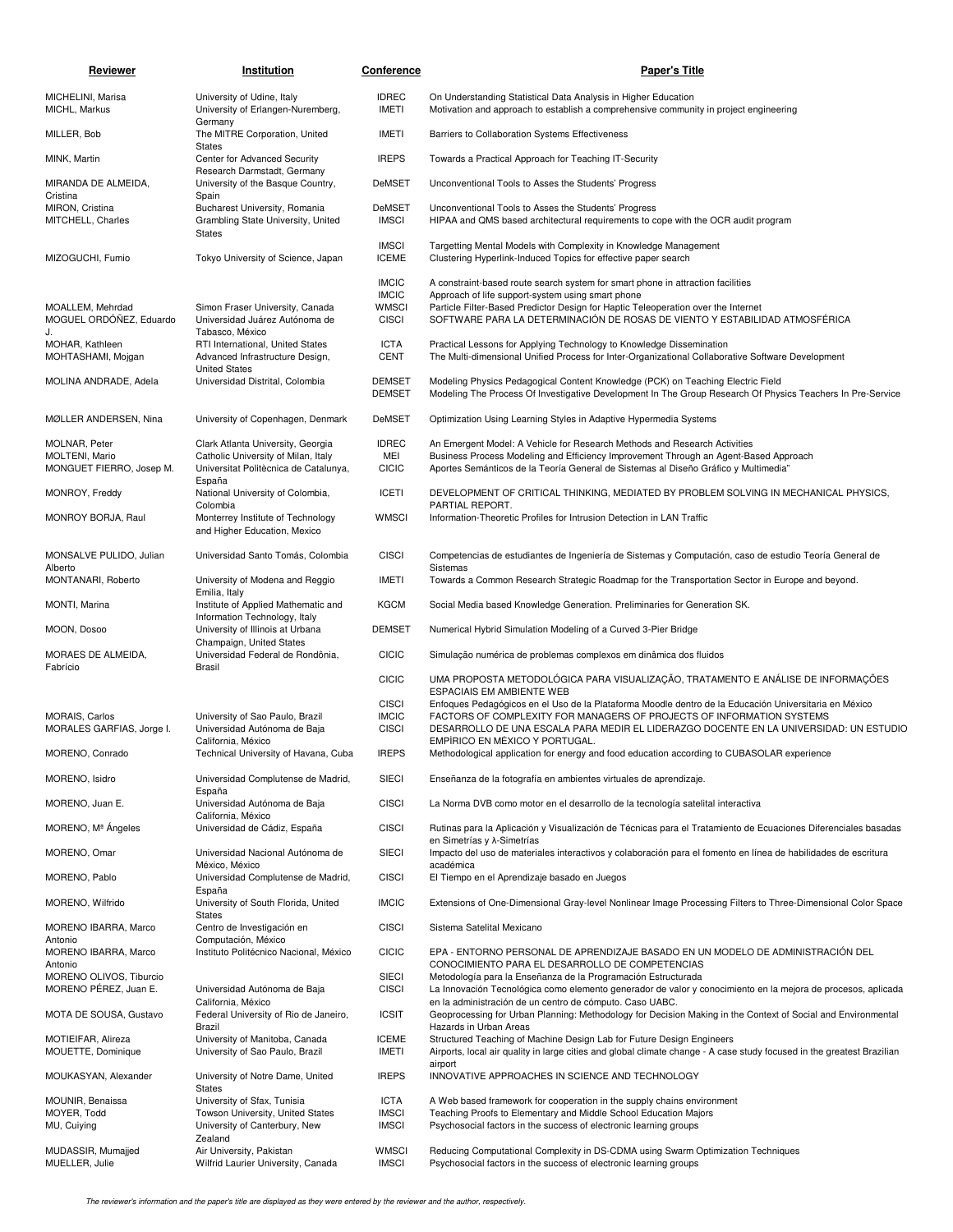| Reviewer                                                    | Institution                                                                                                       | Conference                                                   | <b>Paper's Title</b>                                                                                                                                                                                                                                                                                       |
|-------------------------------------------------------------|-------------------------------------------------------------------------------------------------------------------|--------------------------------------------------------------|------------------------------------------------------------------------------------------------------------------------------------------------------------------------------------------------------------------------------------------------------------------------------------------------------------|
| MICHELINI, Marisa<br>MICHL, Markus                          | University of Udine, Italy<br>University of Erlangen-Nuremberg,<br>Germany                                        | <b>IDREC</b><br><b>IMETI</b>                                 | On Understanding Statistical Data Analysis in Higher Education<br>Motivation and approach to establish a comprehensive community in project engineering                                                                                                                                                    |
| MILLER, Bob                                                 | The MITRE Corporation, United<br><b>States</b>                                                                    | IMETI                                                        | Barriers to Collaboration Systems Effectiveness                                                                                                                                                                                                                                                            |
| MINK, Martin                                                | Center for Advanced Security<br>Research Darmstadt, Germany                                                       | <b>IREPS</b>                                                 | Towards a Practical Approach for Teaching IT-Security                                                                                                                                                                                                                                                      |
| MIRANDA DE ALMEIDA,<br>Cristina                             | University of the Basque Country,                                                                                 | DeMSET                                                       | Unconventional Tools to Asses the Students' Progress                                                                                                                                                                                                                                                       |
| MIRON, Cristina<br>MITCHELL, Charles                        | Spain<br>Bucharest University, Romania<br>Grambling State University, United<br><b>States</b>                     | <b>DeMSET</b><br><b>IMSCI</b>                                | Unconventional Tools to Asses the Students' Progress<br>HIPAA and QMS based architectural requirements to cope with the OCR audit program                                                                                                                                                                  |
| MIZOGUCHI, Fumio                                            | Tokyo University of Science, Japan                                                                                | <b>IMSCI</b><br><b>ICEME</b>                                 | Targetting Mental Models with Complexity in Knowledge Management<br>Clustering Hyperlink-Induced Topics for effective paper search                                                                                                                                                                         |
| MOALLEM, Mehrdad<br>MOGUEL ORDÓÑEZ, Eduardo<br>J.           | Simon Fraser University, Canada<br>Universidad Juárez Autónoma de<br>Tabasco, México                              | <b>IMCIC</b><br><b>IMCIC</b><br><b>WMSCI</b><br><b>CISCI</b> | A constraint-based route search system for smart phone in attraction facilities<br>Approach of life support-system using smart phone<br>Particle Filter-Based Predictor Design for Haptic Teleoperation over the Internet<br>SOFTWARE PARA LA DETERMINACIÓN DE ROSAS DE VIENTO Y ESTABILIDAD ATMOSFÉRICA   |
| MOHAR, Kathleen<br>MOHTASHAMI, Mojgan                       | RTI International, United States<br>Advanced Infrastructure Design,<br><b>United States</b>                       | <b>ICTA</b><br><b>CENT</b>                                   | Practical Lessons for Applying Technology to Knowledge Dissemination<br>The Multi-dimensional Unified Process for Inter-Organizational Collaborative Software Development                                                                                                                                  |
| MOLINA ANDRADE, Adela                                       | Universidad Distrital, Colombia                                                                                   | <b>DEMSET</b><br><b>DEMSET</b>                               | Modeling Physics Pedagogical Content Knowledge (PCK) on Teaching Electric Field<br>Modeling The Process Of Investigative Development In The Group Research Of Physics Teachers In Pre-Service                                                                                                              |
| MØLLER ANDERSEN, Nina                                       | University of Copenhagen, Denmark                                                                                 | DeMSET                                                       | Optimization Using Learning Styles in Adaptive Hypermedia Systems                                                                                                                                                                                                                                          |
| MOLNAR, Peter<br>MOLTENI, Mario<br>MONGUET FIERRO, Josep M. | Clark Atlanta University, Georgia<br>Catholic University of Milan, Italy<br>Universitat Politècnica de Catalunya, | <b>IDREC</b><br>MEI<br><b>CICIC</b>                          | An Emergent Model: A Vehicle for Research Methods and Research Activities<br>Business Process Modeling and Efficiency Improvement Through an Agent-Based Approach<br>Aportes Semánticos de la Teoría General de Sistemas al Diseño Gráfico y Multimedia"                                                   |
| MONROY, Freddy                                              | España<br>National University of Colombia,                                                                        | <b>ICETI</b>                                                 | DEVELOPMENT OF CRITICAL THINKING, MEDIATED BY PROBLEM SOLVING IN MECHANICAL PHYSICS,                                                                                                                                                                                                                       |
| MONROY BORJA, Raul                                          | Colombia<br>Monterrey Institute of Technology<br>and Higher Education, Mexico                                     | <b>WMSCI</b>                                                 | PARTIAL REPORT.<br>Information-Theoretic Profiles for Intrusion Detection in LAN Traffic                                                                                                                                                                                                                   |
| MONSALVE PULIDO, Julian                                     | Universidad Santo Tomás, Colombia                                                                                 | <b>CISCI</b>                                                 | Competencias de estudiantes de Ingeniería de Sistemas y Computación, caso de estudio Teoría General de                                                                                                                                                                                                     |
| Alberto<br>MONTANARI, Roberto                               | University of Modena and Reggio                                                                                   | <b>IMETI</b>                                                 | Sistemas<br>Towards a Common Research Strategic Roadmap for the Transportation Sector in Europe and beyond.                                                                                                                                                                                                |
| MONTI, Marina                                               | Emilia, Italy<br>Institute of Applied Mathematic and                                                              | <b>KGCM</b>                                                  | Social Media based Knowledge Generation. Preliminaries for Generation SK.                                                                                                                                                                                                                                  |
| MOON, Dosoo                                                 | Information Technology, Italy<br>University of Illinois at Urbana                                                 | <b>DEMSET</b>                                                | Numerical Hybrid Simulation Modeling of a Curved 3-Pier Bridge                                                                                                                                                                                                                                             |
| MORAES DE ALMEIDA,                                          | Champaign, United States<br>Universidad Federal de Rondônia,                                                      | CICIC                                                        | Simulação numérica de problemas complexos em dinâmica dos fluidos                                                                                                                                                                                                                                          |
| Fabrício                                                    | Brasil                                                                                                            | <b>CICIC</b>                                                 | UMA PROPOSTA METODOLÓGICA PARA VISUALIZAÇÃO, TRATAMENTO E ANÁLISE DE INFORMAÇÕES<br>ESPACIAIS EM AMBIENTE WEB                                                                                                                                                                                              |
| <b>MORAIS, Carlos</b><br>MORALES GARFIAS, Jorge I.          | University of Sao Paulo, Brazil<br>Universidad Autónoma de Baja<br>California, México                             | <b>CISCI</b><br><b>IMCIC</b><br><b>CISCI</b>                 | Enfoques Pedagógicos en el Uso de la Plataforma Moodle dentro de la Educación Universitaria en México<br>FACTORS OF COMPLEXITY FOR MANAGERS OF PROJECTS OF INFORMATION SYSTEMS<br>DESARROLLO DE UNA ESCALA PARA MEDIR EL LIDERAZGO DOCENTE EN LA UNIVERSIDAD: UN ESTUDIO<br>EMPÍRICO EN MÉXICO Y PORTUGAL. |
| MORENO, Conrado                                             | Technical University of Havana, Cuba                                                                              | <b>IREPS</b>                                                 | Methodological application for energy and food education according to CUBASOLAR experience                                                                                                                                                                                                                 |
| MORENO, Isidro<br>MORENO, Juan E.                           | Universidad Complutense de Madrid,<br>España<br>Universidad Autónoma de Baja                                      | <b>SIECI</b><br><b>CISCI</b>                                 | Enseñanza de la fotografía en ambientes virtuales de aprendizaje.<br>La Norma DVB como motor en el desarrollo de la tecnología satelital interactiva                                                                                                                                                       |
| MORENO, Mª Angeles                                          | California, México<br>Universidad de Cádiz, España                                                                | <b>CISCI</b>                                                 | Rutinas para la Aplicación y Visualización de Técnicas para el Tratamiento de Ecuaciones Diferenciales basadas                                                                                                                                                                                             |
| MORENO, Omar                                                | Universidad Nacional Autónoma de                                                                                  | SIECI                                                        | en Simetrías y $\lambda$ -Simetrías<br>Impacto del uso de materiales interactivos y colaboración para el fomento en línea de habilidades de escritura                                                                                                                                                      |
| MORENO, Pablo                                               | México, México<br>Universidad Complutense de Madrid,                                                              | <b>CISCI</b>                                                 | académica<br>El Tiempo en el Aprendizaje basado en Juegos                                                                                                                                                                                                                                                  |
| MORENO, Wilfrido                                            | España<br>University of South Florida, United                                                                     | <b>IMCIC</b>                                                 | Extensions of One-Dimensional Gray-level Nonlinear Image Processing Filters to Three-Dimensional Color Space                                                                                                                                                                                               |
| MORENO IBARRA, Marco                                        | <b>States</b><br>Centro de Investigación en                                                                       | <b>CISCI</b>                                                 | Sistema Satelital Mexicano                                                                                                                                                                                                                                                                                 |
| Antonio<br>MORENO IBARRA, Marco                             | Computación, México<br>Instituto Politécnico Nacional, México                                                     | <b>CICIC</b>                                                 | EPA - ENTORNO PERSONAL DE APRENDIZAJE BASADO EN UN MODELO DE ADMINISTRACIÓN DEL                                                                                                                                                                                                                            |
| Antonio<br>MORENO OLIVOS, Tiburcio                          |                                                                                                                   | SIECI                                                        | CONOCIMIENTO PARA EL DESARROLLO DE COMPETENCIAS<br>Metodología para la Enseñanza de la Programación Estructurada                                                                                                                                                                                           |
| MORENO PÉREZ, Juan E.                                       | Universidad Autónoma de Baja<br>California, México                                                                | <b>CISCI</b>                                                 | La Innovación Tecnológica como elemento generador de valor y conocimiento en la mejora de procesos, aplicada<br>en la administración de un centro de cómputo. Caso UABC.                                                                                                                                   |
| MOTA DE SOUSA, Gustavo                                      | Federal University of Rio de Janeiro,<br>Brazil                                                                   | <b>ICSIT</b>                                                 | Geoprocessing for Urban Planning: Methodology for Decision Making in the Context of Social and Environmental<br>Hazards in Urban Areas                                                                                                                                                                     |
| MOTIEIFAR, Alireza<br>MOUETTE, Dominique                    | University of Manitoba, Canada<br>University of Sao Paulo, Brazil                                                 | <b>ICEME</b><br><b>IMETI</b>                                 | Structured Teaching of Machine Design Lab for Future Design Engineers<br>Airports, local air quality in large cities and global climate change - A case study focused in the greatest Brazilian<br>airport                                                                                                 |
| MOUKASYAN, Alexander                                        | University of Notre Dame, United<br><b>States</b>                                                                 | <b>IREPS</b>                                                 | INNOVATIVE APPROACHES IN SCIENCE AND TECHNOLOGY                                                                                                                                                                                                                                                            |
| MOUNIR, Benaissa                                            | University of Sfax, Tunisia                                                                                       | <b>ICTA</b>                                                  | A Web based framework for cooperation in the supply chains environment                                                                                                                                                                                                                                     |
| MOYER, Todd<br>MU, Cuiying                                  | Towson University, United States<br>University of Canterbury, New<br>Zealand                                      | <b>IMSCI</b><br><b>IMSCI</b>                                 | Teaching Proofs to Elementary and Middle School Education Majors<br>Psychosocial factors in the success of electronic learning groups                                                                                                                                                                      |
| MUDASSIR, Mumajjed<br>MUELLER, Julie                        | Air University, Pakistan<br>Wilfrid Laurier University, Canada                                                    | <b>WMSCI</b><br><b>IMSCI</b>                                 | Reducing Computational Complexity in DS-CDMA using Swarm Optimization Techniques<br>Psychosocial factors in the success of electronic learning groups                                                                                                                                                      |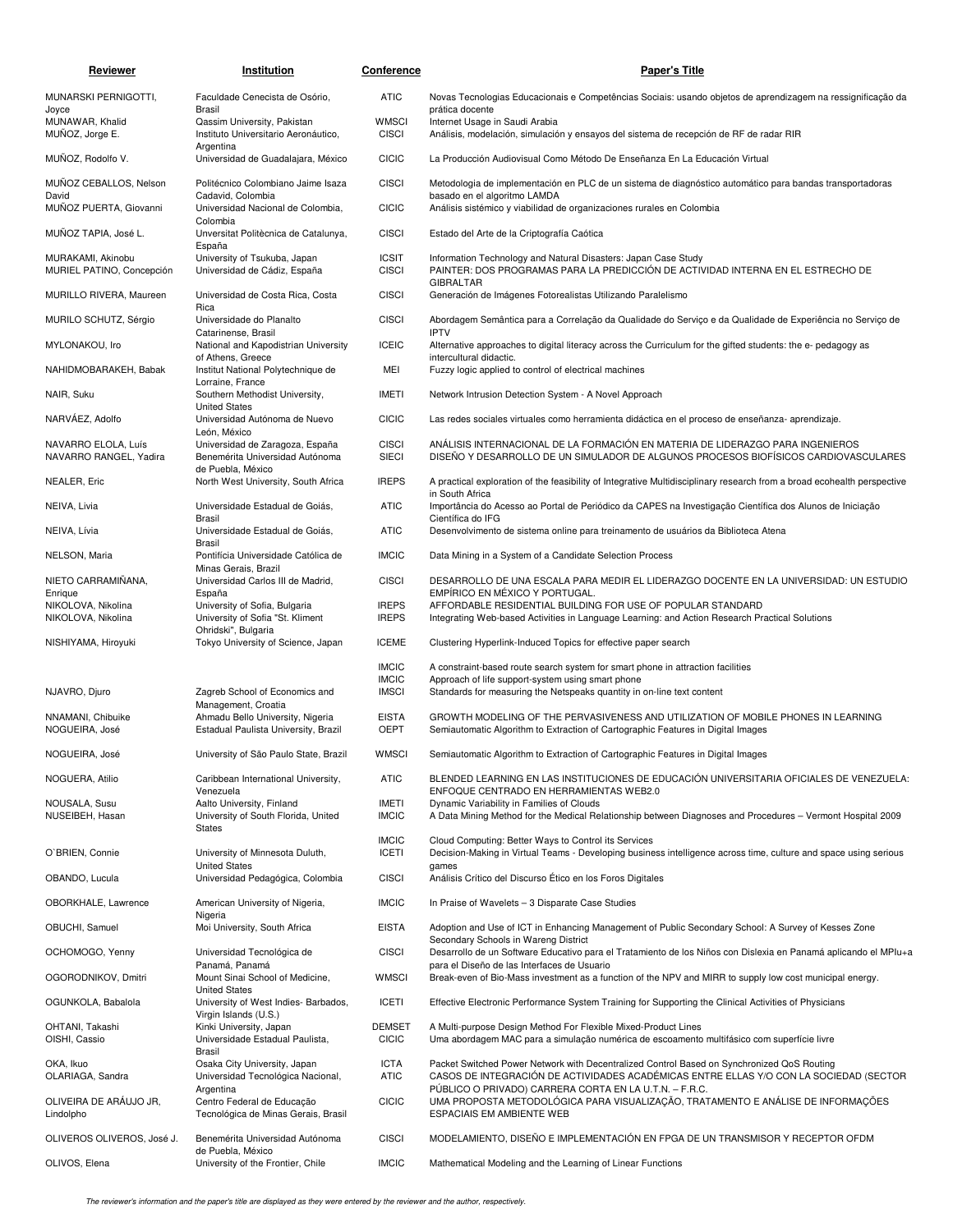| Reviewer                                            | Institution                                                                    | Conference                    | <b>Paper's Title</b>                                                                                                                                                                            |
|-----------------------------------------------------|--------------------------------------------------------------------------------|-------------------------------|-------------------------------------------------------------------------------------------------------------------------------------------------------------------------------------------------|
| MUNARSKI PERNIGOTTI,<br>Joyce                       | Faculdade Cenecista de Osório,<br>Brasil                                       | <b>ATIC</b>                   | Novas Tecnologias Educacionais e Competências Sociais: usando objetos de aprendizagem na ressignificação da<br>prática docente                                                                  |
| MUNAWAR, Khalid<br>MUÑOZ, Jorge E.                  | Qassim University, Pakistan<br>Instituto Universitario Aeronáutico,            | <b>WMSCI</b><br><b>CISCI</b>  | Internet Usage in Saudi Arabia<br>Análisis, modelación, simulación y ensayos del sistema de recepción de RF de radar RIR                                                                        |
| MUÑOZ, Rodolfo V.                                   | Argentina<br>Universidad de Guadalajara, México                                | <b>CICIC</b>                  | La Producción Audiovisual Como Método De Enseñanza En La Educación Virtual                                                                                                                      |
| MUNOZ CEBALLOS, Nelson                              | Politécnico Colombiano Jaime Isaza                                             | <b>CISCI</b>                  | Metodologia de implementación en PLC de un sistema de diagnóstico automático para bandas transportadoras                                                                                        |
| David<br>MUÑOZ PUERTA, Giovanni                     | Cadavid, Colombia<br>Universidad Nacional de Colombia,                         | <b>CICIC</b>                  | basado en el algoritmo LAMDA<br>Análisis sistémico y viabilidad de organizaciones rurales en Colombia                                                                                           |
| MUÑOZ TAPIA, José L.                                | Colombia<br>Unversitat Politècnica de Catalunya,                               | <b>CISCI</b>                  | Estado del Arte de la Criptografía Caótica                                                                                                                                                      |
| MURAKAMI, Akinobu<br>MURIEL PATINO, Concepción      | España<br>University of Tsukuba, Japan<br>Universidad de Cádiz, España         | <b>ICSIT</b><br><b>CISCI</b>  | Information Technology and Natural Disasters: Japan Case Study<br>PAINTER: DOS PROGRAMAS PARA LA PREDICCIÓN DE ACTIVIDAD INTERNA EN EL ESTRECHO DE                                              |
| MURILLO RIVERA, Maureen                             | Universidad de Costa Rica, Costa                                               | <b>CISCI</b>                  | <b>GIBRALTAR</b><br>Generación de Imágenes Fotorealistas Utilizando Paralelismo                                                                                                                 |
| MURILO SCHUTZ, Sérgio                               | Rica<br>Universidade do Planalto                                               | <b>CISCI</b>                  | Abordagem Semântica para a Correlação da Qualidade do Serviço e da Qualidade de Experiência no Serviço de                                                                                       |
| MYLONAKOU, Iro                                      | Catarinense, Brasil<br>National and Kapodistrian University                    | <b>ICEIC</b>                  | <b>IPTV</b><br>Alternative approaches to digital literacy across the Curriculum for the gifted students: the e- pedagogy as                                                                     |
| NAHIDMOBARAKEH, Babak                               | of Athens, Greece<br>Institut National Polytechnique de                        | MEI                           | intercultural didactic.<br>Fuzzy logic applied to control of electrical machines                                                                                                                |
| NAIR, Suku                                          | Lorraine, France<br>Southern Methodist University,                             | <b>IMETI</b>                  | Network Intrusion Detection System - A Novel Approach                                                                                                                                           |
| NARVÁEZ, Adolfo                                     | <b>United States</b><br>Universidad Autónoma de Nuevo                          | <b>CICIC</b>                  | Las redes sociales virtuales como herramienta didáctica en el proceso de enseñanza- aprendizaje.                                                                                                |
| NAVARRO ELOLA, Luís                                 | León, México<br>Universidad de Zaragoza, España                                | <b>CISCI</b>                  | ANÁLISIS INTERNACIONAL DE LA FORMACIÓN EN MATERIA DE LIDERAZGO PARA INGENIEROS                                                                                                                  |
| NAVARRO RANGEL, Yadira                              | Benemérita Universidad Autónoma<br>de Puebla, México                           | <b>SIECI</b>                  | DISENO Y DESARROLLO DE UN SIMULADOR DE ALGUNOS PROCESOS BIOFÍSICOS CARDIOVASCULARES                                                                                                             |
| NEALER, Eric                                        | North West University, South Africa                                            | <b>IREPS</b>                  | A practical exploration of the feasibility of Integrative Multidisciplinary research from a broad ecohealth perspective<br>in South Africa                                                      |
| NEIVA, Livia                                        | Universidade Estadual de Goiás,<br>Brasil                                      | <b>ATIC</b>                   | Importância do Acesso ao Portal de Periódico da CAPES na Investigação Científica dos Alunos de Iniciação<br>Científica do IFG                                                                   |
| NEIVA, Lívia                                        | Universidade Estadual de Goiás,<br>Brasil                                      | <b>ATIC</b>                   | Desenvolvimento de sistema online para treinamento de usuários da Biblioteca Atena                                                                                                              |
| NELSON, Maria                                       | Pontifícia Universidade Católica de<br>Minas Gerais, Brazil                    | <b>IMCIC</b>                  | Data Mining in a System of a Candidate Selection Process                                                                                                                                        |
| NIETO CARRAMINANA,                                  | Universidad Carlos III de Madrid,                                              | <b>CISCI</b>                  | DESARROLLO DE UNA ESCALA PARA MEDIR EL LIDERAZGO DOCENTE EN LA UNIVERSIDAD: UN ESTUDIO                                                                                                          |
| Enrique<br>NIKOLOVA, Nikolina<br>NIKOLOVA, Nikolina | España<br>University of Sofia, Bulgaria<br>University of Sofia "St. Kliment    | <b>IREPS</b><br><b>IREPS</b>  | EMPÍRICO EN MÉXICO Y PORTUGAL.<br>AFFORDABLE RESIDENTIAL BUILDING FOR USE OF POPULAR STANDARD<br>Integrating Web-based Activities in Language Learning: and Action Research Practical Solutions |
| NISHIYAMA, Hiroyuki                                 | Ohridski", Bulgaria<br>Tokyo University of Science, Japan                      | <b>ICEME</b>                  | Clustering Hyperlink-Induced Topics for effective paper search                                                                                                                                  |
|                                                     |                                                                                | <b>IMCIC</b>                  | A constraint-based route search system for smart phone in attraction facilities                                                                                                                 |
| NJAVRO, Djuro                                       | Zagreb School of Economics and                                                 | <b>IMCIC</b><br><b>IMSCI</b>  | Approach of life support-system using smart phone<br>Standards for measuring the Netspeaks quantity in on-line text content                                                                     |
| NNAMANI, Chibuike                                   | Management, Croatia<br>Ahmadu Bello University, Nigeria                        | <b>EISTA</b>                  | GROWTH MODELING OF THE PERVASIVENESS AND UTILIZATION OF MOBILE PHONES IN LEARNING                                                                                                               |
| NOGUEIRA, José                                      | Estadual Paulista University, Brazil                                           | <b>OEPT</b>                   | Semiautomatic Algorithm to Extraction of Cartographic Features in Digital Images                                                                                                                |
| NOGUEIRA, José                                      | University of São Paulo State, Brazil                                          | <b>WMSCI</b>                  | Semiautomatic Algorithm to Extraction of Cartographic Features in Digital Images                                                                                                                |
| NOGUERA, Atilio                                     | Caribbean International University,<br>Venezuela                               | <b>ATIC</b>                   | BLENDED LEARNING EN LAS INSTITUCIONES DE EDUCACIÓN UNIVERSITARIA OFICIALES DE VENEZUELA:<br>ENFOQUE CENTRADO EN HERRAMIENTAS WEB2.0                                                             |
| NOUSALA, Susu<br>NUSEIBEH, Hasan                    | Aalto University, Finland<br>University of South Florida, United               | IMETI<br><b>IMCIC</b>         | Dynamic Variability in Families of Clouds<br>A Data Mining Method for the Medical Relationship between Diagnoses and Procedures – Vermont Hospital 2009                                         |
|                                                     | <b>States</b>                                                                  | <b>IMCIC</b>                  | Cloud Computing: Better Ways to Control its Services                                                                                                                                            |
| O'BRIEN, Connie                                     | University of Minnesota Duluth,<br><b>United States</b>                        | <b>ICETI</b>                  | Decision-Making in Virtual Teams - Developing business intelligence across time, culture and space using serious<br>games                                                                       |
| OBANDO, Lucula                                      | Universidad Pedagógica, Colombia                                               | <b>CISCI</b>                  | Análisis Crítico del Discurso Ético en los Foros Digitales                                                                                                                                      |
| OBORKHALE, Lawrence                                 | American University of Nigeria,<br>Nigeria                                     | <b>IMCIC</b>                  | In Praise of Wavelets - 3 Disparate Case Studies                                                                                                                                                |
| OBUCHI, Samuel                                      | Moi University, South Africa                                                   | <b>EISTA</b>                  | Adoption and Use of ICT in Enhancing Management of Public Secondary School: A Survey of Kesses Zone<br>Secondary Schools in Wareng District                                                     |
| OCHOMOGO, Yenny                                     | Universidad Tecnológica de<br>Panamá, Panamá                                   | <b>CISCI</b>                  | Desarrollo de un Software Educativo para el Tratamiento de los Niños con Dislexia en Panamá aplicando el MPIu+a<br>para el Diseño de las Interfaces de Usuario                                  |
| OGORODNIKOV, Dmitri                                 | Mount Sinai School of Medicine,<br><b>United States</b>                        | <b>WMSCI</b>                  | Break-even of Bio-Mass investment as a function of the NPV and MIRR to supply low cost municipal energy.                                                                                        |
| OGUNKOLA, Babalola                                  | University of West Indies- Barbados,<br>Virgin Islands (U.S.)                  | <b>ICETI</b>                  | Effective Electronic Performance System Training for Supporting the Clinical Activities of Physicians                                                                                           |
| OHTANI, Takashi<br>OISHI, Cassio                    | Kinki University, Japan<br>Universidade Estadual Paulista,                     | <b>DEMSET</b><br><b>CICIC</b> | A Multi-purpose Design Method For Flexible Mixed-Product Lines<br>Uma abordagem MAC para a simulação numérica de escoamento multifásico com superfície livre                                    |
| OKA, Ikuo<br>OLARIAGA, Sandra                       | Brasil<br>Osaka City University, Japan<br>Universidad Tecnológica Nacional,    | <b>ICTA</b><br><b>ATIC</b>    | Packet Switched Power Network with Decentralized Control Based on Synchronized QoS Routing<br>CASOS DE INTEGRACIÓN DE ACTIVIDADES ACADÉMICAS ENTRE ELLAS Y/O CON LA SOCIEDAD (SECTOR            |
| OLIVEIRA DE ARÁUJO JR,<br>Lindolpho                 | Argentina<br>Centro Federal de Educação<br>Tecnológica de Minas Gerais, Brasil | <b>CICIC</b>                  | PÚBLICO O PRIVADO) CARRERA CORTA EN LA U.T.N. - F.R.C.<br>UMA PROPOSTA METODOLÓGICA PARA VISUALIZAÇÃO, TRATAMENTO E ANÁLISE DE INFORMAÇÕES<br>ESPACIAIS EM AMBIENTE WEB                         |
| OLIVEROS OLIVEROS, José J.                          | Benemérita Universidad Autónoma                                                | <b>CISCI</b>                  | MODELAMIENTO, DISEÑO E IMPLEMENTACIÓN EN FPGA DE UN TRANSMISOR Y RECEPTOR OFDM                                                                                                                  |
| OLIVOS, Elena                                       | de Puebla, México<br>University of the Frontier, Chile                         | <b>IMCIC</b>                  | Mathematical Modeling and the Learning of Linear Functions                                                                                                                                      |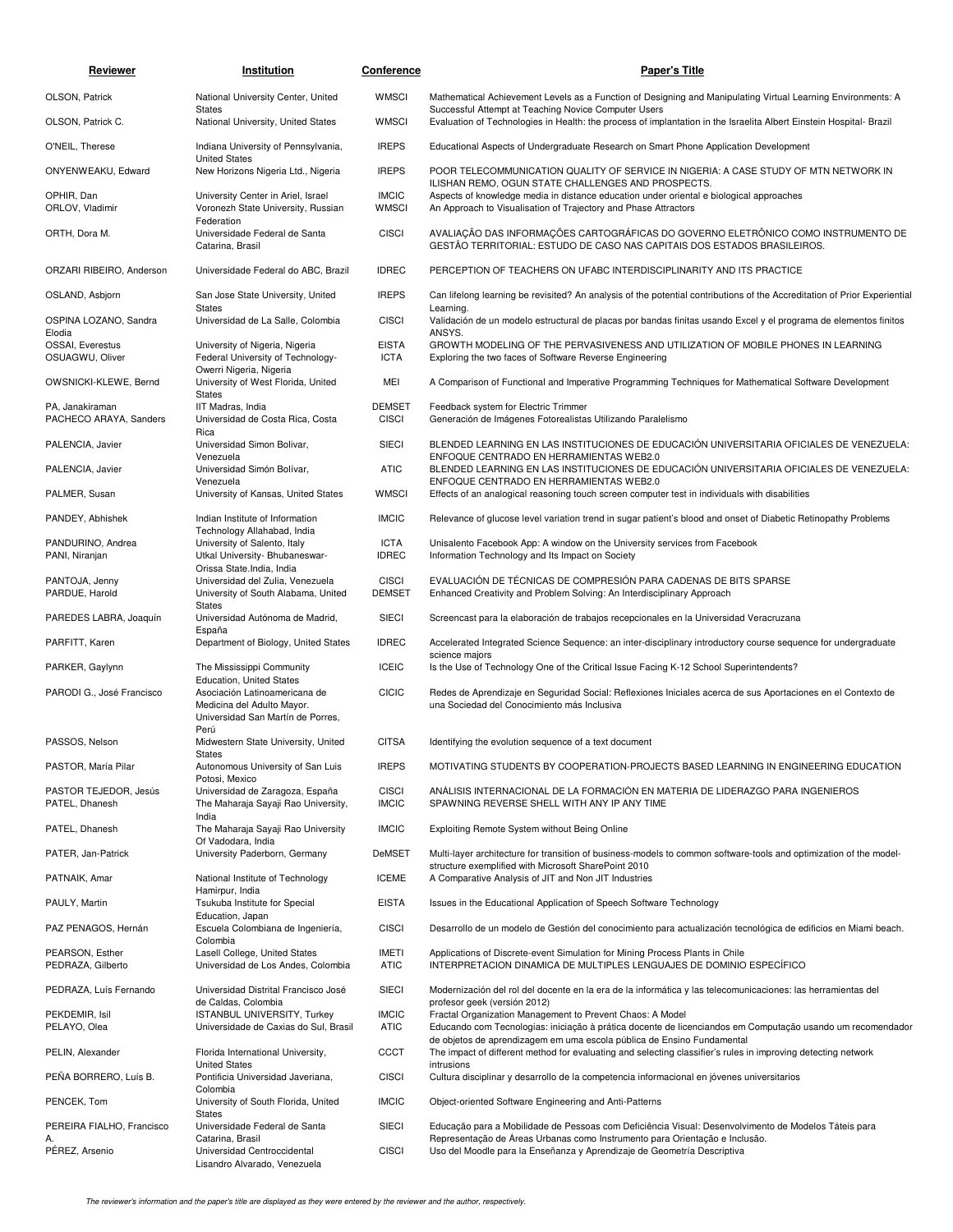| Reviewer                                  | Institution                                                                                          | <b>Conference</b>             | <b>Paper's Title</b>                                                                                                                                                                                                                              |
|-------------------------------------------|------------------------------------------------------------------------------------------------------|-------------------------------|---------------------------------------------------------------------------------------------------------------------------------------------------------------------------------------------------------------------------------------------------|
| OLSON, Patrick                            | National University Center, United                                                                   | <b>WMSCI</b>                  | Mathematical Achievement Levels as a Function of Designing and Manipulating Virtual Learning Environments: A                                                                                                                                      |
| OLSON, Patrick C.                         | <b>States</b><br>National University, United States                                                  | <b>WMSCI</b>                  | Successful Attempt at Teaching Novice Computer Users<br>Evaluation of Technologies in Health: the process of implantation in the Israelita Albert Einstein Hospital- Brazil                                                                       |
| O'NEIL, Therese                           | Indiana University of Pennsylvania,                                                                  | <b>IREPS</b>                  | Educational Aspects of Undergraduate Research on Smart Phone Application Development                                                                                                                                                              |
| ONYENWEAKU, Edward                        | <b>United States</b><br>New Horizons Nigeria Ltd., Nigeria                                           | <b>IREPS</b>                  | POOR TELECOMMUNICATION QUALITY OF SERVICE IN NIGERIA: A CASE STUDY OF MTN NETWORK IN                                                                                                                                                              |
| OPHIR, Dan<br>ORLOV, Vladimir             | University Center in Ariel, Israel<br>Voronezh State University, Russian                             | <b>IMCIC</b><br><b>WMSCI</b>  | ILISHAN REMO, OGUN STATE CHALLENGES AND PROSPECTS.<br>Aspects of knowledge media in distance education under oriental e biological approaches<br>An Approach to Visualisation of Trajectory and Phase Attractors                                  |
| ORTH, Dora M.                             | Federation<br>Universidade Federal de Santa<br>Catarina, Brasil                                      | <b>CISCI</b>                  | AVALIAÇÃO DAS INFORMAÇÕES CARTOGRÁFICAS DO GOVERNO ELETRÔNICO COMO INSTRUMENTO DE<br>GESTÃO TERRITORIAL: ESTUDO DE CASO NAS CAPITAIS DOS ESTADOS BRASILEIROS.                                                                                     |
| ORZARI RIBEIRO, Anderson                  | Universidade Federal do ABC, Brazil                                                                  | <b>IDREC</b>                  | PERCEPTION OF TEACHERS ON UFABC INTERDISCIPLINARITY AND ITS PRACTICE                                                                                                                                                                              |
| OSLAND, Asbjorn                           | San Jose State University, United<br><b>States</b>                                                   | <b>IREPS</b>                  | Can lifelong learning be revisited? An analysis of the potential contributions of the Accreditation of Prior Experiential<br>Learning.                                                                                                            |
| OSPINA LOZANO, Sandra<br>Elodia           | Universidad de La Salle, Colombia                                                                    | <b>CISCI</b>                  | Validación de un modelo estructural de placas por bandas finitas usando Excel y el programa de elementos finitos<br>ANSYS.                                                                                                                        |
| OSSAI, Everestus                          | University of Nigeria, Nigeria                                                                       | <b>EISTA</b>                  | GROWTH MODELING OF THE PERVASIVENESS AND UTILIZATION OF MOBILE PHONES IN LEARNING                                                                                                                                                                 |
| OSUAGWU, Oliver                           | Federal University of Technology-<br>Owerri Nigeria, Nigeria                                         | <b>ICTA</b>                   | Exploring the two faces of Software Reverse Engineering                                                                                                                                                                                           |
| OWSNICKI-KLEWE, Bernd                     | University of West Florida, United<br><b>States</b>                                                  | MEI                           | A Comparison of Functional and Imperative Programming Techniques for Mathematical Software Development                                                                                                                                            |
| PA, Janakiraman<br>PACHECO ARAYA, Sanders | IIT Madras, India<br>Universidad de Costa Rica, Costa<br>Rica                                        | <b>DEMSET</b><br><b>CISCI</b> | Feedback system for Electric Trimmer<br>Generación de Imágenes Fotorealistas Utilizando Paralelismo                                                                                                                                               |
| PALENCIA, Javier                          | Universidad Simon Bolivar,<br>Venezuela                                                              | <b>SIECI</b>                  | BLENDED LEARNING EN LAS INSTITUCIONES DE EDUCACIÓN UNIVERSITARIA OFICIALES DE VENEZUELA:<br>ENFOQUE CENTRADO EN HERRAMIENTAS WEB2.0                                                                                                               |
| PALENCIA, Javier                          | Universidad Simón Bolívar,<br>Venezuela                                                              | <b>ATIC</b>                   | BLENDED LEARNING EN LAS INSTITUCIONES DE EDUCACIÓN UNIVERSITARIA OFICIALES DE VENEZUELA:<br>ENFOQUE CENTRADO EN HERRAMIENTAS WEB2.0                                                                                                               |
| PALMER, Susan                             | University of Kansas, United States                                                                  | <b>WMSCI</b>                  | Effects of an analogical reasoning touch screen computer test in individuals with disabilities                                                                                                                                                    |
| PANDEY, Abhishek                          | Indian Institute of Information                                                                      | <b>IMCIC</b>                  | Relevance of glucose level variation trend in sugar patient's blood and onset of Diabetic Retinopathy Problems                                                                                                                                    |
| PANDURINO, Andrea<br>PANI, Niranjan       | Technology Allahabad, India<br>University of Salento, Italy<br>Utkal University- Bhubaneswar-        | <b>ICTA</b><br><b>IDREC</b>   | Unisalento Facebook App: A window on the University services from Facebook<br>Information Technology and Its Impact on Society                                                                                                                    |
| PANTOJA, Jenny<br>PARDUE, Harold          | Orissa State.India, India<br>Universidad del Zulia, Venezuela<br>University of South Alabama, United | <b>CISCI</b><br><b>DEMSET</b> | EVALUACIÓN DE TÉCNICAS DE COMPRESIÓN PARA CADENAS DE BITS SPARSE<br>Enhanced Creativity and Problem Solving: An Interdisciplinary Approach                                                                                                        |
| PAREDES LABRA, Joaquín                    | <b>States</b><br>Universidad Autónoma de Madrid,                                                     | <b>SIECI</b>                  | Screencast para la elaboración de trabajos recepcionales en la Universidad Veracruzana                                                                                                                                                            |
| PARFITT, Karen                            | España<br>Department of Biology, United States                                                       | <b>IDREC</b>                  | Accelerated Integrated Science Sequence: an inter-disciplinary introductory course sequence for undergraduate                                                                                                                                     |
| PARKER, Gaylynn                           | The Mississippi Community                                                                            | <b>ICEIC</b>                  | science majors<br>Is the Use of Technology One of the Critical Issue Facing K-12 School Superintendents?                                                                                                                                          |
| PARODI G., José Francisco                 | <b>Education, United States</b><br>Asociación Latinoamericana de                                     | <b>CICIC</b>                  | Redes de Aprendizaje en Seguridad Social: Reflexiones Iniciales acerca de sus Aportaciones en el Contexto de                                                                                                                                      |
|                                           | Medicina del Adulto Mayor.<br>Universidad San Martín de Porres,<br>Perú                              |                               | una Sociedad del Conocimiento más Inclusiva                                                                                                                                                                                                       |
| PASSOS, Nelson                            | Midwestern State University, United                                                                  | <b>CITSA</b>                  | Identifying the evolution sequence of a text document                                                                                                                                                                                             |
| PASTOR, María Pilar                       | States<br>Autonomous University of San Luis                                                          | <b>IREPS</b>                  | MOTIVATING STUDENTS BY COOPERATION-PROJECTS BASED LEARNING IN ENGINEERING EDUCATION                                                                                                                                                               |
| PASTOR TEJEDOR, Jesús<br>PATEL, Dhanesh   | Potosi, Mexico<br>Universidad de Zaragoza, España<br>The Maharaja Sayaji Rao University,             | <b>CISCI</b><br><b>IMCIC</b>  | ANÁLISIS INTERNACIONAL DE LA FORMACIÓN EN MATERIA DE LIDERAZGO PARA INGENIEROS<br>SPAWNING REVERSE SHELL WITH ANY IP ANY TIME                                                                                                                     |
| PATEL, Dhanesh                            | India<br>The Maharaja Sayaji Rao University                                                          | <b>IMCIC</b>                  | Exploiting Remote System without Being Online                                                                                                                                                                                                     |
| PATER, Jan-Patrick                        | Of Vadodara, India<br>University Paderborn, Germany                                                  | DeMSET                        | Multi-layer architecture for transition of business-models to common software-tools and optimization of the model-                                                                                                                                |
| PATNAIK, Amar                             | National Institute of Technology                                                                     | <b>ICEME</b>                  | structure exemplified with Microsoft SharePoint 2010<br>A Comparative Analysis of JIT and Non JIT Industries                                                                                                                                      |
| PAULY, Martin                             | Hamirpur, India<br>Tsukuba Institute for Special                                                     | <b>EISTA</b>                  | Issues in the Educational Application of Speech Software Technology                                                                                                                                                                               |
| PAZ PENAGOS, Hernán                       | Education, Japan<br>Escuela Colombiana de Ingeniería,                                                | <b>CISCI</b>                  | Desarrollo de un modelo de Gestión del conocimiento para actualización tecnológica de edificios en Miami beach.                                                                                                                                   |
| PEARSON, Esther                           | Colombia<br>Lasell College, United States                                                            | IMETI                         | Applications of Discrete-event Simulation for Mining Process Plants in Chile                                                                                                                                                                      |
| PEDRAZA, Gilberto                         | Universidad de Los Andes, Colombia                                                                   | <b>ATIC</b><br><b>SIECI</b>   | INTERPRETACION DINAMICA DE MULTIPLES LENGUAJES DE DOMINIO ESPECÍFICO                                                                                                                                                                              |
| PEDRAZA, Luís Fernando                    | Universidad Distrital Francisco José<br>de Caldas, Colombia                                          |                               | Modernización del rol del docente en la era de la informática y las telecomunicaciones: las herramientas del<br>profesor geek (versión 2012)                                                                                                      |
| PEKDEMIR, Isil<br>PELAYO, Olea            | ISTANBUL UNIVERSITY, Turkey<br>Universidade de Caxias do Sul, Brasil                                 | <b>IMCIC</b><br>ATIC          | Fractal Organization Management to Prevent Chaos: A Model<br>Educando com Tecnologias: iniciação à prática docente de licenciandos em Computação usando um recomendador<br>de objetos de aprendizagem em uma escola pública de Ensino Fundamental |
| PELIN, Alexander                          | Florida International University,<br><b>United States</b>                                            | <b>CCCT</b>                   | The impact of different method for evaluating and selecting classifier's rules in improving detecting network<br>intrusions                                                                                                                       |
| PENA BORRERO, Luís B.                     | Pontificia Universidad Javeriana,<br>Colombia                                                        | <b>CISCI</b>                  | Cultura disciplinar y desarrollo de la competencia informacional en jóvenes universitarios                                                                                                                                                        |
| PENCEK, Tom                               | University of South Florida, United<br>States                                                        | <b>IMCIC</b>                  | Object-oriented Software Engineering and Anti-Patterns                                                                                                                                                                                            |
| PEREIRA FIALHO, Francisco<br>А.           | Universidade Federal de Santa<br>Catarina, Brasil                                                    | <b>SIECI</b>                  | Educação para a Mobilidade de Pessoas com Deficiência Visual: Desenvolvimento de Modelos Táteis para<br>Representação de Areas Urbanas como Instrumento para Orientação e Inclusão.                                                               |
| PÉREZ, Arsenio                            | Universidad Centroccidental<br>Lisandro Alvarado, Venezuela                                          | <b>CISCI</b>                  | Uso del Moodle para la Enseñanza y Aprendizaje de Geometría Descriptiva                                                                                                                                                                           |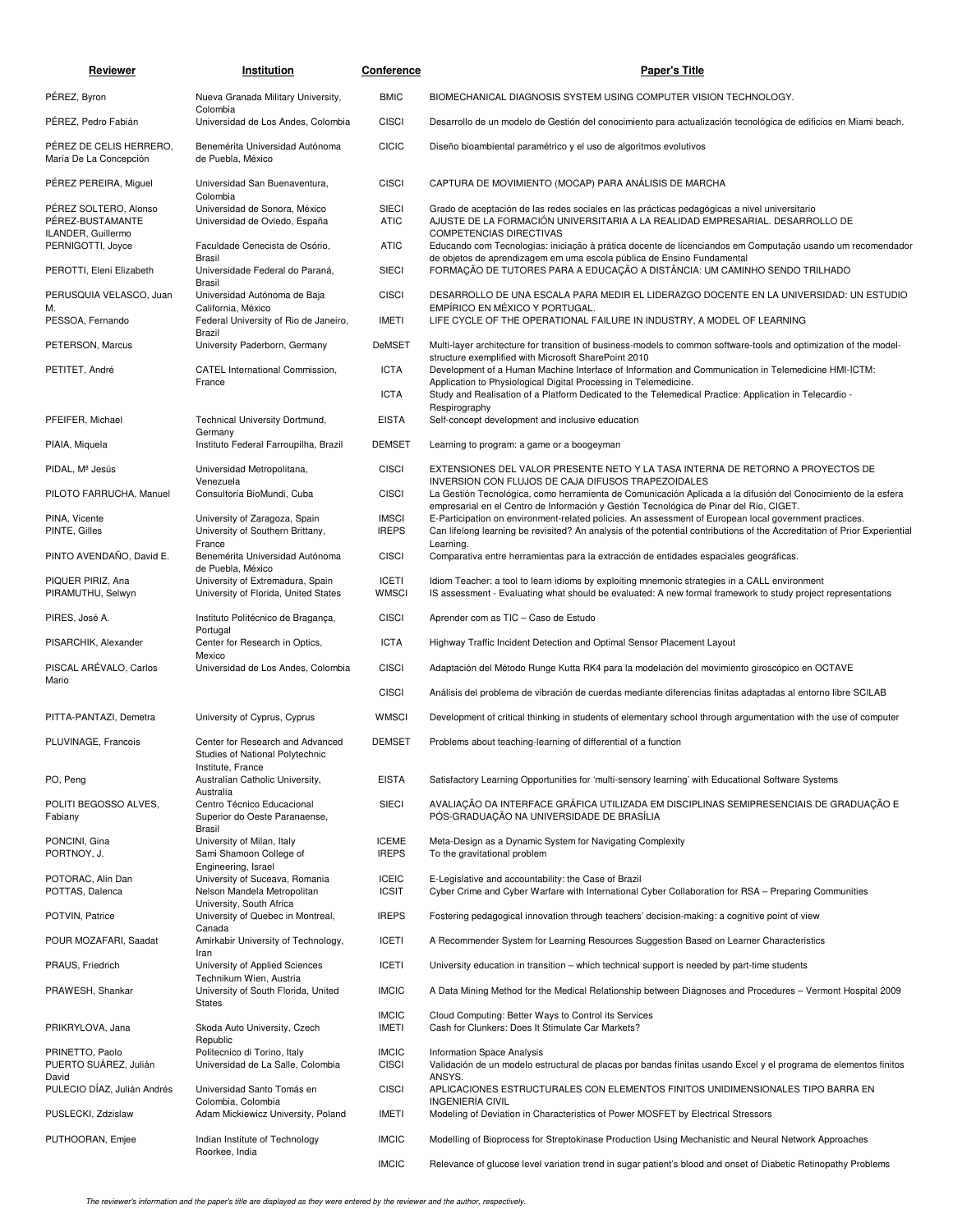| Reviewer                                                        | Institution                                                                               | Conference                   | <b>Paper's Title</b>                                                                                                                                                                                                                                                                                              |
|-----------------------------------------------------------------|-------------------------------------------------------------------------------------------|------------------------------|-------------------------------------------------------------------------------------------------------------------------------------------------------------------------------------------------------------------------------------------------------------------------------------------------------------------|
| PÉREZ, Byron                                                    | Nueva Granada Military University,                                                        | <b>BMIC</b>                  | BIOMECHANICAL DIAGNOSIS SYSTEM USING COMPUTER VISION TECHNOLOGY.                                                                                                                                                                                                                                                  |
| PÉREZ, Pedro Fabián                                             | Colombia<br>Universidad de Los Andes, Colombia                                            | <b>CISCI</b>                 | Desarrollo de un modelo de Gestión del conocimiento para actualización tecnológica de edificios en Miami beach.                                                                                                                                                                                                   |
| PÉREZ DE CELIS HERRERO.<br>María De La Concepción               | Benemérita Universidad Autónoma<br>de Puebla, México                                      | <b>CICIC</b>                 | Diseño bioambiental paramétrico y el uso de algoritmos evolutivos                                                                                                                                                                                                                                                 |
| PEREZ PEREIRA, Miguel                                           | Universidad San Buenaventura,<br>Colombia                                                 | <b>CISCI</b>                 | CAPTURA DE MOVIMIENTO (MOCAP) PARA ANÁLISIS DE MARCHA                                                                                                                                                                                                                                                             |
| PÉREZ SOLTERO, Alonso<br>PÉREZ-BUSTAMANTE<br>ILANDER, Guillermo | Universidad de Sonora, México<br>Universidad de Oviedo, España                            | <b>SIECI</b><br><b>ATIC</b>  | Grado de aceptación de las redes sociales en las prácticas pedagógicas a nivel universitario<br>AJUSTE DE LA FORMACIÓN UNIVERSITARIA A LA REALIDAD EMPRESARIAL. DESARROLLO DE<br><b>COMPETENCIAS DIRECTIVAS</b>                                                                                                   |
| PERNIGOTTI, Joyce<br>PEROTTI, Eleni Elizabeth                   | Faculdade Cenecista de Osório,<br>Brasil<br>Universidade Federal do Paraná,               | <b>ATIC</b><br><b>SIECI</b>  | Educando com Tecnologias: iniciação à prática docente de licenciandos em Computação usando um recomendador<br>de objetos de aprendizagem em uma escola pública de Ensino Fundamental<br>FORMAÇÃO DE TUTORES PARA A EDUCAÇÃO A DISTÂNCIA: UM CAMINHO SENDO TRILHADO                                                |
| PERUSQUIA VELASCO, Juan                                         | Brasil<br>Universidad Autónoma de Baja                                                    | <b>CISCI</b>                 | DESARROLLO DE UNA ESCALA PARA MEDIR EL LIDERAZGO DOCENTE EN LA UNIVERSIDAD: UN ESTUDIO                                                                                                                                                                                                                            |
| M.<br>PESSOA, Fernando                                          | California, México<br>Federal University of Rio de Janeiro,                               | IMETI                        | EMPÍRICO EN MÉXICO Y PORTUGAL.<br>LIFE CYCLE OF THE OPERATIONAL FAILURE IN INDUSTRY, A MODEL OF LEARNING                                                                                                                                                                                                          |
|                                                                 | Brazil                                                                                    |                              |                                                                                                                                                                                                                                                                                                                   |
| PETERSON, Marcus                                                | University Paderborn, Germany                                                             | <b>DeMSET</b>                | Multi-layer architecture for transition of business-models to common software-tools and optimization of the model-<br>structure exemplified with Microsoft SharePoint 2010                                                                                                                                        |
| PETITET, André                                                  | CATEL International Commission,<br>France                                                 | <b>ICTA</b><br><b>ICTA</b>   | Development of a Human Machine Interface of Information and Communication in Telemedicine HMI-ICTM:<br>Application to Physiological Digital Processing in Telemedicine.<br>Study and Realisation of a Platform Dedicated to the Telemedical Practice: Application in Telecardio -                                 |
|                                                                 |                                                                                           |                              | Respirography                                                                                                                                                                                                                                                                                                     |
| PFEIFER, Michael                                                | Technical University Dortmund,<br>Germany                                                 | <b>EISTA</b>                 | Self-concept development and inclusive education                                                                                                                                                                                                                                                                  |
| PIAIA, Miquela                                                  | Instituto Federal Farroupilha, Brazil                                                     | <b>DEMSET</b>                | Learning to program: a game or a boogeyman                                                                                                                                                                                                                                                                        |
| PIDAL, Mª Jesús                                                 | Universidad Metropolitana,<br>Venezuela                                                   | <b>CISCI</b>                 | EXTENSIONES DEL VALOR PRESENTE NETO Y LA TASA INTERNA DE RETORNO A PROYECTOS DE<br>INVERSION CON FLUJOS DE CAJA DIFUSOS TRAPEZOIDALES                                                                                                                                                                             |
| PILOTO FARRUCHA, Manuel<br>PINA, Vicente                        | Consultoría BioMundi, Cuba<br>University of Zaragoza, Spain                               | <b>CISCI</b><br><b>IMSCI</b> | La Gestión Tecnológica, como herramienta de Comunicación Aplicada a la difusión del Conocimiento de la esfera<br>empresarial en el Centro de Información y Gestión Tecnológica de Pinar del Río, CIGET.<br>E-Participation on environment-related policies. An assessment of European local government practices. |
| PINTE, Gilles                                                   | University of Southern Brittany,<br>France                                                | <b>IREPS</b>                 | Can lifelong learning be revisited? An analysis of the potential contributions of the Accreditation of Prior Experiential<br>Learning.                                                                                                                                                                            |
| PINTO AVENDAÑO, David E.                                        | Benemérita Universidad Autónoma<br>de Puebla, México                                      | <b>CISCI</b>                 | Comparativa entre herramientas para la extracción de entidades espaciales geográficas.                                                                                                                                                                                                                            |
| PIQUER PIRIZ, Ana<br>PIRAMUTHU, Selwyn                          | University of Extremadura, Spain<br>University of Florida, United States                  | <b>ICETI</b><br><b>WMSCI</b> | Idiom Teacher: a tool to learn idioms by exploiting mnemonic strategies in a CALL environment<br>IS assessment - Evaluating what should be evaluated: A new formal framework to study project representations                                                                                                     |
| PIRES, José A.                                                  | Instituto Politécnico de Bragança,<br>Portugal                                            | <b>CISCI</b>                 | Aprender com as TIC - Caso de Estudo                                                                                                                                                                                                                                                                              |
| PISARCHIK, Alexander                                            | Center for Research in Optics,<br>Mexico                                                  | <b>ICTA</b>                  | Highway Traffic Incident Detection and Optimal Sensor Placement Layout                                                                                                                                                                                                                                            |
| PISCAL ARÉVALO, Carlos<br>Mario                                 | Universidad de Los Andes, Colombia                                                        | <b>CISCI</b>                 | Adaptación del Método Runge Kutta RK4 para la modelación del movimiento giroscópico en OCTAVE                                                                                                                                                                                                                     |
|                                                                 |                                                                                           | <b>CISCI</b>                 | Análisis del problema de vibración de cuerdas mediante diferencias finitas adaptadas al entorno libre SCILAB                                                                                                                                                                                                      |
| PITTA-PANTAZI, Demetra                                          | University of Cyprus, Cyprus                                                              | <b>WMSCI</b>                 | Development of critical thinking in students of elementary school through argumentation with the use of computer                                                                                                                                                                                                  |
| PLUVINAGE, Francois                                             | Center for Research and Advanced<br>Studies of National Polytechnic<br>Institute, France  | <b>DEMSET</b>                | Problems about teaching-learning of differential of a function                                                                                                                                                                                                                                                    |
| PO, Peng                                                        | Australian Catholic University,<br>Australia                                              | <b>EISTA</b>                 | Satisfactory Learning Opportunities for 'multi-sensory learning' with Educational Software Systems                                                                                                                                                                                                                |
| POLITI BEGOSSO ALVES,<br>Fabiany                                | Centro Técnico Educacional<br>Superior do Oeste Paranaense,<br>Brasil                     | <b>SIECI</b>                 | AVALIAÇÃO DA INTERFACE GRÁFICA UTILIZADA EM DISCIPLINAS SEMIPRESENCIAIS DE GRADUAÇÃO E<br>PÓS-GRADUAÇÃO NA UNIVERSIDADE DE BRASÍLIA                                                                                                                                                                               |
| PONCINI, Gina<br>PORTNOY, J.                                    | University of Milan, Italy<br>Sami Shamoon College of<br>Engineering, Israel              | <b>ICEME</b><br><b>IREPS</b> | Meta-Design as a Dynamic System for Navigating Complexity<br>To the gravitational problem                                                                                                                                                                                                                         |
| POTORAC, Alin Dan<br>POTTAS, Dalenca                            | University of Suceava, Romania<br>Nelson Mandela Metropolitan<br>University, South Africa | <b>ICEIC</b><br><b>ICSIT</b> | E-Legislative and accountability: the Case of Brazil<br>Cyber Crime and Cyber Warfare with International Cyber Collaboration for RSA - Preparing Communities                                                                                                                                                      |
| POTVIN, Patrice                                                 | University of Quebec in Montreal,<br>Canada                                               | <b>IREPS</b>                 | Fostering pedagogical innovation through teachers' decision-making: a cognitive point of view                                                                                                                                                                                                                     |
| POUR MOZAFARI, Saadat                                           | Amirkabir University of Technology,<br>Iran                                               | <b>ICETI</b>                 | A Recommender System for Learning Resources Suggestion Based on Learner Characteristics                                                                                                                                                                                                                           |
| PRAUS, Friedrich                                                | University of Applied Sciences<br>Technikum Wien, Austria                                 | <b>ICETI</b>                 | University education in transition – which technical support is needed by part-time students                                                                                                                                                                                                                      |
| PRAWESH, Shankar                                                | University of South Florida, United<br>States                                             | <b>IMCIC</b>                 | A Data Mining Method for the Medical Relationship between Diagnoses and Procedures - Vermont Hospital 2009                                                                                                                                                                                                        |
| PRIKRYLOVA, Jana                                                | Skoda Auto University, Czech                                                              | <b>IMCIC</b><br>IMETI        | Cloud Computing: Better Ways to Control its Services<br>Cash for Clunkers: Does It Stimulate Car Markets?                                                                                                                                                                                                         |
| PRINETTO, Paolo<br>PUERTO SUÁREZ, Julián                        | Republic<br>Politecnico di Torino, Italy<br>Universidad de La Salle, Colombia             | <b>IMCIC</b><br><b>CISCI</b> | Information Space Analysis<br>Validación de un modelo estructural de placas por bandas finitas usando Excel y el programa de elementos finitos                                                                                                                                                                    |
| David<br>PULECIO DÍAZ, Julián Andrés                            | Universidad Santo Tomás en                                                                | <b>CISCI</b>                 | ANSYS.<br>APLICACIONES ESTRUCTURALES CON ELEMENTOS FINITOS UNIDIMENSIONALES TIPO BARRA EN                                                                                                                                                                                                                         |
| PUSLECKI, Zdzislaw                                              | Colombia, Colombia<br>Adam Mickiewicz University, Poland                                  | <b>IMETI</b>                 | INGENIERÍA CIVIL<br>Modeling of Deviation in Characteristics of Power MOSFET by Electrical Stressors                                                                                                                                                                                                              |
| PUTHOORAN, Emjee                                                | Indian Institute of Technology<br>Roorkee, India                                          | <b>IMCIC</b>                 | Modelling of Bioprocess for Streptokinase Production Using Mechanistic and Neural Network Approaches                                                                                                                                                                                                              |
|                                                                 |                                                                                           | <b>IMCIC</b>                 | Relevance of glucose level variation trend in sugar patient's blood and onset of Diabetic Retinopathy Problems                                                                                                                                                                                                    |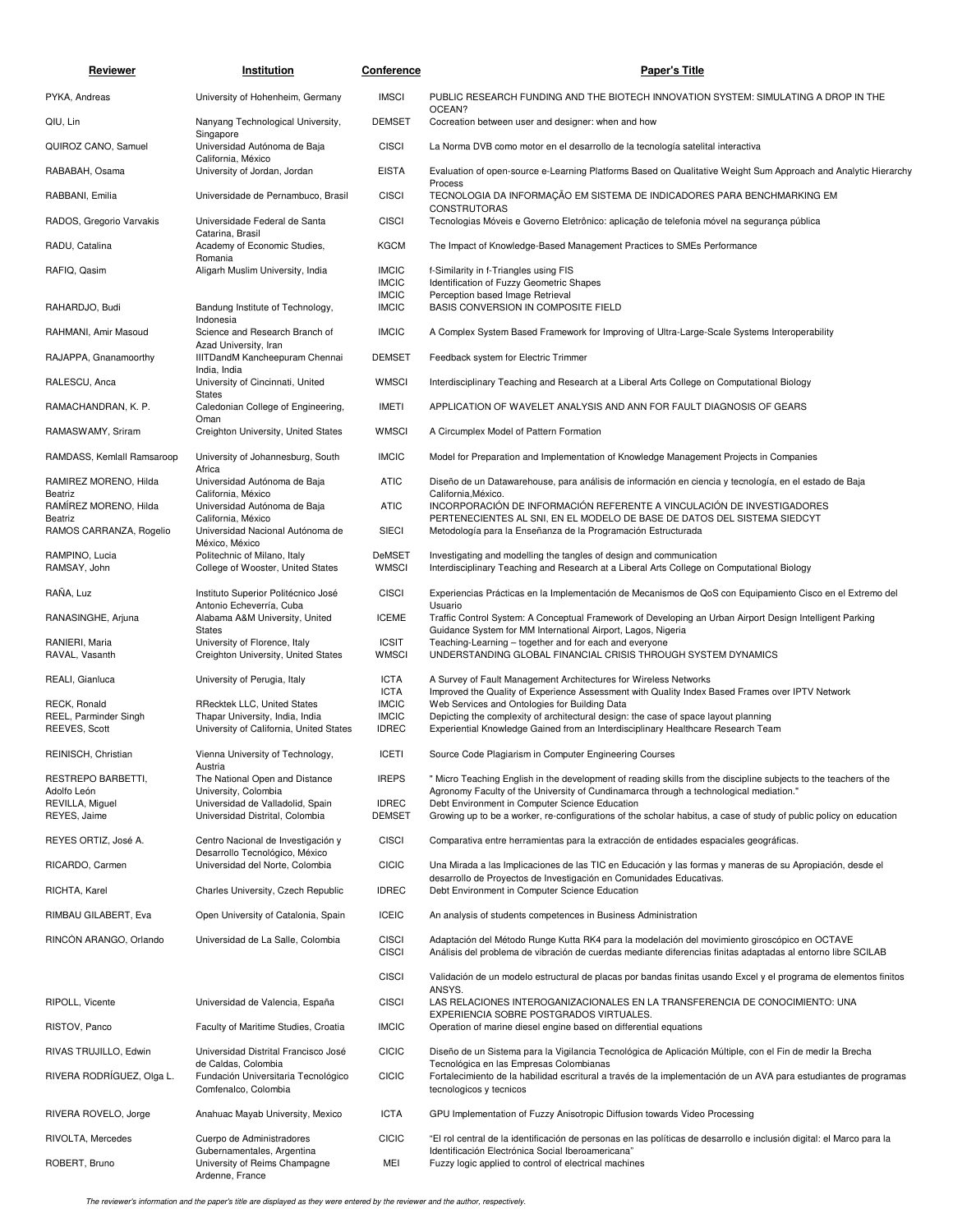| Reviewer                              | Institution                                                                        | Conference                    | Paper's Title                                                                                                                                                                                                 |
|---------------------------------------|------------------------------------------------------------------------------------|-------------------------------|---------------------------------------------------------------------------------------------------------------------------------------------------------------------------------------------------------------|
| PYKA, Andreas                         | University of Hohenheim, Germany                                                   | <b>IMSCI</b>                  | PUBLIC RESEARCH FUNDING AND THE BIOTECH INNOVATION SYSTEM: SIMULATING A DROP IN THE                                                                                                                           |
| QIU, Lin                              | Nanyang Technological University,                                                  | <b>DEMSET</b>                 | OCEAN?<br>Cocreation between user and designer: when and how                                                                                                                                                  |
| QUIROZ CANO, Samuel                   | Singapore<br>Universidad Autónoma de Baja                                          | <b>CISCI</b>                  | La Norma DVB como motor en el desarrollo de la tecnología satelital interactiva                                                                                                                               |
| RABABAH, Osama                        | California, México<br>University of Jordan, Jordan                                 | <b>EISTA</b>                  | Evaluation of open-source e-Learning Platforms Based on Qualitative Weight Sum Approach and Analytic Hierarchy                                                                                                |
| RABBANI, Emilia                       | Universidade de Pernambuco, Brasil                                                 | <b>CISCI</b>                  | Process<br>TECNOLOGIA DA INFORMAÇÃO EM SISTEMA DE INDICADORES PARA BENCHMARKING EM                                                                                                                            |
| RADOS, Gregorio Varvakis              | Universidade Federal de Santa                                                      | <b>CISCI</b>                  | <b>CONSTRUTORAS</b><br>Tecnologias Móveis e Governo Eletrônico: aplicação de telefonia móvel na segurança pública                                                                                             |
| RADU, Catalina                        | Catarina, Brasil<br>Academy of Economic Studies,                                   | <b>KGCM</b>                   | The Impact of Knowledge-Based Management Practices to SMEs Performance                                                                                                                                        |
| RAFIQ, Qasim                          | Romania<br>Aligarh Muslim University, India                                        | <b>IMCIC</b><br><b>IMCIC</b>  | f-Similarity in f-Triangles using FIS<br>Identification of Fuzzy Geometric Shapes                                                                                                                             |
| RAHARDJO, Budi                        | Bandung Institute of Technology,                                                   | <b>IMCIC</b><br><b>IMCIC</b>  | Perception based Image Retrieval<br>BASIS CONVERSION IN COMPOSITE FIELD                                                                                                                                       |
| RAHMANI, Amir Masoud                  | Indonesia<br>Science and Research Branch of                                        | <b>IMCIC</b>                  | A Complex System Based Framework for Improving of Ultra-Large-Scale Systems Interoperability                                                                                                                  |
| RAJAPPA, Gnanamoorthy                 | Azad University, Iran<br>IIITDandM Kancheepuram Chennai                            | <b>DEMSET</b>                 | Feedback system for Electric Trimmer                                                                                                                                                                          |
| RALESCU, Anca                         | India, India<br>University of Cincinnati, United                                   | <b>WMSCI</b>                  | Interdisciplinary Teaching and Research at a Liberal Arts College on Computational Biology                                                                                                                    |
| RAMACHANDRAN, K. P.                   | <b>States</b><br>Caledonian College of Engineering,                                | IMETI                         | APPLICATION OF WAVELET ANALYSIS AND ANN FOR FAULT DIAGNOSIS OF GEARS                                                                                                                                          |
| RAMASWAMY, Sriram                     | Oman<br>Creighton University, United States                                        | <b>WMSCI</b>                  | A Circumplex Model of Pattern Formation                                                                                                                                                                       |
| RAMDASS, Kemlall Ramsaroop            | University of Johannesburg, South                                                  | <b>IMCIC</b>                  | Model for Preparation and Implementation of Knowledge Management Projects in Companies                                                                                                                        |
| RAMIREZ MORENO, Hilda<br>Beatriz      | Africa<br>Universidad Autónoma de Baja<br>California, México                       | <b>ATIC</b>                   | Diseño de un Datawarehouse, para análisis de información en ciencia y tecnología, en el estado de Baja<br>California, México.                                                                                 |
| RAMIREZ MORENO, Hilda<br>Beatriz      | Universidad Autónoma de Baja<br>California, México                                 | <b>ATIC</b>                   | INCORPORACIÓN DE INFORMACIÓN REFERENTE A VINCULACIÓN DE INVESTIGADORES<br>PERTENECIENTES AL SNI, EN EL MODELO DE BASE DE DATOS DEL SISTEMA SIEDCYT                                                            |
| RAMOS CARRANZA, Rogelio               | Universidad Nacional Autónoma de<br>México, México                                 | <b>SIECI</b>                  | Metodología para la Enseñanza de la Programación Estructurada                                                                                                                                                 |
| RAMPINO, Lucia<br>RAMSAY, John        | Politechnic of Milano, Italy<br>College of Wooster, United States                  | DeMSET<br><b>WMSCI</b>        | Investigating and modelling the tangles of design and communication<br>Interdisciplinary Teaching and Research at a Liberal Arts College on Computational Biology                                             |
| RANA, Luz                             | Instituto Superior Politécnico José                                                | <b>CISCI</b>                  | Experiencias Prácticas en la Implementación de Mecanismos de QoS con Equipamiento Cisco en el Extremo del                                                                                                     |
| RANASINGHE, Arjuna                    | Antonio Echeverría, Cuba<br>Alabama A&M University, United                         | <b>ICEME</b>                  | Usuario<br>Traffic Control System: A Conceptual Framework of Developing an Urban Airport Design Intelligent Parking                                                                                           |
| RANIERI, Maria                        | <b>States</b><br>University of Florence, Italy                                     | <b>ICSIT</b>                  | Guidance System for MM International Airport, Lagos, Nigeria<br>Teaching-Learning - together and for each and everyone                                                                                        |
| RAVAL, Vasanth                        | Creighton University, United States                                                | <b>WMSCI</b>                  | UNDERSTANDING GLOBAL FINANCIAL CRISIS THROUGH SYSTEM DYNAMICS                                                                                                                                                 |
| REALI, Gianluca                       | University of Perugia, Italy                                                       | <b>ICTA</b><br><b>ICTA</b>    | A Survey of Fault Management Architectures for Wireless Networks<br>Improved the Quality of Experience Assessment with Quality Index Based Frames over IPTV Network                                           |
| RECK, Ronald<br>REEL, Parminder Singh | <b>RRecktek LLC, United States</b><br>Thapar University, India, India              | <b>IMCIC</b><br><b>IMCIC</b>  | Web Services and Ontologies for Building Data<br>Depicting the complexity of architectural design: the case of space layout planning                                                                          |
| REEVES, Scott                         | University of California, United States                                            | <b>IDREC</b>                  | Experiential Knowledge Gained from an Interdisciplinary Healthcare Research Team                                                                                                                              |
| REINISCH, Christian                   | Vienna University of Technology,<br>Austria                                        | <b>ICETI</b>                  | Source Code Plagiarism in Computer Engineering Courses                                                                                                                                                        |
| RESTREPO BARBETTI,<br>Adolfo León     | The National Open and Distance<br>University, Colombia                             | <b>IREPS</b>                  | " Micro Teaching English in the development of reading skills from the discipline subjects to the teachers of the<br>Agronomy Faculty of the University of Cundinamarca through a technological mediation."   |
| REVILLA, Miguel<br>REYES, Jaime       | Universidad de Valladolid, Spain<br>Universidad Distrital, Colombia                | <b>IDREC</b><br><b>DEMSET</b> | Debt Environment in Computer Science Education<br>Growing up to be a worker, re-configurations of the scholar habitus, a case of study of public policy on education                                          |
| REYES ORTIZ, José A.                  | Centro Nacional de Investigación y                                                 | <b>CISCI</b>                  | Comparativa entre herramientas para la extracción de entidades espaciales geográficas.                                                                                                                        |
| RICARDO, Carmen                       | Desarrollo Tecnológico, México<br>Universidad del Norte, Colombia                  | <b>CICIC</b>                  | Una Mirada a las Implicaciones de las TIC en Educación y las formas y maneras de su Apropiación, desde el                                                                                                     |
| RICHTA, Karel                         | Charles University, Czech Republic                                                 | <b>IDREC</b>                  | desarrollo de Proyectos de Investigación en Comunidades Educativas.<br>Debt Environment in Computer Science Education                                                                                         |
| RIMBAU GILABERT, Eva                  | Open University of Catalonia, Spain                                                | <b>ICEIC</b>                  | An analysis of students competences in Business Administration                                                                                                                                                |
| RINCÓN ARANGO, Orlando                | Universidad de La Salle, Colombia                                                  | <b>CISCI</b><br><b>CISCI</b>  | Adaptación del Método Runge Kutta RK4 para la modelación del movimiento giroscópico en OCTAVE<br>Análisis del problema de vibración de cuerdas mediante diferencias finitas adaptadas al entorno libre SCILAB |
|                                       |                                                                                    | <b>CISCI</b>                  | Validación de un modelo estructural de placas por bandas finitas usando Excel y el programa de elementos finitos<br>ANSYS.                                                                                    |
| RIPOLL, Vicente                       | Universidad de Valencia, España                                                    | <b>CISCI</b>                  | LAS RELACIONES INTEROGANIZACIONALES EN LA TRANSFERENCIA DE CONOCIMIENTO: UNA<br>EXPERIENCIA SOBRE POSTGRADOS VIRTUALES.                                                                                       |
| RISTOV, Panco                         | Faculty of Maritime Studies, Croatia                                               | <b>IMCIC</b>                  | Operation of marine diesel engine based on differential equations                                                                                                                                             |
| RIVAS TRUJILLO, Edwin                 | Universidad Distrital Francisco José                                               | <b>CICIC</b>                  | Diseño de un Sistema para la Vigilancia Tecnológica de Aplicación Múltiple, con el Fin de medir la Brecha                                                                                                     |
| RIVERA RODRÍGUEZ, Olga L.             | de Caldas, Colombia<br>Fundación Universitaria Tecnológico<br>Comfenalco, Colombia | <b>CICIC</b>                  | Tecnológica en las Empresas Colombianas<br>Fortalecimiento de la habilidad escritural a través de la implementación de un AVA para estudiantes de programas<br>tecnologicos y tecnicos                        |
| RIVERA ROVELO, Jorge                  | Anahuac Mayab University, Mexico                                                   | <b>ICTA</b>                   | GPU Implementation of Fuzzy Anisotropic Diffusion towards Video Processing                                                                                                                                    |
| RIVOLTA, Mercedes                     | Cuerpo de Administradores                                                          | <b>CICIC</b>                  | "El rol central de la identificación de personas en las políticas de desarrollo e inclusión digital: el Marco para la                                                                                         |
| ROBERT, Bruno                         | Gubernamentales, Argentina<br>University of Reims Champagne<br>Ardenne, France     | MEI                           | Identificación Electrónica Social Iberoamericana"<br>Fuzzy logic applied to control of electrical machines                                                                                                    |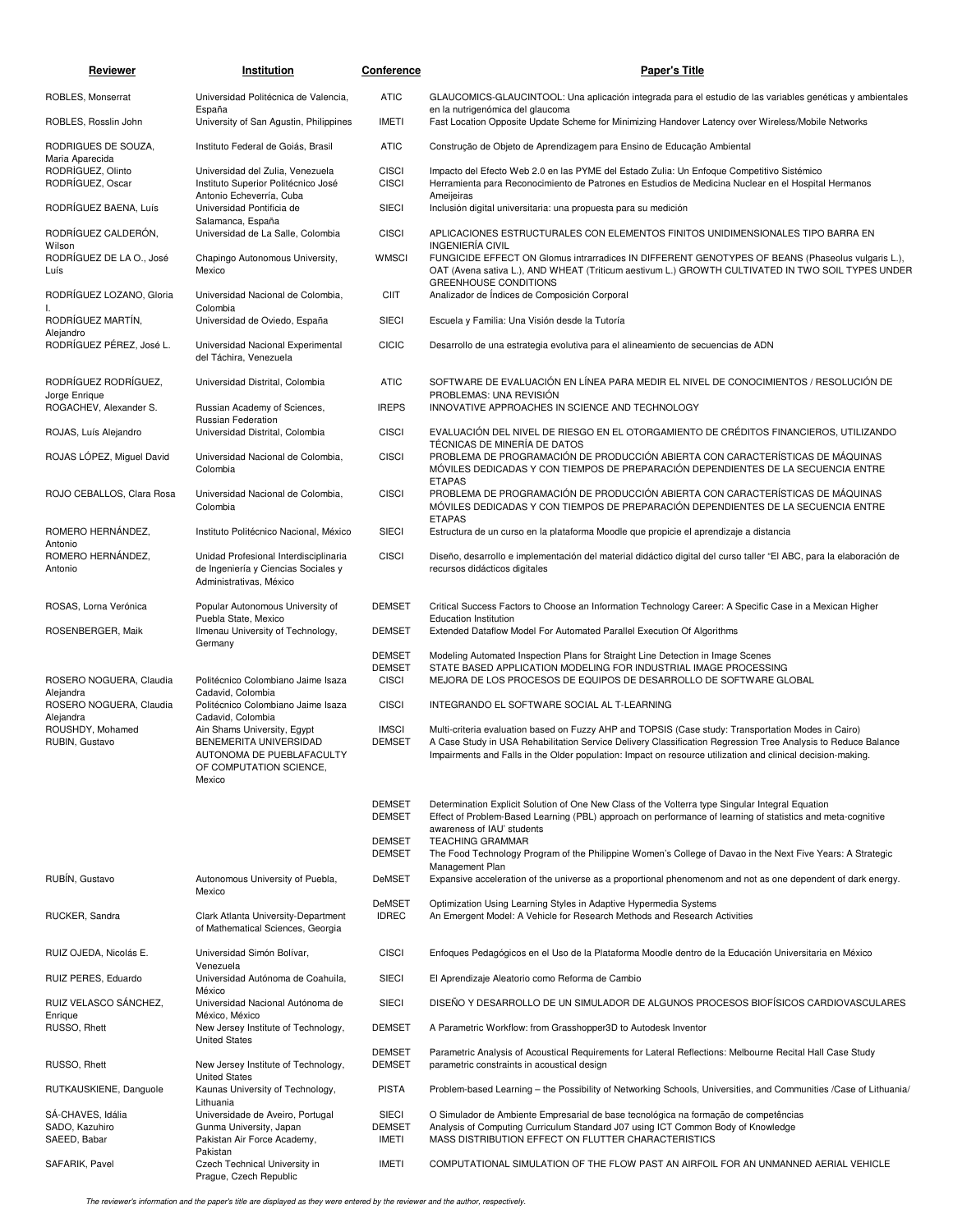| <b>Reviewer</b>                                   | Institution                                                                                             | <b>Conference</b>                              | <b>Paper's Title</b>                                                                                                                                                                                                                          |
|---------------------------------------------------|---------------------------------------------------------------------------------------------------------|------------------------------------------------|-----------------------------------------------------------------------------------------------------------------------------------------------------------------------------------------------------------------------------------------------|
| ROBLES, Monserrat                                 | Universidad Politécnica de Valencia,                                                                    | <b>ATIC</b>                                    | GLAUCOMICS-GLAUCINTOOL: Una aplicación integrada para el estudio de las variables genéticas y ambientales                                                                                                                                     |
| ROBLES, Rosslin John                              | España<br>University of San Agustin, Philippines                                                        | <b>IMETI</b>                                   | en la nutrigenómica del glaucoma<br>Fast Location Opposite Update Scheme for Minimizing Handover Latency over Wireless/Mobile Networks                                                                                                        |
| RODRIGUES DE SOUZA,<br>Maria Aparecida            | Instituto Federal de Goiás, Brasil                                                                      | <b>ATIC</b>                                    | Construção de Objeto de Aprendizagem para Ensino de Educação Ambiental                                                                                                                                                                        |
| RODRÍGUEZ, Olinto<br>RODRÍGUEZ, Oscar             | Universidad del Zulia, Venezuela<br>Instituto Superior Politécnico José<br>Antonio Echeverría, Cuba     | <b>CISCI</b><br><b>CISCI</b>                   | Impacto del Efecto Web 2.0 en las PYME del Estado Zulia: Un Enfoque Competitivo Sistémico<br>Herramienta para Reconocimiento de Patrones en Estudios de Medicina Nuclear en el Hospital Hermanos<br>Ameijeiras                                |
| RODRIGUEZ BAENA, Luís                             | Universidad Pontificia de<br>Salamanca, España                                                          | SIECI                                          | Inclusión digital universitaria: una propuesta para su medición                                                                                                                                                                               |
| RODRÍGUEZ CALDERÓN.<br>Wilson                     | Universidad de La Salle, Colombia                                                                       | <b>CISCI</b>                                   | APLICACIONES ESTRUCTURALES CON ELEMENTOS FINITOS UNIDIMENSIONALES TIPO BARRA EN<br><b>INGENIERÍA CIVIL</b>                                                                                                                                    |
| RODRÍGUEZ DE LA O., José<br>Luís                  | Chapingo Autonomous University,<br>Mexico                                                               | <b>WMSCI</b>                                   | FUNGICIDE EFFECT ON Glomus intrarradices IN DIFFERENT GENOTYPES OF BEANS (Phaseolus vulgaris L.),<br>OAT (Avena sativa L.), AND WHEAT (Triticum aestivum L.) GROWTH CULTIVATED IN TWO SOIL TYPES UNDER<br><b>GREENHOUSE CONDITIONS</b>        |
| RODRÍGUEZ LOZANO, Gloria                          | Universidad Nacional de Colombia,<br>Colombia                                                           | <b>CIIT</b>                                    | Analizador de Índices de Composición Corporal                                                                                                                                                                                                 |
| RODRÍGUEZ MARTÍN,<br>Alejandro                    | Universidad de Oviedo, España                                                                           | SIECI                                          | Escuela y Familia: Una Visión desde la Tutoría                                                                                                                                                                                                |
| RODRÍGUEZ PÉREZ, José L.                          | Universidad Nacional Experimental<br>del Táchira, Venezuela                                             | <b>CICIC</b>                                   | Desarrollo de una estrategia evolutiva para el alineamiento de secuencias de ADN                                                                                                                                                              |
| RODRÍGUEZ RODRÍGUEZ,<br>Jorge Enrique             | Universidad Distrital, Colombia                                                                         | <b>ATIC</b>                                    | SOFTWARE DE EVALUACIÓN EN LÍNEA PARA MEDIR EL NIVEL DE CONOCIMIENTOS / RESOLUCIÓN DE<br>PROBLEMAS: UNA REVISIÓN                                                                                                                               |
| ROGACHEV, Alexander S.                            | Russian Academy of Sciences,<br>Russian Federation                                                      | <b>IREPS</b>                                   | INNOVATIVE APPROACHES IN SCIENCE AND TECHNOLOGY                                                                                                                                                                                               |
| ROJAS, Luís Alejandro                             | Universidad Distrital, Colombia                                                                         | <b>CISCI</b>                                   | EVALUACIÓN DEL NIVEL DE RIESGO EN EL OTORGAMIENTO DE CRÉDITOS FINANCIEROS, UTILIZANDO<br>TÉCNICAS DE MINERÍA DE DATOS                                                                                                                         |
| ROJAS LÓPEZ, Miguel David                         | Universidad Nacional de Colombia,<br>Colombia                                                           | <b>CISCI</b>                                   | PROBLEMA DE PROGRAMACIÓN DE PRODUCCIÓN ABIERTA CON CARACTERÍSTICAS DE MÁQUINAS<br>MÓVILES DEDICADAS Y CON TIEMPOS DE PREPARACIÓN DEPENDIENTES DE LA SECUENCIA ENTRE<br><b>ETAPAS</b>                                                          |
| ROJO CEBALLOS, Clara Rosa                         | Universidad Nacional de Colombia,<br>Colombia                                                           | <b>CISCI</b>                                   | PROBLEMA DE PROGRAMACIÓN DE PRODUCCIÓN ABIERTA CON CARACTERÍSTICAS DE MÁQUINAS<br>MÓVILES DEDICADAS Y CON TIEMPOS DE PREPARACIÓN DEPENDIENTES DE LA SECUENCIA ENTRE<br><b>ETAPAS</b>                                                          |
| ROMERO HERNÁNDEZ,<br>Antonio                      | Instituto Politécnico Nacional, México                                                                  | <b>SIECI</b>                                   | Estructura de un curso en la plataforma Moodle que propicie el aprendizaje a distancia                                                                                                                                                        |
| ROMERO HERNÁNDEZ,<br>Antonio                      | Unidad Profesional Interdisciplinaria<br>de Ingeniería y Ciencias Sociales y<br>Administrativas, México | <b>CISCI</b>                                   | Diseño, desarrollo e implementación del material didáctico digital del curso taller "El ABC, para la elaboración de<br>recursos didácticos digitales                                                                                          |
| ROSAS, Lorna Verónica                             | Popular Autonomous University of                                                                        | <b>DEMSET</b>                                  | Critical Success Factors to Choose an Information Technology Career: A Specific Case in a Mexican Higher                                                                                                                                      |
| ROSENBERGER, Maik                                 | Puebla State, Mexico<br>Ilmenau University of Technology,<br>Germany                                    | <b>DEMSET</b>                                  | <b>Education Institution</b><br>Extended Dataflow Model For Automated Parallel Execution Of Algorithms                                                                                                                                        |
| ROSERO NOGUERA, Claudia                           | Politécnico Colombiano Jaime Isaza                                                                      | <b>DEMSET</b><br><b>DEMSET</b><br><b>CISCI</b> | Modeling Automated Inspection Plans for Straight Line Detection in Image Scenes<br>STATE BASED APPLICATION MODELING FOR INDUSTRIAL IMAGE PROCESSING<br>MEJORA DE LOS PROCESOS DE EQUIPOS DE DESARROLLO DE SOFTWARE GLOBAL                     |
| Alejandra<br>ROSERO NOGUERA, Claudia<br>Alejandra | Cadavid, Colombia<br>Politécnico Colombiano Jaime Isaza                                                 | <b>CISCI</b>                                   | INTEGRANDO EL SOFTWARE SOCIAL AL T-LEARNING                                                                                                                                                                                                   |
| ROUSHDY, Mohamed                                  | Cadavid, Colombia<br>Ain Shams University, Egypt                                                        | <b>IMSCI</b>                                   | Multi-criteria evaluation based on Fuzzy AHP and TOPSIS (Case study: Transportation Modes in Cairo)                                                                                                                                           |
| RUBIN, Gustavo                                    | BENEMERITA UNIVERSIDAD<br>AUTONOMA DE PUEBLAFACULTY<br>OF COMPUTATION SCIENCE,<br>Mexico                | <b>DEMSET</b>                                  | A Case Study in USA Rehabilitation Service Delivery Classification Regression Tree Analysis to Reduce Balance<br>Impairments and Falls in the Older population: Impact on resource utilization and clinical decision-making.                  |
|                                                   |                                                                                                         | <b>DEMSET</b><br><b>DEMSET</b>                 | Determination Explicit Solution of One New Class of the Volterra type Singular Integral Equation<br>Effect of Problem-Based Learning (PBL) approach on performance of learning of statistics and meta-cognitive<br>awareness of IAU' students |
|                                                   |                                                                                                         | <b>DEMSET</b><br><b>DEMSET</b>                 | <b>TEACHING GRAMMAR</b><br>The Food Technology Program of the Philippine Women's College of Davao in the Next Five Years: A Strategic<br>Management Plan                                                                                      |
| RUBIN, Gustavo                                    | Autonomous University of Puebla,<br>Mexico                                                              | <b>DeMSET</b>                                  | Expansive acceleration of the universe as a proportional phenomenom and not as one dependent of dark energy.                                                                                                                                  |
| RUCKER, Sandra                                    | Clark Atlanta University-Department<br>of Mathematical Sciences, Georgia                                | DeMSET<br><b>IDREC</b>                         | Optimization Using Learning Styles in Adaptive Hypermedia Systems<br>An Emergent Model: A Vehicle for Research Methods and Research Activities                                                                                                |
| RUIZ OJEDA, Nicolás E.                            | Universidad Simón Bolívar,                                                                              | <b>CISCI</b>                                   | Enfoques Pedagógicos en el Uso de la Plataforma Moodle dentro de la Educación Universitaria en México                                                                                                                                         |
| RUIZ PERES, Eduardo                               | Venezuela<br>Universidad Autónoma de Coahuila,<br>México                                                | SIECI                                          | El Aprendizaje Aleatorio como Reforma de Cambio                                                                                                                                                                                               |
| RUIZ VELASCO SÁNCHEZ,<br>Enrique                  | Universidad Nacional Autónoma de<br>México, México                                                      | <b>SIECI</b>                                   | DISENO Y DESARROLLO DE UN SIMULADOR DE ALGUNOS PROCESOS BIOFÍSICOS CARDIOVASCULARES                                                                                                                                                           |
| RUSSO, Rhett                                      | New Jersey Institute of Technology,<br><b>United States</b>                                             | <b>DEMSET</b>                                  | A Parametric Workflow: from Grasshopper3D to Autodesk Inventor                                                                                                                                                                                |
| RUSSO, Rhett                                      | New Jersey Institute of Technology,<br><b>United States</b>                                             | <b>DEMSET</b><br><b>DEMSET</b>                 | Parametric Analysis of Acoustical Requirements for Lateral Reflections: Melbourne Recital Hall Case Study<br>parametric constraints in acoustical design                                                                                      |
| RUTKAUSKIENE, Danguole                            | Kaunas University of Technology,<br>Lithuania                                                           | <b>PISTA</b>                                   | Problem-based Learning - the Possibility of Networking Schools, Universities, and Communities /Case of Lithuania/                                                                                                                             |
| SÁ-CHAVES, Idália<br>SADO, Kazuhiro               | Universidade de Aveiro, Portugal<br>Gunma University, Japan                                             | <b>SIECI</b><br><b>DEMSET</b>                  | O Simulador de Ambiente Empresarial de base tecnológica na formação de competências<br>Analysis of Computing Curriculum Standard J07 using ICT Common Body of Knowledge                                                                       |
| SAEED, Babar                                      | Pakistan Air Force Academy,<br>Pakistan                                                                 | <b>IMETI</b>                                   | MASS DISTRIBUTION EFFECT ON FLUTTER CHARACTERISTICS                                                                                                                                                                                           |
| SAFARIK, Pavel                                    | Czech Technical University in<br>Prague, Czech Republic                                                 | <b>IMETI</b>                                   | COMPUTATIONAL SIMULATION OF THE FLOW PAST AN AIRFOIL FOR AN UNMANNED AERIAL VEHICLE                                                                                                                                                           |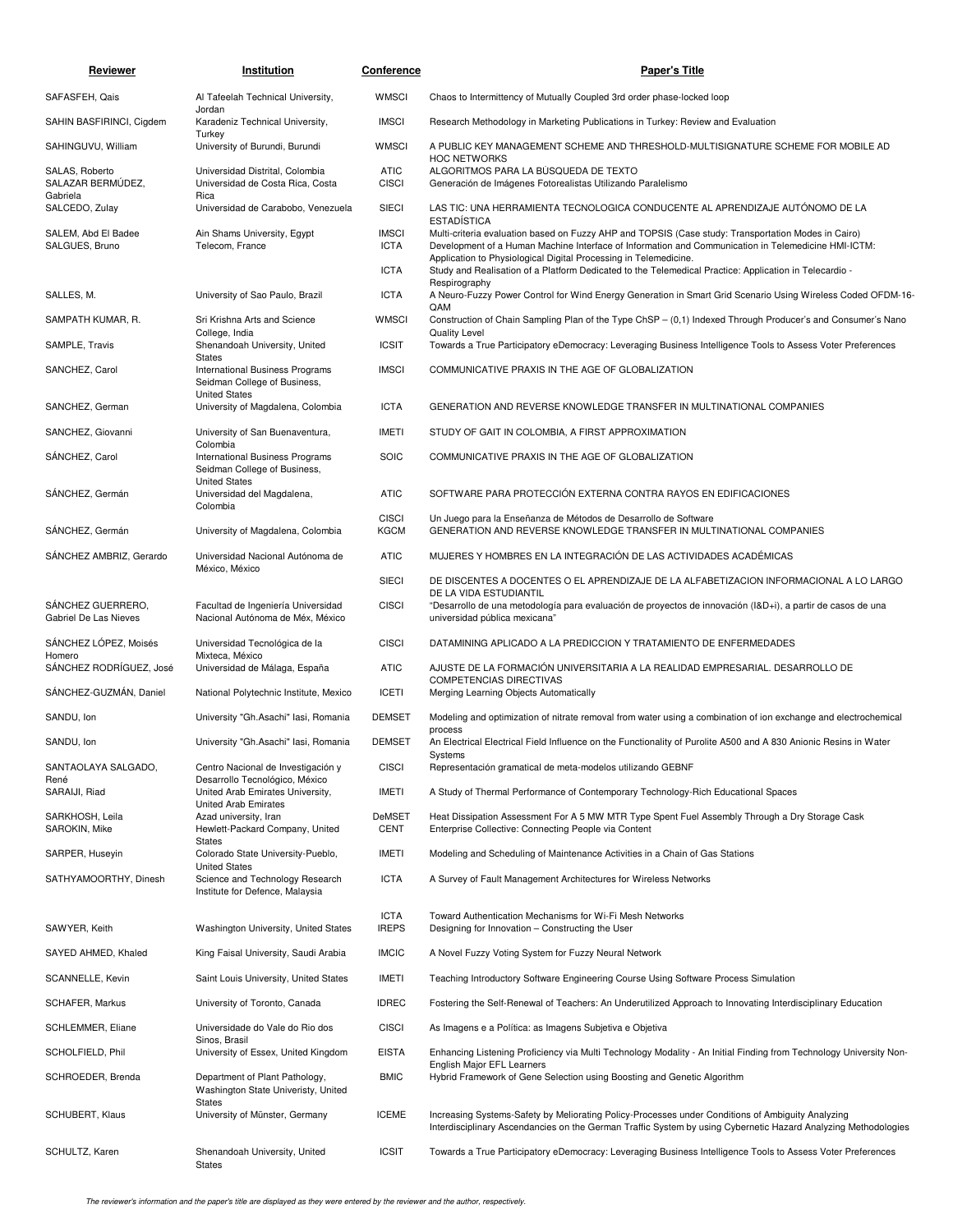| Reviewer                                   | Institution                                                                                | Conference                                 | <b>Paper's Title</b>                                                                                                                                                                                                                                                                                                                                                                                           |
|--------------------------------------------|--------------------------------------------------------------------------------------------|--------------------------------------------|----------------------------------------------------------------------------------------------------------------------------------------------------------------------------------------------------------------------------------------------------------------------------------------------------------------------------------------------------------------------------------------------------------------|
| SAFASFEH, Qais                             | Al Tafeelah Technical University,<br>Jordan                                                | <b>WMSCI</b>                               | Chaos to Intermittency of Mutually Coupled 3rd order phase-locked loop                                                                                                                                                                                                                                                                                                                                         |
| SAHIN BASFIRINCI, Cigdem                   | Karadeniz Technical University,                                                            | <b>IMSCI</b>                               | Research Methodology in Marketing Publications in Turkey: Review and Evaluation                                                                                                                                                                                                                                                                                                                                |
| SAHINGUVU, William                         | Turkey<br>University of Burundi, Burundi                                                   | <b>WMSCI</b>                               | A PUBLIC KEY MANAGEMENT SCHEME AND THRESHOLD-MULTISIGNATURE SCHEME FOR MOBILE AD<br><b>HOC NETWORKS</b>                                                                                                                                                                                                                                                                                                        |
| SALAS, Roberto<br>SALAZAR BERMÚDEZ,        | Universidad Distrital, Colombia<br>Universidad de Costa Rica, Costa                        | <b>ATIC</b><br><b>CISCI</b>                | ALGORITMOS PARA LA BÚSQUEDA DE TEXTO<br>Generación de Imágenes Fotorealistas Utilizando Paralelismo                                                                                                                                                                                                                                                                                                            |
| Gabriela<br>SALCEDO, Zulay                 | Rica<br>Universidad de Carabobo, Venezuela                                                 | <b>SIECI</b>                               | LAS TIC: UNA HERRAMIENTA TECNOLOGICA CONDUCENTE AL APRENDIZAJE AUTÓNOMO DE LA                                                                                                                                                                                                                                                                                                                                  |
| SALEM, Abd El Badee<br>SALGUES, Bruno      | Ain Shams University, Egypt<br>Telecom, France                                             | <b>IMSCI</b><br><b>ICTA</b><br><b>ICTA</b> | <b>ESTADÍSTICA</b><br>Multi-criteria evaluation based on Fuzzy AHP and TOPSIS (Case study: Transportation Modes in Cairo)<br>Development of a Human Machine Interface of Information and Communication in Telemedicine HMI-ICTM:<br>Application to Physiological Digital Processing in Telemedicine.<br>Study and Realisation of a Platform Dedicated to the Telemedical Practice: Application in Telecardio - |
| SALLES, M.                                 | University of Sao Paulo, Brazil                                                            | <b>ICTA</b>                                | Respirography<br>A Neuro-Fuzzy Power Control for Wind Energy Generation in Smart Grid Scenario Using Wireless Coded OFDM-16-                                                                                                                                                                                                                                                                                   |
| SAMPATH KUMAR, R.                          | Sri Krishna Arts and Science                                                               | <b>WMSCI</b>                               | QAM<br>Construction of Chain Sampling Plan of the Type ChSP - (0,1) Indexed Through Producer's and Consumer's Nano                                                                                                                                                                                                                                                                                             |
| SAMPLE, Travis                             | College, India<br>Shenandoah University, United                                            | <b>ICSIT</b>                               | <b>Quality Level</b><br>Towards a True Participatory eDemocracy: Leveraging Business Intelligence Tools to Assess Voter Preferences                                                                                                                                                                                                                                                                            |
| SANCHEZ, Carol                             | States<br>International Business Programs<br>Seidman College of Business,                  | <b>IMSCI</b>                               | COMMUNICATIVE PRAXIS IN THE AGE OF GLOBALIZATION                                                                                                                                                                                                                                                                                                                                                               |
| SANCHEZ, German                            | <b>United States</b><br>University of Magdalena, Colombia                                  | <b>ICTA</b>                                | GENERATION AND REVERSE KNOWLEDGE TRANSFER IN MULTINATIONAL COMPANIES                                                                                                                                                                                                                                                                                                                                           |
| SANCHEZ, Giovanni                          | University of San Buenaventura,                                                            | <b>IMETI</b>                               | STUDY OF GAIT IN COLOMBIA, A FIRST APPROXIMATION                                                                                                                                                                                                                                                                                                                                                               |
| SÁNCHEZ, Carol                             | Colombia<br><b>International Business Programs</b><br>Seidman College of Business,         | <b>SOIC</b>                                | COMMUNICATIVE PRAXIS IN THE AGE OF GLOBALIZATION                                                                                                                                                                                                                                                                                                                                                               |
| SÁNCHEZ, Germán                            | <b>United States</b><br>Universidad del Magdalena,<br>Colombia                             | <b>ATIC</b>                                | SOFTWARE PARA PROTECCIÓN EXTERNA CONTRA RAYOS EN EDIFICACIONES                                                                                                                                                                                                                                                                                                                                                 |
| SÁNCHEZ, Germán                            | University of Magdalena, Colombia                                                          | <b>CISCI</b><br><b>KGCM</b>                | Un Juego para la Enseñanza de Métodos de Desarrollo de Software<br>GENERATION AND REVERSE KNOWLEDGE TRANSFER IN MULTINATIONAL COMPANIES                                                                                                                                                                                                                                                                        |
| SÁNCHEZ AMBRIZ, Gerardo                    | Universidad Nacional Autónoma de                                                           | <b>ATIC</b>                                | MUJERES Y HOMBRES EN LA INTEGRACIÓN DE LAS ACTIVIDADES ACADÉMICAS                                                                                                                                                                                                                                                                                                                                              |
|                                            | México, México                                                                             | <b>SIECI</b>                               | DE DISCENTES A DOCENTES O EL APRENDIZAJE DE LA ALFABETIZACION INFORMACIONAL A LO LARGO                                                                                                                                                                                                                                                                                                                         |
| SÁNCHEZ GUERRERO,<br>Gabriel De Las Nieves | Facultad de Ingeniería Universidad<br>Nacional Autónoma de Méx, México                     | <b>CISCI</b>                               | DE LA VIDA ESTUDIANTIL<br>"Desarrollo de una metodología para evaluación de proyectos de innovación (I&D+i), a partir de casos de una<br>universidad pública mexicana"                                                                                                                                                                                                                                         |
| SÁNCHEZ LÓPEZ, Moisés                      | Universidad Tecnológica de la                                                              | <b>CISCI</b>                               | DATAMINING APLICADO A LA PREDICCION Y TRATAMIENTO DE ENFERMEDADES                                                                                                                                                                                                                                                                                                                                              |
| Homero<br>SÁNCHEZ RODRÍGUEZ, José          | Mixteca, México<br>Universidad de Málaga, España                                           | <b>ATIC</b>                                | AJUSTE DE LA FORMACIÓN UNIVERSITARIA A LA REALIDAD EMPRESARIAL. DESARROLLO DE<br>COMPETENCIAS DIRECTIVAS                                                                                                                                                                                                                                                                                                       |
| SÁNCHEZ-GUZMÁN, Daniel                     | National Polytechnic Institute, Mexico                                                     | <b>ICETI</b>                               | Merging Learning Objects Automatically                                                                                                                                                                                                                                                                                                                                                                         |
| SANDU, Ion                                 | University "Gh.Asachi" lasi, Romania                                                       | <b>DEMSET</b>                              | Modeling and optimization of nitrate removal from water using a combination of ion exchange and electrochemical<br>process                                                                                                                                                                                                                                                                                     |
| SANDU, Ion                                 | University "Gh.Asachi" lasi, Romania                                                       | <b>DEMSET</b>                              | An Electrical Electrical Field Influence on the Functionality of Purolite A500 and A 830 Anionic Resins in Water<br>Systems                                                                                                                                                                                                                                                                                    |
| SANTAOLAYA SALGADO,<br>René                | Centro Nacional de Investigación y<br>Desarrollo Tecnológico, México                       | <b>CISCI</b>                               | Representación gramatical de meta-modelos utilizando GEBNF                                                                                                                                                                                                                                                                                                                                                     |
| SARAIJI, Riad                              | United Arab Emirates University,<br>United Arab Emirates                                   | <b>IMETI</b>                               | A Study of Thermal Performance of Contemporary Technology-Rich Educational Spaces                                                                                                                                                                                                                                                                                                                              |
| SARKHOSH, Leila<br>SAROKIN, Mike           | Azad university, Iran<br>Hewlett-Packard Company, United                                   | <b>DeMSET</b><br><b>CENT</b>               | Heat Dissipation Assessment For A 5 MW MTR Type Spent Fuel Assembly Through a Dry Storage Cask<br>Enterprise Collective: Connecting People via Content                                                                                                                                                                                                                                                         |
| SARPER, Huseyin                            | States<br>Colorado State University-Pueblo,                                                | <b>IMETI</b>                               | Modeling and Scheduling of Maintenance Activities in a Chain of Gas Stations                                                                                                                                                                                                                                                                                                                                   |
| SATHYAMOORTHY, Dinesh                      | <b>United States</b><br>Science and Technology Research<br>Institute for Defence, Malaysia | <b>ICTA</b>                                | A Survey of Fault Management Architectures for Wireless Networks                                                                                                                                                                                                                                                                                                                                               |
| SAWYER, Keith                              | Washington University, United States                                                       | <b>ICTA</b><br><b>IREPS</b>                | Toward Authentication Mechanisms for Wi-Fi Mesh Networks<br>Designing for Innovation - Constructing the User                                                                                                                                                                                                                                                                                                   |
| SAYED AHMED, Khaled                        | King Faisal University, Saudi Arabia                                                       | <b>IMCIC</b>                               | A Novel Fuzzy Voting System for Fuzzy Neural Network                                                                                                                                                                                                                                                                                                                                                           |
| SCANNELLE, Kevin                           | Saint Louis University, United States                                                      | <b>IMETI</b>                               | Teaching Introductory Software Engineering Course Using Software Process Simulation                                                                                                                                                                                                                                                                                                                            |
| <b>SCHAFER, Markus</b>                     | University of Toronto, Canada                                                              | <b>IDREC</b>                               | Fostering the Self-Renewal of Teachers: An Underutilized Approach to Innovating Interdisciplinary Education                                                                                                                                                                                                                                                                                                    |
| SCHLEMMER, Eliane                          | Universidade do Vale do Rio dos                                                            | <b>CISCI</b>                               | As Imagens e a Política: as Imagens Subjetiva e Objetiva                                                                                                                                                                                                                                                                                                                                                       |
| SCHOLFIELD, Phil                           | Sinos, Brasil<br>University of Essex, United Kingdom                                       | <b>EISTA</b>                               | Enhancing Listening Proficiency via Multi Technology Modality - An Initial Finding from Technology University Non-                                                                                                                                                                                                                                                                                             |
| SCHROEDER, Brenda                          | Department of Plant Pathology,<br>Washington State Univeristy, United                      | <b>BMIC</b>                                | English Major EFL Learners<br>Hybrid Framework of Gene Selection using Boosting and Genetic Algorithm                                                                                                                                                                                                                                                                                                          |
| SCHUBERT, Klaus                            | <b>States</b><br>University of Münster, Germany                                            | <b>ICEME</b>                               | Increasing Systems-Safety by Meliorating Policy-Processes under Conditions of Ambiguity Analyzing<br>Interdisciplinary Ascendancies on the German Traffic System by using Cybernetic Hazard Analyzing Methodologies                                                                                                                                                                                            |
| SCHULTZ, Karen                             | Shenandoah University, United<br><b>States</b>                                             | <b>ICSIT</b>                               | Towards a True Participatory eDemocracy: Leveraging Business Intelligence Tools to Assess Voter Preferences                                                                                                                                                                                                                                                                                                    |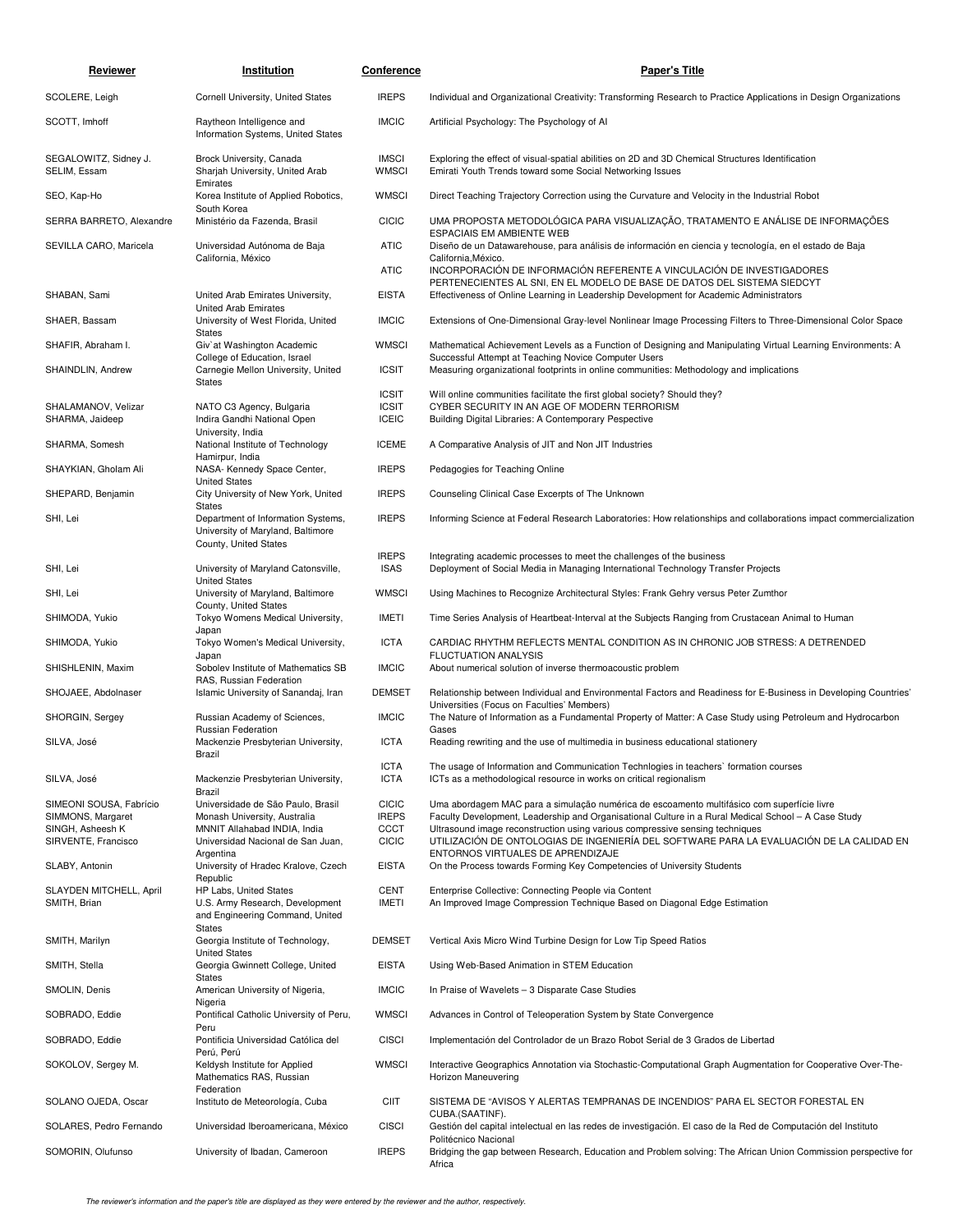| Reviewer                                | Institution                                                                                                | Conference                   | <b>Paper's Title</b>                                                                                                                                                                |
|-----------------------------------------|------------------------------------------------------------------------------------------------------------|------------------------------|-------------------------------------------------------------------------------------------------------------------------------------------------------------------------------------|
| SCOLERE, Leigh                          | Cornell University, United States                                                                          | <b>IREPS</b>                 | Individual and Organizational Creativity: Transforming Research to Practice Applications in Design Organizations                                                                    |
| SCOTT, Imhoff                           | Raytheon Intelligence and<br>Information Systems, United States                                            | <b>IMCIC</b>                 | Artificial Psychology: The Psychology of Al                                                                                                                                         |
| SEGALOWITZ, Sidney J.<br>SELIM, Essam   | Brock University, Canada<br>Sharjah University, United Arab<br>Emirates                                    | <b>IMSCI</b><br><b>WMSCI</b> | Exploring the effect of visual-spatial abilities on 2D and 3D Chemical Structures Identification<br>Emirati Youth Trends toward some Social Networking Issues                       |
| SEO, Kap-Ho                             | Korea Institute of Applied Robotics,                                                                       | <b>WMSCI</b>                 | Direct Teaching Trajectory Correction using the Curvature and Velocity in the Industrial Robot                                                                                      |
| SERRA BARRETO, Alexandre                | South Korea<br>Ministério da Fazenda, Brasil                                                               | <b>CICIC</b>                 | UMA PROPOSTA METODOLÓGICA PARA VISUALIZAÇÃO, TRATAMENTO E ANÁLISE DE INFORMAÇÕES<br><b>ESPACIAIS EM AMBIENTE WEB</b>                                                                |
| SEVILLA CARO, Maricela                  | Universidad Autónoma de Baja<br>California, México                                                         | <b>ATIC</b>                  | Diseño de un Datawarehouse, para análisis de información en ciencia y tecnología, en el estado de Baja<br>California, México.                                                       |
|                                         |                                                                                                            | <b>ATIC</b>                  | INCORPORACIÓN DE INFORMACIÓN REFERENTE A VINCULACIÓN DE INVESTIGADORES<br>PERTENECIENTES AL SNI, EN EL MODELO DE BASE DE DATOS DEL SISTEMA SIEDCYT                                  |
| SHABAN, Sami                            | United Arab Emirates University,<br><b>United Arab Emirates</b>                                            | <b>EISTA</b>                 | Effectiveness of Online Learning in Leadership Development for Academic Administrators                                                                                              |
| SHAER, Bassam                           | University of West Florida, United<br><b>States</b>                                                        | <b>IMCIC</b>                 | Extensions of One-Dimensional Gray-level Nonlinear Image Processing Filters to Three-Dimensional Color Space                                                                        |
| SHAFIR, Abraham I.                      | Giv'at Washington Academic<br>College of Education, Israel                                                 | <b>WMSCI</b>                 | Mathematical Achievement Levels as a Function of Designing and Manipulating Virtual Learning Environments: A<br>Successful Attempt at Teaching Novice Computer Users                |
| SHAINDLIN, Andrew                       | Carnegie Mellon University, United<br>States                                                               | <b>ICSIT</b>                 | Measuring organizational footprints in online communities: Methodology and implications                                                                                             |
| SHALAMANOV, Velizar                     | NATO C3 Agency, Bulgaria                                                                                   | <b>ICSIT</b><br><b>ICSIT</b> | Will online communities facilitate the first global society? Should they?<br>CYBER SECURITY IN AN AGE OF MODERN TERRORISM                                                           |
| SHARMA, Jaideep                         | Indira Gandhi National Open<br>University, India                                                           | <b>ICEIC</b>                 | Building Digital Libraries: A Contemporary Pespective                                                                                                                               |
| SHARMA, Somesh                          | National Institute of Technology                                                                           | <b>ICEME</b>                 | A Comparative Analysis of JIT and Non JIT Industries                                                                                                                                |
| SHAYKIAN, Gholam Ali                    | Hamirpur, India<br>NASA- Kennedy Space Center,                                                             | <b>IREPS</b>                 | Pedagogies for Teaching Online                                                                                                                                                      |
| SHEPARD, Benjamin                       | <b>United States</b><br>City University of New York, United                                                | <b>IREPS</b>                 | Counseling Clinical Case Excerpts of The Unknown                                                                                                                                    |
| SHI, Lei                                | States<br>Department of Information Systems,<br>University of Maryland, Baltimore<br>County, United States | <b>IREPS</b>                 | Informing Science at Federal Research Laboratories: How relationships and collaborations impact commercialization                                                                   |
| SHI, Lei                                | University of Maryland Catonsville,                                                                        | <b>IREPS</b><br><b>ISAS</b>  | Integrating academic processes to meet the challenges of the business<br>Deployment of Social Media in Managing International Technology Transfer Projects                          |
| SHI, Lei                                | <b>United States</b><br>University of Maryland, Baltimore                                                  | <b>WMSCI</b>                 | Using Machines to Recognize Architectural Styles: Frank Gehry versus Peter Zumthor                                                                                                  |
| SHIMODA, Yukio                          | County, United States<br>Tokyo Womens Medical University,                                                  | <b>IMETI</b>                 | Time Series Analysis of Heartbeat-Interval at the Subjects Ranging from Crustacean Animal to Human                                                                                  |
| SHIMODA, Yukio                          | Japan<br>Tokyo Women's Medical University,<br>Japan                                                        | <b>ICTA</b>                  | CARDIAC RHYTHM REFLECTS MENTAL CONDITION AS IN CHRONIC JOB STRESS: A DETRENDED<br><b>FLUCTUATION ANALYSIS</b>                                                                       |
| SHISHLENIN, Maxim                       | Sobolev Institute of Mathematics SB                                                                        | <b>IMCIC</b>                 | About numerical solution of inverse thermoacoustic problem                                                                                                                          |
| SHOJAEE, Abdolnaser                     | RAS, Russian Federation<br>Islamic University of Sanandaj, Iran                                            | <b>DEMSET</b>                | Relationship between Individual and Environmental Factors and Readiness for E-Business in Developing Countries'<br>Universities (Focus on Faculties' Members)                       |
| SHORGIN, Sergey                         | Russian Academy of Sciences,<br>Russian Federation                                                         | <b>IMCIC</b>                 | The Nature of Information as a Fundamental Property of Matter: A Case Study using Petroleum and Hydrocarbon<br>Gases                                                                |
| SILVA, José                             | Mackenzie Presbyterian University,<br>Brazil                                                               | <b>ICTA</b>                  | Reading rewriting and the use of multimedia in business educational stationery                                                                                                      |
| SILVA, José                             | Mackenzie Presbyterian University,<br>Brazil                                                               | <b>ICTA</b><br><b>ICTA</b>   | The usage of Information and Communication Technlogies in teachers' formation courses<br>ICTs as a methodological resource in works on critical regionalism                         |
| SIMEONI SOUSA, Fabrício                 | Universidade de São Paulo, Brasil                                                                          | <b>CICIC</b>                 | Uma abordagem MAC para a simulação numérica de escoamento multifásico com superfície livre                                                                                          |
| SIMMONS, Margaret<br>SINGH, Asheesh K   | Monash University, Australia<br>MNNIT Allahabad INDIA, India                                               | <b>IREPS</b><br><b>CCCT</b>  | Faculty Development, Leadership and Organisational Culture in a Rural Medical School - A Case Study<br>Ultrasound image reconstruction using various compressive sensing techniques |
| SIRVENTE, Francisco                     | Universidad Nacional de San Juan,                                                                          | <b>CICIC</b>                 | UTILIZACIÓN DE ONTOLOGIAS DE INGENIERÍA DEL SOFTWARE PARA LA EVALUACIÓN DE LA CALIDAD EN                                                                                            |
| SLABY, Antonin                          | Argentina<br>University of Hradec Kralove, Czech                                                           | <b>EISTA</b>                 | ENTORNOS VIRTUALES DE APRENDIZAJE<br>On the Process towards Forming Key Competencies of University Students                                                                         |
| SLAYDEN MITCHELL, April<br>SMITH, Brian | Republic<br>HP Labs, United States<br>U.S. Army Research, Development<br>and Engineering Command, United   | <b>CENT</b><br><b>IMETI</b>  | Enterprise Collective: Connecting People via Content<br>An Improved Image Compression Technique Based on Diagonal Edge Estimation                                                   |
| SMITH, Marilyn                          | States<br>Georgia Institute of Technology,                                                                 | <b>DEMSET</b>                | Vertical Axis Micro Wind Turbine Design for Low Tip Speed Ratios                                                                                                                    |
| SMITH, Stella                           | <b>United States</b><br>Georgia Gwinnett College, United                                                   | <b>EISTA</b>                 | Using Web-Based Animation in STEM Education                                                                                                                                         |
| SMOLIN, Denis                           | States<br>American University of Nigeria,                                                                  | <b>IMCIC</b>                 | In Praise of Wavelets - 3 Disparate Case Studies                                                                                                                                    |
| SOBRADO, Eddie                          | Nigeria<br>Pontifical Catholic University of Peru,                                                         | <b>WMSCI</b>                 | Advances in Control of Teleoperation System by State Convergence                                                                                                                    |
| SOBRADO, Eddie                          | Peru<br>Pontificia Universidad Católica del                                                                | <b>CISCI</b>                 | Implementación del Controlador de un Brazo Robot Serial de 3 Grados de Libertad                                                                                                     |
| SOKOLOV, Sergey M.                      | Perú, Perú<br>Keldysh Institute for Applied<br>Mathematics RAS, Russian                                    | <b>WMSCI</b>                 | Interactive Geographics Annotation via Stochastic-Computational Graph Augmentation for Cooperative Over-The-<br>Horizon Maneuvering                                                 |
| SOLANO OJEDA, Oscar                     | Federation<br>Instituto de Meteorología, Cuba                                                              | <b>CIIT</b>                  | SISTEMA DE "AVISOS Y ALERTAS TEMPRANAS DE INCENDIOS" PARA EL SECTOR FORESTAL EN<br>CUBA.(SAATINF).                                                                                  |
| SOLARES, Pedro Fernando                 | Universidad Iberoamericana, México                                                                         | <b>CISCI</b>                 | Gestión del capital intelectual en las redes de investigación. El caso de la Red de Computación del Instituto<br>Politécnico Nacional                                               |
| SOMORIN, Olufunso                       | University of Ibadan, Cameroon                                                                             | <b>IREPS</b>                 | Bridging the gap between Research, Education and Problem solving: The African Union Commission perspective for<br>Africa                                                            |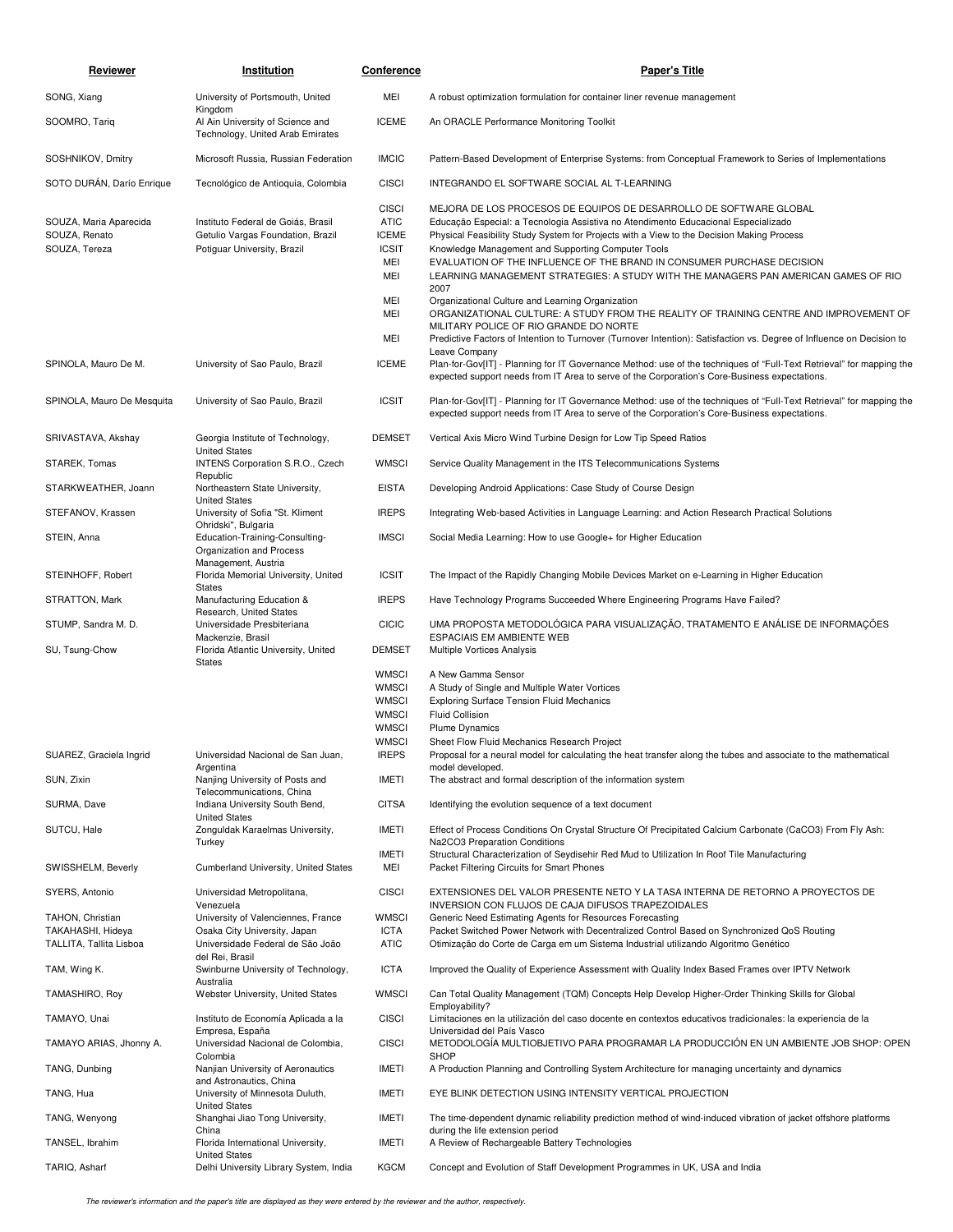| Reviewer                                                 | Institution                                                                                            | <b>Conference</b>                                                                            | <b>Paper's Title</b>                                                                                                                                                                                                                                                                                                                                                                                                                                                                                                                     |
|----------------------------------------------------------|--------------------------------------------------------------------------------------------------------|----------------------------------------------------------------------------------------------|------------------------------------------------------------------------------------------------------------------------------------------------------------------------------------------------------------------------------------------------------------------------------------------------------------------------------------------------------------------------------------------------------------------------------------------------------------------------------------------------------------------------------------------|
| SONG, Xiang                                              | University of Portsmouth, United<br>Kingdom                                                            | MEI                                                                                          | A robust optimization formulation for container liner revenue management                                                                                                                                                                                                                                                                                                                                                                                                                                                                 |
| SOOMRO, Tariq                                            | Al Ain University of Science and<br>Technology, United Arab Emirates                                   | <b>ICEME</b>                                                                                 | An ORACLE Performance Monitoring Toolkit                                                                                                                                                                                                                                                                                                                                                                                                                                                                                                 |
| SOSHNIKOV, Dmitry                                        | Microsoft Russia, Russian Federation                                                                   | <b>IMCIC</b>                                                                                 | Pattern-Based Development of Enterprise Systems: from Conceptual Framework to Series of Implementations                                                                                                                                                                                                                                                                                                                                                                                                                                  |
| SOTO DURAN, Darío Enrique                                | Tecnológico de Antioquia, Colombia                                                                     | <b>CISCI</b>                                                                                 | INTEGRANDO EL SOFTWARE SOCIAL AL T-LEARNING                                                                                                                                                                                                                                                                                                                                                                                                                                                                                              |
| SOUZA, Maria Aparecida<br>SOUZA, Renato<br>SOUZA, Tereza | Instituto Federal de Goiás, Brasil<br>Getulio Vargas Foundation, Brazil<br>Potiquar University, Brazil | <b>CISCI</b><br><b>ATIC</b><br><b>ICEME</b><br><b>ICSIT</b><br>MEI<br>MEI<br>MEI             | MEJORA DE LOS PROCESOS DE EQUIPOS DE DESARROLLO DE SOFTWARE GLOBAL<br>Educação Especial: a Tecnologia Assistiva no Atendimento Educacional Especializado<br>Physical Feasibility Study System for Projects with a View to the Decision Making Process<br>Knowledge Management and Supporting Computer Tools<br>EVALUATION OF THE INFLUENCE OF THE BRAND IN CONSUMER PURCHASE DECISION<br>LEARNING MANAGEMENT STRATEGIES: A STUDY WITH THE MANAGERS PAN AMERICAN GAMES OF RIO<br>2007<br>Organizational Culture and Learning Organization |
|                                                          |                                                                                                        | MEI<br>MEI                                                                                   | ORGANIZATIONAL CULTURE: A STUDY FROM THE REALITY OF TRAINING CENTRE AND IMPROVEMENT OF<br>MILITARY POLICE OF RIO GRANDE DO NORTE<br>Predictive Factors of Intention to Turnover (Turnover Intention): Satisfaction vs. Degree of Influence on Decision to                                                                                                                                                                                                                                                                                |
| SPINOLA, Mauro De M.                                     | University of Sao Paulo, Brazil                                                                        | <b>ICEME</b>                                                                                 | Leave Company<br>Plan-for-Gov[IT] - Planning for IT Governance Method: use of the techniques of "Full-Text Retrieval" for mapping the<br>expected support needs from IT Area to serve of the Corporation's Core-Business expectations.                                                                                                                                                                                                                                                                                                   |
| SPINOLA, Mauro De Mesquita                               | University of Sao Paulo, Brazil                                                                        | <b>ICSIT</b>                                                                                 | Plan-for-Gov[IT] - Planning for IT Governance Method: use of the techniques of "Full-Text Retrieval" for mapping the<br>expected support needs from IT Area to serve of the Corporation's Core-Business expectations.                                                                                                                                                                                                                                                                                                                    |
| SRIVASTAVA, Akshay                                       | Georgia Institute of Technology,                                                                       | <b>DEMSET</b>                                                                                | Vertical Axis Micro Wind Turbine Design for Low Tip Speed Ratios                                                                                                                                                                                                                                                                                                                                                                                                                                                                         |
| STAREK, Tomas                                            | <b>United States</b><br>INTENS Corporation S.R.O., Czech                                               | <b>WMSCI</b>                                                                                 | Service Quality Management in the ITS Telecommunications Systems                                                                                                                                                                                                                                                                                                                                                                                                                                                                         |
| STARKWEATHER, Joann                                      | Republic<br>Northeastern State University,                                                             | <b>EISTA</b>                                                                                 | Developing Android Applications: Case Study of Course Design                                                                                                                                                                                                                                                                                                                                                                                                                                                                             |
| STEFANOV, Krassen                                        | <b>United States</b><br>University of Sofia "St. Kliment                                               | <b>IREPS</b>                                                                                 | Integrating Web-based Activities in Language Learning: and Action Research Practical Solutions                                                                                                                                                                                                                                                                                                                                                                                                                                           |
| STEIN, Anna                                              | Ohridski", Bulgaria<br>Education-Training-Consulting-<br>Organization and Process                      | <b>IMSCI</b>                                                                                 | Social Media Learning: How to use Google+ for Higher Education                                                                                                                                                                                                                                                                                                                                                                                                                                                                           |
| STEINHOFF, Robert                                        | Management, Austria<br>Florida Memorial University, United                                             | <b>ICSIT</b>                                                                                 | The Impact of the Rapidly Changing Mobile Devices Market on e-Learning in Higher Education                                                                                                                                                                                                                                                                                                                                                                                                                                               |
| STRATTON, Mark                                           | <b>States</b><br>Manufacturing Education &                                                             | <b>IREPS</b>                                                                                 | Have Technology Programs Succeeded Where Engineering Programs Have Failed?                                                                                                                                                                                                                                                                                                                                                                                                                                                               |
| STUMP, Sandra M. D.                                      | Research, United States<br>Universidade Presbiteriana                                                  | <b>CICIC</b>                                                                                 | UMA PROPOSTA METODOLÓGICA PARA VISUALIZAÇÃO, TRATAMENTO E ANÁLISE DE INFORMAÇÕES                                                                                                                                                                                                                                                                                                                                                                                                                                                         |
| SU, Tsung-Chow                                           | Mackenzie, Brasil<br>Florida Atlantic University, United                                               | <b>DEMSET</b>                                                                                | <b>ESPACIAIS EM AMBIENTE WEB</b><br>Multiple Vortices Analysis                                                                                                                                                                                                                                                                                                                                                                                                                                                                           |
|                                                          | <b>States</b>                                                                                          | <b>WMSCI</b><br><b>WMSCI</b><br><b>WMSCI</b><br><b>WMSCI</b><br><b>WMSCI</b><br><b>WMSCI</b> | A New Gamma Sensor<br>A Study of Single and Multiple Water Vortices<br><b>Exploring Surface Tension Fluid Mechanics</b><br><b>Fluid Collision</b><br><b>Plume Dynamics</b>                                                                                                                                                                                                                                                                                                                                                               |
| SUAREZ, Graciela Ingrid                                  | Universidad Nacional de San Juan,<br>Argentina                                                         | <b>IREPS</b>                                                                                 | Sheet Flow Fluid Mechanics Research Project<br>Proposal for a neural model for calculating the heat transfer along the tubes and associate to the mathematical<br>model developed.                                                                                                                                                                                                                                                                                                                                                       |
| SUN, Zixin                                               | Nanjing University of Posts and<br>Telecommunications, China                                           | <b>IMETI</b>                                                                                 | The abstract and formal description of the information system                                                                                                                                                                                                                                                                                                                                                                                                                                                                            |
| SURMA, Dave                                              | Indiana University South Bend,<br><b>United States</b>                                                 | <b>CITSA</b>                                                                                 | Identifying the evolution sequence of a text document                                                                                                                                                                                                                                                                                                                                                                                                                                                                                    |
| SUTCU, Hale                                              | Zonguldak Karaelmas University,<br>Turkey                                                              | <b>IMETI</b><br><b>IMETI</b>                                                                 | Effect of Process Conditions On Crystal Structure Of Precipitated Calcium Carbonate (CaCO3) From Fly Ash:<br>Na2CO3 Preparation Conditions<br>Structural Characterization of Seydisehir Red Mud to Utilization In Roof Tile Manufacturing                                                                                                                                                                                                                                                                                                |
| SWISSHELM, Beverly                                       | Cumberland University, United States                                                                   | MEI                                                                                          | Packet Filtering Circuits for Smart Phones                                                                                                                                                                                                                                                                                                                                                                                                                                                                                               |
| SYERS, Antonio                                           | Universidad Metropolitana,<br>Venezuela                                                                | <b>CISCI</b>                                                                                 | EXTENSIONES DEL VALOR PRESENTE NETO Y LA TASA INTERNA DE RETORNO A PROYECTOS DE<br>INVERSION CON FLUJOS DE CAJA DIFUSOS TRAPEZOIDALES                                                                                                                                                                                                                                                                                                                                                                                                    |
| TAHON, Christian                                         | University of Valenciennes, France                                                                     | <b>WMSCI</b>                                                                                 | Generic Need Estimating Agents for Resources Forecasting                                                                                                                                                                                                                                                                                                                                                                                                                                                                                 |
| TAKAHASHI, Hideya<br>TALLITA, Tallita Lisboa             | Osaka City University, Japan<br>Universidade Federal de São João                                       | <b>ICTA</b><br><b>ATIC</b>                                                                   | Packet Switched Power Network with Decentralized Control Based on Synchronized QoS Routing<br>Otimização do Corte de Carga em um Sistema Industrial utilizando Algoritmo Genético                                                                                                                                                                                                                                                                                                                                                        |
| TAM, Wing K.                                             | del Rei, Brasil<br>Swinburne University of Technology,                                                 | <b>ICTA</b>                                                                                  | Improved the Quality of Experience Assessment with Quality Index Based Frames over IPTV Network                                                                                                                                                                                                                                                                                                                                                                                                                                          |
| TAMASHIRO, Roy                                           | Australia<br>Webster University, United States                                                         | <b>WMSCI</b>                                                                                 | Can Total Quality Management (TQM) Concepts Help Develop Higher-Order Thinking Skills for Global                                                                                                                                                                                                                                                                                                                                                                                                                                         |
| TAMAYO, Unai                                             | Instituto de Economía Aplicada a la                                                                    | <b>CISCI</b>                                                                                 | Employability?<br>Limitaciones en la utilización del caso docente en contextos educativos tradicionales: la experiencia de la                                                                                                                                                                                                                                                                                                                                                                                                            |
| TAMAYO ARIAS, Jhonny A.                                  | Empresa, España<br>Universidad Nacional de Colombia,                                                   | <b>CISCI</b>                                                                                 | Universidad del País Vasco<br>METODOLOGÍA MULTIOBJETIVO PARA PROGRAMAR LA PRODUCCIÓN EN UN AMBIENTE JOB SHOP: OPEN                                                                                                                                                                                                                                                                                                                                                                                                                       |
| TANG, Dunbing                                            | Colombia<br>Nanjian University of Aeronautics                                                          | <b>IMETI</b>                                                                                 | <b>SHOP</b><br>A Production Planning and Controlling System Architecture for managing uncertainty and dynamics                                                                                                                                                                                                                                                                                                                                                                                                                           |
| TANG, Hua                                                | and Astronautics, China<br>University of Minnesota Duluth,                                             | <b>IMETI</b>                                                                                 | EYE BLINK DETECTION USING INTENSITY VERTICAL PROJECTION                                                                                                                                                                                                                                                                                                                                                                                                                                                                                  |
| TANG, Wenyong                                            | <b>United States</b><br>Shanghai Jiao Tong University,                                                 | <b>IMETI</b>                                                                                 | The time-dependent dynamic reliability prediction method of wind-induced vibration of jacket offshore platforms                                                                                                                                                                                                                                                                                                                                                                                                                          |
| TANSEL, Ibrahim                                          | China<br>Florida International University,                                                             | IMETI                                                                                        | during the life extension period<br>A Review of Rechargeable Battery Technologies                                                                                                                                                                                                                                                                                                                                                                                                                                                        |
| TARIQ, Asharf                                            | <b>United States</b><br>Delhi University Library System, India                                         | <b>KGCM</b>                                                                                  | Concept and Evolution of Staff Development Programmes in UK, USA and India                                                                                                                                                                                                                                                                                                                                                                                                                                                               |
|                                                          |                                                                                                        |                                                                                              |                                                                                                                                                                                                                                                                                                                                                                                                                                                                                                                                          |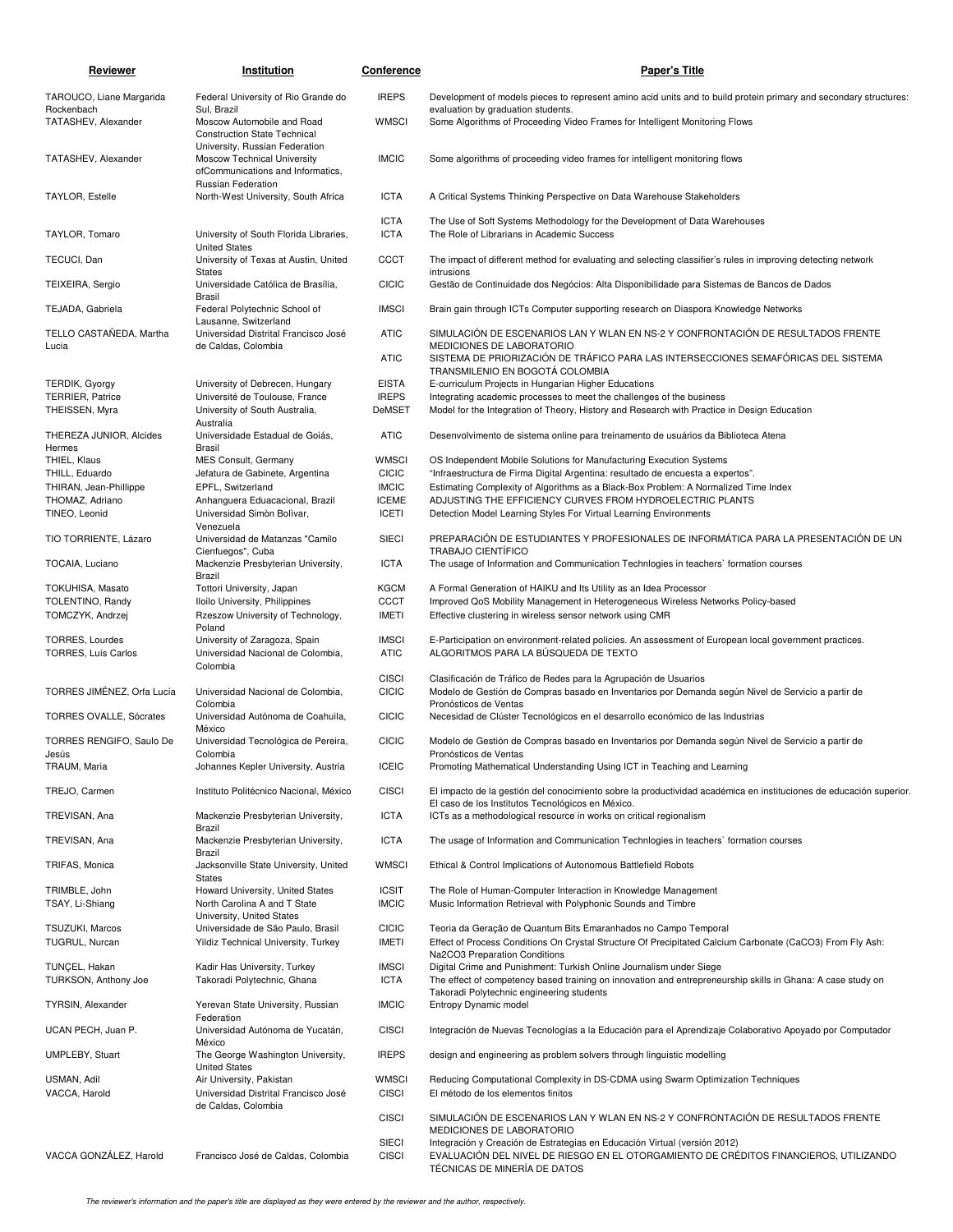| Reviewer                                         | Institution                                                                                        | Conference                   | <b>Paper's Title</b>                                                                                                                                                                                          |
|--------------------------------------------------|----------------------------------------------------------------------------------------------------|------------------------------|---------------------------------------------------------------------------------------------------------------------------------------------------------------------------------------------------------------|
| TAROUCO, Liane Margarida                         | Federal University of Rio Grande do                                                                | <b>IREPS</b>                 | Development of models pieces to represent amino acid units and to build protein primary and secondary structures:                                                                                             |
| Rockenbach<br>TATASHEV, Alexander                | Sul, Brazil<br>Moscow Automobile and Road<br><b>Construction State Technical</b>                   | <b>WMSCI</b>                 | evaluation by graduation students.<br>Some Algorithms of Proceeding Video Frames for Intelligent Monitoring Flows                                                                                             |
| TATASHEV, Alexander                              | University, Russian Federation<br>Moscow Technical University<br>ofCommunications and Informatics, | <b>IMCIC</b>                 | Some algorithms of proceeding video frames for intelligent monitoring flows                                                                                                                                   |
| <b>TAYLOR, Estelle</b>                           | Russian Federation<br>North-West University, South Africa                                          | <b>ICTA</b>                  | A Critical Systems Thinking Perspective on Data Warehouse Stakeholders                                                                                                                                        |
|                                                  |                                                                                                    | <b>ICTA</b>                  | The Use of Soft Systems Methodology for the Development of Data Warehouses                                                                                                                                    |
| TAYLOR, Tomaro                                   | University of South Florida Libraries,<br><b>United States</b>                                     | <b>ICTA</b>                  | The Role of Librarians in Academic Success                                                                                                                                                                    |
| TECUCI, Dan                                      | University of Texas at Austin, United<br><b>States</b>                                             | <b>CCCT</b>                  | The impact of different method for evaluating and selecting classifier's rules in improving detecting network<br>intrusions                                                                                   |
| TEIXEIRA, Sergio                                 | Universidade Católica de Brasília,<br>Brasil                                                       | <b>CICIC</b>                 | Gestão de Continuidade dos Negócios: Alta Disponibilidade para Sistemas de Bancos de Dados                                                                                                                    |
| TEJADA, Gabriela                                 | Federal Polytechnic School of<br>Lausanne, Switzerland                                             | <b>IMSCI</b>                 | Brain gain through ICTs Computer supporting research on Diaspora Knowledge Networks                                                                                                                           |
| TELLO CASTAÑEDA, Martha<br>Lucia                 | Universidad Distrital Francisco José<br>de Caldas, Colombia                                        | <b>ATIC</b>                  | SIMULACIÓN DE ESCENARIOS LAN Y WLAN EN NS-2 Y CONFRONTACIÓN DE RESULTADOS FRENTE<br>MEDICIONES DE LABORATORIO                                                                                                 |
|                                                  |                                                                                                    | <b>ATIC</b>                  | SISTEMA DE PRIORIZACIÓN DE TRÁFICO PARA LAS INTERSECCIONES SEMAFÓRICAS DEL SISTEMA<br>TRANSMILENIO EN BOGOTÁ COLOMBIA                                                                                         |
| <b>TERDIK, Gyorgy</b><br><b>TERRIER, Patrice</b> | University of Debrecen, Hungary<br>Université de Toulouse, France                                  | <b>EISTA</b><br><b>IREPS</b> | E-curriculum Projects in Hungarian Higher Educations<br>Integrating academic processes to meet the challenges of the business                                                                                 |
| THEISSEN, Myra                                   | University of South Australia,                                                                     | <b>DeMSET</b>                | Model for the Integration of Theory, History and Research with Practice in Design Education                                                                                                                   |
| THEREZA JUNIOR, Alcides<br>Hermes                | Australia<br>Universidade Estadual de Goiás,<br>Brasil                                             | <b>ATIC</b>                  | Desenvolvimento de sistema online para treinamento de usuários da Biblioteca Atena                                                                                                                            |
| THIEL, Klaus                                     | MES Consult, Germany                                                                               | <b>WMSCI</b>                 | OS Independent Mobile Solutions for Manufacturing Execution Systems                                                                                                                                           |
| THILL, Eduardo                                   | Jefatura de Gabinete, Argentina                                                                    | <b>CICIC</b>                 | "Infraestructura de Firma Digital Argentina: resultado de encuesta a expertos".                                                                                                                               |
| THIRAN, Jean-Phillippe                           | EPFL, Switzerland                                                                                  | <b>IMCIC</b>                 | Estimating Complexity of Algorithms as a Black-Box Problem: A Normalized Time Index                                                                                                                           |
| THOMAZ, Adriano                                  | Anhanguera Eduacacional, Brazil                                                                    | <b>ICEME</b>                 | ADJUSTING THE EFFICIENCY CURVES FROM HYDROELECTRIC PLANTS                                                                                                                                                     |
| TINEO, Leonid                                    | Universidad Simòn Bolìvar,<br>Venezuela                                                            | <b>ICETI</b>                 | Detection Model Learning Styles For Virtual Learning Environments                                                                                                                                             |
| TIO TORRIENTE, Lázaro                            | Universidad de Matanzas "Camilo<br>Cienfuegos", Cuba                                               | <b>SIECI</b>                 | PREPARACIÓN DE ESTUDIANTES Y PROFESIONALES DE INFORMÁTICA PARA LA PRESENTACIÓN DE UN<br>TRABAJO CIENTÍFICO                                                                                                    |
| TOCAIA, Luciano                                  | Mackenzie Presbyterian University,<br>Brazil                                                       | <b>ICTA</b>                  | The usage of Information and Communication Technlogies in teachers' formation courses                                                                                                                         |
| TOKUHISA, Masato                                 | Tottori University, Japan                                                                          | <b>KGCM</b>                  | A Formal Generation of HAIKU and Its Utility as an Idea Processor                                                                                                                                             |
| TOLENTINO, Randy                                 | Iloilo University, Philippines                                                                     | CCCT                         | Improved QoS Mobility Management in Heterogeneous Wireless Networks Policy-based                                                                                                                              |
| TOMCZYK, Andrzej                                 | Rzeszow University of Technology,<br>Poland                                                        | <b>IMETI</b>                 | Effective clustering in wireless sensor network using CMR                                                                                                                                                     |
| <b>TORRES, Lourdes</b><br>TORRES, Luís Carlos    | University of Zaragoza, Spain<br>Universidad Nacional de Colombia,<br>Colombia                     | <b>IMSCI</b><br><b>ATIC</b>  | E-Participation on environment-related policies. An assessment of European local government practices.<br>ALGORITMOS PARA LA BÚSQUEDA DE TEXTO                                                                |
|                                                  |                                                                                                    | <b>CISCI</b>                 | Clasificación de Tráfico de Redes para la Agrupación de Usuarios                                                                                                                                              |
| TORRES JIMÉNEZ, Orfa Lucía                       | Universidad Nacional de Colombia,                                                                  | <b>CICIC</b>                 | Modelo de Gestión de Compras basado en Inventarios por Demanda según Nivel de Servicio a partir de                                                                                                            |
| TORRES OVALLE, Sócrates                          | Colombia<br>Universidad Autónoma de Coahuila,<br>México                                            | <b>CICIC</b>                 | Pronósticos de Ventas<br>Necesidad de Clúster Tecnológicos en el desarrollo económico de las Industrias                                                                                                       |
| TORRES RENGIFO, Saulo De                         | Universidad Tecnológica de Pereira,                                                                | <b>CICIC</b>                 | Modelo de Gestión de Compras basado en Inventarios por Demanda según Nivel de Servicio a partir de                                                                                                            |
| Jesús<br>TRAUM, Maria                            | Colombia<br>Johannes Kepler University, Austria                                                    | <b>ICEIC</b>                 | Pronósticos de Ventas<br>Promoting Mathematical Understanding Using ICT in Teaching and Learning                                                                                                              |
| TREJO, Carmen                                    | Instituto Politécnico Nacional, México                                                             | <b>CISCI</b>                 | El impacto de la gestión del conocimiento sobre la productividad académica en instituciones de educación superior.                                                                                            |
| TREVISAN, Ana                                    | Mackenzie Presbyterian University,                                                                 | <b>ICTA</b>                  | El caso de los Institutos Tecnológicos en México.<br>ICTs as a methodological resource in works on critical regionalism                                                                                       |
| TREVISAN, Ana                                    | Brazil<br>Mackenzie Presbyterian University,                                                       | <b>ICTA</b>                  | The usage of Information and Communication Technlogies in teachers' formation courses                                                                                                                         |
| TRIFAS, Monica                                   | Brazil<br>Jacksonville State University, United                                                    | <b>WMSCI</b>                 | Ethical & Control Implications of Autonomous Battlefield Robots                                                                                                                                               |
| TRIMBLE, John<br>TSAY, Li-Shiang                 | <b>States</b><br>Howard University, United States<br>North Carolina A and T State                  | <b>ICSIT</b><br><b>IMCIC</b> | The Role of Human-Computer Interaction in Knowledge Management<br>Music Information Retrieval with Polyphonic Sounds and Timbre                                                                               |
| <b>TSUZUKI, Marcos</b>                           | University, United States<br>Universidade de São Paulo, Brasil                                     | <b>CICIC</b>                 |                                                                                                                                                                                                               |
| TUGRUL, Nurcan                                   | Yildiz Technical University, Turkey                                                                | IMETI                        | Teoria da Geração de Quantum Bits Emaranhados no Campo Temporal<br>Effect of Process Conditions On Crystal Structure Of Precipitated Calcium Carbonate (CaCO3) From Fly Ash:<br>Na2CO3 Preparation Conditions |
| TUNÇEL, Hakan                                    | Kadir Has University, Turkey                                                                       | <b>IMSCI</b><br><b>ICTA</b>  | Digital Crime and Punishment: Turkish Online Journalism under Siege                                                                                                                                           |
| TURKSON, Anthony Joe                             | Takoradi Polytechnic, Ghana                                                                        |                              | The effect of competency based training on innovation and entrepreneurship skills in Ghana: A case study on<br>Takoradi Polytechnic engineering students                                                      |
| <b>TYRSIN, Alexander</b>                         | Yerevan State University, Russian<br>Federation                                                    | <b>IMCIC</b>                 | Entropy Dynamic model                                                                                                                                                                                         |
| UCAN PECH, Juan P.                               | Universidad Autónoma de Yucatán,<br>México                                                         | <b>CISCI</b>                 | Integración de Nuevas Tecnologías a la Educación para el Aprendizaje Colaborativo Apoyado por Computador                                                                                                      |
| <b>UMPLEBY, Stuart</b>                           | The George Washington University,<br><b>United States</b>                                          | <b>IREPS</b>                 | design and engineering as problem solvers through linguistic modelling                                                                                                                                        |
| USMAN, Adil<br>VACCA, Harold                     | Air University, Pakistan<br>Universidad Distrital Francisco José                                   | <b>WMSCI</b><br><b>CISCI</b> | Reducing Computational Complexity in DS-CDMA using Swarm Optimization Techniques<br>El método de los elementos finitos                                                                                        |
|                                                  | de Caldas, Colombia                                                                                | <b>CISCI</b>                 | SIMULACIÓN DE ESCENARIOS LAN Y WLAN EN NS-2 Y CONFRONTACIÓN DE RESULTADOS FRENTE                                                                                                                              |
|                                                  |                                                                                                    | <b>SIECI</b>                 | MEDICIONES DE LABORATORIO                                                                                                                                                                                     |
| VACCA GONZÁLEZ, Harold                           | Francisco José de Caldas, Colombia                                                                 | <b>CISCI</b>                 | Integración y Creación de Estrategias en Educación Virtual (versión 2012)<br>EVALUACIÓN DEL NIVEL DE RIESGO EN EL OTORGAMIENTO DE CRÉDITOS FINANCIEROS, UTILIZANDO<br>TÉCNICAS DE MINERÍA DE DATOS            |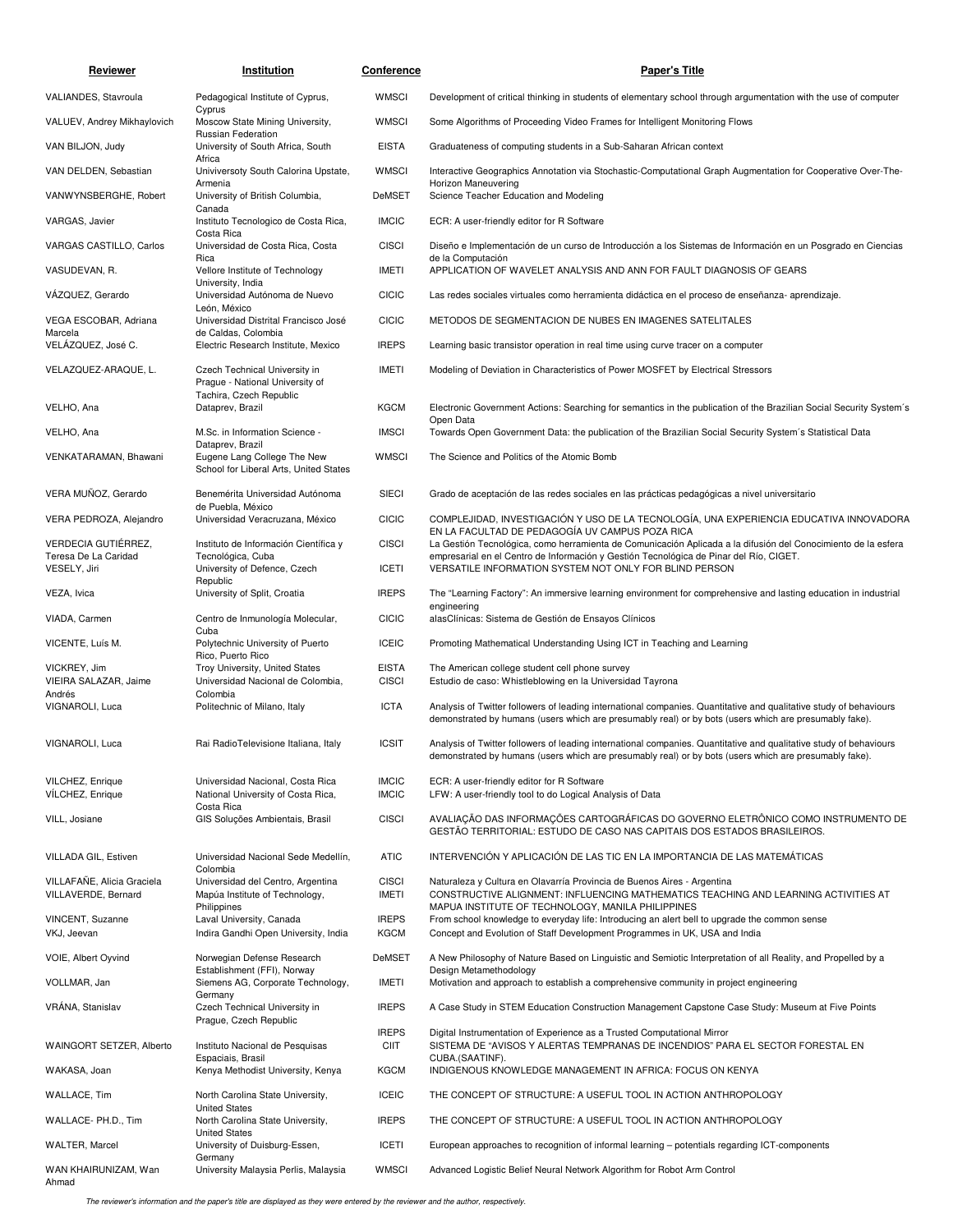| Reviewer                                          | Institution                                                                     | Conference                   | <b>Paper's Title</b>                                                                                                                                                                                                             |
|---------------------------------------------------|---------------------------------------------------------------------------------|------------------------------|----------------------------------------------------------------------------------------------------------------------------------------------------------------------------------------------------------------------------------|
| VALIANDES, Stavroula                              | Pedagogical Institute of Cyprus,                                                | WMSCI                        | Development of critical thinking in students of elementary school through argumentation with the use of computer                                                                                                                 |
| VALUEV, Andrey Mikhaylovich                       | Cyprus<br>Moscow State Mining University,                                       | <b>WMSCI</b>                 | Some Algorithms of Proceeding Video Frames for Intelligent Monitoring Flows                                                                                                                                                      |
| VAN BILJON, Judy                                  | Russian Federation<br>University of South Africa, South                         | <b>EISTA</b>                 | Graduateness of computing students in a Sub-Saharan African context                                                                                                                                                              |
| VAN DELDEN, Sebastian                             | Africa<br>Univiversoty South Calorina Upstate,                                  | <b>WMSCI</b>                 | Interactive Geographics Annotation via Stochastic-Computational Graph Augmentation for Cooperative Over-The-                                                                                                                     |
| VANWYNSBERGHE, Robert                             | Armenia<br>University of British Columbia,                                      | DeMSET                       | Horizon Maneuvering<br>Science Teacher Education and Modeling                                                                                                                                                                    |
| VARGAS, Javier                                    | Canada<br>Instituto Tecnologico de Costa Rica,<br>Costa Rica                    | <b>IMCIC</b>                 | ECR: A user-friendly editor for R Software                                                                                                                                                                                       |
| VARGAS CASTILLO, Carlos                           | Universidad de Costa Rica, Costa<br>Rica                                        | <b>CISCI</b>                 | Diseño e Implementación de un curso de Introducción a los Sistemas de Información en un Posgrado en Ciencias<br>de la Computación                                                                                                |
| VASUDEVAN, R.                                     | Vellore Institute of Technology<br>University, India                            | <b>IMETI</b>                 | APPLICATION OF WAVELET ANALYSIS AND ANN FOR FAULT DIAGNOSIS OF GEARS                                                                                                                                                             |
| VAZQUEZ, Gerardo                                  | Universidad Autónoma de Nuevo<br>León, México                                   | <b>CICIC</b>                 | Las redes sociales virtuales como herramienta didáctica en el proceso de enseñanza-aprendizaje.                                                                                                                                  |
| VEGA ESCOBAR, Adriana<br>Marcela                  | Universidad Distrital Francisco José<br>de Caldas, Colombia                     | <b>CICIC</b>                 | METODOS DE SEGMENTACION DE NUBES EN IMAGENES SATELITALES                                                                                                                                                                         |
| VELÁZQUEZ, José C.                                | Electric Research Institute, Mexico                                             | <b>IREPS</b>                 | Learning basic transistor operation in real time using curve tracer on a computer                                                                                                                                                |
| VELAZQUEZ-ARAQUE, L.                              | Czech Technical University in<br>Prague - National University of                | <b>IMETI</b>                 | Modeling of Deviation in Characteristics of Power MOSFET by Electrical Stressors                                                                                                                                                 |
| VELHO, Ana                                        | Tachira, Czech Republic<br>Dataprev, Brazil                                     | <b>KGCM</b>                  | Electronic Government Actions: Searching for semantics in the publication of the Brazilian Social Security System's<br>Open Data                                                                                                 |
| VELHO, Ana                                        | M.Sc. in Information Science -<br>Dataprev, Brazil                              | <b>IMSCI</b>                 | Towards Open Government Data: the publication of the Brazilian Social Security System's Statistical Data                                                                                                                         |
| VENKATARAMAN, Bhawani                             | Eugene Lang College The New<br>School for Liberal Arts, United States           | <b>WMSCI</b>                 | The Science and Politics of the Atomic Bomb                                                                                                                                                                                      |
| VERA MUÑOZ, Gerardo                               | Benemérita Universidad Autónoma                                                 | <b>SIECI</b>                 | Grado de aceptación de las redes sociales en las prácticas pedagógicas a nivel universitario                                                                                                                                     |
| VERA PEDROZA, Alejandro                           | de Puebla, México<br>Universidad Veracruzana, México                            | <b>CICIC</b>                 | COMPLEJIDAD, INVESTIGACIÓN Y USO DE LA TECNOLOGÍA, UNA EXPERIENCIA EDUCATIVA INNOVADORA<br>EN LA FACULTAD DE PEDAGOGÍA UV CAMPUS POZA RICA                                                                                       |
| VERDECIA GUTIÉRREZ,<br>Teresa De La Caridad       | Instituto de Información Científica y<br>Tecnológica, Cuba                      | <b>CISCI</b>                 | La Gestión Tecnológica, como herramienta de Comunicación Aplicada a la difusión del Conocimiento de la esfera<br>empresarial en el Centro de Información y Gestión Tecnológica de Pinar del Río, CIGET.                          |
| VESELY, Jiri                                      | University of Defence, Czech<br>Republic                                        | <b>ICETI</b>                 | VERSATILE INFORMATION SYSTEM NOT ONLY FOR BLIND PERSON                                                                                                                                                                           |
| VEZA, Ivica                                       | University of Split, Croatia                                                    | <b>IREPS</b>                 | The "Learning Factory": An immersive learning environment for comprehensive and lasting education in industrial<br>engineering                                                                                                   |
| VIADA, Carmen                                     | Centro de Inmunología Molecular,<br>Cuba                                        | <b>CICIC</b>                 | alasClínicas: Sistema de Gestión de Ensayos Clínicos                                                                                                                                                                             |
| VICENTE, Luís M.                                  | Polytechnic University of Puerto<br>Rico, Puerto Rico                           | <b>ICEIC</b>                 | Promoting Mathematical Understanding Using ICT in Teaching and Learning                                                                                                                                                          |
| VICKREY, Jim<br>VIEIRA SALAZAR, Jaime             | Troy University, United States<br>Universidad Nacional de Colombia,             | <b>EISTA</b><br><b>CISCI</b> | The American college student cell phone survey<br>Estudio de caso: Whistleblowing en la Universidad Tayrona                                                                                                                      |
| Andrés<br>VIGNAROLI, Luca                         | Colombia<br>Politechnic of Milano, Italy                                        | <b>ICTA</b>                  | Analysis of Twitter followers of leading international companies. Quantitative and qualitative study of behaviours                                                                                                               |
|                                                   |                                                                                 |                              | demonstrated by humans (users which are presumably real) or by bots (users which are presumably fake).                                                                                                                           |
| VIGNAROLI, Luca                                   | Rai RadioTelevisione Italiana, Italy                                            | <b>ICSIT</b>                 | Analysis of Twitter followers of leading international companies. Quantitative and qualitative study of behaviours<br>demonstrated by humans (users which are presumably real) or by bots (users which are presumably fake).     |
| VILCHEZ, Enrique<br>VÍLCHEZ, Enrique              | Universidad Nacional, Costa Rica                                                | <b>IMCIC</b><br><b>IMCIC</b> | ECR: A user-friendly editor for R Software                                                                                                                                                                                       |
|                                                   | National University of Costa Rica,<br>Costa Rica                                |                              | LFW: A user-friendly tool to do Logical Analysis of Data                                                                                                                                                                         |
| VILL, Josiane                                     | GIS Soluções Ambientais, Brasil                                                 | <b>CISCI</b>                 | AVALIAÇÃO DAS INFORMAÇÕES CARTOGRÁFICAS DO GOVERNO ELETRÔNICO COMO INSTRUMENTO DE<br>GESTÃO TERRITORIAL: ESTUDO DE CASO NAS CAPITAIS DOS ESTADOS BRASILEIROS.                                                                    |
| VILLADA GIL, Estiven                              | Universidad Nacional Sede Medellín,<br>Colombia                                 | <b>ATIC</b>                  | INTERVENCIÓN Y APLICACIÓN DE LAS TIC EN LA IMPORTANCIA DE LAS MATEMÁTICAS                                                                                                                                                        |
| VILLAFAÑE, Alicia Graciela<br>VILLAVERDE, Bernard | Universidad del Centro, Argentina<br>Mapúa Institute of Technology,             | <b>CISCI</b><br><b>IMETI</b> | Naturaleza y Cultura en Olavarría Provincia de Buenos Aires - Argentina<br>CONSTRUCTIVE ALIGNMENT: INFLUENCING MATHEMATICS TEACHING AND LEARNING ACTIVITIES AT                                                                   |
| VINCENT, Suzanne<br>VKJ, Jeevan                   | Philippines<br>Laval University, Canada<br>Indira Gandhi Open University, India | <b>IREPS</b><br><b>KGCM</b>  | MAPUA INSTITUTE OF TECHNOLOGY, MANILA PHILIPPINES<br>From school knowledge to everyday life: Introducing an alert bell to upgrade the common sense<br>Concept and Evolution of Staff Development Programmes in UK, USA and India |
| VOIE, Albert Oyvind                               |                                                                                 | DeMSET                       | A New Philosophy of Nature Based on Linguistic and Semiotic Interpretation of all Reality, and Propelled by a                                                                                                                    |
|                                                   | Norwegian Defense Research<br>Establishment (FFI), Norway                       |                              | Design Metamethodology                                                                                                                                                                                                           |
| VOLLMAR, Jan<br>VRÁNA, Stanislav                  | Siemens AG, Corporate Technology,<br>Germany                                    | IMETI<br><b>IREPS</b>        | Motivation and approach to establish a comprehensive community in project engineering                                                                                                                                            |
|                                                   | Czech Technical University in<br>Prague, Czech Republic                         | <b>IREPS</b>                 | A Case Study in STEM Education Construction Management Capstone Case Study: Museum at Five Points                                                                                                                                |
| WAINGORT SETZER, Alberto                          | Instituto Nacional de Pesquisas<br>Espaciais, Brasil                            | <b>CIIT</b>                  | Digital Instrumentation of Experience as a Trusted Computational Mirror<br>SISTEMA DE "AVISOS Y ALERTAS TEMPRANAS DE INCENDIOS" PARA EL SECTOR FORESTAL EN<br>CUBA.(SAATINF).                                                    |
| WAKASA, Joan                                      | Kenya Methodist University, Kenya                                               | <b>KGCM</b>                  | INDIGENOUS KNOWLEDGE MANAGEMENT IN AFRICA: FOCUS ON KENYA                                                                                                                                                                        |
| WALLACE, Tim                                      | North Carolina State University,<br><b>United States</b>                        | <b>ICEIC</b>                 | THE CONCEPT OF STRUCTURE: A USEFUL TOOL IN ACTION ANTHROPOLOGY                                                                                                                                                                   |
| WALLACE- PH.D., Tim                               | North Carolina State University,<br><b>United States</b>                        | <b>IREPS</b>                 | THE CONCEPT OF STRUCTURE: A USEFUL TOOL IN ACTION ANTHROPOLOGY                                                                                                                                                                   |
| <b>WALTER, Marcel</b>                             | University of Duisburg-Essen,<br>Germany                                        | <b>ICETI</b>                 | European approaches to recognition of informal learning - potentials regarding ICT-components                                                                                                                                    |
| WAN KHAIRUNIZAM, Wan<br>Ahmad                     | University Malaysia Perlis, Malaysia                                            | WMSCI                        | Advanced Logistic Belief Neural Network Algorithm for Robot Arm Control                                                                                                                                                          |

The reviewer's information and the paper's title are displayed as they were entered by the reviewer and the author, respectively.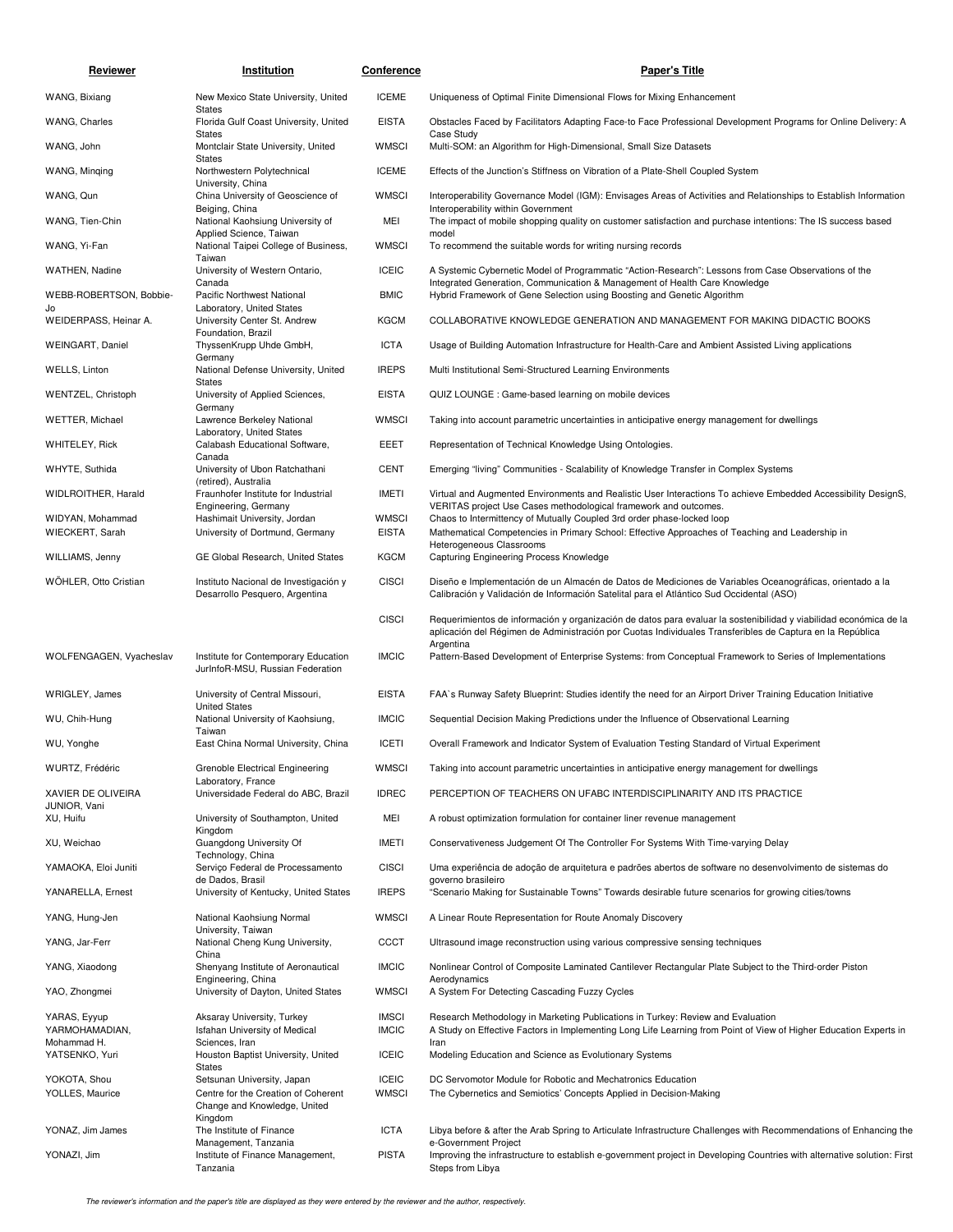| Reviewer                           | Institution                                                                   | <b>Conference</b>            | <b>Paper's Title</b>                                                                                                                                                                                                                        |
|------------------------------------|-------------------------------------------------------------------------------|------------------------------|---------------------------------------------------------------------------------------------------------------------------------------------------------------------------------------------------------------------------------------------|
| WANG, Bixiang                      | New Mexico State University, United                                           | <b>ICEME</b>                 | Uniqueness of Optimal Finite Dimensional Flows for Mixing Enhancement                                                                                                                                                                       |
| WANG, Charles                      | <b>States</b><br>Florida Gulf Coast University, United                        | <b>EISTA</b>                 | Obstacles Faced by Facilitators Adapting Face-to Face Professional Development Programs for Online Delivery: A                                                                                                                              |
| WANG, John                         | <b>States</b><br>Montclair State University, United<br><b>States</b>          | <b>WMSCI</b>                 | Case Study<br>Multi-SOM: an Algorithm for High-Dimensional, Small Size Datasets                                                                                                                                                             |
| WANG, Minging                      | Northwestern Polytechnical<br>University, China                               | <b>ICEME</b>                 | Effects of the Junction's Stiffness on Vibration of a Plate-Shell Coupled System                                                                                                                                                            |
| WANG, Qun                          | China University of Geoscience of                                             | <b>WMSCI</b>                 | Interoperability Governance Model (IGM): Envisages Areas of Activities and Relationships to Establish Information                                                                                                                           |
| WANG, Tien-Chin                    | Beiging, China<br>National Kaohsiung University of<br>Applied Science, Taiwan | MEI                          | Interoperability within Government<br>The impact of mobile shopping quality on customer satisfaction and purchase intentions: The IS success based                                                                                          |
| WANG, Yi-Fan                       | National Taipei College of Business,                                          | <b>WMSCI</b>                 | model<br>To recommend the suitable words for writing nursing records                                                                                                                                                                        |
| WATHEN, Nadine                     | Taiwan<br>University of Western Ontario,                                      | <b>ICEIC</b>                 | A Systemic Cybernetic Model of Programmatic "Action-Research": Lessons from Case Observations of the                                                                                                                                        |
| WEBB-ROBERTSON, Bobbie-            | Canada<br>Pacific Northwest National                                          | <b>BMIC</b>                  | Integrated Generation, Communication & Management of Health Care Knowledge<br>Hybrid Framework of Gene Selection using Boosting and Genetic Algorithm                                                                                       |
| Jo<br>WEIDERPASS, Heinar A.        | Laboratory, United States<br>University Center St. Andrew                     | <b>KGCM</b>                  | COLLABORATIVE KNOWLEDGE GENERATION AND MANAGEMENT FOR MAKING DIDACTIC BOOKS                                                                                                                                                                 |
| <b>WEINGART, Daniel</b>            | Foundation, Brazil<br>ThyssenKrupp Uhde GmbH,                                 | <b>ICTA</b>                  | Usage of Building Automation Infrastructure for Health-Care and Ambient Assisted Living applications                                                                                                                                        |
| WELLS, Linton                      | Germany<br>National Defense University, United                                | <b>IREPS</b>                 | Multi Institutional Semi-Structured Learning Environments                                                                                                                                                                                   |
| WENTZEL, Christoph                 | <b>States</b><br>University of Applied Sciences,                              | <b>EISTA</b>                 | QUIZ LOUNGE : Game-based learning on mobile devices                                                                                                                                                                                         |
| WETTER, Michael                    | Germany<br>Lawrence Berkeley National                                         | <b>WMSCI</b>                 | Taking into account parametric uncertainties in anticipative energy management for dwellings                                                                                                                                                |
| <b>WHITELEY, Rick</b>              | Laboratory, United States<br>Calabash Educational Software,                   | EEET                         | Representation of Technical Knowledge Using Ontologies.                                                                                                                                                                                     |
| WHYTE, Suthida                     | Canada<br>University of Ubon Ratchathani                                      | <b>CENT</b>                  | Emerging "living" Communities - Scalability of Knowledge Transfer in Complex Systems                                                                                                                                                        |
| WIDLROITHER, Harald                | (retired), Australia<br>Fraunhofer Institute for Industrial                   | <b>IMETI</b>                 | Virtual and Augmented Environments and Realistic User Interactions To achieve Embedded Accessibility DesignS,                                                                                                                               |
| WIDYAN, Mohammad                   | Engineering, Germany<br>Hashimait University, Jordan                          | <b>WMSCI</b>                 | VERITAS project Use Cases methodological framework and outcomes.<br>Chaos to Intermittency of Mutually Coupled 3rd order phase-locked loop                                                                                                  |
| WIECKERT, Sarah                    | University of Dortmund, Germany                                               | <b>EISTA</b>                 | Mathematical Competencies in Primary School: Effective Approaches of Teaching and Leadership in<br>Heterogeneous Classrooms                                                                                                                 |
| WILLIAMS, Jenny                    | GE Global Research, United States                                             | <b>KGCM</b>                  | Capturing Engineering Process Knowledge                                                                                                                                                                                                     |
| WÖHLER, Otto Cristian              | Instituto Nacional de Investigación y<br>Desarrollo Pesquero, Argentina       | <b>CISCI</b>                 | Diseño e Implementación de un Almacén de Datos de Mediciones de Variables Oceanográficas, orientado a la<br>Calibración y Validación de Información Satelital para el Atlántico Sud Occidental (ASO)                                        |
|                                    |                                                                               | <b>CISCI</b><br><b>IMCIC</b> | Requerimientos de información y organización de datos para evaluar la sostenibilidad y viabilidad económica de la<br>aplicación del Régimen de Administración por Cuotas Individuales Transferibles de Captura en la República<br>Argentina |
| WOLFENGAGEN, Vyacheslav            | Institute for Contemporary Education<br>JurInfoR-MSU, Russian Federation      |                              | Pattern-Based Development of Enterprise Systems: from Conceptual Framework to Series of Implementations                                                                                                                                     |
| WRIGLEY, James                     | University of Central Missouri,<br><b>United States</b>                       | <b>EISTA</b>                 | FAA's Runway Safety Blueprint: Studies identify the need for an Airport Driver Training Education Initiative                                                                                                                                |
| WU, Chih-Hung                      | National University of Kaohsiung,<br>Taiwan                                   | <b>IMCIC</b>                 | Sequential Decision Making Predictions under the Influence of Observational Learning                                                                                                                                                        |
| WU, Yonghe                         | East China Normal University, China                                           | <b>ICETI</b>                 | Overall Framework and Indicator System of Evaluation Testing Standard of Virtual Experiment                                                                                                                                                 |
| WURTZ, Frédéric                    | Grenoble Electrical Engineering<br>Laboratory, France                         | <b>WMSCI</b>                 | Taking into account parametric uncertainties in anticipative energy management for dwellings                                                                                                                                                |
| XAVIER DE OLIVEIRA<br>JUNIOR, Vani | Universidade Federal do ABC, Brazil                                           | <b>IDREC</b>                 | PERCEPTION OF TEACHERS ON UFABC INTERDISCIPLINARITY AND ITS PRACTICE                                                                                                                                                                        |
| XU, Huifu                          | University of Southampton, United                                             | MEI                          | A robust optimization formulation for container liner revenue management                                                                                                                                                                    |
| XU, Weichao                        | Kingdom<br>Guangdong University Of                                            | IMETI                        | Conservativeness Judgement Of The Controller For Systems With Time-varying Delay                                                                                                                                                            |
| YAMAOKA, Eloi Juniti               | Technology, China<br>Servico Federal de Processamento                         | <b>CISCI</b>                 | Uma experiência de adoção de arquitetura e padrões abertos de software no desenvolvimento de sistemas do                                                                                                                                    |
| YANARELLA, Ernest                  | de Dados, Brasil<br>University of Kentucky, United States                     | <b>IREPS</b>                 | governo brasileiro<br>"Scenario Making for Sustainable Towns" Towards desirable future scenarios for growing cities/towns                                                                                                                   |
| YANG, Hung-Jen                     | National Kaohsiung Normal                                                     | <b>WMSCI</b>                 | A Linear Route Representation for Route Anomaly Discovery                                                                                                                                                                                   |
| YANG, Jar-Ferr                     | University, Taiwan<br>National Cheng Kung University,                         | <b>CCCT</b>                  | Ultrasound image reconstruction using various compressive sensing techniques                                                                                                                                                                |
| YANG, Xiaodong                     | China<br>Shenyang Institute of Aeronautical                                   | <b>IMCIC</b>                 | Nonlinear Control of Composite Laminated Cantilever Rectangular Plate Subject to the Third-order Piston                                                                                                                                     |
| YAO, Zhongmei                      | Engineering, China<br>University of Dayton, United States                     | <b>WMSCI</b>                 | Aerodynamics<br>A System For Detecting Cascading Fuzzy Cycles                                                                                                                                                                               |
| YARAS, Eyyup                       | Aksaray University, Turkey                                                    | <b>IMSCI</b>                 | Research Methodology in Marketing Publications in Turkey: Review and Evaluation                                                                                                                                                             |
| YARMOHAMADIAN,<br>Mohammad H.      | <b>Isfahan University of Medical</b><br>Sciences, Iran                        | <b>IMCIC</b>                 | A Study on Effective Factors in Implementing Long Life Learning from Point of View of Higher Education Experts in<br>Iran                                                                                                                   |
| YATSENKO, Yuri                     | Houston Baptist University, United<br><b>States</b>                           | <b>ICEIC</b>                 | Modeling Education and Science as Evolutionary Systems                                                                                                                                                                                      |
| YOKOTA, Shou<br>YOLLES, Maurice    | Setsunan University, Japan<br>Centre for the Creation of Coherent             | <b>ICEIC</b><br><b>WMSCI</b> | DC Servomotor Module for Robotic and Mechatronics Education<br>The Cybernetics and Semiotics' Concepts Applied in Decision-Making                                                                                                           |
|                                    | Change and Knowledge, United<br>Kingdom                                       |                              |                                                                                                                                                                                                                                             |
| YONAZ, Jim James                   | The Institute of Finance<br>Management, Tanzania                              | <b>ICTA</b>                  | Libya before & after the Arab Spring to Articulate Infrastructure Challenges with Recommendations of Enhancing the<br>e-Government Project                                                                                                  |
| YONAZI, Jim                        | Institute of Finance Management,<br>Tanzania                                  | <b>PISTA</b>                 | Improving the infrastructure to establish e-government project in Developing Countries with alternative solution: First<br>Steps from Libya                                                                                                 |